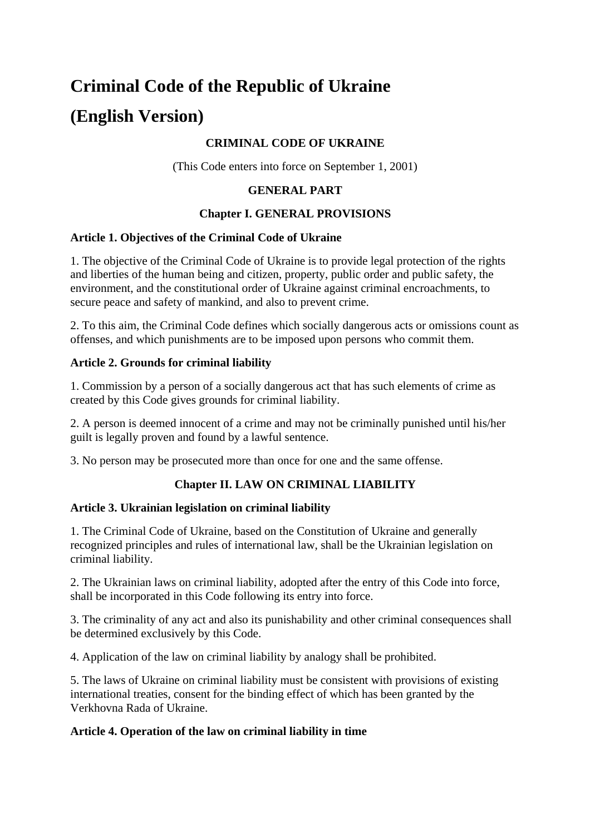# **Criminal Code of the Republic of Ukraine (English Version)**

## **CRIMINAL CODE OF UKRAINE**

(This Code enters into force on September 1, 2001)

#### **GENERAL PART**

#### **Chapter I. GENERAL PROVISIONS**

#### **Article 1. Objectives of the Criminal Code of Ukraine**

1. The objective of the Criminal Code of Ukraine is to provide legal protection of the rights and liberties of the human being and citizen, property, public order and public safety, the environment, and the constitutional order of Ukraine against criminal encroachments, to secure peace and safety of mankind, and also to prevent crime.

2. To this aim, the Criminal Code defines which socially dangerous acts or omissions count as offenses, and which punishments are to be imposed upon persons who commit them.

## **Article 2. Grounds for criminal liability**

1. Commission by a person of a socially dangerous act that has such elements of crime as created by this Code gives grounds for criminal liability.

2. A person is deemed innocent of a crime and may not be criminally punished until his/her guilt is legally proven and found by a lawful sentence.

3. No person may be prosecuted more than once for one and the same offense.

## **Chapter II. LAW ON CRIMINAL LIABILITY**

#### **Article 3. Ukrainian legislation on criminal liability**

1. The Criminal Code of Ukraine, based on the Constitution of Ukraine and generally recognized principles and rules of international law, shall be the Ukrainian legislation on criminal liability.

2. The Ukrainian laws on criminal liability, adopted after the entry of this Code into force, shall be incorporated in this Code following its entry into force.

3. The criminality of any act and also its punishability and other criminal consequences shall be determined exclusively by this Code.

4. Application of the law on criminal liability by analogy shall be prohibited.

5. The laws of Ukraine on criminal liability must be consistent with provisions of existing international treaties, consent for the binding effect of which has been granted by the Verkhovna Rada of Ukraine.

#### **Article 4. Operation of the law on criminal liability in time**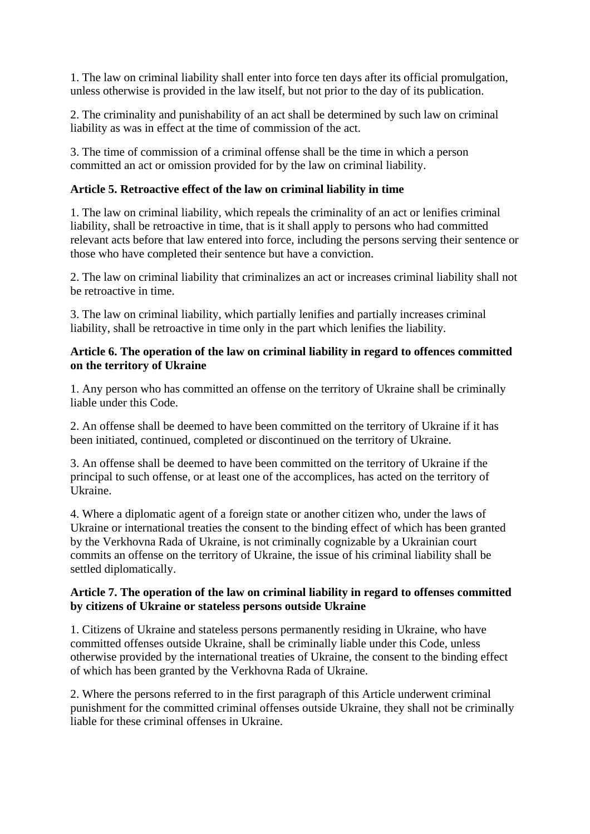1. The law on criminal liability shall enter into force ten days after its official promulgation, unless otherwise is provided in the law itself, but not prior to the day of its publication.

2. The criminality and punishability of an act shall be determined by such law on criminal liability as was in effect at the time of commission of the act.

3. The time of commission of a criminal offense shall be the time in which a person committed an act or omission provided for by the law on criminal liability.

## **Article 5. Retroactive effect of the law on criminal liability in time**

1. The law on criminal liability, which repeals the criminality of an act or lenifies criminal liability, shall be retroactive in time, that is it shall apply to persons who had committed relevant acts before that law entered into force, including the persons serving their sentence or those who have completed their sentence but have a conviction.

2. The law on criminal liability that criminalizes an act or increases criminal liability shall not be retroactive in time.

3. The law on criminal liability, which partially lenifies and partially increases criminal liability, shall be retroactive in time only in the part which lenifies the liability.

#### **Article 6. The operation of the law on criminal liability in regard to offences committed on the territory of Ukraine**

1. Any person who has committed an offense on the territory of Ukraine shall be criminally liable under this Code.

2. An offense shall be deemed to have been committed on the territory of Ukraine if it has been initiated, continued, completed or discontinued on the territory of Ukraine.

3. An offense shall be deemed to have been committed on the territory of Ukraine if the principal to such offense, or at least one of the accomplices, has acted on the territory of Ukraine.

4. Where a diplomatic agent of a foreign state or another citizen who, under the laws of Ukraine or international treaties the consent to the binding effect of which has been granted by the Verkhovna Rada of Ukraine, is not criminally cognizable by a Ukrainian court commits an offense on the territory of Ukraine, the issue of his criminal liability shall be settled diplomatically.

#### **Article 7. The operation of the law on criminal liability in regard to offenses committed by citizens of Ukraine or stateless persons outside Ukraine**

1. Citizens of Ukraine and stateless persons permanently residing in Ukraine, who have committed offenses outside Ukraine, shall be criminally liable under this Code, unless otherwise provided by the international treaties of Ukraine, the consent to the binding effect of which has been granted by the Verkhovna Rada of Ukraine.

2. Where the persons referred to in the first paragraph of this Article underwent criminal punishment for the committed criminal offenses outside Ukraine, they shall not be criminally liable for these criminal offenses in Ukraine.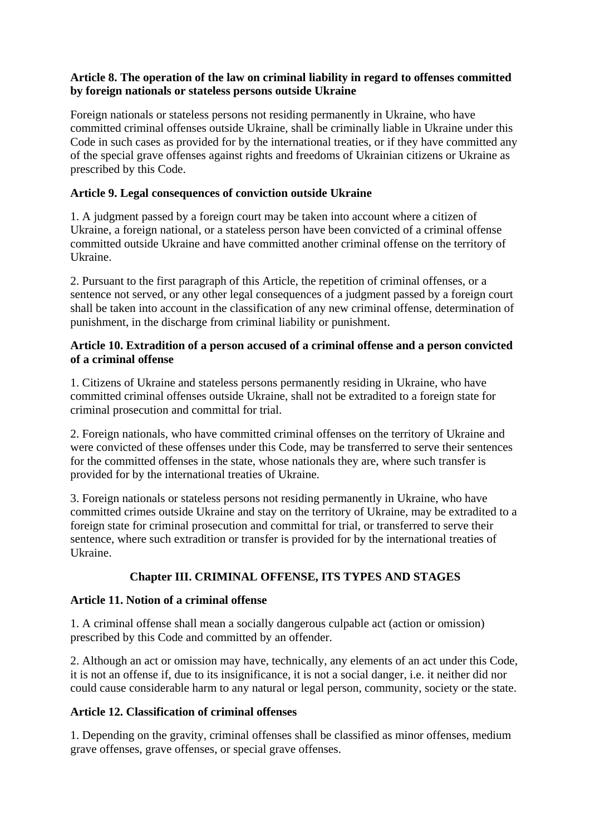## **Article 8. The operation of the law on criminal liability in regard to offenses committed by foreign nationals or stateless persons outside Ukraine**

Foreign nationals or stateless persons not residing permanently in Ukraine, who have committed criminal offenses outside Ukraine, shall be criminally liable in Ukraine under this Code in such cases as provided for by the international treaties, or if they have committed any of the special grave offenses against rights and freedoms of Ukrainian citizens or Ukraine as prescribed by this Code.

## **Article 9. Legal consequences of conviction outside Ukraine**

1. A judgment passed by a foreign court may be taken into account where a citizen of Ukraine, a foreign national, or a stateless person have been convicted of a criminal offense committed outside Ukraine and have committed another criminal offense on the territory of Ukraine.

2. Pursuant to the first paragraph of this Article, the repetition of criminal offenses, or a sentence not served, or any other legal consequences of a judgment passed by a foreign court shall be taken into account in the classification of any new criminal offense, determination of punishment, in the discharge from criminal liability or punishment.

#### **Article 10. Extradition of a person accused of a criminal offense and a person convicted of a criminal offense**

1. Citizens of Ukraine and stateless persons permanently residing in Ukraine, who have committed criminal offenses outside Ukraine, shall not be extradited to a foreign state for criminal prosecution and committal for trial.

2. Foreign nationals, who have committed criminal offenses on the territory of Ukraine and were convicted of these offenses under this Code, may be transferred to serve their sentences for the committed offenses in the state, whose nationals they are, where such transfer is provided for by the international treaties of Ukraine.

3. Foreign nationals or stateless persons not residing permanently in Ukraine, who have committed crimes outside Ukraine and stay on the territory of Ukraine, may be extradited to a foreign state for criminal prosecution and committal for trial, or transferred to serve their sentence, where such extradition or transfer is provided for by the international treaties of Ukraine.

# **Chapter III. CRIMINAL OFFENSE, ITS TYPES AND STAGES**

## **Article 11. Notion of a criminal offense**

1. A criminal offense shall mean a socially dangerous culpable act (action or omission) prescribed by this Code and committed by an offender.

2. Although an act or omission may have, technically, any elements of an act under this Code, it is not an offense if, due to its insignificance, it is not a social danger, i.e. it neither did nor could cause considerable harm to any natural or legal person, community, society or the state.

## **Article 12. Classification of criminal offenses**

1. Depending on the gravity, criminal offenses shall be classified as minor offenses, medium grave offenses, grave offenses, or special grave offenses.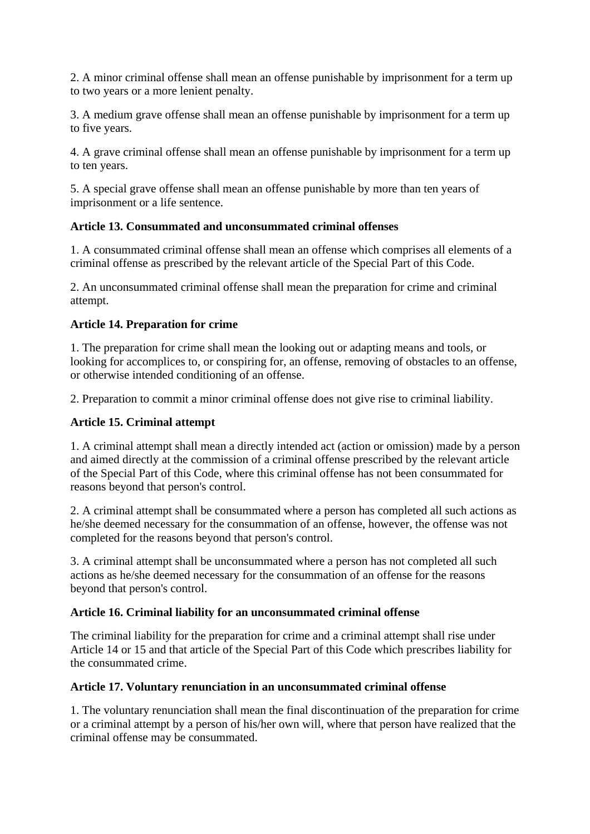2. A minor criminal offense shall mean an offense punishable by imprisonment for a term up to two years or a more lenient penalty.

3. A medium grave offense shall mean an offense punishable by imprisonment for a term up to five years.

4. A grave criminal offense shall mean an offense punishable by imprisonment for a term up to ten years.

5. A special grave offense shall mean an offense punishable by more than ten years of imprisonment or a life sentence.

## **Article 13. Consummated and unconsummated criminal offenses**

1. A consummated criminal offense shall mean an offense which comprises all elements of a criminal offense as prescribed by the relevant article of the Special Part of this Code.

2. An unconsummated criminal offense shall mean the preparation for crime and criminal attempt.

#### **Article 14. Preparation for crime**

1. The preparation for crime shall mean the looking out or adapting means and tools, or looking for accomplices to, or conspiring for, an offense, removing of obstacles to an offense, or otherwise intended conditioning of an offense.

2. Preparation to commit a minor criminal offense does not give rise to criminal liability.

#### **Article 15. Criminal attempt**

1. A criminal attempt shall mean a directly intended act (action or omission) made by a person and aimed directly at the commission of a criminal offense prescribed by the relevant article of the Special Part of this Code, where this criminal offense has not been consummated for reasons beyond that person's control.

2. A criminal attempt shall be consummated where a person has completed all such actions as he/she deemed necessary for the consummation of an offense, however, the offense was not completed for the reasons beyond that person's control.

3. A criminal attempt shall be unconsummated where a person has not completed all such actions as he/she deemed necessary for the consummation of an offense for the reasons beyond that person's control.

#### **Article 16. Criminal liability for an unconsummated criminal offense**

The criminal liability for the preparation for crime and a criminal attempt shall rise under Article 14 or 15 and that article of the Special Part of this Code which prescribes liability for the consummated crime.

#### **Article 17. Voluntary renunciation in an unconsummated criminal offense**

1. The voluntary renunciation shall mean the final discontinuation of the preparation for crime or a criminal attempt by a person of his/her own will, where that person have realized that the criminal offense may be consummated.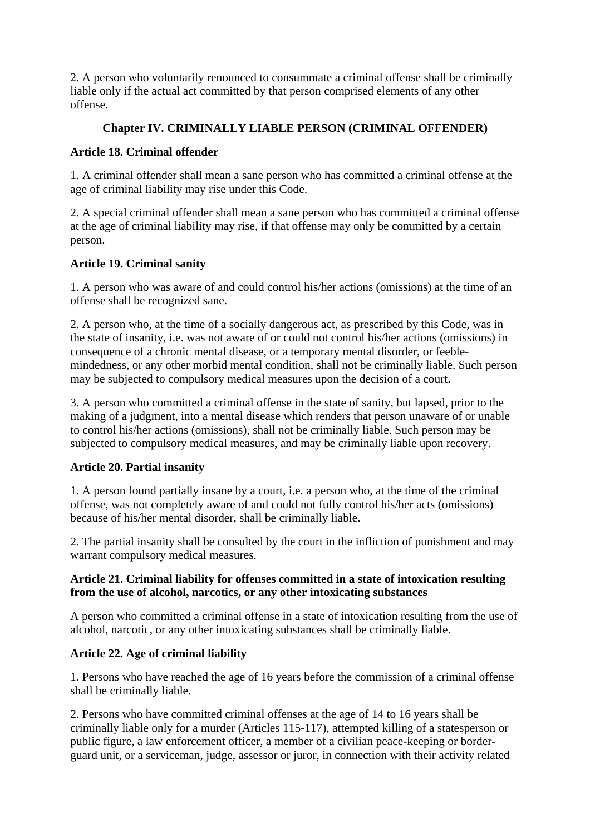2. A person who voluntarily renounced to consummate a criminal offense shall be criminally liable only if the actual act committed by that person comprised elements of any other offense.

# **Chapter IV. CRIMINALLY LIABLE PERSON (CRIMINAL OFFENDER)**

## **Article 18. Criminal offender**

1. A criminal offender shall mean a sane person who has committed a criminal offense at the age of criminal liability may rise under this Code.

2. A special criminal offender shall mean a sane person who has committed a criminal offense at the age of criminal liability may rise, if that offense may only be committed by a certain person.

## **Article 19. Criminal sanity**

1. A person who was aware of and could control his/her actions (omissions) at the time of an offense shall be recognized sane.

2. A person who, at the time of a socially dangerous act, as prescribed by this Code, was in the state of insanity, i.e. was not aware of or could not control his/her actions (omissions) in consequence of a chronic mental disease, or a temporary mental disorder, or feeblemindedness, or any other morbid mental condition, shall not be criminally liable. Such person may be subjected to compulsory medical measures upon the decision of a court.

3. A person who committed a criminal offense in the state of sanity, but lapsed, prior to the making of a judgment, into a mental disease which renders that person unaware of or unable to control his/her actions (omissions), shall not be criminally liable. Such person may be subjected to compulsory medical measures, and may be criminally liable upon recovery.

## **Article 20. Partial insanity**

1. A person found partially insane by a court, i.e. a person who, at the time of the criminal offense, was not completely aware of and could not fully control his/her acts (omissions) because of his/her mental disorder, shall be criminally liable.

2. The partial insanity shall be consulted by the court in the infliction of punishment and may warrant compulsory medical measures.

## **Article 21. Criminal liability for offenses committed in a state of intoxication resulting from the use of alcohol, narcotics, or any other intoxicating substances**

A person who committed a criminal offense in a state of intoxication resulting from the use of alcohol, narcotic, or any other intoxicating substances shall be criminally liable.

## **Article 22. Age of criminal liability**

1. Persons who have reached the age of 16 years before the commission of a criminal offense shall be criminally liable.

2. Persons who have committed criminal offenses at the age of 14 to 16 years shall be criminally liable only for a murder (Articles 115-117), attempted killing of a statesperson or public figure, a law enforcement officer, a member of a civilian peace-keeping or borderguard unit, or a serviceman, judge, assessor or juror, in connection with their activity related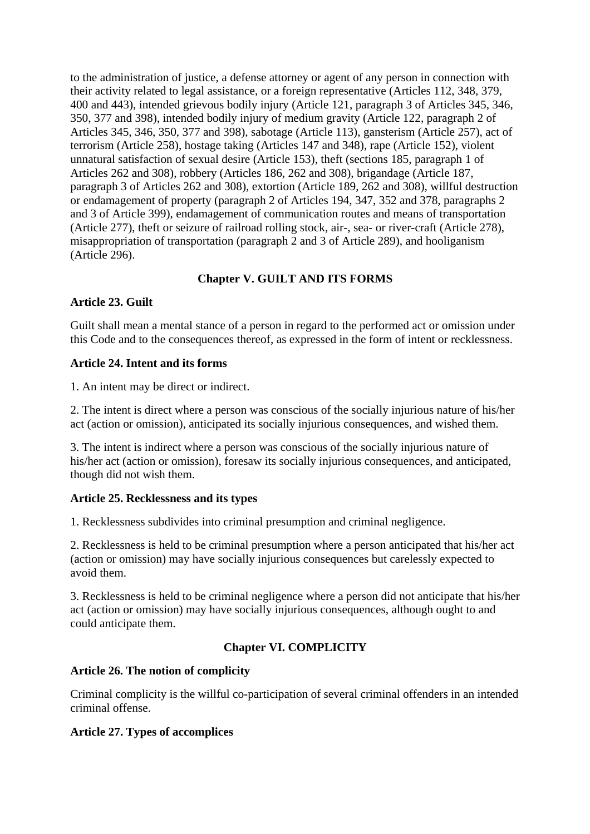to the administration of justice, a defense attorney or agent of any person in connection with their activity related to legal assistance, or a foreign representative (Articles 112, 348, 379, 400 and 443), intended grievous bodily injury (Article 121, paragraph 3 of Articles 345, 346, 350, 377 and 398), intended bodily injury of medium gravity (Article 122, paragraph 2 of Articles 345, 346, 350, 377 and 398), sabotage (Article 113), gansterism (Article 257), act of terrorism (Article 258), hostage taking (Articles 147 and 348), rape (Article 152), violent unnatural satisfaction of sexual desire (Article 153), theft (sections 185, paragraph 1 of Articles 262 and 308), robbery (Articles 186, 262 and 308), brigandage (Article 187, paragraph 3 of Articles 262 and 308), extortion (Article 189, 262 and 308), willful destruction or endamagement of property (paragraph 2 of Articles 194, 347, 352 and 378, paragraphs 2 and 3 of Article 399), endamagement of communication routes and means of transportation (Article 277), theft or seizure of railroad rolling stock, air-, sea- or river-craft (Article 278), misappropriation of transportation (paragraph 2 and 3 of Article 289), and hooliganism (Article 296).

# **Chapter V. GUILT AND ITS FORMS**

## **Article 23. Guilt**

Guilt shall mean a mental stance of a person in regard to the performed act or omission under this Code and to the consequences thereof, as expressed in the form of intent or recklessness.

#### **Article 24. Intent and its forms**

1. An intent may be direct or indirect.

2. The intent is direct where a person was conscious of the socially injurious nature of his/her act (action or omission), anticipated its socially injurious consequences, and wished them.

3. The intent is indirect where a person was conscious of the socially injurious nature of his/her act (action or omission), foresaw its socially injurious consequences, and anticipated, though did not wish them.

#### **Article 25. Recklessness and its types**

1. Recklessness subdivides into criminal presumption and criminal negligence.

2. Recklessness is held to be criminal presumption where a person anticipated that his/her act (action or omission) may have socially injurious consequences but carelessly expected to avoid them.

3. Recklessness is held to be criminal negligence where a person did not anticipate that his/her act (action or omission) may have socially injurious consequences, although ought to and could anticipate them.

## **Chapter VI. COMPLICITY**

#### **Article 26. The notion of complicity**

Criminal complicity is the willful co-participation of several criminal offenders in an intended criminal offense.

#### **Article 27. Types of accomplices**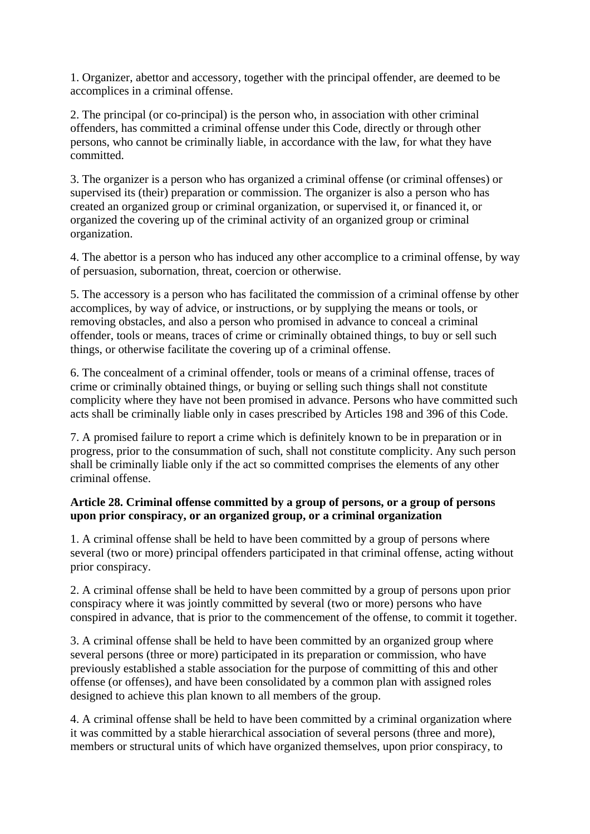1. Organizer, abettor and accessory, together with the principal offender, are deemed to be accomplices in a criminal offense.

2. The principal (or co-principal) is the person who, in association with other criminal offenders, has committed a criminal offense under this Code, directly or through other persons, who cannot be criminally liable, in accordance with the law, for what they have committed.

3. The organizer is a person who has organized a criminal offense (or criminal offenses) or supervised its (their) preparation or commission. The organizer is also a person who has created an organized group or criminal organization, or supervised it, or financed it, or organized the covering up of the criminal activity of an organized group or criminal organization.

4. The abettor is a person who has induced any other accomplice to a criminal offense, by way of persuasion, subornation, threat, coercion or otherwise.

5. The accessory is a person who has facilitated the commission of a criminal offense by other accomplices, by way of advice, or instructions, or by supplying the means or tools, or removing obstacles, and also a person who promised in advance to conceal a criminal offender, tools or means, traces of crime or criminally obtained things, to buy or sell such things, or otherwise facilitate the covering up of a criminal offense.

6. The concealment of a criminal offender, tools or means of a criminal offense, traces of crime or criminally obtained things, or buying or selling such things shall not constitute complicity where they have not been promised in advance. Persons who have committed such acts shall be criminally liable only in cases prescribed by Articles 198 and 396 of this Code.

7. A promised failure to report a crime which is definitely known to be in preparation or in progress, prior to the consummation of such, shall not constitute complicity. Any such person shall be criminally liable only if the act so committed comprises the elements of any other criminal offense.

## **Article 28. Criminal offense committed by a group of persons, or a group of persons upon prior conspiracy, or an organized group, or a criminal organization**

1. A criminal offense shall be held to have been committed by a group of persons where several (two or more) principal offenders participated in that criminal offense, acting without prior conspiracy.

2. A criminal offense shall be held to have been committed by a group of persons upon prior conspiracy where it was jointly committed by several (two or more) persons who have conspired in advance, that is prior to the commencement of the offense, to commit it together.

3. A criminal offense shall be held to have been committed by an organized group where several persons (three or more) participated in its preparation or commission, who have previously established a stable association for the purpose of committing of this and other offense (or offenses), and have been consolidated by a common plan with assigned roles designed to achieve this plan known to all members of the group.

4. A criminal offense shall be held to have been committed by a criminal organization where it was committed by a stable hierarchical association of several persons (three and more), members or structural units of which have organized themselves, upon prior conspiracy, to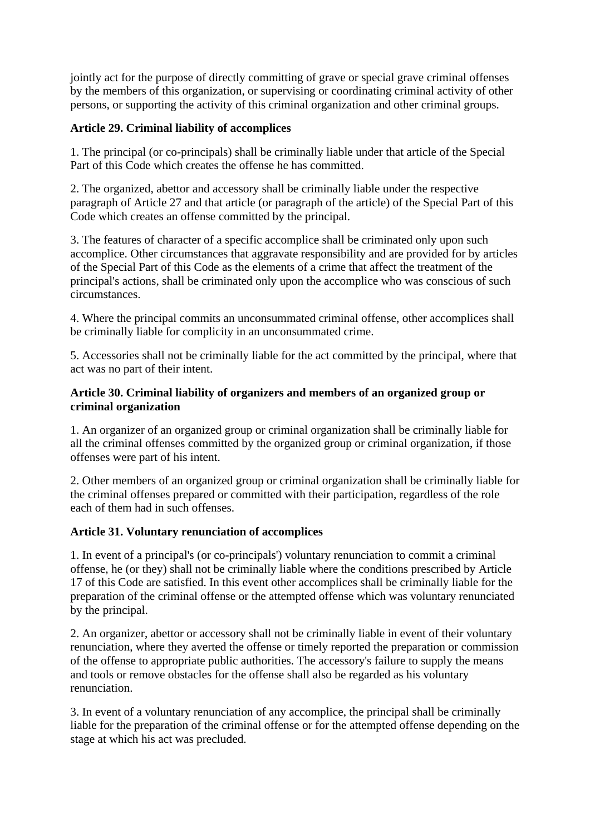jointly act for the purpose of directly committing of grave or special grave criminal offenses by the members of this organization, or supervising or coordinating criminal activity of other persons, or supporting the activity of this criminal organization and other criminal groups.

## **Article 29. Criminal liability of accomplices**

1. The principal (or co-principals) shall be criminally liable under that article of the Special Part of this Code which creates the offense he has committed.

2. The organized, abettor and accessory shall be criminally liable under the respective paragraph of Article 27 and that article (or paragraph of the article) of the Special Part of this Code which creates an offense committed by the principal.

3. The features of character of a specific accomplice shall be criminated only upon such accomplice. Other circumstances that aggravate responsibility and are provided for by articles of the Special Part of this Code as the elements of a crime that affect the treatment of the principal's actions, shall be criminated only upon the accomplice who was conscious of such circumstances.

4. Where the principal commits an unconsummated criminal offense, other accomplices shall be criminally liable for complicity in an unconsummated crime.

5. Accessories shall not be criminally liable for the act committed by the principal, where that act was no part of their intent.

#### **Article 30. Criminal liability of organizers and members of an organized group or criminal organization**

1. An organizer of an organized group or criminal organization shall be criminally liable for all the criminal offenses committed by the organized group or criminal organization, if those offenses were part of his intent.

2. Other members of an organized group or criminal organization shall be criminally liable for the criminal offenses prepared or committed with their participation, regardless of the role each of them had in such offenses.

## **Article 31. Voluntary renunciation of accomplices**

1. In event of a principal's (or co-principals') voluntary renunciation to commit a criminal offense, he (or they) shall not be criminally liable where the conditions prescribed by Article 17 of this Code are satisfied. In this event other accomplices shall be criminally liable for the preparation of the criminal offense or the attempted offense which was voluntary renunciated by the principal.

2. An organizer, abettor or accessory shall not be criminally liable in event of their voluntary renunciation, where they averted the offense or timely reported the preparation or commission of the offense to appropriate public authorities. The accessory's failure to supply the means and tools or remove obstacles for the offense shall also be regarded as his voluntary renunciation.

3. In event of a voluntary renunciation of any accomplice, the principal shall be criminally liable for the preparation of the criminal offense or for the attempted offense depending on the stage at which his act was precluded.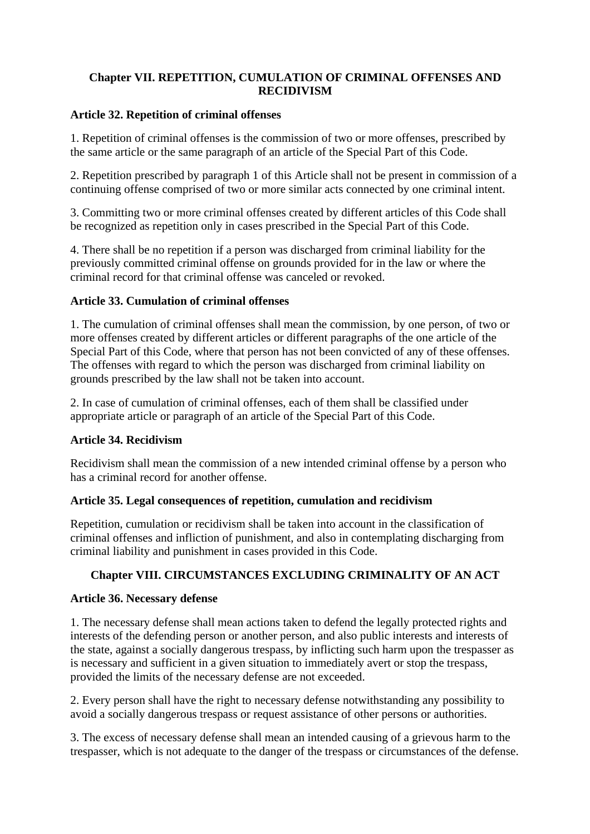## **Chapter VII. REPETITION, CUMULATION OF CRIMINAL OFFENSES AND RECIDIVISM**

#### **Article 32. Repetition of criminal offenses**

1. Repetition of criminal offenses is the commission of two or more offenses, prescribed by the same article or the same paragraph of an article of the Special Part of this Code.

2. Repetition prescribed by paragraph 1 of this Article shall not be present in commission of a continuing offense comprised of two or more similar acts connected by one criminal intent.

3. Committing two or more criminal offenses created by different articles of this Code shall be recognized as repetition only in cases prescribed in the Special Part of this Code.

4. There shall be no repetition if a person was discharged from criminal liability for the previously committed criminal offense on grounds provided for in the law or where the criminal record for that criminal offense was canceled or revoked.

## **Article 33. Cumulation of criminal offenses**

1. The cumulation of criminal offenses shall mean the commission, by one person, of two or more offenses created by different articles or different paragraphs of the one article of the Special Part of this Code, where that person has not been convicted of any of these offenses. The offenses with regard to which the person was discharged from criminal liability on grounds prescribed by the law shall not be taken into account.

2. In case of cumulation of criminal offenses, each of them shall be classified under appropriate article or paragraph of an article of the Special Part of this Code.

## **Article 34. Recidivism**

Recidivism shall mean the commission of a new intended criminal offense by a person who has a criminal record for another offense.

## **Article 35. Legal consequences of repetition, cumulation and recidivism**

Repetition, cumulation or recidivism shall be taken into account in the classification of criminal offenses and infliction of punishment, and also in contemplating discharging from criminal liability and punishment in cases provided in this Code.

## **Chapter VIII. CIRCUMSTANCES EXCLUDING CRIMINALITY OF AN ACT**

## **Article 36. Necessary defense**

1. The necessary defense shall mean actions taken to defend the legally protected rights and interests of the defending person or another person, and also public interests and interests of the state, against a socially dangerous trespass, by inflicting such harm upon the trespasser as is necessary and sufficient in a given situation to immediately avert or stop the trespass, provided the limits of the necessary defense are not exceeded.

2. Every person shall have the right to necessary defense notwithstanding any possibility to avoid a socially dangerous trespass or request assistance of other persons or authorities.

3. The excess of necessary defense shall mean an intended causing of a grievous harm to the trespasser, which is not adequate to the danger of the trespass or circumstances of the defense.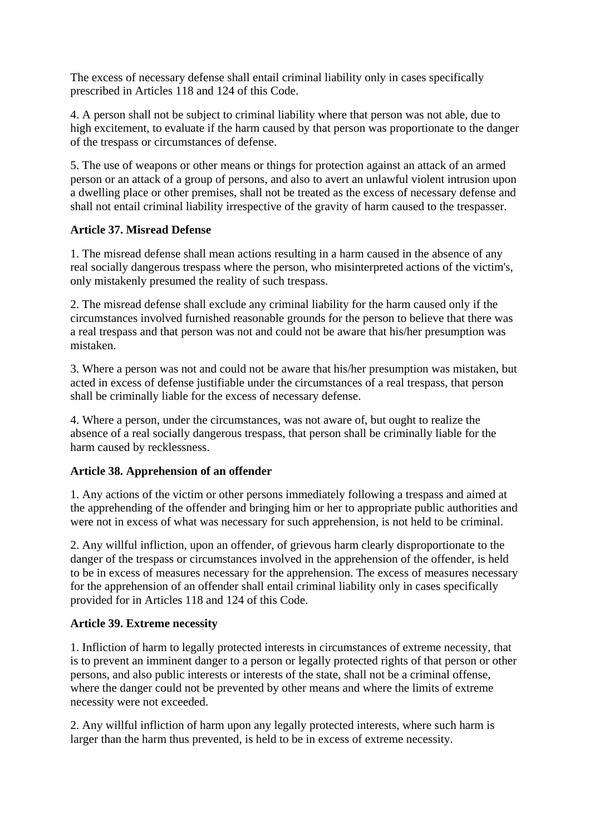The excess of necessary defense shall entail criminal liability only in cases specifically prescribed in Articles 118 and 124 of this Code.

4. A person shall not be subject to criminal liability where that person was not able, due to high excitement, to evaluate if the harm caused by that person was proportionate to the danger of the trespass or circumstances of defense.

5. The use of weapons or other means or things for protection against an attack of an armed person or an attack of a group of persons, and also to avert an unlawful violent intrusion upon a dwelling place or other premises, shall not be treated as the excess of necessary defense and shall not entail criminal liability irrespective of the gravity of harm caused to the trespasser.

## **Article 37. Misread Defense**

1. The misread defense shall mean actions resulting in a harm caused in the absence of any real socially dangerous trespass where the person, who misinterpreted actions of the victim's, only mistakenly presumed the reality of such trespass.

2. The misread defense shall exclude any criminal liability for the harm caused only if the circumstances involved furnished reasonable grounds for the person to believe that there was a real trespass and that person was not and could not be aware that his/her presumption was mistaken.

3. Where a person was not and could not be aware that his/her presumption was mistaken, but acted in excess of defense justifiable under the circumstances of a real trespass, that person shall be criminally liable for the excess of necessary defense.

4. Where a person, under the circumstances, was not aware of, but ought to realize the absence of a real socially dangerous trespass, that person shall be criminally liable for the harm caused by recklessness.

## **Article 38. Apprehension of an offender**

1. Any actions of the victim or other persons immediately following a trespass and aimed at the apprehending of the offender and bringing him or her to appropriate public authorities and were not in excess of what was necessary for such apprehension, is not held to be criminal.

2. Any willful infliction, upon an offender, of grievous harm clearly disproportionate to the danger of the trespass or circumstances involved in the apprehension of the offender, is held to be in excess of measures necessary for the apprehension. The excess of measures necessary for the apprehension of an offender shall entail criminal liability only in cases specifically provided for in Articles 118 and 124 of this Code.

## **Article 39. Extreme necessity**

1. Infliction of harm to legally protected interests in circumstances of extreme necessity, that is to prevent an imminent danger to a person or legally protected rights of that person or other persons, and also public interests or interests of the state, shall not be a criminal offense, where the danger could not be prevented by other means and where the limits of extreme necessity were not exceeded.

2. Any willful infliction of harm upon any legally protected interests, where such harm is larger than the harm thus prevented, is held to be in excess of extreme necessity.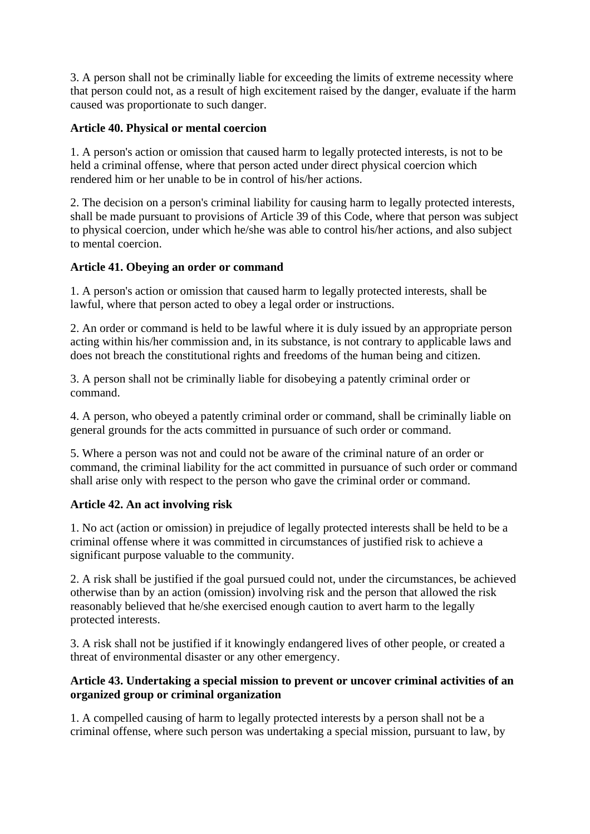3. A person shall not be criminally liable for exceeding the limits of extreme necessity where that person could not, as a result of high excitement raised by the danger, evaluate if the harm caused was proportionate to such danger.

## **Article 40. Physical or mental coercion**

1. A person's action or omission that caused harm to legally protected interests, is not to be held a criminal offense, where that person acted under direct physical coercion which rendered him or her unable to be in control of his/her actions.

2. The decision on a person's criminal liability for causing harm to legally protected interests, shall be made pursuant to provisions of Article 39 of this Code, where that person was subject to physical coercion, under which he/she was able to control his/her actions, and also subject to mental coercion.

## **Article 41. Obeying an order or command**

1. A person's action or omission that caused harm to legally protected interests, shall be lawful, where that person acted to obey a legal order or instructions.

2. An order or command is held to be lawful where it is duly issued by an appropriate person acting within his/her commission and, in its substance, is not contrary to applicable laws and does not breach the constitutional rights and freedoms of the human being and citizen.

3. A person shall not be criminally liable for disobeying a patently criminal order or command.

4. A person, who obeyed a patently criminal order or command, shall be criminally liable on general grounds for the acts committed in pursuance of such order or command.

5. Where a person was not and could not be aware of the criminal nature of an order or command, the criminal liability for the act committed in pursuance of such order or command shall arise only with respect to the person who gave the criminal order or command.

## **Article 42. An act involving risk**

1. No act (action or omission) in prejudice of legally protected interests shall be held to be a criminal offense where it was committed in circumstances of justified risk to achieve a significant purpose valuable to the community.

2. A risk shall be justified if the goal pursued could not, under the circumstances, be achieved otherwise than by an action (omission) involving risk and the person that allowed the risk reasonably believed that he/she exercised enough caution to avert harm to the legally protected interests.

3. A risk shall not be justified if it knowingly endangered lives of other people, or created a threat of environmental disaster or any other emergency.

## **Article 43. Undertaking a special mission to prevent or uncover criminal activities of an organized group or criminal organization**

1. A compelled causing of harm to legally protected interests by a person shall not be a criminal offense, where such person was undertaking a special mission, pursuant to law, by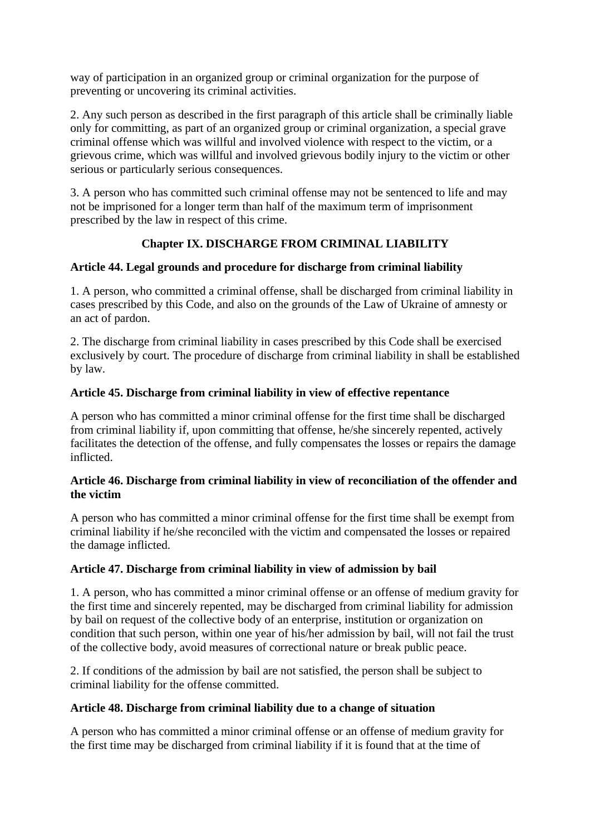way of participation in an organized group or criminal organization for the purpose of preventing or uncovering its criminal activities.

2. Any such person as described in the first paragraph of this article shall be criminally liable only for committing, as part of an organized group or criminal organization, a special grave criminal offense which was willful and involved violence with respect to the victim, or a grievous crime, which was willful and involved grievous bodily injury to the victim or other serious or particularly serious consequences.

3. A person who has committed such criminal offense may not be sentenced to life and may not be imprisoned for a longer term than half of the maximum term of imprisonment prescribed by the law in respect of this crime.

# **Chapter IX. DISCHARGE FROM CRIMINAL LIABILITY**

## **Article 44. Legal grounds and procedure for discharge from criminal liability**

1. A person, who committed a criminal offense, shall be discharged from criminal liability in cases prescribed by this Code, and also on the grounds of the Law of Ukraine of amnesty or an act of pardon.

2. The discharge from criminal liability in cases prescribed by this Code shall be exercised exclusively by court. The procedure of discharge from criminal liability in shall be established by law.

## **Article 45. Discharge from criminal liability in view of effective repentance**

A person who has committed a minor criminal offense for the first time shall be discharged from criminal liability if, upon committing that offense, he/she sincerely repented, actively facilitates the detection of the offense, and fully compensates the losses or repairs the damage inflicted.

## **Article 46. Discharge from criminal liability in view of reconciliation of the offender and the victim**

A person who has committed a minor criminal offense for the first time shall be exempt from criminal liability if he/she reconciled with the victim and compensated the losses or repaired the damage inflicted.

## **Article 47. Discharge from criminal liability in view of admission by bail**

1. A person, who has committed a minor criminal offense or an offense of medium gravity for the first time and sincerely repented, may be discharged from criminal liability for admission by bail on request of the collective body of an enterprise, institution or organization on condition that such person, within one year of his/her admission by bail, will not fail the trust of the collective body, avoid measures of correctional nature or break public peace.

2. If conditions of the admission by bail are not satisfied, the person shall be subject to criminal liability for the offense committed.

## **Article 48. Discharge from criminal liability due to a change of situation**

A person who has committed a minor criminal offense or an offense of medium gravity for the first time may be discharged from criminal liability if it is found that at the time of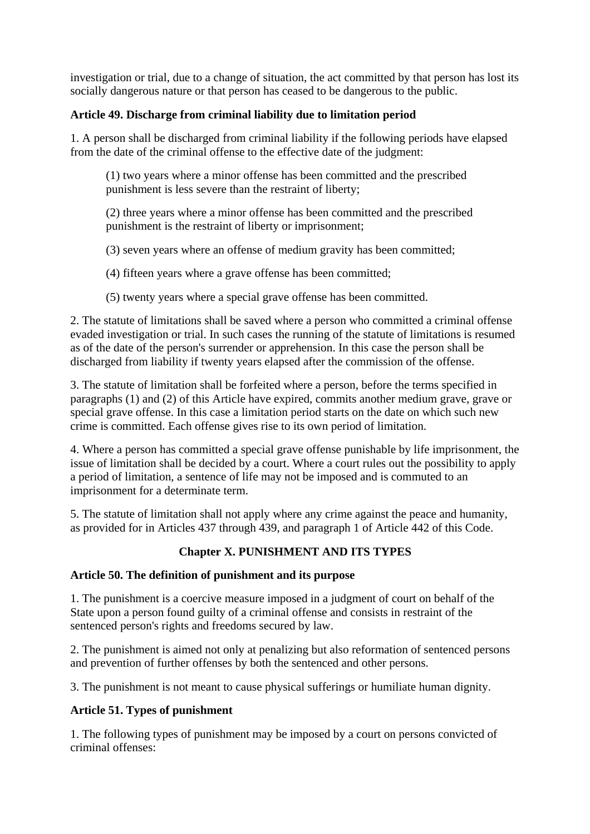investigation or trial, due to a change of situation, the act committed by that person has lost its socially dangerous nature or that person has ceased to be dangerous to the public.

## **Article 49. Discharge from criminal liability due to limitation period**

1. A person shall be discharged from criminal liability if the following periods have elapsed from the date of the criminal offense to the effective date of the judgment:

(1) two years where a minor offense has been committed and the prescribed punishment is less severe than the restraint of liberty;

(2) three years where a minor offense has been committed and the prescribed punishment is the restraint of liberty or imprisonment;

(3) seven years where an offense of medium gravity has been committed;

(4) fifteen years where a grave offense has been committed;

(5) twenty years where a special grave offense has been committed.

2. The statute of limitations shall be saved where a person who committed a criminal offense evaded investigation or trial. In such cases the running of the statute of limitations is resumed as of the date of the person's surrender or apprehension. In this case the person shall be discharged from liability if twenty years elapsed after the commission of the offense.

3. The statute of limitation shall be forfeited where a person, before the terms specified in paragraphs (1) and (2) of this Article have expired, commits another medium grave, grave or special grave offense. In this case a limitation period starts on the date on which such new crime is committed. Each offense gives rise to its own period of limitation.

4. Where a person has committed a special grave offense punishable by life imprisonment, the issue of limitation shall be decided by a court. Where a court rules out the possibility to apply a period of limitation, a sentence of life may not be imposed and is commuted to an imprisonment for a determinate term.

5. The statute of limitation shall not apply where any crime against the peace and humanity, as provided for in Articles 437 through 439, and paragraph 1 of Article 442 of this Code.

# **Chapter X. PUNISHMENT AND ITS TYPES**

## **Article 50. The definition of punishment and its purpose**

1. The punishment is a coercive measure imposed in a judgment of court on behalf of the State upon a person found guilty of a criminal offense and consists in restraint of the sentenced person's rights and freedoms secured by law.

2. The punishment is aimed not only at penalizing but also reformation of sentenced persons and prevention of further offenses by both the sentenced and other persons.

3. The punishment is not meant to cause physical sufferings or humiliate human dignity.

# **Article 51. Types of punishment**

1. The following types of punishment may be imposed by a court on persons convicted of criminal offenses: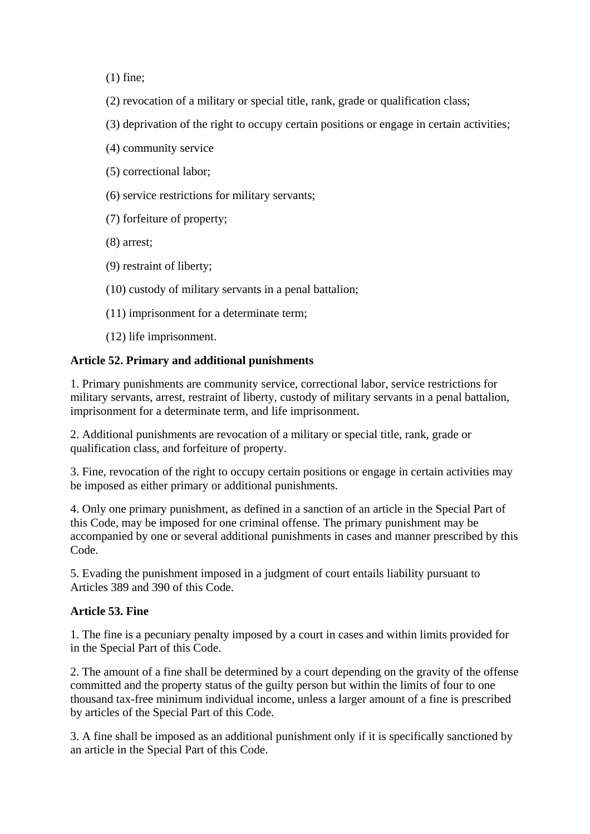(1) fine;

- (2) revocation of a military or special title, rank, grade or qualification class;
- (3) deprivation of the right to occupy certain positions or engage in certain activities;
- (4) community service
- (5) correctional labor;
- (6) service restrictions for military servants;
- (7) forfeiture of property;
- (8) arrest;
- (9) restraint of liberty;
- (10) custody of military servants in a penal battalion;
- (11) imprisonment for a determinate term;
- (12) life imprisonment.

## **Article 52. Primary and additional punishments**

1. Primary punishments are community service, correctional labor, service restrictions for military servants, arrest, restraint of liberty, custody of military servants in a penal battalion, imprisonment for a determinate term, and life imprisonment.

2. Additional punishments are revocation of a military or special title, rank, grade or qualification class, and forfeiture of property.

3. Fine, revocation of the right to occupy certain positions or engage in certain activities may be imposed as either primary or additional punishments.

4. Only one primary punishment, as defined in a sanction of an article in the Special Part of this Code, may be imposed for one criminal offense. The primary punishment may be accompanied by one or several additional punishments in cases and manner prescribed by this Code.

5. Evading the punishment imposed in a judgment of court entails liability pursuant to Articles 389 and 390 of this Code.

## **Article 53. Fine**

1. The fine is a pecuniary penalty imposed by a court in cases and within limits provided for in the Special Part of this Code.

2. The amount of a fine shall be determined by a court depending on the gravity of the offense committed and the property status of the guilty person but within the limits of four to one thousand tax-free minimum individual income, unless a larger amount of a fine is prescribed by articles of the Special Part of this Code.

3. A fine shall be imposed as an additional punishment only if it is specifically sanctioned by an article in the Special Part of this Code.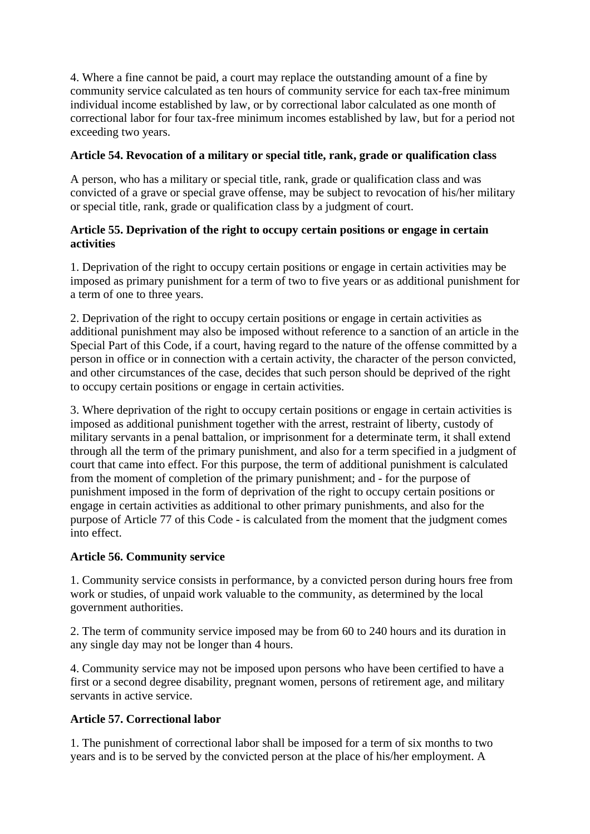4. Where a fine cannot be paid, a court may replace the outstanding amount of a fine by community service calculated as ten hours of community service for each tax-free minimum individual income established by law, or by correctional labor calculated as one month of correctional labor for four tax-free minimum incomes established by law, but for a period not exceeding two years.

## **Article 54. Revocation of a military or special title, rank, grade or qualification class**

A person, who has a military or special title, rank, grade or qualification class and was convicted of a grave or special grave offense, may be subject to revocation of his/her military or special title, rank, grade or qualification class by a judgment of court.

## **Article 55. Deprivation of the right to occupy certain positions or engage in certain activities**

1. Deprivation of the right to occupy certain positions or engage in certain activities may be imposed as primary punishment for a term of two to five years or as additional punishment for a term of one to three years.

2. Deprivation of the right to occupy certain positions or engage in certain activities as additional punishment may also be imposed without reference to a sanction of an article in the Special Part of this Code, if a court, having regard to the nature of the offense committed by a person in office or in connection with a certain activity, the character of the person convicted, and other circumstances of the case, decides that such person should be deprived of the right to occupy certain positions or engage in certain activities.

3. Where deprivation of the right to occupy certain positions or engage in certain activities is imposed as additional punishment together with the arrest, restraint of liberty, custody of military servants in a penal battalion, or imprisonment for a determinate term, it shall extend through all the term of the primary punishment, and also for a term specified in a judgment of court that came into effect. For this purpose, the term of additional punishment is calculated from the moment of completion of the primary punishment; and - for the purpose of punishment imposed in the form of deprivation of the right to occupy certain positions or engage in certain activities as additional to other primary punishments, and also for the purpose of Article 77 of this Code - is calculated from the moment that the judgment comes into effect.

## **Article 56. Community service**

1. Community service consists in performance, by a convicted person during hours free from work or studies, of unpaid work valuable to the community, as determined by the local government authorities.

2. The term of community service imposed may be from 60 to 240 hours and its duration in any single day may not be longer than 4 hours.

4. Community service may not be imposed upon persons who have been certified to have a first or a second degree disability, pregnant women, persons of retirement age, and military servants in active service.

# **Article 57. Correctional labor**

1. The punishment of correctional labor shall be imposed for a term of six months to two years and is to be served by the convicted person at the place of his/her employment. A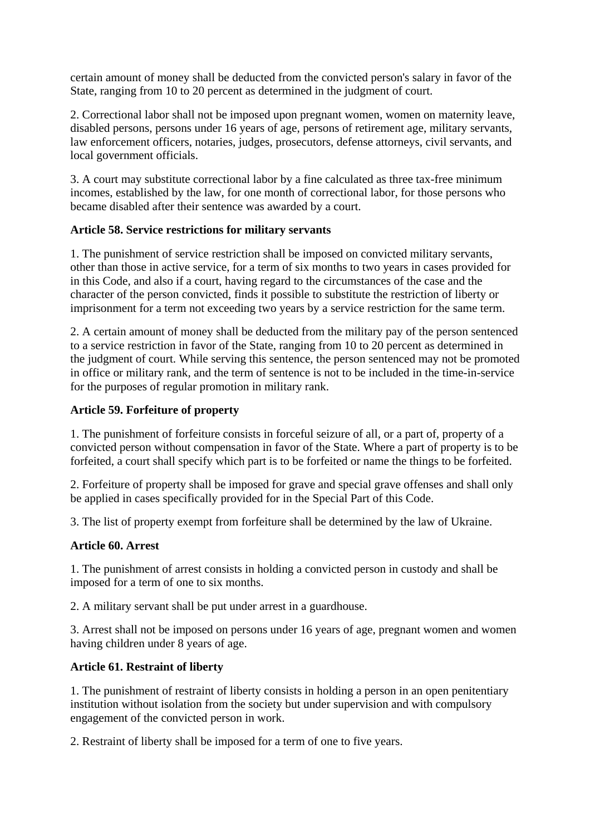certain amount of money shall be deducted from the convicted person's salary in favor of the State, ranging from 10 to 20 percent as determined in the judgment of court.

2. Correctional labor shall not be imposed upon pregnant women, women on maternity leave, disabled persons, persons under 16 years of age, persons of retirement age, military servants, law enforcement officers, notaries, judges, prosecutors, defense attorneys, civil servants, and local government officials.

3. A court may substitute correctional labor by a fine calculated as three tax-free minimum incomes, established by the law, for one month of correctional labor, for those persons who became disabled after their sentence was awarded by a court.

#### **Article 58. Service restrictions for military servants**

1. The punishment of service restriction shall be imposed on convicted military servants, other than those in active service, for a term of six months to two years in cases provided for in this Code, and also if a court, having regard to the circumstances of the case and the character of the person convicted, finds it possible to substitute the restriction of liberty or imprisonment for a term not exceeding two years by a service restriction for the same term.

2. A certain amount of money shall be deducted from the military pay of the person sentenced to a service restriction in favor of the State, ranging from 10 to 20 percent as determined in the judgment of court. While serving this sentence, the person sentenced may not be promoted in office or military rank, and the term of sentence is not to be included in the time-in-service for the purposes of regular promotion in military rank.

## **Article 59. Forfeiture of property**

1. The punishment of forfeiture consists in forceful seizure of all, or a part of, property of a convicted person without compensation in favor of the State. Where a part of property is to be forfeited, a court shall specify which part is to be forfeited or name the things to be forfeited.

2. Forfeiture of property shall be imposed for grave and special grave offenses and shall only be applied in cases specifically provided for in the Special Part of this Code.

3. The list of property exempt from forfeiture shall be determined by the law of Ukraine.

## **Article 60. Arrest**

1. The punishment of arrest consists in holding a convicted person in custody and shall be imposed for a term of one to six months.

2. A military servant shall be put under arrest in a guardhouse.

3. Arrest shall not be imposed on persons under 16 years of age, pregnant women and women having children under 8 years of age.

## **Article 61. Restraint of liberty**

1. The punishment of restraint of liberty consists in holding a person in an open penitentiary institution without isolation from the society but under supervision and with compulsory engagement of the convicted person in work.

2. Restraint of liberty shall be imposed for a term of one to five years.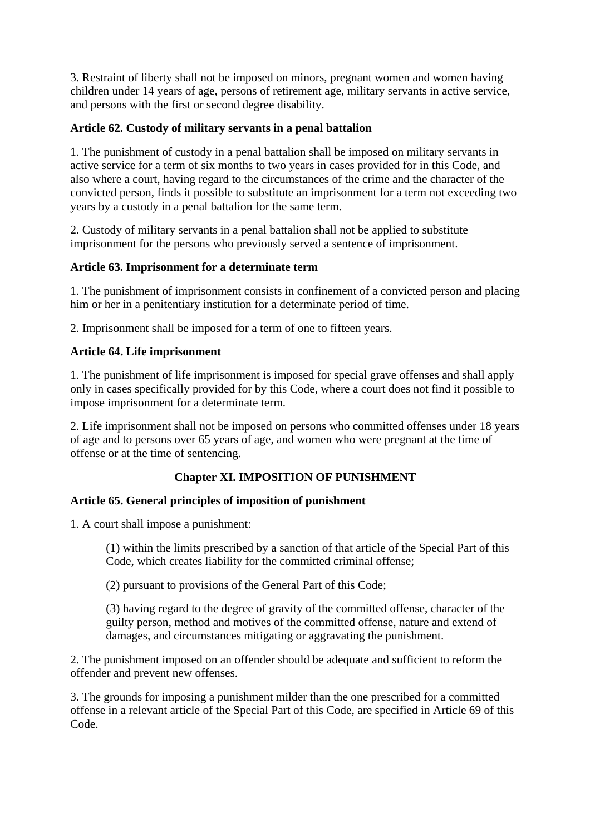3. Restraint of liberty shall not be imposed on minors, pregnant women and women having children under 14 years of age, persons of retirement age, military servants in active service, and persons with the first or second degree disability.

## **Article 62. Custody of military servants in a penal battalion**

1. The punishment of custody in a penal battalion shall be imposed on military servants in active service for a term of six months to two years in cases provided for in this Code, and also where a court, having regard to the circumstances of the crime and the character of the convicted person, finds it possible to substitute an imprisonment for a term not exceeding two years by a custody in a penal battalion for the same term.

2. Custody of military servants in a penal battalion shall not be applied to substitute imprisonment for the persons who previously served a sentence of imprisonment.

## **Article 63. Imprisonment for a determinate term**

1. The punishment of imprisonment consists in confinement of a convicted person and placing him or her in a penitentiary institution for a determinate period of time.

2. Imprisonment shall be imposed for a term of one to fifteen years.

## **Article 64. Life imprisonment**

1. The punishment of life imprisonment is imposed for special grave offenses and shall apply only in cases specifically provided for by this Code, where a court does not find it possible to impose imprisonment for a determinate term.

2. Life imprisonment shall not be imposed on persons who committed offenses under 18 years of age and to persons over 65 years of age, and women who were pregnant at the time of offense or at the time of sentencing.

# **Chapter XI. IMPOSITION OF PUNISHMENT**

## **Article 65. General principles of imposition of punishment**

1. A court shall impose a punishment:

(1) within the limits prescribed by a sanction of that article of the Special Part of this Code, which creates liability for the committed criminal offense;

(2) pursuant to provisions of the General Part of this Code;

(3) having regard to the degree of gravity of the committed offense, character of the guilty person, method and motives of the committed offense, nature and extend of damages, and circumstances mitigating or aggravating the punishment.

2. The punishment imposed on an offender should be adequate and sufficient to reform the offender and prevent new offenses.

3. The grounds for imposing a punishment milder than the one prescribed for a committed offense in a relevant article of the Special Part of this Code, are specified in Article 69 of this Code.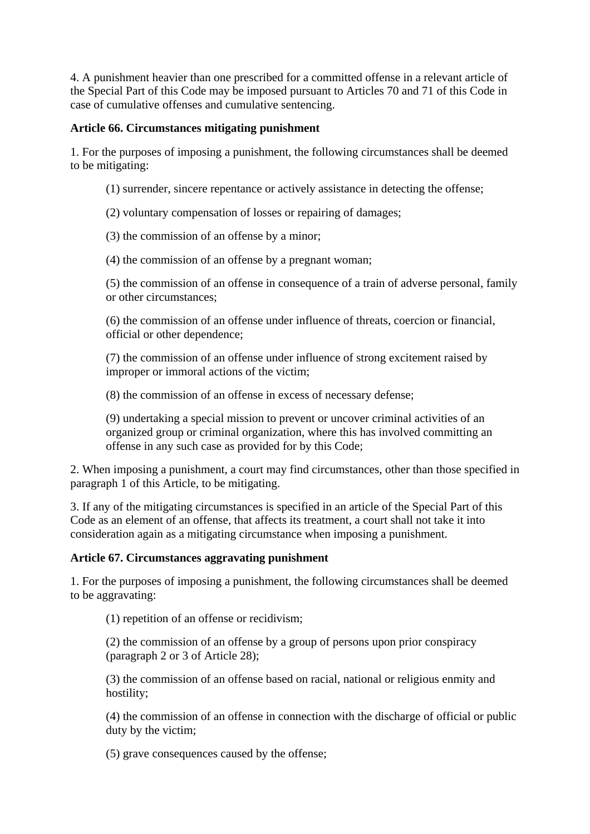4. A punishment heavier than one prescribed for a committed offense in a relevant article of the Special Part of this Code may be imposed pursuant to Articles 70 and 71 of this Code in case of cumulative offenses and cumulative sentencing.

## **Article 66. Circumstances mitigating punishment**

1. For the purposes of imposing a punishment, the following circumstances shall be deemed to be mitigating:

- (1) surrender, sincere repentance or actively assistance in detecting the offense;
- (2) voluntary compensation of losses or repairing of damages;
- (3) the commission of an offense by a minor;
- (4) the commission of an offense by a pregnant woman;

(5) the commission of an offense in consequence of a train of adverse personal, family or other circumstances;

(6) the commission of an offense under influence of threats, coercion or financial, official or other dependence;

(7) the commission of an offense under influence of strong excitement raised by improper or immoral actions of the victim;

(8) the commission of an offense in excess of necessary defense;

(9) undertaking a special mission to prevent or uncover criminal activities of an organized group or criminal organization, where this has involved committing an offense in any such case as provided for by this Code;

2. When imposing a punishment, a court may find circumstances, other than those specified in paragraph 1 of this Article, to be mitigating.

3. If any of the mitigating circumstances is specified in an article of the Special Part of this Code as an element of an offense, that affects its treatment, a court shall not take it into consideration again as a mitigating circumstance when imposing a punishment.

## **Article 67. Circumstances aggravating punishment**

1. For the purposes of imposing a punishment, the following circumstances shall be deemed to be aggravating:

(1) repetition of an offense or recidivism;

(2) the commission of an offense by a group of persons upon prior conspiracy (paragraph 2 or 3 of Article 28);

(3) the commission of an offense based on racial, national or religious enmity and hostility;

(4) the commission of an offense in connection with the discharge of official or public duty by the victim;

(5) grave consequences caused by the offense;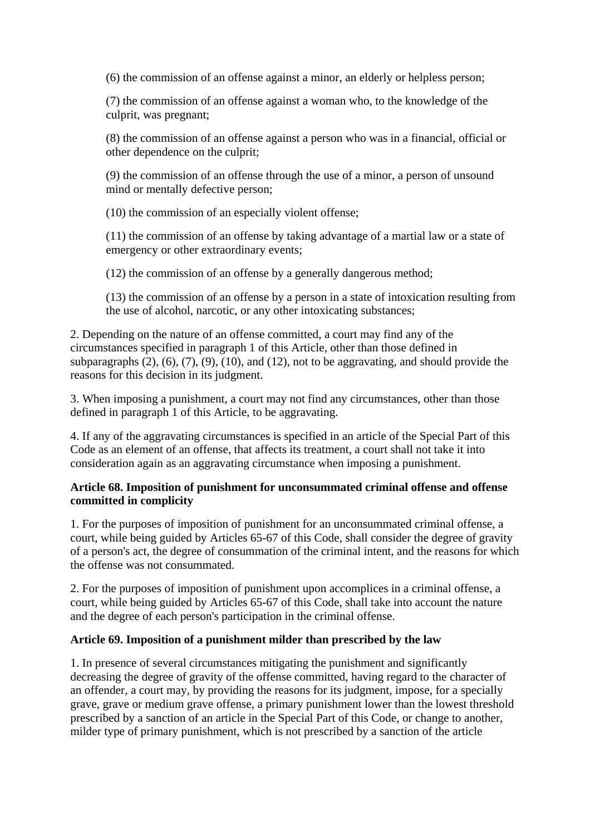(6) the commission of an offense against a minor, an elderly or helpless person;

(7) the commission of an offense against a woman who, to the knowledge of the culprit, was pregnant;

(8) the commission of an offense against a person who was in a financial, official or other dependence on the culprit;

(9) the commission of an offense through the use of a minor, a person of unsound mind or mentally defective person;

(10) the commission of an especially violent offense;

(11) the commission of an offense by taking advantage of a martial law or a state of emergency or other extraordinary events;

(12) the commission of an offense by a generally dangerous method;

(13) the commission of an offense by a person in a state of intoxication resulting from the use of alcohol, narcotic, or any other intoxicating substances;

2. Depending on the nature of an offense committed, a court may find any of the circumstances specified in paragraph 1 of this Article, other than those defined in subparagraphs  $(2)$ ,  $(6)$ ,  $(7)$ ,  $(9)$ ,  $(10)$ , and  $(12)$ , not to be aggravating, and should provide the reasons for this decision in its judgment.

3. When imposing a punishment, a court may not find any circumstances, other than those defined in paragraph 1 of this Article, to be aggravating.

4. If any of the aggravating circumstances is specified in an article of the Special Part of this Code as an element of an offense, that affects its treatment, a court shall not take it into consideration again as an aggravating circumstance when imposing a punishment.

#### **Article 68. Imposition of punishment for unconsummated criminal offense and offense committed in complicity**

1. For the purposes of imposition of punishment for an unconsummated criminal offense, a court, while being guided by Articles 65-67 of this Code, shall consider the degree of gravity of a person's act, the degree of consummation of the criminal intent, and the reasons for which the offense was not consummated.

2. For the purposes of imposition of punishment upon accomplices in a criminal offense, a court, while being guided by Articles 65-67 of this Code, shall take into account the nature and the degree of each person's participation in the criminal offense.

## **Article 69. Imposition of a punishment milder than prescribed by the law**

1. In presence of several circumstances mitigating the punishment and significantly decreasing the degree of gravity of the offense committed, having regard to the character of an offender, a court may, by providing the reasons for its judgment, impose, for a specially grave, grave or medium grave offense, a primary punishment lower than the lowest threshold prescribed by a sanction of an article in the Special Part of this Code, or change to another, milder type of primary punishment, which is not prescribed by a sanction of the article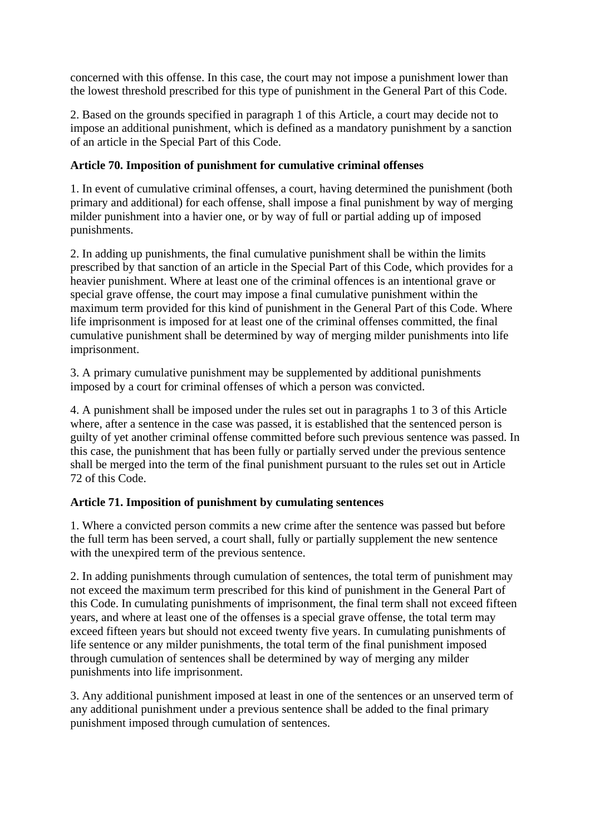concerned with this offense. In this case, the court may not impose a punishment lower than the lowest threshold prescribed for this type of punishment in the General Part of this Code.

2. Based on the grounds specified in paragraph 1 of this Article, a court may decide not to impose an additional punishment, which is defined as a mandatory punishment by a sanction of an article in the Special Part of this Code.

## **Article 70. Imposition of punishment for cumulative criminal offenses**

1. In event of cumulative criminal offenses, a court, having determined the punishment (both primary and additional) for each offense, shall impose a final punishment by way of merging milder punishment into a havier one, or by way of full or partial adding up of imposed punishments.

2. In adding up punishments, the final cumulative punishment shall be within the limits prescribed by that sanction of an article in the Special Part of this Code, which provides for a heavier punishment. Where at least one of the criminal offences is an intentional grave or special grave offense, the court may impose a final cumulative punishment within the maximum term provided for this kind of punishment in the General Part of this Code. Where life imprisonment is imposed for at least one of the criminal offenses committed, the final cumulative punishment shall be determined by way of merging milder punishments into life imprisonment.

3. A primary cumulative punishment may be supplemented by additional punishments imposed by a court for criminal offenses of which a person was convicted.

4. A punishment shall be imposed under the rules set out in paragraphs 1 to 3 of this Article where, after a sentence in the case was passed, it is established that the sentenced person is guilty of yet another criminal offense committed before such previous sentence was passed. In this case, the punishment that has been fully or partially served under the previous sentence shall be merged into the term of the final punishment pursuant to the rules set out in Article 72 of this Code.

# **Article 71. Imposition of punishment by cumulating sentences**

1. Where a convicted person commits a new crime after the sentence was passed but before the full term has been served, a court shall, fully or partially supplement the new sentence with the unexpired term of the previous sentence.

2. In adding punishments through cumulation of sentences, the total term of punishment may not exceed the maximum term prescribed for this kind of punishment in the General Part of this Code. In cumulating punishments of imprisonment, the final term shall not exceed fifteen years, and where at least one of the offenses is a special grave offense, the total term may exceed fifteen years but should not exceed twenty five years. In cumulating punishments of life sentence or any milder punishments, the total term of the final punishment imposed through cumulation of sentences shall be determined by way of merging any milder punishments into life imprisonment.

3. Any additional punishment imposed at least in one of the sentences or an unserved term of any additional punishment under a previous sentence shall be added to the final primary punishment imposed through cumulation of sentences.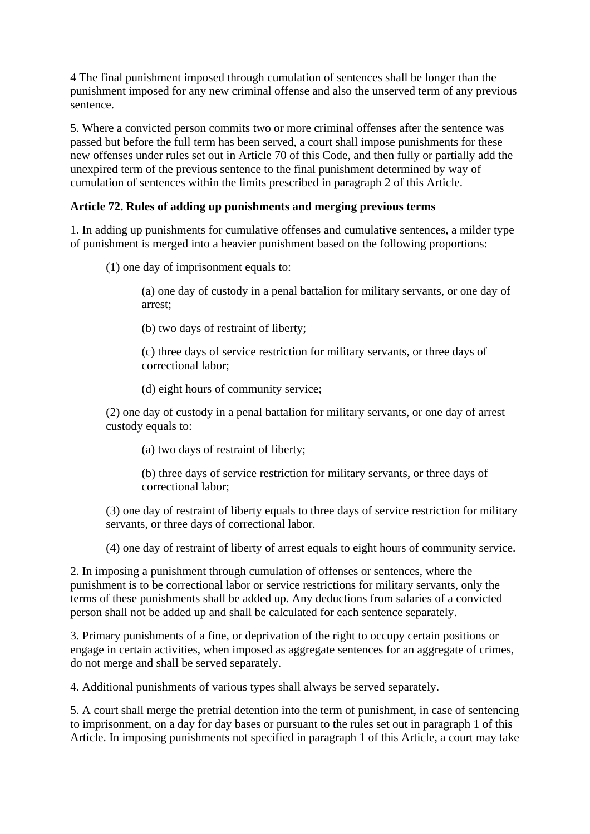4 The final punishment imposed through cumulation of sentences shall be longer than the punishment imposed for any new criminal offense and also the unserved term of any previous sentence.

5. Where a convicted person commits two or more criminal offenses after the sentence was passed but before the full term has been served, a court shall impose punishments for these new offenses under rules set out in Article 70 of this Code, and then fully or partially add the unexpired term of the previous sentence to the final punishment determined by way of cumulation of sentences within the limits prescribed in paragraph 2 of this Article.

## **Article 72. Rules of adding up punishments and merging previous terms**

1. In adding up punishments for cumulative offenses and cumulative sentences, a milder type of punishment is merged into a heavier punishment based on the following proportions:

(1) one day of imprisonment equals to:

(a) one day of custody in a penal battalion for military servants, or one day of arrest;

(b) two days of restraint of liberty;

(c) three days of service restriction for military servants, or three days of correctional labor;

(d) eight hours of community service;

(2) one day of custody in a penal battalion for military servants, or one day of arrest custody equals to:

(a) two days of restraint of liberty;

(b) three days of service restriction for military servants, or three days of correctional labor;

(3) one day of restraint of liberty equals to three days of service restriction for military servants, or three days of correctional labor.

(4) one day of restraint of liberty of arrest equals to eight hours of community service.

2. In imposing a punishment through cumulation of offenses or sentences, where the punishment is to be correctional labor or service restrictions for military servants, only the terms of these punishments shall be added up. Any deductions from salaries of a convicted person shall not be added up and shall be calculated for each sentence separately.

3. Primary punishments of a fine, or deprivation of the right to occupy certain positions or engage in certain activities, when imposed as aggregate sentences for an aggregate of crimes, do not merge and shall be served separately.

4. Additional punishments of various types shall always be served separately.

5. A court shall merge the pretrial detention into the term of punishment, in case of sentencing to imprisonment, on a day for day bases or pursuant to the rules set out in paragraph 1 of this Article. In imposing punishments not specified in paragraph 1 of this Article, a court may take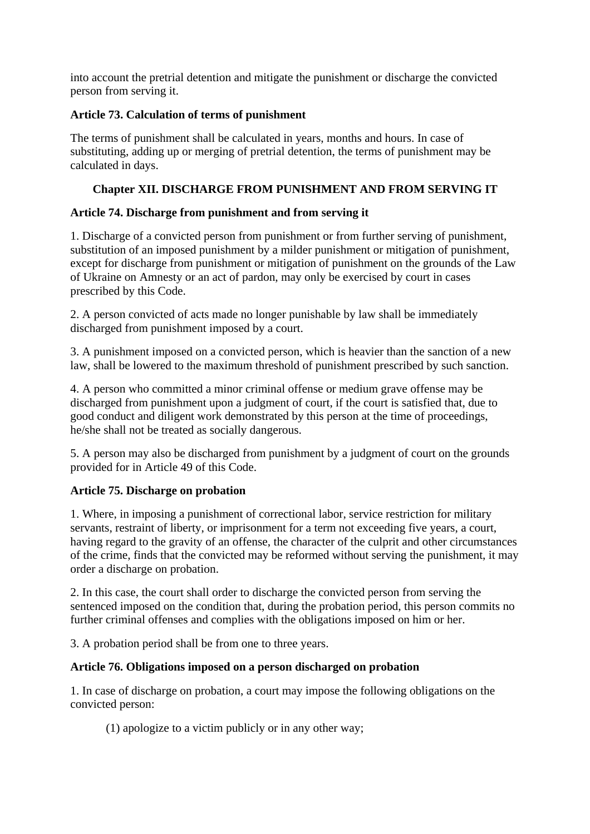into account the pretrial detention and mitigate the punishment or discharge the convicted person from serving it.

## **Article 73. Calculation of terms of punishment**

The terms of punishment shall be calculated in years, months and hours. In case of substituting, adding up or merging of pretrial detention, the terms of punishment may be calculated in days.

# **Chapter XII. DISCHARGE FROM PUNISHMENT AND FROM SERVING IT**

# **Article 74. Discharge from punishment and from serving it**

1. Discharge of a convicted person from punishment or from further serving of punishment, substitution of an imposed punishment by a milder punishment or mitigation of punishment, except for discharge from punishment or mitigation of punishment on the grounds of the Law of Ukraine on Amnesty or an act of pardon, may only be exercised by court in cases prescribed by this Code.

2. A person convicted of acts made no longer punishable by law shall be immediately discharged from punishment imposed by a court.

3. A punishment imposed on a convicted person, which is heavier than the sanction of a new law, shall be lowered to the maximum threshold of punishment prescribed by such sanction.

4. A person who committed a minor criminal offense or medium grave offense may be discharged from punishment upon a judgment of court, if the court is satisfied that, due to good conduct and diligent work demonstrated by this person at the time of proceedings, he/she shall not be treated as socially dangerous.

5. A person may also be discharged from punishment by a judgment of court on the grounds provided for in Article 49 of this Code.

# **Article 75. Discharge on probation**

1. Where, in imposing a punishment of correctional labor, service restriction for military servants, restraint of liberty, or imprisonment for a term not exceeding five years, a court, having regard to the gravity of an offense, the character of the culprit and other circumstances of the crime, finds that the convicted may be reformed without serving the punishment, it may order a discharge on probation.

2. In this case, the court shall order to discharge the convicted person from serving the sentenced imposed on the condition that, during the probation period, this person commits no further criminal offenses and complies with the obligations imposed on him or her.

3. A probation period shall be from one to three years.

# **Article 76. Obligations imposed on a person discharged on probation**

1. In case of discharge on probation, a court may impose the following obligations on the convicted person:

(1) apologize to a victim publicly or in any other way;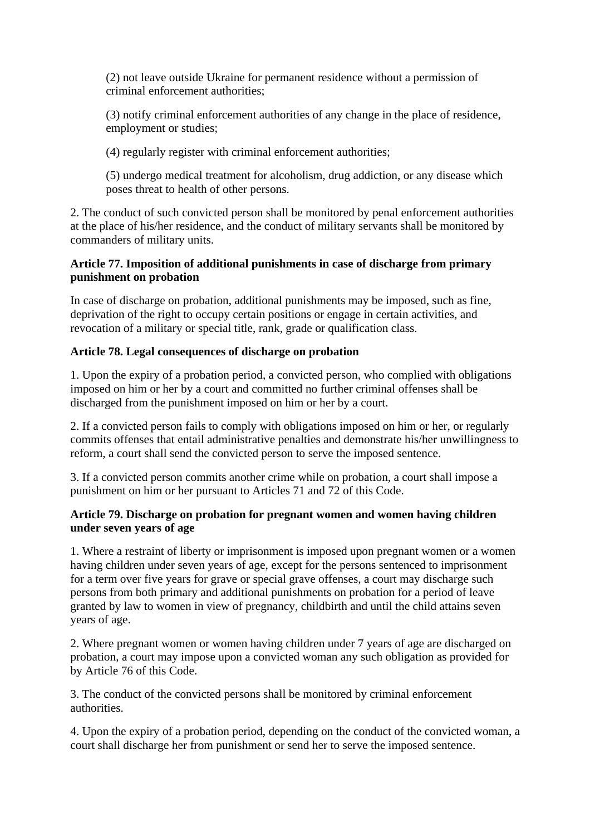(2) not leave outside Ukraine for permanent residence without a permission of criminal enforcement authorities;

(3) notify criminal enforcement authorities of any change in the place of residence, employment or studies;

(4) regularly register with criminal enforcement authorities;

(5) undergo medical treatment for alcoholism, drug addiction, or any disease which poses threat to health of other persons.

2. The conduct of such convicted person shall be monitored by penal enforcement authorities at the place of his/her residence, and the conduct of military servants shall be monitored by commanders of military units.

#### **Article 77. Imposition of additional punishments in case of discharge from primary punishment on probation**

In case of discharge on probation, additional punishments may be imposed, such as fine, deprivation of the right to occupy certain positions or engage in certain activities, and revocation of a military or special title, rank, grade or qualification class.

## **Article 78. Legal consequences of discharge on probation**

1. Upon the expiry of a probation period, a convicted person, who complied with obligations imposed on him or her by a court and committed no further criminal offenses shall be discharged from the punishment imposed on him or her by a court.

2. If a convicted person fails to comply with obligations imposed on him or her, or regularly commits offenses that entail administrative penalties and demonstrate his/her unwillingness to reform, a court shall send the convicted person to serve the imposed sentence.

3. If a convicted person commits another crime while on probation, a court shall impose a punishment on him or her pursuant to Articles 71 and 72 of this Code.

#### **Article 79. Discharge on probation for pregnant women and women having children under seven years of age**

1. Where a restraint of liberty or imprisonment is imposed upon pregnant women or a women having children under seven years of age, except for the persons sentenced to imprisonment for a term over five years for grave or special grave offenses, a court may discharge such persons from both primary and additional punishments on probation for a period of leave granted by law to women in view of pregnancy, childbirth and until the child attains seven years of age.

2. Where pregnant women or women having children under 7 years of age are discharged on probation, a court may impose upon a convicted woman any such obligation as provided for by Article 76 of this Code.

3. The conduct of the convicted persons shall be monitored by criminal enforcement authorities.

4. Upon the expiry of a probation period, depending on the conduct of the convicted woman, a court shall discharge her from punishment or send her to serve the imposed sentence.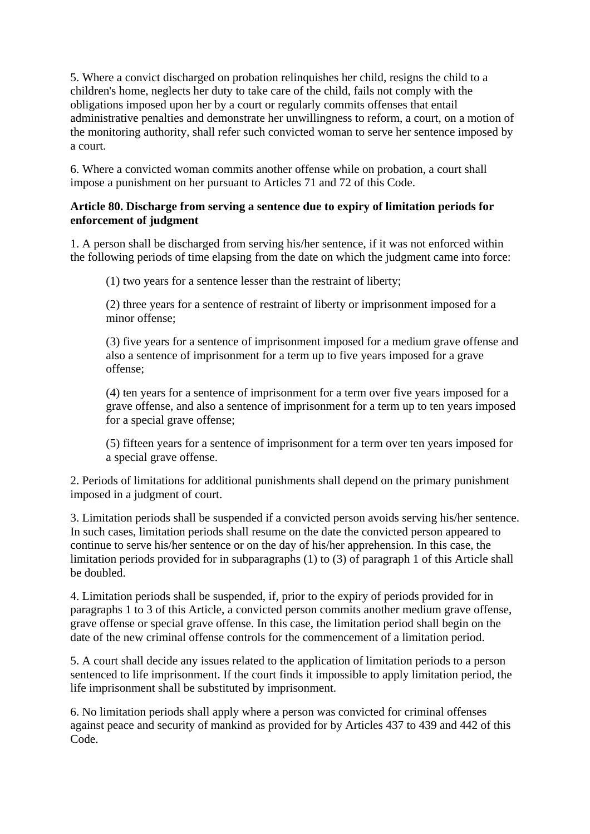5. Where a convict discharged on probation relinquishes her child, resigns the child to a children's home, neglects her duty to take care of the child, fails not comply with the obligations imposed upon her by a court or regularly commits offenses that entail administrative penalties and demonstrate her unwillingness to reform, a court, on a motion of the monitoring authority, shall refer such convicted woman to serve her sentence imposed by a court.

6. Where a convicted woman commits another offense while on probation, a court shall impose a punishment on her pursuant to Articles 71 and 72 of this Code.

## **Article 80. Discharge from serving a sentence due to expiry of limitation periods for enforcement of judgment**

1. A person shall be discharged from serving his/her sentence, if it was not enforced within the following periods of time elapsing from the date on which the judgment came into force:

(1) two years for a sentence lesser than the restraint of liberty;

(2) three years for a sentence of restraint of liberty or imprisonment imposed for a minor offense;

(3) five years for a sentence of imprisonment imposed for a medium grave offense and also a sentence of imprisonment for a term up to five years imposed for a grave offense;

(4) ten years for a sentence of imprisonment for a term over five years imposed for a grave offense, and also a sentence of imprisonment for a term up to ten years imposed for a special grave offense;

(5) fifteen years for a sentence of imprisonment for a term over ten years imposed for a special grave offense.

2. Periods of limitations for additional punishments shall depend on the primary punishment imposed in a judgment of court.

3. Limitation periods shall be suspended if a convicted person avoids serving his/her sentence. In such cases, limitation periods shall resume on the date the convicted person appeared to continue to serve his/her sentence or on the day of his/her apprehension. In this case, the limitation periods provided for in subparagraphs (1) to (3) of paragraph 1 of this Article shall be doubled.

4. Limitation periods shall be suspended, if, prior to the expiry of periods provided for in paragraphs 1 to 3 of this Article, a convicted person commits another medium grave offense, grave offense or special grave offense. In this case, the limitation period shall begin on the date of the new criminal offense controls for the commencement of a limitation period.

5. A court shall decide any issues related to the application of limitation periods to a person sentenced to life imprisonment. If the court finds it impossible to apply limitation period, the life imprisonment shall be substituted by imprisonment.

6. No limitation periods shall apply where a person was convicted for criminal offenses against peace and security of mankind as provided for by Articles 437 to 439 and 442 of this Code.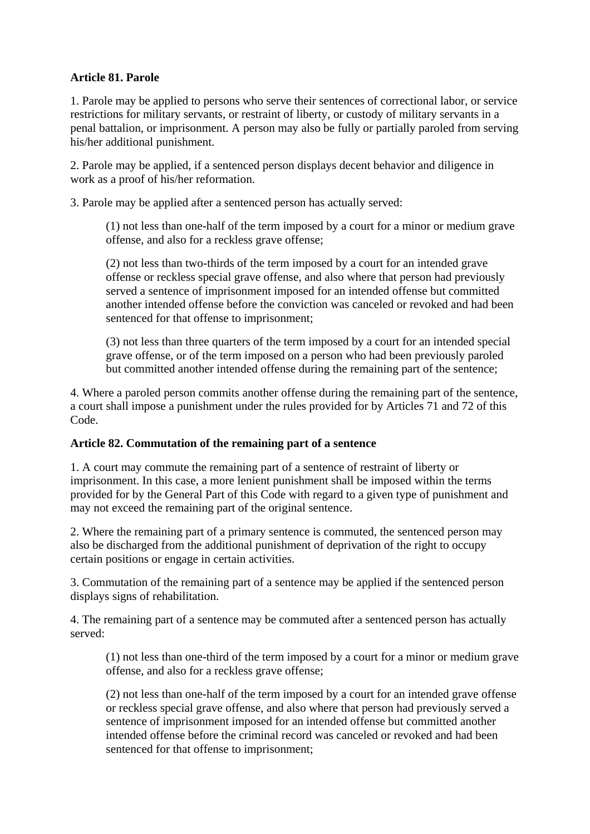## **Article 81. Parole**

1. Parole may be applied to persons who serve their sentences of correctional labor, or service restrictions for military servants, or restraint of liberty, or custody of military servants in a penal battalion, or imprisonment. A person may also be fully or partially paroled from serving his/her additional punishment.

2. Parole may be applied, if a sentenced person displays decent behavior and diligence in work as a proof of his/her reformation.

3. Parole may be applied after a sentenced person has actually served:

(1) not less than one-half of the term imposed by a court for a minor or medium grave offense, and also for a reckless grave offense;

(2) not less than two-thirds of the term imposed by a court for an intended grave offense or reckless special grave offense, and also where that person had previously served a sentence of imprisonment imposed for an intended offense but committed another intended offense before the conviction was canceled or revoked and had been sentenced for that offense to imprisonment;

(3) not less than three quarters of the term imposed by a court for an intended special grave offense, or of the term imposed on a person who had been previously paroled but committed another intended offense during the remaining part of the sentence;

4. Where a paroled person commits another offense during the remaining part of the sentence, a court shall impose a punishment under the rules provided for by Articles 71 and 72 of this Code.

#### **Article 82. Commutation of the remaining part of a sentence**

1. A court may commute the remaining part of a sentence of restraint of liberty or imprisonment. In this case, a more lenient punishment shall be imposed within the terms provided for by the General Part of this Code with regard to a given type of punishment and may not exceed the remaining part of the original sentence.

2. Where the remaining part of a primary sentence is commuted, the sentenced person may also be discharged from the additional punishment of deprivation of the right to occupy certain positions or engage in certain activities.

3. Commutation of the remaining part of a sentence may be applied if the sentenced person displays signs of rehabilitation.

4. The remaining part of a sentence may be commuted after a sentenced person has actually served:

(1) not less than one-third of the term imposed by a court for a minor or medium grave offense, and also for a reckless grave offense;

(2) not less than one-half of the term imposed by a court for an intended grave offense or reckless special grave offense, and also where that person had previously served a sentence of imprisonment imposed for an intended offense but committed another intended offense before the criminal record was canceled or revoked and had been sentenced for that offense to imprisonment;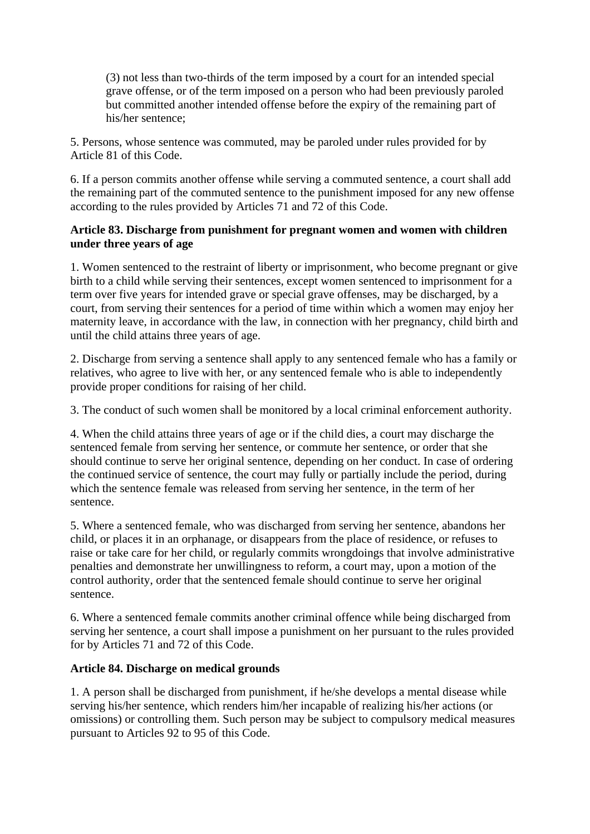(3) not less than two-thirds of the term imposed by a court for an intended special grave offense, or of the term imposed on a person who had been previously paroled but committed another intended offense before the expiry of the remaining part of his/her sentence;

5. Persons, whose sentence was commuted, may be paroled under rules provided for by Article 81 of this Code.

6. If a person commits another offense while serving a commuted sentence, a court shall add the remaining part of the commuted sentence to the punishment imposed for any new offense according to the rules provided by Articles 71 and 72 of this Code.

## **Article 83. Discharge from punishment for pregnant women and women with children under three years of age**

1. Women sentenced to the restraint of liberty or imprisonment, who become pregnant or give birth to a child while serving their sentences, except women sentenced to imprisonment for a term over five years for intended grave or special grave offenses, may be discharged, by a court, from serving their sentences for a period of time within which a women may enjoy her maternity leave, in accordance with the law, in connection with her pregnancy, child birth and until the child attains three years of age.

2. Discharge from serving a sentence shall apply to any sentenced female who has a family or relatives, who agree to live with her, or any sentenced female who is able to independently provide proper conditions for raising of her child.

3. The conduct of such women shall be monitored by a local criminal enforcement authority.

4. When the child attains three years of age or if the child dies, a court may discharge the sentenced female from serving her sentence, or commute her sentence, or order that she should continue to serve her original sentence, depending on her conduct. In case of ordering the continued service of sentence, the court may fully or partially include the period, during which the sentence female was released from serving her sentence, in the term of her sentence.

5. Where a sentenced female, who was discharged from serving her sentence, abandons her child, or places it in an orphanage, or disappears from the place of residence, or refuses to raise or take care for her child, or regularly commits wrongdoings that involve administrative penalties and demonstrate her unwillingness to reform, a court may, upon a motion of the control authority, order that the sentenced female should continue to serve her original sentence.

6. Where a sentenced female commits another criminal offence while being discharged from serving her sentence, a court shall impose a punishment on her pursuant to the rules provided for by Articles 71 and 72 of this Code.

## **Article 84. Discharge on medical grounds**

1. A person shall be discharged from punishment, if he/she develops a mental disease while serving his/her sentence, which renders him/her incapable of realizing his/her actions (or omissions) or controlling them. Such person may be subject to compulsory medical measures pursuant to Articles 92 to 95 of this Code.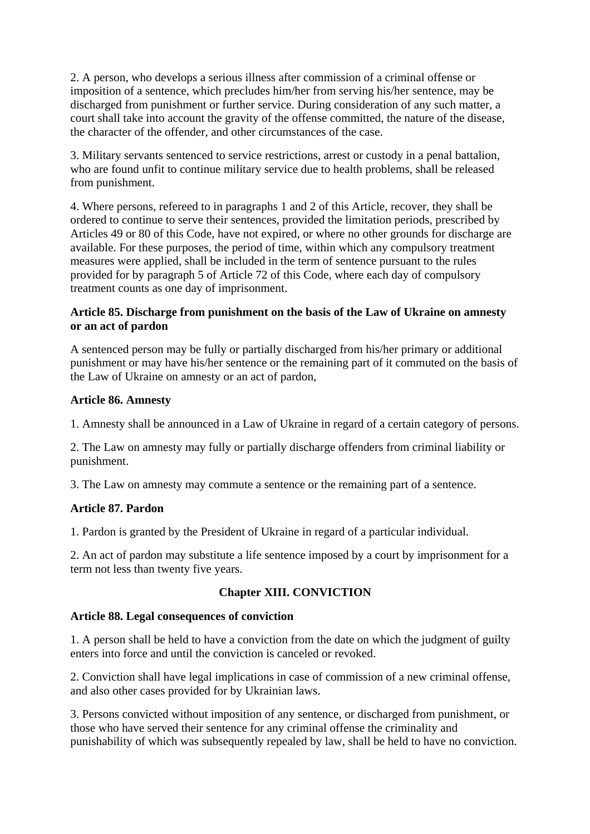2. A person, who develops a serious illness after commission of a criminal offense or imposition of a sentence, which precludes him/her from serving his/her sentence, may be discharged from punishment or further service. During consideration of any such matter, a court shall take into account the gravity of the offense committed, the nature of the disease, the character of the offender, and other circumstances of the case.

3. Military servants sentenced to service restrictions, arrest or custody in a penal battalion, who are found unfit to continue military service due to health problems, shall be released from punishment.

4. Where persons, refereed to in paragraphs 1 and 2 of this Article, recover, they shall be ordered to continue to serve their sentences, provided the limitation periods, prescribed by Articles 49 or 80 of this Code, have not expired, or where no other grounds for discharge are available. For these purposes, the period of time, within which any compulsory treatment measures were applied, shall be included in the term of sentence pursuant to the rules provided for by paragraph 5 of Article 72 of this Code, where each day of compulsory treatment counts as one day of imprisonment.

#### **Article 85. Discharge from punishment on the basis of the Law of Ukraine on amnesty or an act of pardon**

A sentenced person may be fully or partially discharged from his/her primary or additional punishment or may have his/her sentence or the remaining part of it commuted on the basis of the Law of Ukraine on amnesty or an act of pardon,

#### **Article 86. Amnesty**

1. Amnesty shall be announced in a Law of Ukraine in regard of a certain category of persons.

2. The Law on amnesty may fully or partially discharge offenders from criminal liability or punishment.

3. The Law on amnesty may commute a sentence or the remaining part of a sentence.

## **Article 87. Pardon**

1. Pardon is granted by the President of Ukraine in regard of a particular individual.

2. An act of pardon may substitute a life sentence imposed by a court by imprisonment for a term not less than twenty five years.

## **Chapter XIII. CONVICTION**

#### **Article 88. Legal consequences of conviction**

1. A person shall be held to have a conviction from the date on which the judgment of guilty enters into force and until the conviction is canceled or revoked.

2. Conviction shall have legal implications in case of commission of a new criminal offense, and also other cases provided for by Ukrainian laws.

3. Persons convicted without imposition of any sentence, or discharged from punishment, or those who have served their sentence for any criminal offense the criminality and punishability of which was subsequently repealed by law, shall be held to have no conviction.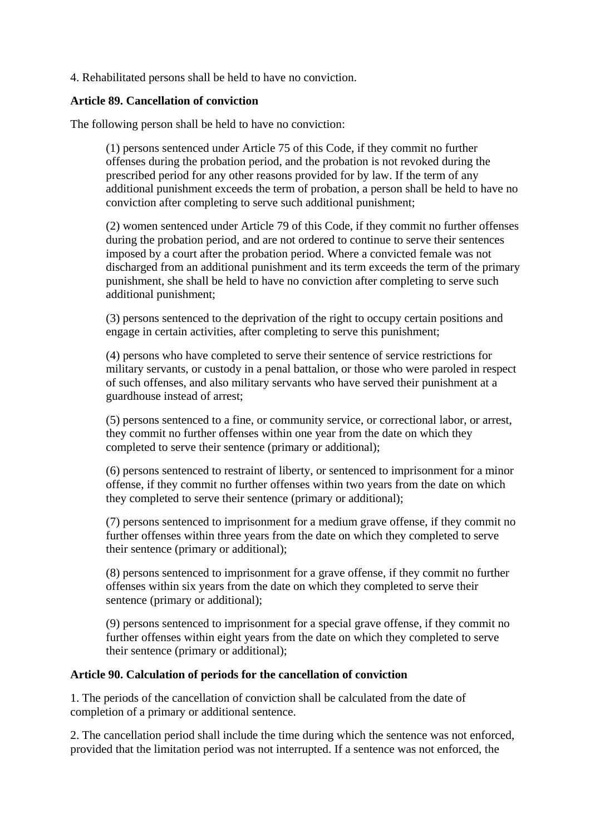4. Rehabilitated persons shall be held to have no conviction.

## **Article 89. Cancellation of conviction**

The following person shall be held to have no conviction:

(1) persons sentenced under Article 75 of this Code, if they commit no further offenses during the probation period, and the probation is not revoked during the prescribed period for any other reasons provided for by law. If the term of any additional punishment exceeds the term of probation, a person shall be held to have no conviction after completing to serve such additional punishment;

(2) women sentenced under Article 79 of this Code, if they commit no further offenses during the probation period, and are not ordered to continue to serve their sentences imposed by a court after the probation period. Where a convicted female was not discharged from an additional punishment and its term exceeds the term of the primary punishment, she shall be held to have no conviction after completing to serve such additional punishment;

(3) persons sentenced to the deprivation of the right to occupy certain positions and engage in certain activities, after completing to serve this punishment;

(4) persons who have completed to serve their sentence of service restrictions for military servants, or custody in a penal battalion, or those who were paroled in respect of such offenses, and also military servants who have served their punishment at a guardhouse instead of arrest;

(5) persons sentenced to a fine, or community service, or correctional labor, or arrest, they commit no further offenses within one year from the date on which they completed to serve their sentence (primary or additional);

(6) persons sentenced to restraint of liberty, or sentenced to imprisonment for a minor offense, if they commit no further offenses within two years from the date on which they completed to serve their sentence (primary or additional);

(7) persons sentenced to imprisonment for a medium grave offense, if they commit no further offenses within three years from the date on which they completed to serve their sentence (primary or additional);

(8) persons sentenced to imprisonment for a grave offense, if they commit no further offenses within six years from the date on which they completed to serve their sentence (primary or additional);

(9) persons sentenced to imprisonment for a special grave offense, if they commit no further offenses within eight years from the date on which they completed to serve their sentence (primary or additional);

#### **Article 90. Calculation of periods for the cancellation of conviction**

1. The periods of the cancellation of conviction shall be calculated from the date of completion of a primary or additional sentence.

2. The cancellation period shall include the time during which the sentence was not enforced, provided that the limitation period was not interrupted. If a sentence was not enforced, the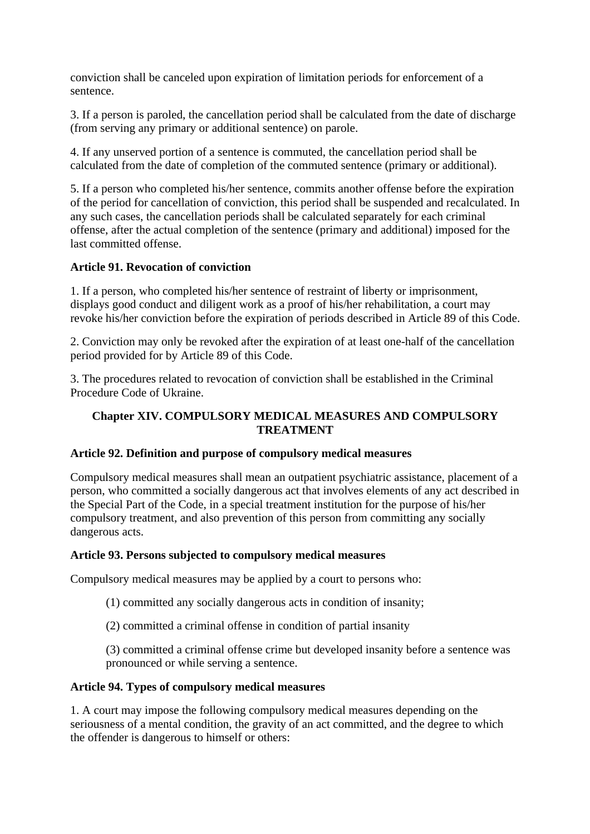conviction shall be canceled upon expiration of limitation periods for enforcement of a sentence.

3. If a person is paroled, the cancellation period shall be calculated from the date of discharge (from serving any primary or additional sentence) on parole.

4. If any unserved portion of a sentence is commuted, the cancellation period shall be calculated from the date of completion of the commuted sentence (primary or additional).

5. If a person who completed his/her sentence, commits another offense before the expiration of the period for cancellation of conviction, this period shall be suspended and recalculated. In any such cases, the cancellation periods shall be calculated separately for each criminal offense, after the actual completion of the sentence (primary and additional) imposed for the last committed offense.

## **Article 91. Revocation of conviction**

1. If a person, who completed his/her sentence of restraint of liberty or imprisonment, displays good conduct and diligent work as a proof of his/her rehabilitation, a court may revoke his/her conviction before the expiration of periods described in Article 89 of this Code.

2. Conviction may only be revoked after the expiration of at least one-half of the cancellation period provided for by Article 89 of this Code.

3. The procedures related to revocation of conviction shall be established in the Criminal Procedure Code of Ukraine.

## **Chapter XIV. COMPULSORY MEDICAL MEASURES AND COMPULSORY TREATMENT**

## **Article 92. Definition and purpose of compulsory medical measures**

Compulsory medical measures shall mean an outpatient psychiatric assistance, placement of a person, who committed a socially dangerous act that involves elements of any act described in the Special Part of the Code, in a special treatment institution for the purpose of his/her compulsory treatment, and also prevention of this person from committing any socially dangerous acts.

## **Article 93. Persons subjected to compulsory medical measures**

Compulsory medical measures may be applied by a court to persons who:

(1) committed any socially dangerous acts in condition of insanity;

(2) committed a criminal offense in condition of partial insanity

(3) committed a criminal offense crime but developed insanity before a sentence was pronounced or while serving a sentence.

## **Article 94. Types of compulsory medical measures**

1. A court may impose the following compulsory medical measures depending on the seriousness of a mental condition, the gravity of an act committed, and the degree to which the offender is dangerous to himself or others: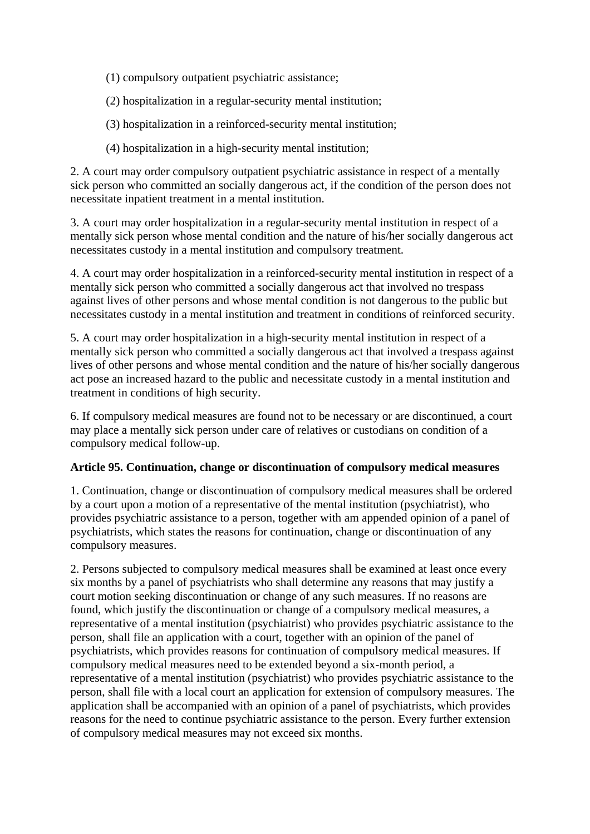(1) compulsory outpatient psychiatric assistance;

(2) hospitalization in a regular-security mental institution;

(3) hospitalization in a reinforced-security mental institution;

(4) hospitalization in a high-security mental institution;

2. A court may order compulsory outpatient psychiatric assistance in respect of a mentally sick person who committed an socially dangerous act, if the condition of the person does not necessitate inpatient treatment in a mental institution.

3. A court may order hospitalization in a regular-security mental institution in respect of a mentally sick person whose mental condition and the nature of his/her socially dangerous act necessitates custody in a mental institution and compulsory treatment.

4. A court may order hospitalization in a reinforced-security mental institution in respect of a mentally sick person who committed a socially dangerous act that involved no trespass against lives of other persons and whose mental condition is not dangerous to the public but necessitates custody in a mental institution and treatment in conditions of reinforced security.

5. A court may order hospitalization in a high-security mental institution in respect of a mentally sick person who committed a socially dangerous act that involved a trespass against lives of other persons and whose mental condition and the nature of his/her socially dangerous act pose an increased hazard to the public and necessitate custody in a mental institution and treatment in conditions of high security.

6. If compulsory medical measures are found not to be necessary or are discontinued, a court may place a mentally sick person under care of relatives or custodians on condition of a compulsory medical follow-up.

#### **Article 95. Continuation, change or discontinuation of compulsory medical measures**

1. Continuation, change or discontinuation of compulsory medical measures shall be ordered by a court upon a motion of a representative of the mental institution (psychiatrist), who provides psychiatric assistance to a person, together with am appended opinion of a panel of psychiatrists, which states the reasons for continuation, change or discontinuation of any compulsory measures.

2. Persons subjected to compulsory medical measures shall be examined at least once every six months by a panel of psychiatrists who shall determine any reasons that may justify a court motion seeking discontinuation or change of any such measures. If no reasons are found, which justify the discontinuation or change of a compulsory medical measures, a representative of a mental institution (psychiatrist) who provides psychiatric assistance to the person, shall file an application with a court, together with an opinion of the panel of psychiatrists, which provides reasons for continuation of compulsory medical measures. If compulsory medical measures need to be extended beyond a six-month period, a representative of a mental institution (psychiatrist) who provides psychiatric assistance to the person, shall file with a local court an application for extension of compulsory measures. The application shall be accompanied with an opinion of a panel of psychiatrists, which provides reasons for the need to continue psychiatric assistance to the person. Every further extension of compulsory medical measures may not exceed six months.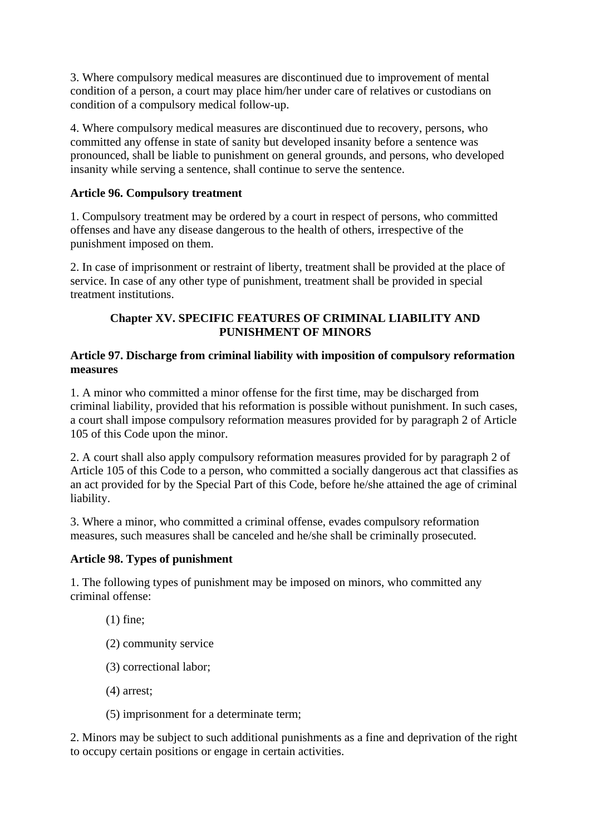3. Where compulsory medical measures are discontinued due to improvement of mental condition of a person, a court may place him/her under care of relatives or custodians on condition of a compulsory medical follow-up.

4. Where compulsory medical measures are discontinued due to recovery, persons, who committed any offense in state of sanity but developed insanity before a sentence was pronounced, shall be liable to punishment on general grounds, and persons, who developed insanity while serving a sentence, shall continue to serve the sentence.

#### **Article 96. Compulsory treatment**

1. Compulsory treatment may be ordered by a court in respect of persons, who committed offenses and have any disease dangerous to the health of others, irrespective of the punishment imposed on them.

2. In case of imprisonment or restraint of liberty, treatment shall be provided at the place of service. In case of any other type of punishment, treatment shall be provided in special treatment institutions.

#### **Chapter XV. SPECIFIC FEATURES OF CRIMINAL LIABILITY AND PUNISHMENT OF MINORS**

#### **Article 97. Discharge from criminal liability with imposition of compulsory reformation measures**

1. A minor who committed a minor offense for the first time, may be discharged from criminal liability, provided that his reformation is possible without punishment. In such cases, a court shall impose compulsory reformation measures provided for by paragraph 2 of Article 105 of this Code upon the minor.

2. A court shall also apply compulsory reformation measures provided for by paragraph 2 of Article 105 of this Code to a person, who committed a socially dangerous act that classifies as an act provided for by the Special Part of this Code, before he/she attained the age of criminal liability.

3. Where a minor, who committed a criminal offense, evades compulsory reformation measures, such measures shall be canceled and he/she shall be criminally prosecuted.

## **Article 98. Types of punishment**

1. The following types of punishment may be imposed on minors, who committed any criminal offense:

- (1) fine;
- (2) community service
- (3) correctional labor;
- (4) arrest;
- (5) imprisonment for a determinate term;

2. Minors may be subject to such additional punishments as a fine and deprivation of the right to occupy certain positions or engage in certain activities.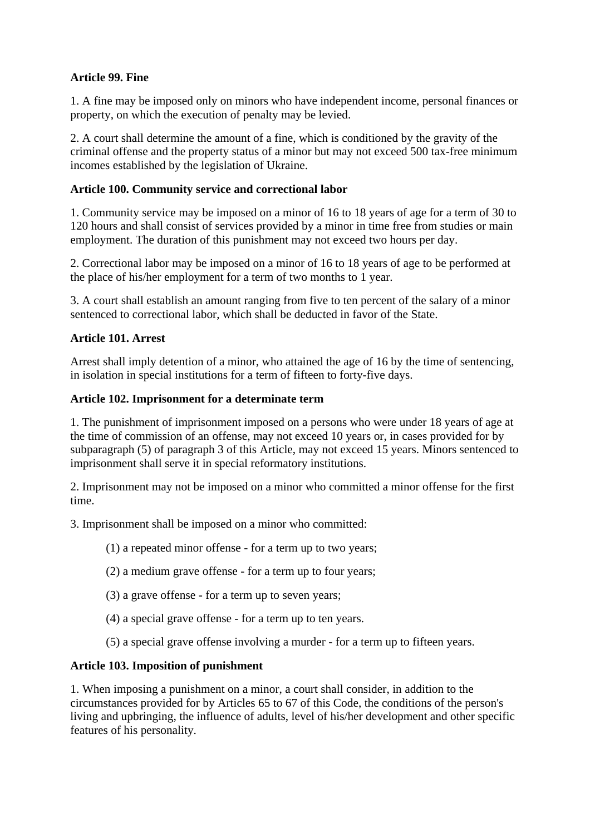## **Article 99. Fine**

1. A fine may be imposed only on minors who have independent income, personal finances or property, on which the execution of penalty may be levied.

2. A court shall determine the amount of a fine, which is conditioned by the gravity of the criminal offense and the property status of a minor but may not exceed 500 tax-free minimum incomes established by the legislation of Ukraine.

## **Article 100. Community service and correctional labor**

1. Community service may be imposed on a minor of 16 to 18 years of age for a term of 30 to 120 hours and shall consist of services provided by a minor in time free from studies or main employment. The duration of this punishment may not exceed two hours per day.

2. Correctional labor may be imposed on a minor of 16 to 18 years of age to be performed at the place of his/her employment for a term of two months to 1 year.

3. A court shall establish an amount ranging from five to ten percent of the salary of a minor sentenced to correctional labor, which shall be deducted in favor of the State.

## **Article 101. Arrest**

Arrest shall imply detention of a minor, who attained the age of 16 by the time of sentencing, in isolation in special institutions for a term of fifteen to forty-five days.

## **Article 102. Imprisonment for a determinate term**

1. The punishment of imprisonment imposed on a persons who were under 18 years of age at the time of commission of an offense, may not exceed 10 years or, in cases provided for by subparagraph (5) of paragraph 3 of this Article, may not exceed 15 years. Minors sentenced to imprisonment shall serve it in special reformatory institutions.

2. Imprisonment may not be imposed on a minor who committed a minor offense for the first time.

3. Imprisonment shall be imposed on a minor who committed:

(1) a repeated minor offense - for a term up to two years;

(2) a medium grave offense - for a term up to four years;

- (3) a grave offense for a term up to seven years;
- (4) a special grave offense for a term up to ten years.
- (5) a special grave offense involving a murder for a term up to fifteen years.

## **Article 103. Imposition of punishment**

1. When imposing a punishment on a minor, a court shall consider, in addition to the circumstances provided for by Articles 65 to 67 of this Code, the conditions of the person's living and upbringing, the influence of adults, level of his/her development and other specific features of his personality.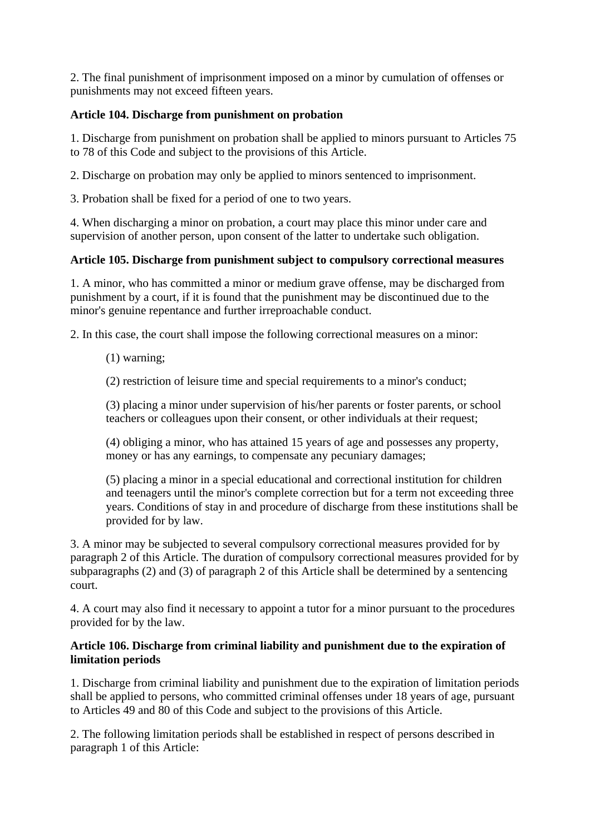2. The final punishment of imprisonment imposed on a minor by cumulation of offenses or punishments may not exceed fifteen years.

## **Article 104. Discharge from punishment on probation**

1. Discharge from punishment on probation shall be applied to minors pursuant to Articles 75 to 78 of this Code and subject to the provisions of this Article.

2. Discharge on probation may only be applied to minors sentenced to imprisonment.

3. Probation shall be fixed for a period of one to two years.

4. When discharging a minor on probation, a court may place this minor under care and supervision of another person, upon consent of the latter to undertake such obligation.

## **Article 105. Discharge from punishment subject to compulsory correctional measures**

1. A minor, who has committed a minor or medium grave offense, may be discharged from punishment by a court, if it is found that the punishment may be discontinued due to the minor's genuine repentance and further irreproachable conduct.

2. In this case, the court shall impose the following correctional measures on a minor:

(1) warning;

(2) restriction of leisure time and special requirements to a minor's conduct;

(3) placing a minor under supervision of his/her parents or foster parents, or school teachers or colleagues upon their consent, or other individuals at their request;

(4) obliging a minor, who has attained 15 years of age and possesses any property, money or has any earnings, to compensate any pecuniary damages;

(5) placing a minor in a special educational and correctional institution for children and teenagers until the minor's complete correction but for a term not exceeding three years. Conditions of stay in and procedure of discharge from these institutions shall be provided for by law.

3. A minor may be subjected to several compulsory correctional measures provided for by paragraph 2 of this Article. The duration of compulsory correctional measures provided for by subparagraphs (2) and (3) of paragraph 2 of this Article shall be determined by a sentencing court.

4. A court may also find it necessary to appoint a tutor for a minor pursuant to the procedures provided for by the law.

## **Article 106. Discharge from criminal liability and punishment due to the expiration of limitation periods**

1. Discharge from criminal liability and punishment due to the expiration of limitation periods shall be applied to persons, who committed criminal offenses under 18 years of age, pursuant to Articles 49 and 80 of this Code and subject to the provisions of this Article.

2. The following limitation periods shall be established in respect of persons described in paragraph 1 of this Article: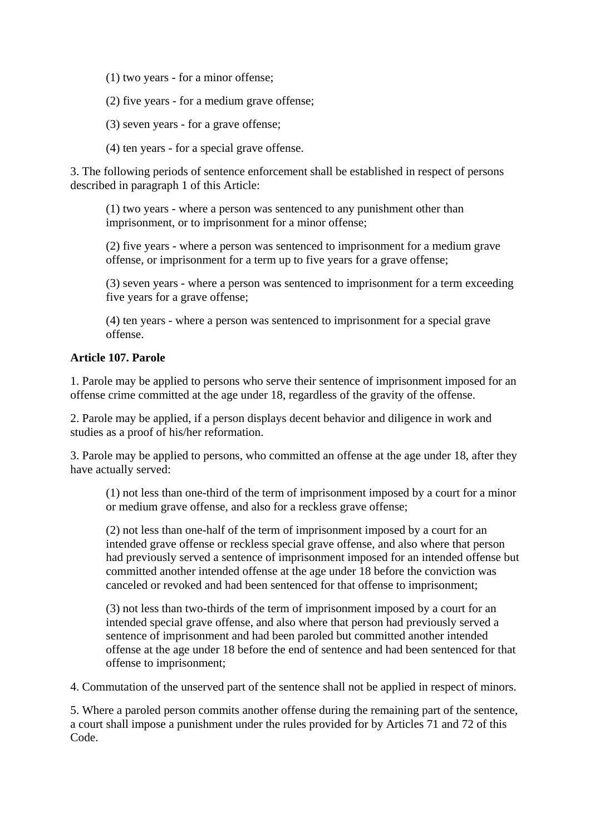(1) two years - for a minor offense;

(2) five years - for a medium grave offense;

(3) seven years - for a grave offense;

(4) ten years - for a special grave offense.

3. The following periods of sentence enforcement shall be established in respect of persons described in paragraph 1 of this Article:

(1) two years - where a person was sentenced to any punishment other than imprisonment, or to imprisonment for a minor offense;

(2) five years - where a person was sentenced to imprisonment for a medium grave offense, or imprisonment for a term up to five years for a grave offense;

(3) seven years - where a person was sentenced to imprisonment for a term exceeding five years for a grave offense;

(4) ten years - where a person was sentenced to imprisonment for a special grave offense.

#### **Article 107. Parole**

1. Parole may be applied to persons who serve their sentence of imprisonment imposed for an offense crime committed at the age under 18, regardless of the gravity of the offense.

2. Parole may be applied, if a person displays decent behavior and diligence in work and studies as a proof of his/her reformation.

3. Parole may be applied to persons, who committed an offense at the age under 18, after they have actually served:

(1) not less than one-third of the term of imprisonment imposed by a court for a minor or medium grave offense, and also for a reckless grave offense;

(2) not less than one-half of the term of imprisonment imposed by a court for an intended grave offense or reckless special grave offense, and also where that person had previously served a sentence of imprisonment imposed for an intended offense but committed another intended offense at the age under 18 before the conviction was canceled or revoked and had been sentenced for that offense to imprisonment;

(3) not less than two-thirds of the term of imprisonment imposed by a court for an intended special grave offense, and also where that person had previously served a sentence of imprisonment and had been paroled but committed another intended offense at the age under 18 before the end of sentence and had been sentenced for that offense to imprisonment;

4. Commutation of the unserved part of the sentence shall not be applied in respect of minors.

5. Where a paroled person commits another offense during the remaining part of the sentence, a court shall impose a punishment under the rules provided for by Articles 71 and 72 of this Code.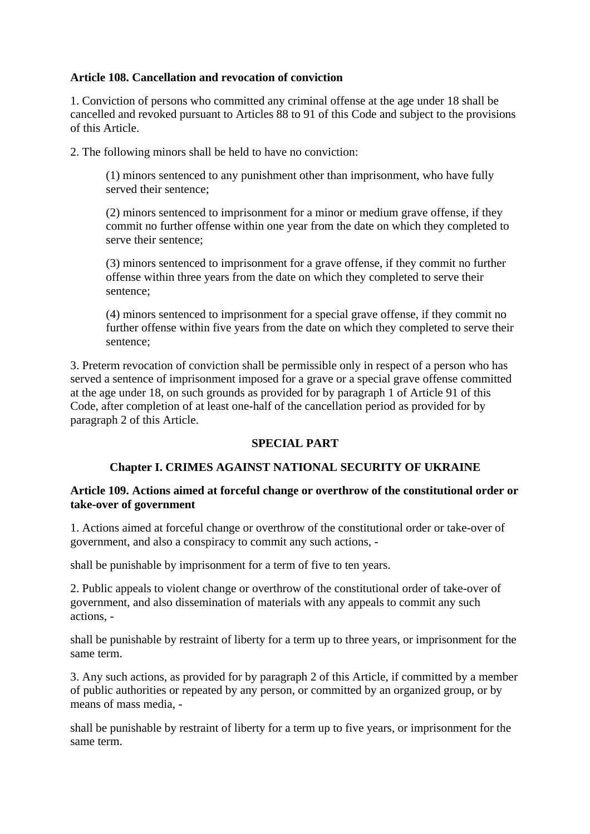## **Article 108. Cancellation and revocation of conviction**

1. Conviction of persons who committed any criminal offense at the age under 18 shall be cancelled and revoked pursuant to Articles 88 to 91 of this Code and subject to the provisions of this Article.

2. The following minors shall be held to have no conviction:

(1) minors sentenced to any punishment other than imprisonment, who have fully served their sentence;

(2) minors sentenced to imprisonment for a minor or medium grave offense, if they commit no further offense within one year from the date on which they completed to serve their sentence;

(3) minors sentenced to imprisonment for a grave offense, if they commit no further offense within three years from the date on which they completed to serve their sentence;

(4) minors sentenced to imprisonment for a special grave offense, if they commit no further offense within five years from the date on which they completed to serve their sentence;

3. Preterm revocation of conviction shall be permissible only in respect of a person who has served a sentence of imprisonment imposed for a grave or a special grave offense committed at the age under 18, on such grounds as provided for by paragraph 1 of Article 91 of this Code, after completion of at least one-half of the cancellation period as provided for by paragraph 2 of this Article.

## **SPECIAL PART**

## **Chapter I. CRIMES AGAINST NATIONAL SECURITY OF UKRAINE**

#### **Article 109. Actions aimed at forceful change or overthrow of the constitutional order or take-over of government**

1. Actions aimed at forceful change or overthrow of the constitutional order or take-over of government, and also a conspiracy to commit any such actions, -

shall be punishable by imprisonment for a term of five to ten years.

2. Public appeals to violent change or overthrow of the constitutional order of take-over of government, and also dissemination of materials with any appeals to commit any such actions, -

shall be punishable by restraint of liberty for a term up to three years, or imprisonment for the same term.

3. Any such actions, as provided for by paragraph 2 of this Article, if committed by a member of public authorities or repeated by any person, or committed by an organized group, or by means of mass media, -

shall be punishable by restraint of liberty for a term up to five years, or imprisonment for the same term.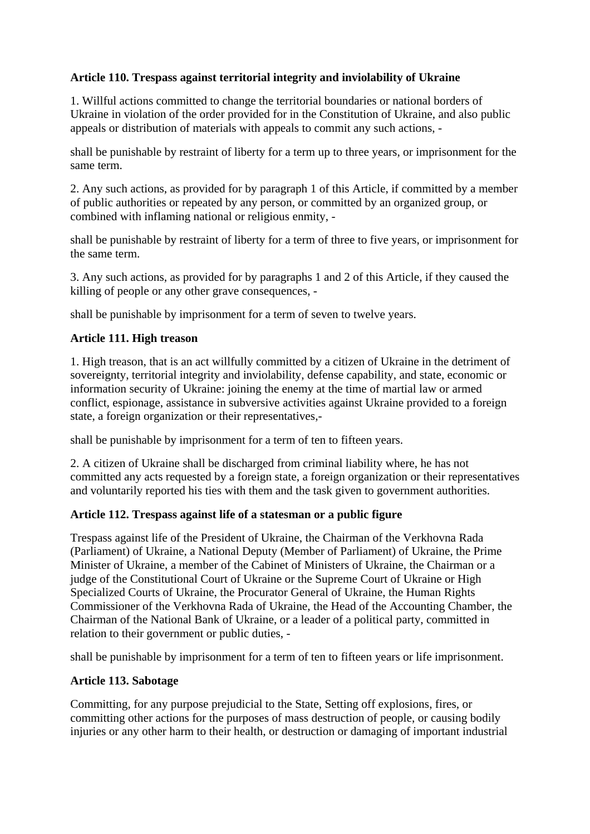## **Article 110. Trespass against territorial integrity and inviolability of Ukraine**

1. Willful actions committed to change the territorial boundaries or national borders of Ukraine in violation of the order provided for in the Constitution of Ukraine, and also public appeals or distribution of materials with appeals to commit any such actions, -

shall be punishable by restraint of liberty for a term up to three years, or imprisonment for the same term.

2. Any such actions, as provided for by paragraph 1 of this Article, if committed by a member of public authorities or repeated by any person, or committed by an organized group, or combined with inflaming national or religious enmity, -

shall be punishable by restraint of liberty for a term of three to five years, or imprisonment for the same term.

3. Any such actions, as provided for by paragraphs 1 and 2 of this Article, if they caused the killing of people or any other grave consequences, -

shall be punishable by imprisonment for a term of seven to twelve years.

## **Article 111. High treason**

1. High treason, that is an act willfully committed by a citizen of Ukraine in the detriment of sovereignty, territorial integrity and inviolability, defense capability, and state, economic or information security of Ukraine: joining the enemy at the time of martial law or armed conflict, espionage, assistance in subversive activities against Ukraine provided to a foreign state, a foreign organization or their representatives,-

shall be punishable by imprisonment for a term of ten to fifteen years.

2. A citizen of Ukraine shall be discharged from criminal liability where, he has not committed any acts requested by a foreign state, a foreign organization or their representatives and voluntarily reported his ties with them and the task given to government authorities.

#### **Article 112. Trespass against life of a statesman or a public figure**

Trespass against life of the President of Ukraine, the Chairman of the Verkhovna Rada (Parliament) of Ukraine, a National Deputy (Member of Parliament) of Ukraine, the Prime Minister of Ukraine, a member of the Cabinet of Ministers of Ukraine, the Chairman or a judge of the Constitutional Court of Ukraine or the Supreme Court of Ukraine or High Specialized Courts of Ukraine, the Procurator General of Ukraine, the Human Rights Commissioner of the Verkhovna Rada of Ukraine, the Head of the Accounting Chamber, the Chairman of the National Bank of Ukraine, or a leader of a political party, committed in relation to their government or public duties, -

shall be punishable by imprisonment for a term of ten to fifteen years or life imprisonment.

## **Article 113. Sabotage**

Committing, for any purpose prejudicial to the State, Setting off explosions, fires, or committing other actions for the purposes of mass destruction of people, or causing bodily injuries or any other harm to their health, or destruction or damaging of important industrial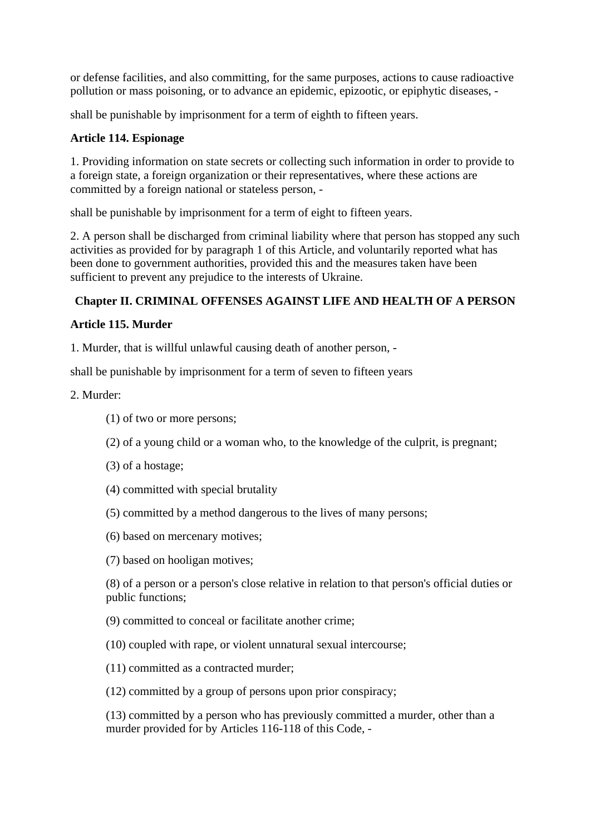or defense facilities, and also committing, for the same purposes, actions to cause radioactive pollution or mass poisoning, or to advance an epidemic, epizootic, or epiphytic diseases, -

shall be punishable by imprisonment for a term of eighth to fifteen years.

# **Article 114. Espionage**

1. Providing information on state secrets or collecting such information in order to provide to a foreign state, a foreign organization or their representatives, where these actions are committed by a foreign national or stateless person, -

shall be punishable by imprisonment for a term of eight to fifteen years.

2. A person shall be discharged from criminal liability where that person has stopped any such activities as provided for by paragraph 1 of this Article, and voluntarily reported what has been done to government authorities, provided this and the measures taken have been sufficient to prevent any prejudice to the interests of Ukraine.

# **Chapter II. CRIMINAL OFFENSES AGAINST LIFE AND HEALTH OF A PERSON**

# **Article 115. Murder**

1. Murder, that is willful unlawful causing death of another person, -

shall be punishable by imprisonment for a term of seven to fifteen years

# 2. Murder:

- (1) of two or more persons;
- (2) of a young child or a woman who, to the knowledge of the culprit, is pregnant;
- (3) of a hostage;
- (4) committed with special brutality
- (5) committed by a method dangerous to the lives of many persons;
- (6) based on mercenary motives;
- (7) based on hooligan motives;

(8) of a person or a person's close relative in relation to that person's official duties or public functions;

(9) committed to conceal or facilitate another crime;

(10) coupled with rape, or violent unnatural sexual intercourse;

- (11) committed as a contracted murder;
- (12) committed by a group of persons upon prior conspiracy;

(13) committed by a person who has previously committed a murder, other than a murder provided for by Articles 116-118 of this Code, -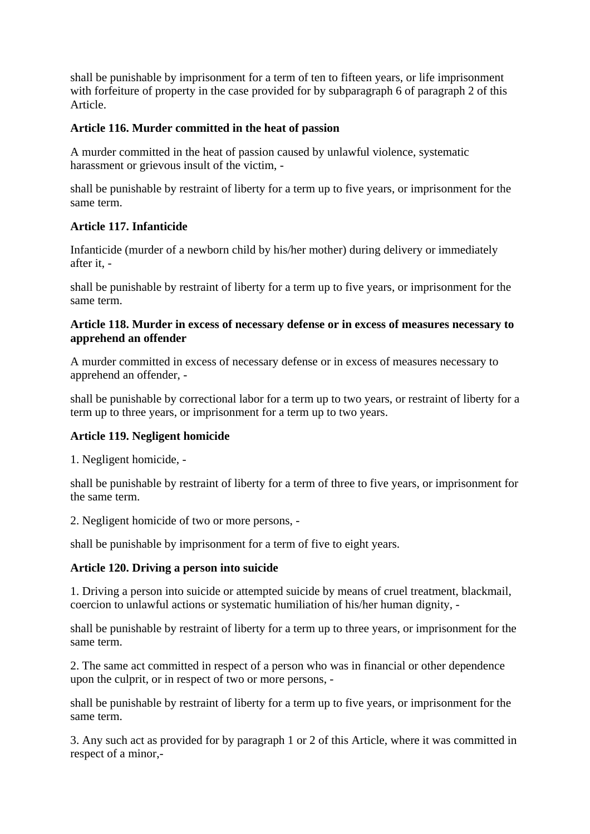shall be punishable by imprisonment for a term of ten to fifteen years, or life imprisonment with forfeiture of property in the case provided for by subparagraph 6 of paragraph 2 of this Article.

# **Article 116. Murder committed in the heat of passion**

A murder committed in the heat of passion caused by unlawful violence, systematic harassment or grievous insult of the victim, -

shall be punishable by restraint of liberty for a term up to five years, or imprisonment for the same term.

# **Article 117. Infanticide**

Infanticide (murder of a newborn child by his/her mother) during delivery or immediately after it, -

shall be punishable by restraint of liberty for a term up to five years, or imprisonment for the same term.

#### **Article 118. Murder in excess of necessary defense or in excess of measures necessary to apprehend an offender**

A murder committed in excess of necessary defense or in excess of measures necessary to apprehend an offender, -

shall be punishable by correctional labor for a term up to two years, or restraint of liberty for a term up to three years, or imprisonment for a term up to two years.

# **Article 119. Negligent homicide**

1. Negligent homicide, -

shall be punishable by restraint of liberty for a term of three to five years, or imprisonment for the same term.

2. Negligent homicide of two or more persons, -

shall be punishable by imprisonment for a term of five to eight years.

# **Article 120. Driving a person into suicide**

1. Driving a person into suicide or attempted suicide by means of cruel treatment, blackmail, coercion to unlawful actions or systematic humiliation of his/her human dignity, -

shall be punishable by restraint of liberty for a term up to three years, or imprisonment for the same term.

2. The same act committed in respect of a person who was in financial or other dependence upon the culprit, or in respect of two or more persons, -

shall be punishable by restraint of liberty for a term up to five years, or imprisonment for the same term.

3. Any such act as provided for by paragraph 1 or 2 of this Article, where it was committed in respect of a minor,-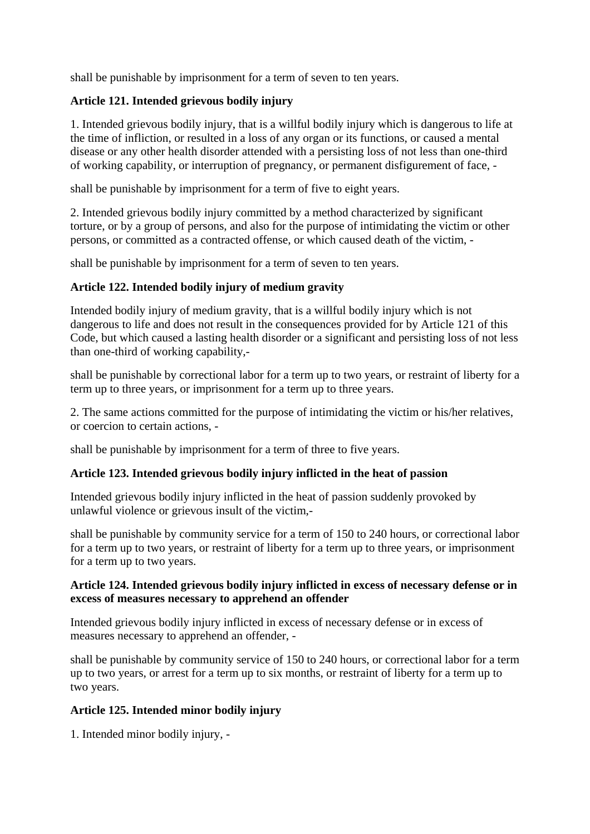shall be punishable by imprisonment for a term of seven to ten years.

# **Article 121. Intended grievous bodily injury**

1. Intended grievous bodily injury, that is a willful bodily injury which is dangerous to life at the time of infliction, or resulted in a loss of any organ or its functions, or caused a mental disease or any other health disorder attended with a persisting loss of not less than one-third of working capability, or interruption of pregnancy, or permanent disfigurement of face, -

shall be punishable by imprisonment for a term of five to eight years.

2. Intended grievous bodily injury committed by a method characterized by significant torture, or by a group of persons, and also for the purpose of intimidating the victim or other persons, or committed as a contracted offense, or which caused death of the victim, -

shall be punishable by imprisonment for a term of seven to ten years.

# **Article 122. Intended bodily injury of medium gravity**

Intended bodily injury of medium gravity, that is a willful bodily injury which is not dangerous to life and does not result in the consequences provided for by Article 121 of this Code, but which caused a lasting health disorder or a significant and persisting loss of not less than one-third of working capability,-

shall be punishable by correctional labor for a term up to two years, or restraint of liberty for a term up to three years, or imprisonment for a term up to three years.

2. The same actions committed for the purpose of intimidating the victim or his/her relatives, or coercion to certain actions, -

shall be punishable by imprisonment for a term of three to five years.

# **Article 123. Intended grievous bodily injury inflicted in the heat of passion**

Intended grievous bodily injury inflicted in the heat of passion suddenly provoked by unlawful violence or grievous insult of the victim,-

shall be punishable by community service for a term of 150 to 240 hours, or correctional labor for a term up to two years, or restraint of liberty for a term up to three years, or imprisonment for a term up to two years.

# **Article 124. Intended grievous bodily injury inflicted in excess of necessary defense or in excess of measures necessary to apprehend an offender**

Intended grievous bodily injury inflicted in excess of necessary defense or in excess of measures necessary to apprehend an offender, -

shall be punishable by community service of 150 to 240 hours, or correctional labor for a term up to two years, or arrest for a term up to six months, or restraint of liberty for a term up to two years.

# **Article 125. Intended minor bodily injury**

1. Intended minor bodily injury, -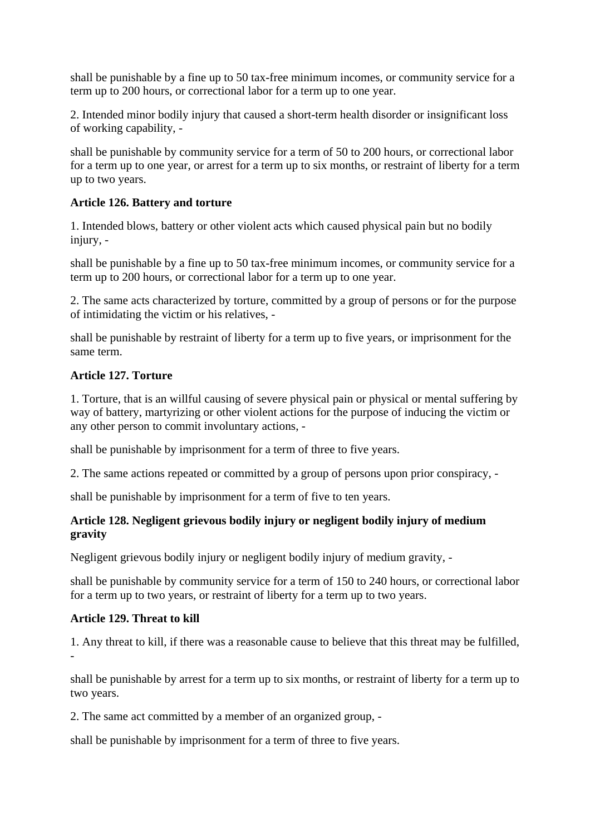shall be punishable by a fine up to 50 tax-free minimum incomes, or community service for a term up to 200 hours, or correctional labor for a term up to one year.

2. Intended minor bodily injury that caused a short-term health disorder or insignificant loss of working capability, -

shall be punishable by community service for a term of 50 to 200 hours, or correctional labor for a term up to one year, or arrest for a term up to six months, or restraint of liberty for a term up to two years.

#### **Article 126. Battery and torture**

1. Intended blows, battery or other violent acts which caused physical pain but no bodily injury, -

shall be punishable by a fine up to 50 tax-free minimum incomes, or community service for a term up to 200 hours, or correctional labor for a term up to one year.

2. The same acts characterized by torture, committed by a group of persons or for the purpose of intimidating the victim or his relatives, -

shall be punishable by restraint of liberty for a term up to five years, or imprisonment for the same term.

#### **Article 127. Torture**

1. Torture, that is an willful causing of severe physical pain or physical or mental suffering by way of battery, martyrizing or other violent actions for the purpose of inducing the victim or any other person to commit involuntary actions, -

shall be punishable by imprisonment for a term of three to five years.

2. The same actions repeated or committed by a group of persons upon prior conspiracy, -

shall be punishable by imprisonment for a term of five to ten years.

# **Article 128. Negligent grievous bodily injury or negligent bodily injury of medium gravity**

Negligent grievous bodily injury or negligent bodily injury of medium gravity, -

shall be punishable by community service for a term of 150 to 240 hours, or correctional labor for a term up to two years, or restraint of liberty for a term up to two years.

#### **Article 129. Threat to kill**

1. Any threat to kill, if there was a reasonable cause to believe that this threat may be fulfilled, -

shall be punishable by arrest for a term up to six months, or restraint of liberty for a term up to two years.

2. The same act committed by a member of an organized group, -

shall be punishable by imprisonment for a term of three to five years.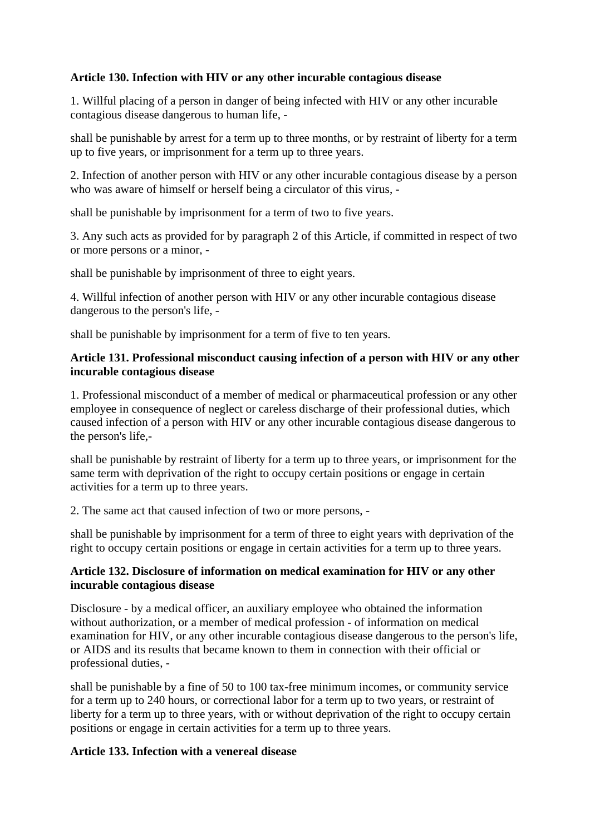# **Article 130. Infection with HIV or any other incurable contagious disease**

1. Willful placing of a person in danger of being infected with HIV or any other incurable contagious disease dangerous to human life, -

shall be punishable by arrest for a term up to three months, or by restraint of liberty for a term up to five years, or imprisonment for a term up to three years.

2. Infection of another person with HIV or any other incurable contagious disease by a person who was aware of himself or herself being a circulator of this virus, -

shall be punishable by imprisonment for a term of two to five years.

3. Any such acts as provided for by paragraph 2 of this Article, if committed in respect of two or more persons or a minor, -

shall be punishable by imprisonment of three to eight years.

4. Willful infection of another person with HIV or any other incurable contagious disease dangerous to the person's life, -

shall be punishable by imprisonment for a term of five to ten years.

#### **Article 131. Professional misconduct causing infection of a person with HIV or any other incurable contagious disease**

1. Professional misconduct of a member of medical or pharmaceutical profession or any other employee in consequence of neglect or careless discharge of their professional duties, which caused infection of a person with HIV or any other incurable contagious disease dangerous to the person's life,-

shall be punishable by restraint of liberty for a term up to three years, or imprisonment for the same term with deprivation of the right to occupy certain positions or engage in certain activities for a term up to three years.

2. The same act that caused infection of two or more persons, -

shall be punishable by imprisonment for a term of three to eight years with deprivation of the right to occupy certain positions or engage in certain activities for a term up to three years.

#### **Article 132. Disclosure of information on medical examination for HIV or any other incurable contagious disease**

Disclosure - by a medical officer, an auxiliary employee who obtained the information without authorization, or a member of medical profession - of information on medical examination for HIV, or any other incurable contagious disease dangerous to the person's life, or AIDS and its results that became known to them in connection with their official or professional duties, -

shall be punishable by a fine of 50 to 100 tax-free minimum incomes, or community service for a term up to 240 hours, or correctional labor for a term up to two years, or restraint of liberty for a term up to three years, with or without deprivation of the right to occupy certain positions or engage in certain activities for a term up to three years.

# **Article 133. Infection with a venereal disease**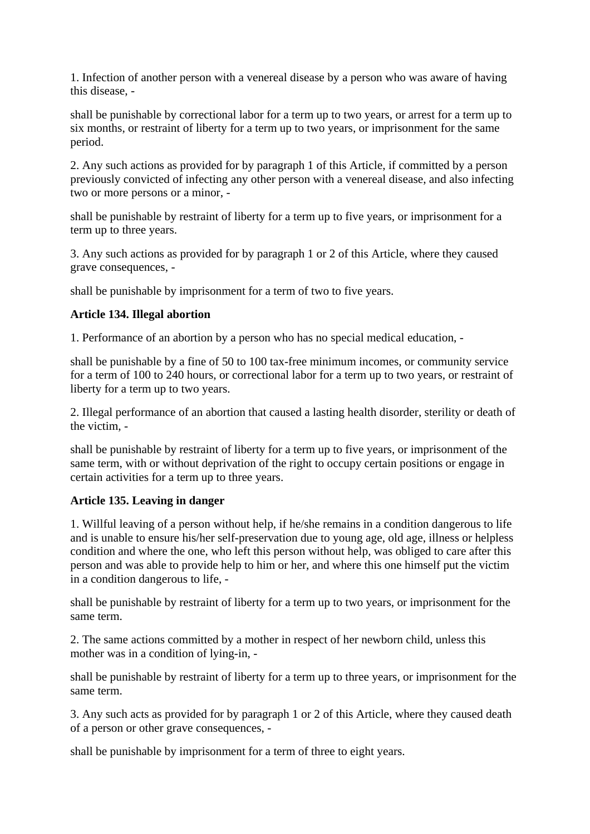1. Infection of another person with a venereal disease by a person who was aware of having this disease, -

shall be punishable by correctional labor for a term up to two years, or arrest for a term up to six months, or restraint of liberty for a term up to two years, or imprisonment for the same period.

2. Any such actions as provided for by paragraph 1 of this Article, if committed by a person previously convicted of infecting any other person with a venereal disease, and also infecting two or more persons or a minor, -

shall be punishable by restraint of liberty for a term up to five years, or imprisonment for a term up to three years.

3. Any such actions as provided for by paragraph 1 or 2 of this Article, where they caused grave consequences, -

shall be punishable by imprisonment for a term of two to five years.

#### **Article 134. Illegal abortion**

1. Performance of an abortion by a person who has no special medical education, -

shall be punishable by a fine of 50 to 100 tax-free minimum incomes, or community service for a term of 100 to 240 hours, or correctional labor for a term up to two years, or restraint of liberty for a term up to two years.

2. Illegal performance of an abortion that caused a lasting health disorder, sterility or death of the victim, -

shall be punishable by restraint of liberty for a term up to five years, or imprisonment of the same term, with or without deprivation of the right to occupy certain positions or engage in certain activities for a term up to three years.

#### **Article 135. Leaving in danger**

1. Willful leaving of a person without help, if he/she remains in a condition dangerous to life and is unable to ensure his/her self-preservation due to young age, old age, illness or helpless condition and where the one, who left this person without help, was obliged to care after this person and was able to provide help to him or her, and where this one himself put the victim in a condition dangerous to life, -

shall be punishable by restraint of liberty for a term up to two years, or imprisonment for the same term.

2. The same actions committed by a mother in respect of her newborn child, unless this mother was in a condition of lying-in, -

shall be punishable by restraint of liberty for a term up to three years, or imprisonment for the same term.

3. Any such acts as provided for by paragraph 1 or 2 of this Article, where they caused death of a person or other grave consequences, -

shall be punishable by imprisonment for a term of three to eight years.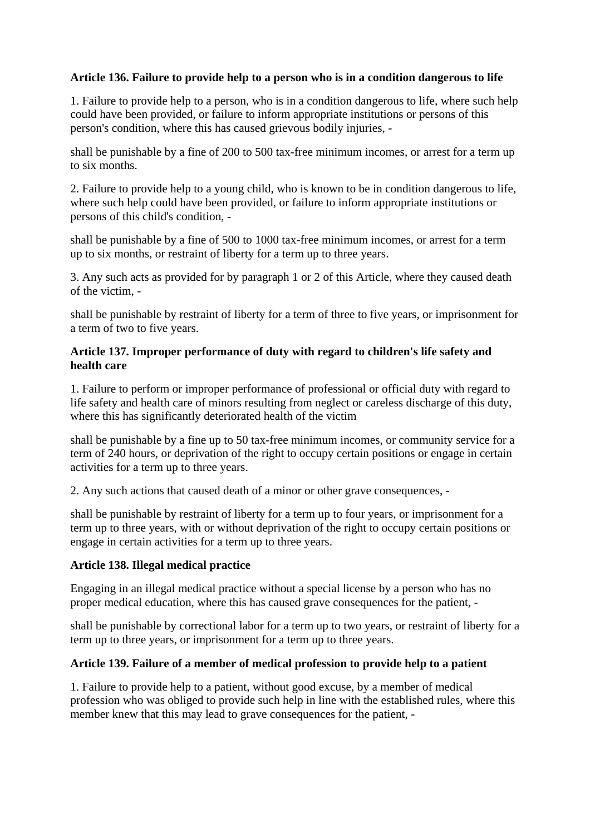# **Article 136. Failure to provide help to a person who is in a condition dangerous to life**

1. Failure to provide help to a person, who is in a condition dangerous to life, where such help could have been provided, or failure to inform appropriate institutions or persons of this person's condition, where this has caused grievous bodily injuries, -

shall be punishable by a fine of 200 to 500 tax-free minimum incomes, or arrest for a term up to six months.

2. Failure to provide help to a young child, who is known to be in condition dangerous to life, where such help could have been provided, or failure to inform appropriate institutions or persons of this child's condition, -

shall be punishable by a fine of 500 to 1000 tax-free minimum incomes, or arrest for a term up to six months, or restraint of liberty for a term up to three years.

3. Any such acts as provided for by paragraph 1 or 2 of this Article, where they caused death of the victim, -

shall be punishable by restraint of liberty for a term of three to five years, or imprisonment for a term of two to five years.

#### **Article 137. Improper performance of duty with regard to children's life safety and health care**

1. Failure to perform or improper performance of professional or official duty with regard to life safety and health care of minors resulting from neglect or careless discharge of this duty, where this has significantly deteriorated health of the victim

shall be punishable by a fine up to 50 tax-free minimum incomes, or community service for a term of 240 hours, or deprivation of the right to occupy certain positions or engage in certain activities for a term up to three years.

2. Any such actions that caused death of a minor or other grave consequences, -

shall be punishable by restraint of liberty for a term up to four years, or imprisonment for a term up to three years, with or without deprivation of the right to occupy certain positions or engage in certain activities for a term up to three years.

#### **Article 138. Illegal medical practice**

Engaging in an illegal medical practice without a special license by a person who has no proper medical education, where this has caused grave consequences for the patient, -

shall be punishable by correctional labor for a term up to two years, or restraint of liberty for a term up to three years, or imprisonment for a term up to three years.

#### **Article 139. Failure of a member of medical profession to provide help to a patient**

1. Failure to provide help to a patient, without good excuse, by a member of medical profession who was obliged to provide such help in line with the established rules, where this member knew that this may lead to grave consequences for the patient, -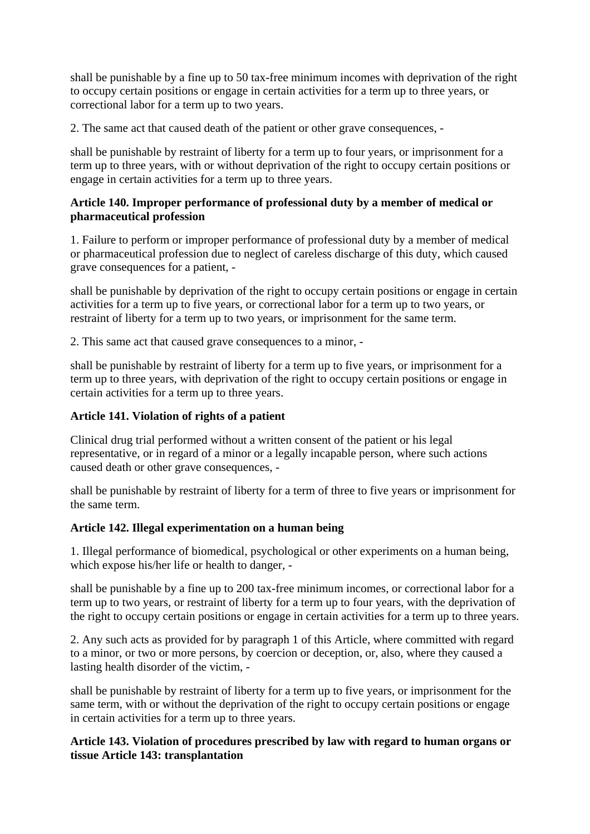shall be punishable by a fine up to 50 tax-free minimum incomes with deprivation of the right to occupy certain positions or engage in certain activities for a term up to three years, or correctional labor for a term up to two years.

2. The same act that caused death of the patient or other grave consequences, -

shall be punishable by restraint of liberty for a term up to four years, or imprisonment for a term up to three years, with or without deprivation of the right to occupy certain positions or engage in certain activities for a term up to three years.

## **Article 140. Improper performance of professional duty by a member of medical or pharmaceutical profession**

1. Failure to perform or improper performance of professional duty by a member of medical or pharmaceutical profession due to neglect of careless discharge of this duty, which caused grave consequences for a patient, -

shall be punishable by deprivation of the right to occupy certain positions or engage in certain activities for a term up to five years, or correctional labor for a term up to two years, or restraint of liberty for a term up to two years, or imprisonment for the same term.

2. This same act that caused grave consequences to a minor, -

shall be punishable by restraint of liberty for a term up to five years, or imprisonment for a term up to three years, with deprivation of the right to occupy certain positions or engage in certain activities for a term up to three years.

# **Article 141. Violation of rights of a patient**

Clinical drug trial performed without a written consent of the patient or his legal representative, or in regard of a minor or a legally incapable person, where such actions caused death or other grave consequences, -

shall be punishable by restraint of liberty for a term of three to five years or imprisonment for the same term.

# **Article 142. Illegal experimentation on a human being**

1. Illegal performance of biomedical, psychological or other experiments on a human being, which expose his/her life or health to danger, -

shall be punishable by a fine up to 200 tax-free minimum incomes, or correctional labor for a term up to two years, or restraint of liberty for a term up to four years, with the deprivation of the right to occupy certain positions or engage in certain activities for a term up to three years.

2. Any such acts as provided for by paragraph 1 of this Article, where committed with regard to a minor, or two or more persons, by coercion or deception, or, also, where they caused a lasting health disorder of the victim, -

shall be punishable by restraint of liberty for a term up to five years, or imprisonment for the same term, with or without the deprivation of the right to occupy certain positions or engage in certain activities for a term up to three years.

# **Article 143. Violation of procedures prescribed by law with regard to human organs or tissue Article 143: transplantation**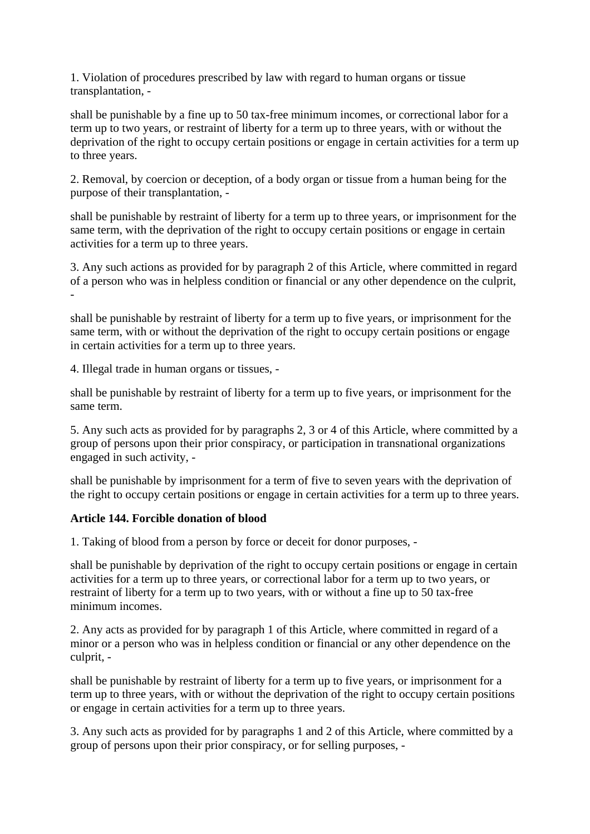1. Violation of procedures prescribed by law with regard to human organs or tissue transplantation, -

shall be punishable by a fine up to 50 tax-free minimum incomes, or correctional labor for a term up to two years, or restraint of liberty for a term up to three years, with or without the deprivation of the right to occupy certain positions or engage in certain activities for a term up to three years.

2. Removal, by coercion or deception, of a body organ or tissue from a human being for the purpose of their transplantation, -

shall be punishable by restraint of liberty for a term up to three years, or imprisonment for the same term, with the deprivation of the right to occupy certain positions or engage in certain activities for a term up to three years.

3. Any such actions as provided for by paragraph 2 of this Article, where committed in regard of a person who was in helpless condition or financial or any other dependence on the culprit, -

shall be punishable by restraint of liberty for a term up to five years, or imprisonment for the same term, with or without the deprivation of the right to occupy certain positions or engage in certain activities for a term up to three years.

4. Illegal trade in human organs or tissues, -

shall be punishable by restraint of liberty for a term up to five years, or imprisonment for the same term.

5. Any such acts as provided for by paragraphs 2, 3 or 4 of this Article, where committed by a group of persons upon their prior conspiracy, or participation in transnational organizations engaged in such activity, -

shall be punishable by imprisonment for a term of five to seven years with the deprivation of the right to occupy certain positions or engage in certain activities for a term up to three years.

# **Article 144. Forcible donation of blood**

1. Taking of blood from a person by force or deceit for donor purposes, -

shall be punishable by deprivation of the right to occupy certain positions or engage in certain activities for a term up to three years, or correctional labor for a term up to two years, or restraint of liberty for a term up to two years, with or without a fine up to 50 tax-free minimum incomes.

2. Any acts as provided for by paragraph 1 of this Article, where committed in regard of a minor or a person who was in helpless condition or financial or any other dependence on the culprit, -

shall be punishable by restraint of liberty for a term up to five years, or imprisonment for a term up to three years, with or without the deprivation of the right to occupy certain positions or engage in certain activities for a term up to three years.

3. Any such acts as provided for by paragraphs 1 and 2 of this Article, where committed by a group of persons upon their prior conspiracy, or for selling purposes, -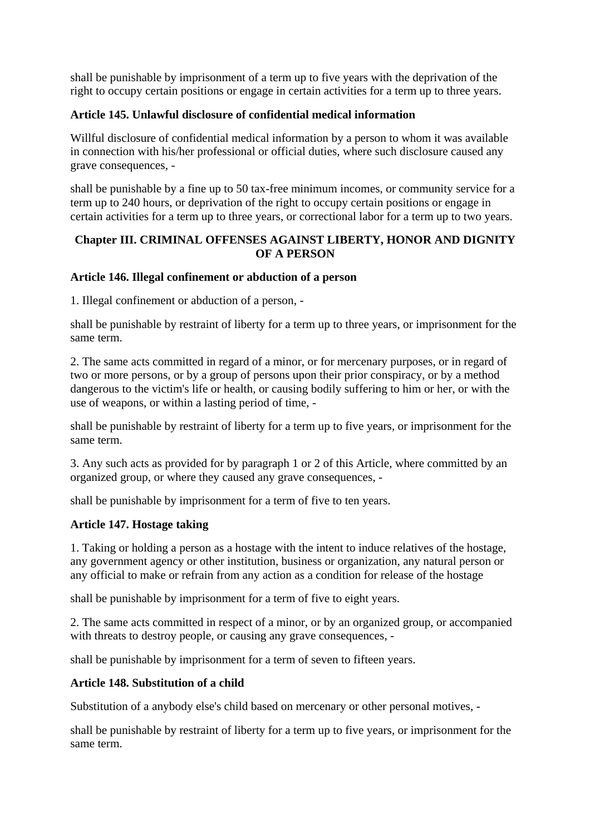shall be punishable by imprisonment of a term up to five years with the deprivation of the right to occupy certain positions or engage in certain activities for a term up to three years.

# **Article 145. Unlawful disclosure of confidential medical information**

Willful disclosure of confidential medical information by a person to whom it was available in connection with his/her professional or official duties, where such disclosure caused any grave consequences, -

shall be punishable by a fine up to 50 tax-free minimum incomes, or community service for a term up to 240 hours, or deprivation of the right to occupy certain positions or engage in certain activities for a term up to three years, or correctional labor for a term up to two years.

# **Chapter III. CRIMINAL OFFENSES AGAINST LIBERTY, HONOR AND DIGNITY OF A PERSON**

# **Article 146. Illegal confinement or abduction of a person**

1. Illegal confinement or abduction of a person, -

shall be punishable by restraint of liberty for a term up to three years, or imprisonment for the same term.

2. The same acts committed in regard of a minor, or for mercenary purposes, or in regard of two or more persons, or by a group of persons upon their prior conspiracy, or by a method dangerous to the victim's life or health, or causing bodily suffering to him or her, or with the use of weapons, or within a lasting period of time, -

shall be punishable by restraint of liberty for a term up to five years, or imprisonment for the same term.

3. Any such acts as provided for by paragraph 1 or 2 of this Article, where committed by an organized group, or where they caused any grave consequences, -

shall be punishable by imprisonment for a term of five to ten years.

# **Article 147. Hostage taking**

1. Taking or holding a person as a hostage with the intent to induce relatives of the hostage, any government agency or other institution, business or organization, any natural person or any official to make or refrain from any action as a condition for release of the hostage

shall be punishable by imprisonment for a term of five to eight years.

2. The same acts committed in respect of a minor, or by an organized group, or accompanied with threats to destroy people, or causing any grave consequences, -

shall be punishable by imprisonment for a term of seven to fifteen years.

# **Article 148. Substitution of a child**

Substitution of a anybody else's child based on mercenary or other personal motives, -

shall be punishable by restraint of liberty for a term up to five years, or imprisonment for the same term.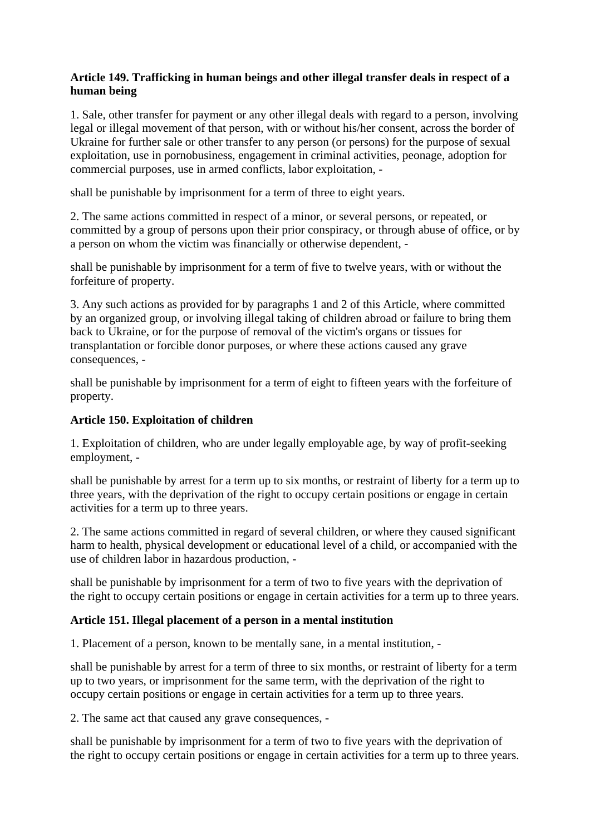# **Article 149. Trafficking in human beings and other illegal transfer deals in respect of a human being**

1. Sale, other transfer for payment or any other illegal deals with regard to a person, involving legal or illegal movement of that person, with or without his/her consent, across the border of Ukraine for further sale or other transfer to any person (or persons) for the purpose of sexual exploitation, use in pornobusiness, engagement in criminal activities, peonage, adoption for commercial purposes, use in armed conflicts, labor exploitation, -

shall be punishable by imprisonment for a term of three to eight years.

2. The same actions committed in respect of a minor, or several persons, or repeated, or committed by a group of persons upon their prior conspiracy, or through abuse of office, or by a person on whom the victim was financially or otherwise dependent, -

shall be punishable by imprisonment for a term of five to twelve years, with or without the forfeiture of property.

3. Any such actions as provided for by paragraphs 1 and 2 of this Article, where committed by an organized group, or involving illegal taking of children abroad or failure to bring them back to Ukraine, or for the purpose of removal of the victim's organs or tissues for transplantation or forcible donor purposes, or where these actions caused any grave consequences, -

shall be punishable by imprisonment for a term of eight to fifteen years with the forfeiture of property.

# **Article 150. Exploitation of children**

1. Exploitation of children, who are under legally employable age, by way of profit-seeking employment, -

shall be punishable by arrest for a term up to six months, or restraint of liberty for a term up to three years, with the deprivation of the right to occupy certain positions or engage in certain activities for a term up to three years.

2. The same actions committed in regard of several children, or where they caused significant harm to health, physical development or educational level of a child, or accompanied with the use of children labor in hazardous production, -

shall be punishable by imprisonment for a term of two to five years with the deprivation of the right to occupy certain positions or engage in certain activities for a term up to three years.

# **Article 151. Illegal placement of a person in a mental institution**

1. Placement of a person, known to be mentally sane, in a mental institution, -

shall be punishable by arrest for a term of three to six months, or restraint of liberty for a term up to two years, or imprisonment for the same term, with the deprivation of the right to occupy certain positions or engage in certain activities for a term up to three years.

2. The same act that caused any grave consequences, -

shall be punishable by imprisonment for a term of two to five years with the deprivation of the right to occupy certain positions or engage in certain activities for a term up to three years.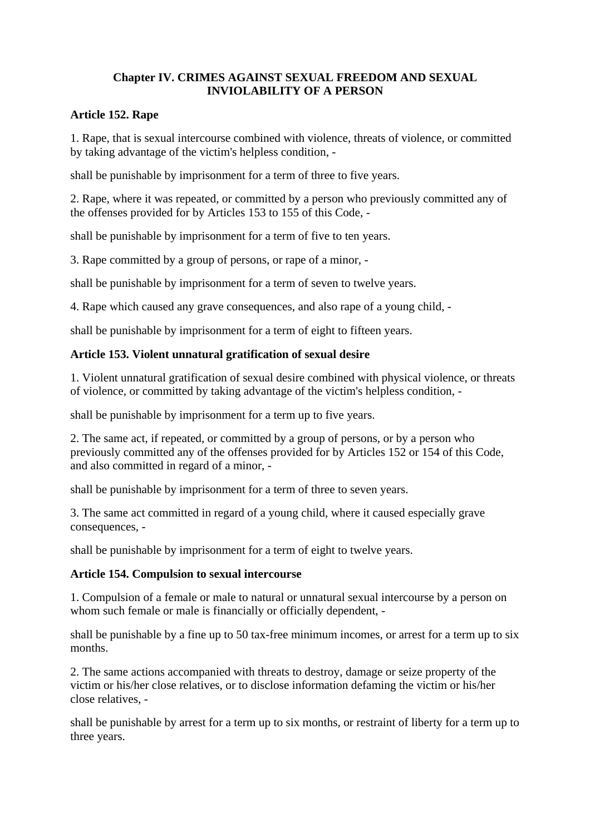# **Chapter IV. CRIMES AGAINST SEXUAL FREEDOM AND SEXUAL INVIOLABILITY OF A PERSON**

#### **Article 152. Rape**

1. Rape, that is sexual intercourse combined with violence, threats of violence, or committed by taking advantage of the victim's helpless condition, -

shall be punishable by imprisonment for a term of three to five years.

2. Rape, where it was repeated, or committed by a person who previously committed any of the offenses provided for by Articles 153 to 155 of this Code, -

shall be punishable by imprisonment for a term of five to ten years.

3. Rape committed by a group of persons, or rape of a minor, -

shall be punishable by imprisonment for a term of seven to twelve years.

4. Rape which caused any grave consequences, and also rape of a young child, -

shall be punishable by imprisonment for a term of eight to fifteen years.

#### **Article 153. Violent unnatural gratification of sexual desire**

1. Violent unnatural gratification of sexual desire combined with physical violence, or threats of violence, or committed by taking advantage of the victim's helpless condition, -

shall be punishable by imprisonment for a term up to five years.

2. The same act, if repeated, or committed by a group of persons, or by a person who previously committed any of the offenses provided for by Articles 152 or 154 of this Code, and also committed in regard of a minor, -

shall be punishable by imprisonment for a term of three to seven years.

3. The same act committed in regard of a young child, where it caused especially grave consequences, -

shall be punishable by imprisonment for a term of eight to twelve years.

#### **Article 154. Compulsion to sexual intercourse**

1. Compulsion of a female or male to natural or unnatural sexual intercourse by a person on whom such female or male is financially or officially dependent, -

shall be punishable by a fine up to 50 tax-free minimum incomes, or arrest for a term up to six months.

2. The same actions accompanied with threats to destroy, damage or seize property of the victim or his/her close relatives, or to disclose information defaming the victim or his/her close relatives, -

shall be punishable by arrest for a term up to six months, or restraint of liberty for a term up to three years.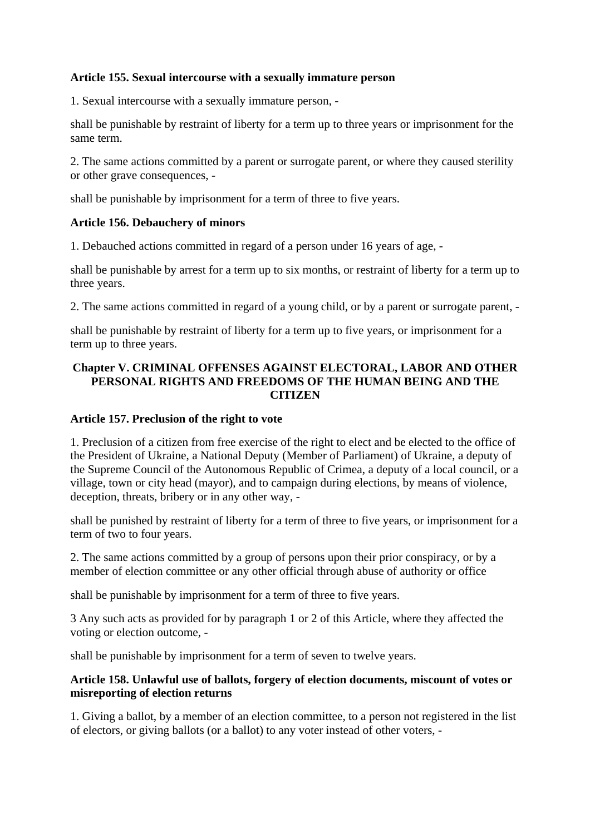## **Article 155. Sexual intercourse with a sexually immature person**

1. Sexual intercourse with a sexually immature person, -

shall be punishable by restraint of liberty for a term up to three years or imprisonment for the same term.

2. The same actions committed by a parent or surrogate parent, or where they caused sterility or other grave consequences, -

shall be punishable by imprisonment for a term of three to five years.

#### **Article 156. Debauchery of minors**

1. Debauched actions committed in regard of a person under 16 years of age, -

shall be punishable by arrest for a term up to six months, or restraint of liberty for a term up to three years.

2. The same actions committed in regard of a young child, or by a parent or surrogate parent, -

shall be punishable by restraint of liberty for a term up to five years, or imprisonment for a term up to three years.

#### **Chapter V. CRIMINAL OFFENSES AGAINST ELECTORAL, LABOR AND OTHER PERSONAL RIGHTS AND FREEDOMS OF THE HUMAN BEING AND THE CITIZEN**

#### **Article 157. Preclusion of the right to vote**

1. Preclusion of a citizen from free exercise of the right to elect and be elected to the office of the President of Ukraine, a National Deputy (Member of Parliament) of Ukraine, a deputy of the Supreme Council of the Autonomous Republic of Crimea, a deputy of a local council, or a village, town or city head (mayor), and to campaign during elections, by means of violence, deception, threats, bribery or in any other way, -

shall be punished by restraint of liberty for a term of three to five years, or imprisonment for a term of two to four years.

2. The same actions committed by a group of persons upon their prior conspiracy, or by a member of election committee or any other official through abuse of authority or office

shall be punishable by imprisonment for a term of three to five years.

3 Any such acts as provided for by paragraph 1 or 2 of this Article, where they affected the voting or election outcome, -

shall be punishable by imprisonment for a term of seven to twelve years.

# **Article 158. Unlawful use of ballots, forgery of election documents, miscount of votes or misreporting of election returns**

1. Giving a ballot, by a member of an election committee, to a person not registered in the list of electors, or giving ballots (or a ballot) to any voter instead of other voters, -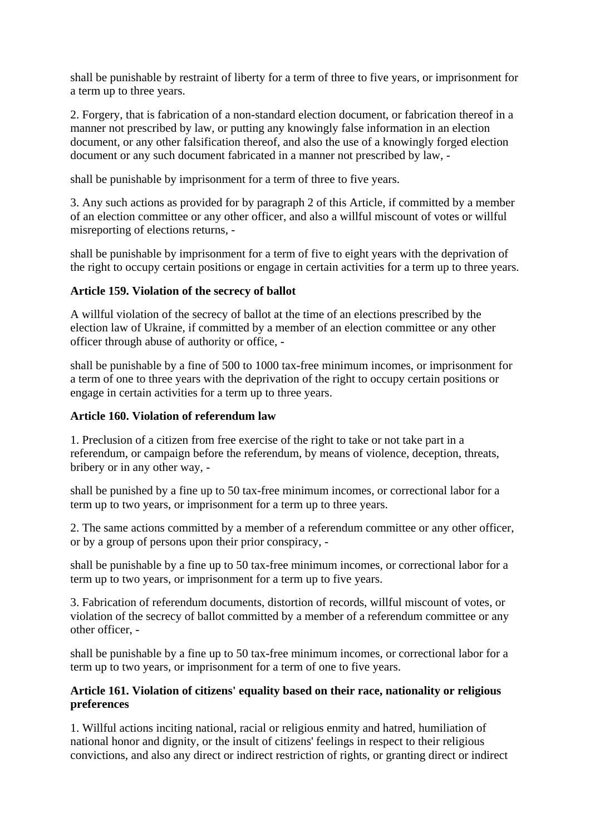shall be punishable by restraint of liberty for a term of three to five years, or imprisonment for a term up to three years.

2. Forgery, that is fabrication of a non-standard election document, or fabrication thereof in a manner not prescribed by law, or putting any knowingly false information in an election document, or any other falsification thereof, and also the use of a knowingly forged election document or any such document fabricated in a manner not prescribed by law, -

shall be punishable by imprisonment for a term of three to five years.

3. Any such actions as provided for by paragraph 2 of this Article, if committed by a member of an election committee or any other officer, and also a willful miscount of votes or willful misreporting of elections returns, -

shall be punishable by imprisonment for a term of five to eight years with the deprivation of the right to occupy certain positions or engage in certain activities for a term up to three years.

# **Article 159. Violation of the secrecy of ballot**

A willful violation of the secrecy of ballot at the time of an elections prescribed by the election law of Ukraine, if committed by a member of an election committee or any other officer through abuse of authority or office, -

shall be punishable by a fine of 500 to 1000 tax-free minimum incomes, or imprisonment for a term of one to three years with the deprivation of the right to occupy certain positions or engage in certain activities for a term up to three years.

# **Article 160. Violation of referendum law**

1. Preclusion of a citizen from free exercise of the right to take or not take part in a referendum, or campaign before the referendum, by means of violence, deception, threats, bribery or in any other way, -

shall be punished by a fine up to 50 tax-free minimum incomes, or correctional labor for a term up to two years, or imprisonment for a term up to three years.

2. The same actions committed by a member of a referendum committee or any other officer, or by a group of persons upon their prior conspiracy, -

shall be punishable by a fine up to 50 tax-free minimum incomes, or correctional labor for a term up to two years, or imprisonment for a term up to five years.

3. Fabrication of referendum documents, distortion of records, willful miscount of votes, or violation of the secrecy of ballot committed by a member of a referendum committee or any other officer, -

shall be punishable by a fine up to 50 tax-free minimum incomes, or correctional labor for a term up to two years, or imprisonment for a term of one to five years.

# **Article 161. Violation of citizens' equality based on their race, nationality or religious preferences**

1. Willful actions inciting national, racial or religious enmity and hatred, humiliation of national honor and dignity, or the insult of citizens' feelings in respect to their religious convictions, and also any direct or indirect restriction of rights, or granting direct or indirect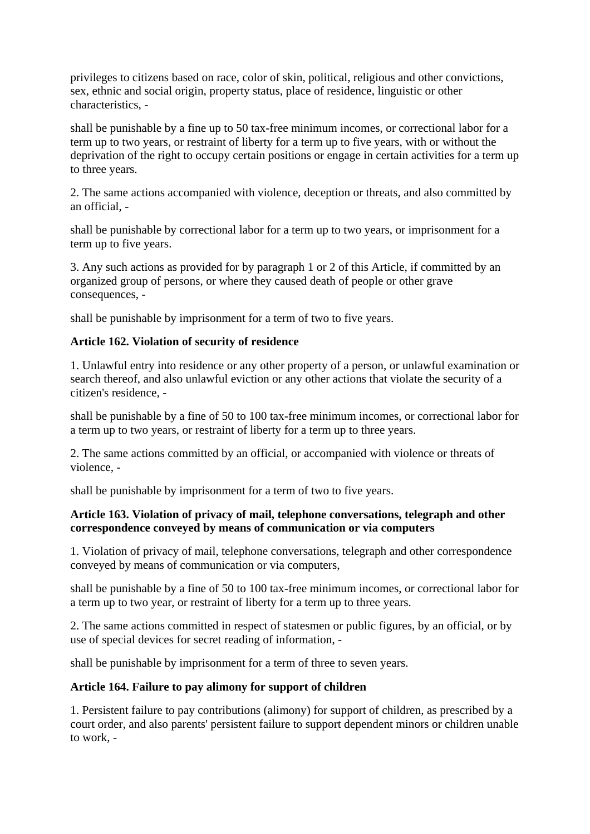privileges to citizens based on race, color of skin, political, religious and other convictions, sex, ethnic and social origin, property status, place of residence, linguistic or other characteristics, -

shall be punishable by a fine up to 50 tax-free minimum incomes, or correctional labor for a term up to two years, or restraint of liberty for a term up to five years, with or without the deprivation of the right to occupy certain positions or engage in certain activities for a term up to three years.

2. The same actions accompanied with violence, deception or threats, and also committed by an official -

shall be punishable by correctional labor for a term up to two years, or imprisonment for a term up to five years.

3. Any such actions as provided for by paragraph 1 or 2 of this Article, if committed by an organized group of persons, or where they caused death of people or other grave consequences, -

shall be punishable by imprisonment for a term of two to five years.

# **Article 162. Violation of security of residence**

1. Unlawful entry into residence or any other property of a person, or unlawful examination or search thereof, and also unlawful eviction or any other actions that violate the security of a citizen's residence, -

shall be punishable by a fine of 50 to 100 tax-free minimum incomes, or correctional labor for a term up to two years, or restraint of liberty for a term up to three years.

2. The same actions committed by an official, or accompanied with violence or threats of violence, -

shall be punishable by imprisonment for a term of two to five years.

#### **Article 163. Violation of privacy of mail, telephone conversations, telegraph and other correspondence conveyed by means of communication or via computers**

1. Violation of privacy of mail, telephone conversations, telegraph and other correspondence conveyed by means of communication or via computers,

shall be punishable by a fine of 50 to 100 tax-free minimum incomes, or correctional labor for a term up to two year, or restraint of liberty for a term up to three years.

2. The same actions committed in respect of statesmen or public figures, by an official, or by use of special devices for secret reading of information, -

shall be punishable by imprisonment for a term of three to seven years.

# **Article 164. Failure to pay alimony for support of children**

1. Persistent failure to pay contributions (alimony) for support of children, as prescribed by a court order, and also parents' persistent failure to support dependent minors or children unable to work, -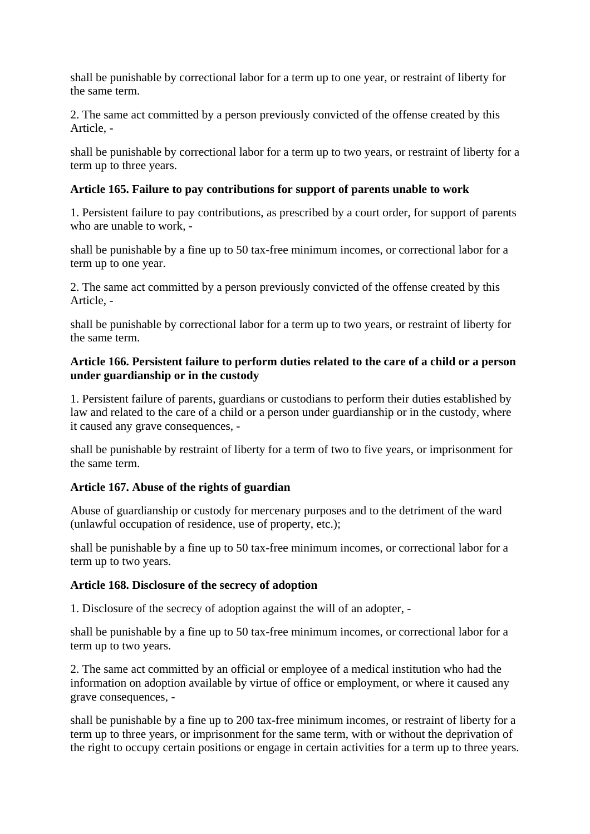shall be punishable by correctional labor for a term up to one year, or restraint of liberty for the same term.

2. The same act committed by a person previously convicted of the offense created by this Article, -

shall be punishable by correctional labor for a term up to two years, or restraint of liberty for a term up to three years.

# **Article 165. Failure to pay contributions for support of parents unable to work**

1. Persistent failure to pay contributions, as prescribed by a court order, for support of parents who are unable to work, -

shall be punishable by a fine up to 50 tax-free minimum incomes, or correctional labor for a term up to one year.

2. The same act committed by a person previously convicted of the offense created by this Article, -

shall be punishable by correctional labor for a term up to two years, or restraint of liberty for the same term.

# **Article 166. Persistent failure to perform duties related to the care of a child or a person under guardianship or in the custody**

1. Persistent failure of parents, guardians or custodians to perform their duties established by law and related to the care of a child or a person under guardianship or in the custody, where it caused any grave consequences, -

shall be punishable by restraint of liberty for a term of two to five years, or imprisonment for the same term.

#### **Article 167. Abuse of the rights of guardian**

Abuse of guardianship or custody for mercenary purposes and to the detriment of the ward (unlawful occupation of residence, use of property, etc.);

shall be punishable by a fine up to 50 tax-free minimum incomes, or correctional labor for a term up to two years.

#### **Article 168. Disclosure of the secrecy of adoption**

1. Disclosure of the secrecy of adoption against the will of an adopter, -

shall be punishable by a fine up to 50 tax-free minimum incomes, or correctional labor for a term up to two years.

2. The same act committed by an official or employee of a medical institution who had the information on adoption available by virtue of office or employment, or where it caused any grave consequences, -

shall be punishable by a fine up to 200 tax-free minimum incomes, or restraint of liberty for a term up to three years, or imprisonment for the same term, with or without the deprivation of the right to occupy certain positions or engage in certain activities for a term up to three years.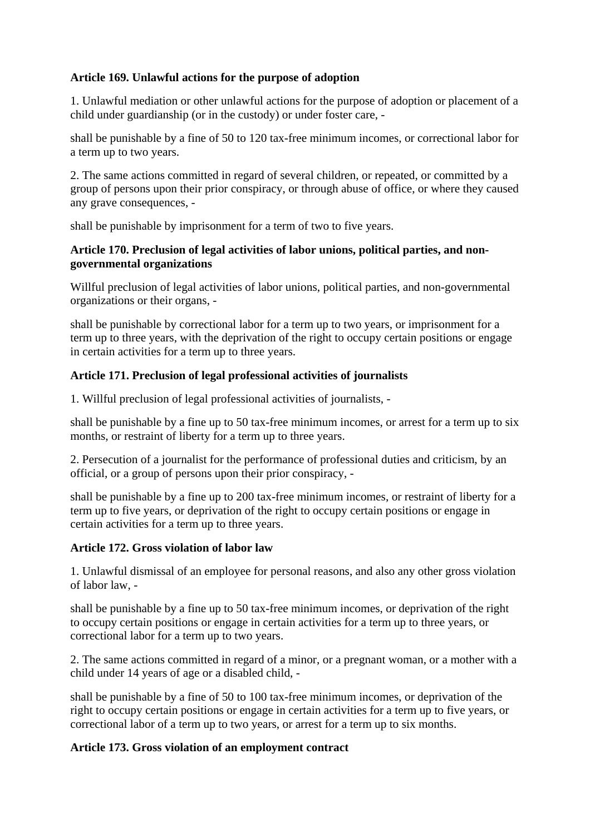# **Article 169. Unlawful actions for the purpose of adoption**

1. Unlawful mediation or other unlawful actions for the purpose of adoption or placement of a child under guardianship (or in the custody) or under foster care, -

shall be punishable by a fine of 50 to 120 tax-free minimum incomes, or correctional labor for a term up to two years.

2. The same actions committed in regard of several children, or repeated, or committed by a group of persons upon their prior conspiracy, or through abuse of office, or where they caused any grave consequences, -

shall be punishable by imprisonment for a term of two to five years.

# **Article 170. Preclusion of legal activities of labor unions, political parties, and nongovernmental organizations**

Willful preclusion of legal activities of labor unions, political parties, and non-governmental organizations or their organs, -

shall be punishable by correctional labor for a term up to two years, or imprisonment for a term up to three years, with the deprivation of the right to occupy certain positions or engage in certain activities for a term up to three years.

# **Article 171. Preclusion of legal professional activities of journalists**

1. Willful preclusion of legal professional activities of journalists, -

shall be punishable by a fine up to 50 tax-free minimum incomes, or arrest for a term up to six months, or restraint of liberty for a term up to three years.

2. Persecution of a journalist for the performance of professional duties and criticism, by an official, or a group of persons upon their prior conspiracy, -

shall be punishable by a fine up to 200 tax-free minimum incomes, or restraint of liberty for a term up to five years, or deprivation of the right to occupy certain positions or engage in certain activities for a term up to three years.

# **Article 172. Gross violation of labor law**

1. Unlawful dismissal of an employee for personal reasons, and also any other gross violation of labor law, -

shall be punishable by a fine up to 50 tax-free minimum incomes, or deprivation of the right to occupy certain positions or engage in certain activities for a term up to three years, or correctional labor for a term up to two years.

2. The same actions committed in regard of a minor, or a pregnant woman, or a mother with a child under 14 years of age or a disabled child, -

shall be punishable by a fine of 50 to 100 tax-free minimum incomes, or deprivation of the right to occupy certain positions or engage in certain activities for a term up to five years, or correctional labor of a term up to two years, or arrest for a term up to six months.

# **Article 173. Gross violation of an employment contract**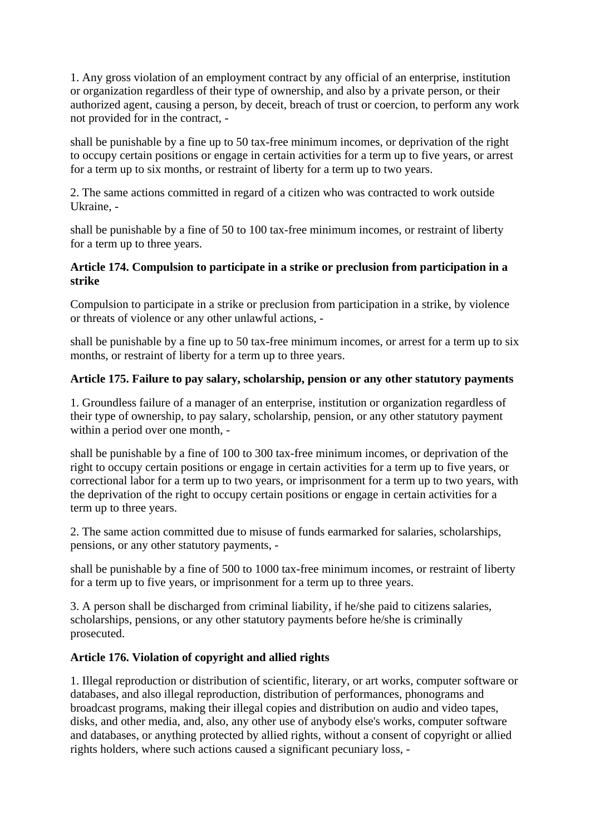1. Any gross violation of an employment contract by any official of an enterprise, institution or organization regardless of their type of ownership, and also by a private person, or their authorized agent, causing a person, by deceit, breach of trust or coercion, to perform any work not provided for in the contract, -

shall be punishable by a fine up to 50 tax-free minimum incomes, or deprivation of the right to occupy certain positions or engage in certain activities for a term up to five years, or arrest for a term up to six months, or restraint of liberty for a term up to two years.

2. The same actions committed in regard of a citizen who was contracted to work outside Ukraine, -

shall be punishable by a fine of 50 to 100 tax-free minimum incomes, or restraint of liberty for a term up to three years.

# **Article 174. Compulsion to participate in a strike or preclusion from participation in a strike**

Compulsion to participate in a strike or preclusion from participation in a strike, by violence or threats of violence or any other unlawful actions, -

shall be punishable by a fine up to 50 tax-free minimum incomes, or arrest for a term up to six months, or restraint of liberty for a term up to three years.

# **Article 175. Failure to pay salary, scholarship, pension or any other statutory payments**

1. Groundless failure of a manager of an enterprise, institution or organization regardless of their type of ownership, to pay salary, scholarship, pension, or any other statutory payment within a period over one month, -

shall be punishable by a fine of 100 to 300 tax-free minimum incomes, or deprivation of the right to occupy certain positions or engage in certain activities for a term up to five years, or correctional labor for a term up to two years, or imprisonment for a term up to two years, with the deprivation of the right to occupy certain positions or engage in certain activities for a term up to three years.

2. The same action committed due to misuse of funds earmarked for salaries, scholarships, pensions, or any other statutory payments, -

shall be punishable by a fine of 500 to 1000 tax-free minimum incomes, or restraint of liberty for a term up to five years, or imprisonment for a term up to three years.

3. A person shall be discharged from criminal liability, if he/she paid to citizens salaries, scholarships, pensions, or any other statutory payments before he/she is criminally prosecuted.

# **Article 176. Violation of copyright and allied rights**

1. Illegal reproduction or distribution of scientific, literary, or art works, computer software or databases, and also illegal reproduction, distribution of performances, phonograms and broadcast programs, making their illegal copies and distribution on audio and video tapes, disks, and other media, and, also, any other use of anybody else's works, computer software and databases, or anything protected by allied rights, without a consent of copyright or allied rights holders, where such actions caused a significant pecuniary loss, -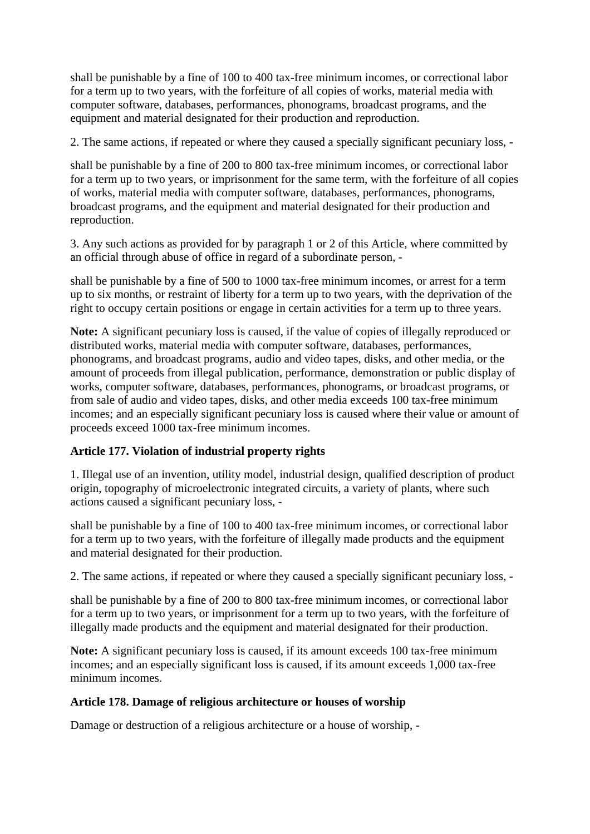shall be punishable by a fine of 100 to 400 tax-free minimum incomes, or correctional labor for a term up to two years, with the forfeiture of all copies of works, material media with computer software, databases, performances, phonograms, broadcast programs, and the equipment and material designated for their production and reproduction.

2. The same actions, if repeated or where they caused a specially significant pecuniary loss, -

shall be punishable by a fine of 200 to 800 tax-free minimum incomes, or correctional labor for a term up to two years, or imprisonment for the same term, with the forfeiture of all copies of works, material media with computer software, databases, performances, phonograms, broadcast programs, and the equipment and material designated for their production and reproduction.

3. Any such actions as provided for by paragraph 1 or 2 of this Article, where committed by an official through abuse of office in regard of a subordinate person, -

shall be punishable by a fine of 500 to 1000 tax-free minimum incomes, or arrest for a term up to six months, or restraint of liberty for a term up to two years, with the deprivation of the right to occupy certain positions or engage in certain activities for a term up to three years.

**Note:** A significant pecuniary loss is caused, if the value of copies of illegally reproduced or distributed works, material media with computer software, databases, performances, phonograms, and broadcast programs, audio and video tapes, disks, and other media, or the amount of proceeds from illegal publication, performance, demonstration or public display of works, computer software, databases, performances, phonograms, or broadcast programs, or from sale of audio and video tapes, disks, and other media exceeds 100 tax-free minimum incomes; and an especially significant pecuniary loss is caused where their value or amount of proceeds exceed 1000 tax-free minimum incomes.

# **Article 177. Violation of industrial property rights**

1. Illegal use of an invention, utility model, industrial design, qualified description of product origin, topography of microelectronic integrated circuits, a variety of plants, where such actions caused a significant pecuniary loss, -

shall be punishable by a fine of 100 to 400 tax-free minimum incomes, or correctional labor for a term up to two years, with the forfeiture of illegally made products and the equipment and material designated for their production.

2. The same actions, if repeated or where they caused a specially significant pecuniary loss, -

shall be punishable by a fine of 200 to 800 tax-free minimum incomes, or correctional labor for a term up to two years, or imprisonment for a term up to two years, with the forfeiture of illegally made products and the equipment and material designated for their production.

**Note:** A significant pecuniary loss is caused, if its amount exceeds 100 tax-free minimum incomes; and an especially significant loss is caused, if its amount exceeds 1,000 tax-free minimum incomes.

#### **Article 178. Damage of religious architecture or houses of worship**

Damage or destruction of a religious architecture or a house of worship, -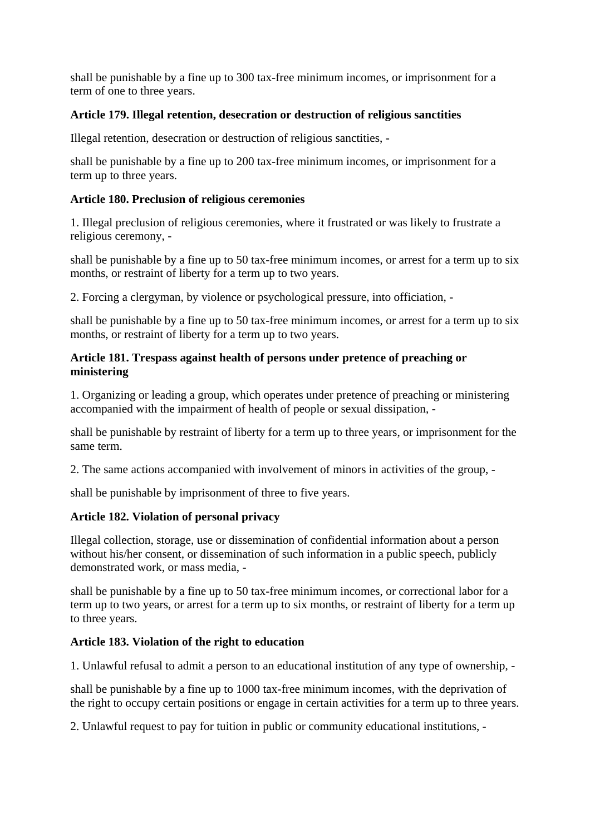shall be punishable by a fine up to 300 tax-free minimum incomes, or imprisonment for a term of one to three years.

#### **Article 179. Illegal retention, desecration or destruction of religious sanctities**

Illegal retention, desecration or destruction of religious sanctities, -

shall be punishable by a fine up to 200 tax-free minimum incomes, or imprisonment for a term up to three years.

#### **Article 180. Preclusion of religious ceremonies**

1. Illegal preclusion of religious ceremonies, where it frustrated or was likely to frustrate a religious ceremony, -

shall be punishable by a fine up to 50 tax-free minimum incomes, or arrest for a term up to six months, or restraint of liberty for a term up to two years.

2. Forcing a clergyman, by violence or psychological pressure, into officiation, -

shall be punishable by a fine up to 50 tax-free minimum incomes, or arrest for a term up to six months, or restraint of liberty for a term up to two years.

#### **Article 181. Trespass against health of persons under pretence of preaching or ministering**

1. Organizing or leading a group, which operates under pretence of preaching or ministering accompanied with the impairment of health of people or sexual dissipation, -

shall be punishable by restraint of liberty for a term up to three years, or imprisonment for the same term.

2. The same actions accompanied with involvement of minors in activities of the group, -

shall be punishable by imprisonment of three to five years.

# **Article 182. Violation of personal privacy**

Illegal collection, storage, use or dissemination of confidential information about a person without his/her consent, or dissemination of such information in a public speech, publicly demonstrated work, or mass media, -

shall be punishable by a fine up to 50 tax-free minimum incomes, or correctional labor for a term up to two years, or arrest for a term up to six months, or restraint of liberty for a term up to three years.

# **Article 183. Violation of the right to education**

1. Unlawful refusal to admit a person to an educational institution of any type of ownership, -

shall be punishable by a fine up to 1000 tax-free minimum incomes, with the deprivation of the right to occupy certain positions or engage in certain activities for a term up to three years.

2. Unlawful request to pay for tuition in public or community educational institutions, -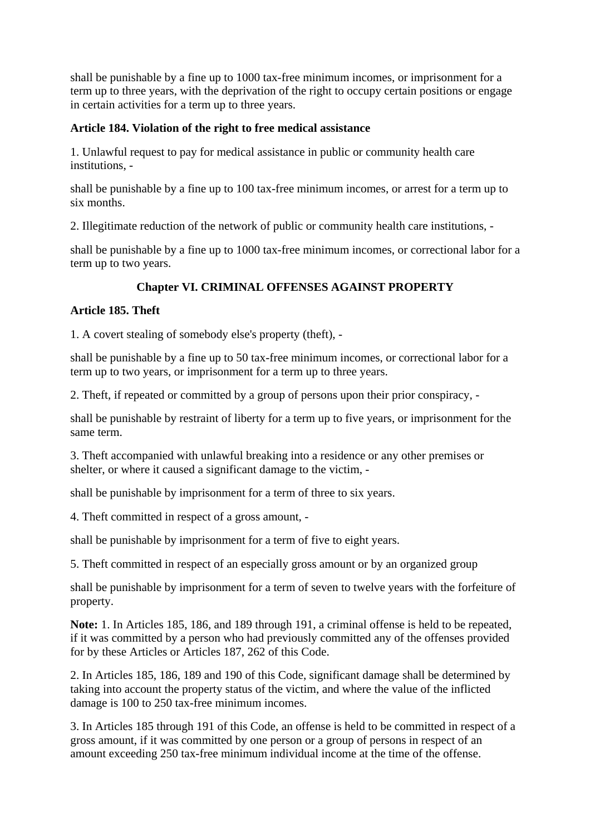shall be punishable by a fine up to 1000 tax-free minimum incomes, or imprisonment for a term up to three years, with the deprivation of the right to occupy certain positions or engage in certain activities for a term up to three years.

# **Article 184. Violation of the right to free medical assistance**

1. Unlawful request to pay for medical assistance in public or community health care institutions, -

shall be punishable by a fine up to 100 tax-free minimum incomes, or arrest for a term up to six months.

2. Illegitimate reduction of the network of public or community health care institutions, -

shall be punishable by a fine up to 1000 tax-free minimum incomes, or correctional labor for a term up to two years.

# **Chapter VI. CRIMINAL OFFENSES AGAINST PROPERTY**

# **Article 185. Theft**

1. A covert stealing of somebody else's property (theft), -

shall be punishable by a fine up to 50 tax-free minimum incomes, or correctional labor for a term up to two years, or imprisonment for a term up to three years.

2. Theft, if repeated or committed by a group of persons upon their prior conspiracy, -

shall be punishable by restraint of liberty for a term up to five years, or imprisonment for the same term.

3. Theft accompanied with unlawful breaking into a residence or any other premises or shelter, or where it caused a significant damage to the victim, -

shall be punishable by imprisonment for a term of three to six years.

4. Theft committed in respect of a gross amount, -

shall be punishable by imprisonment for a term of five to eight years.

5. Theft committed in respect of an especially gross amount or by an organized group

shall be punishable by imprisonment for a term of seven to twelve years with the forfeiture of property.

**Note:** 1. In Articles 185, 186, and 189 through 191, a criminal offense is held to be repeated, if it was committed by a person who had previously committed any of the offenses provided for by these Articles or Articles 187, 262 of this Code.

2. In Articles 185, 186, 189 and 190 of this Code, significant damage shall be determined by taking into account the property status of the victim, and where the value of the inflicted damage is 100 to 250 tax-free minimum incomes.

3. In Articles 185 through 191 of this Code, an offense is held to be committed in respect of a gross amount, if it was committed by one person or a group of persons in respect of an amount exceeding 250 tax-free minimum individual income at the time of the offense.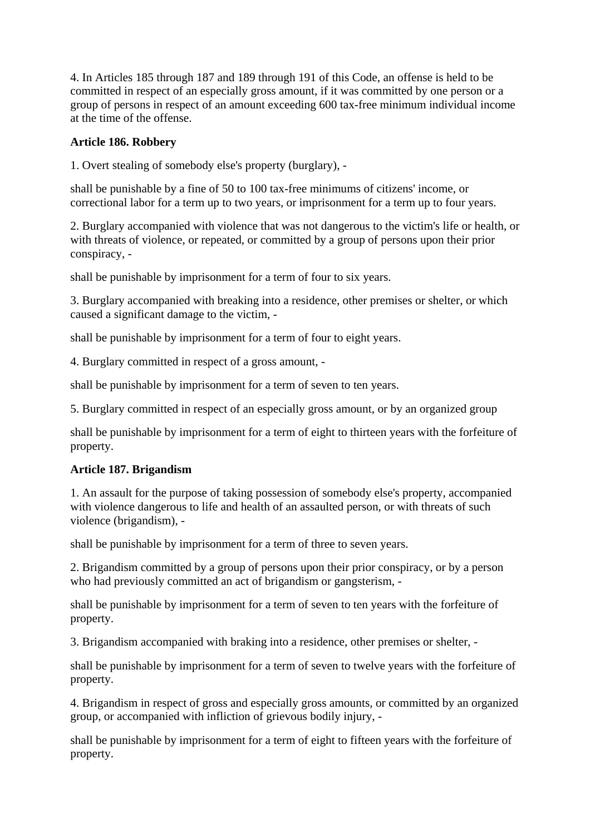4. In Articles 185 through 187 and 189 through 191 of this Code, an offense is held to be committed in respect of an especially gross amount, if it was committed by one person or a group of persons in respect of an amount exceeding 600 tax-free minimum individual income at the time of the offense.

#### **Article 186. Robbery**

1. Overt stealing of somebody else's property (burglary), -

shall be punishable by a fine of 50 to 100 tax-free minimums of citizens' income, or correctional labor for a term up to two years, or imprisonment for a term up to four years.

2. Burglary accompanied with violence that was not dangerous to the victim's life or health, or with threats of violence, or repeated, or committed by a group of persons upon their prior conspiracy, -

shall be punishable by imprisonment for a term of four to six years.

3. Burglary accompanied with breaking into a residence, other premises or shelter, or which caused a significant damage to the victim, -

shall be punishable by imprisonment for a term of four to eight years.

4. Burglary committed in respect of a gross amount, -

shall be punishable by imprisonment for a term of seven to ten years.

5. Burglary committed in respect of an especially gross amount, or by an organized group

shall be punishable by imprisonment for a term of eight to thirteen years with the forfeiture of property.

#### **Article 187. Brigandism**

1. An assault for the purpose of taking possession of somebody else's property, accompanied with violence dangerous to life and health of an assaulted person, or with threats of such violence (brigandism), -

shall be punishable by imprisonment for a term of three to seven years.

2. Brigandism committed by a group of persons upon their prior conspiracy, or by a person who had previously committed an act of brigandism or gangsterism, -

shall be punishable by imprisonment for a term of seven to ten years with the forfeiture of property.

3. Brigandism accompanied with braking into a residence, other premises or shelter, -

shall be punishable by imprisonment for a term of seven to twelve years with the forfeiture of property.

4. Brigandism in respect of gross and especially gross amounts, or committed by an organized group, or accompanied with infliction of grievous bodily injury, -

shall be punishable by imprisonment for a term of eight to fifteen years with the forfeiture of property.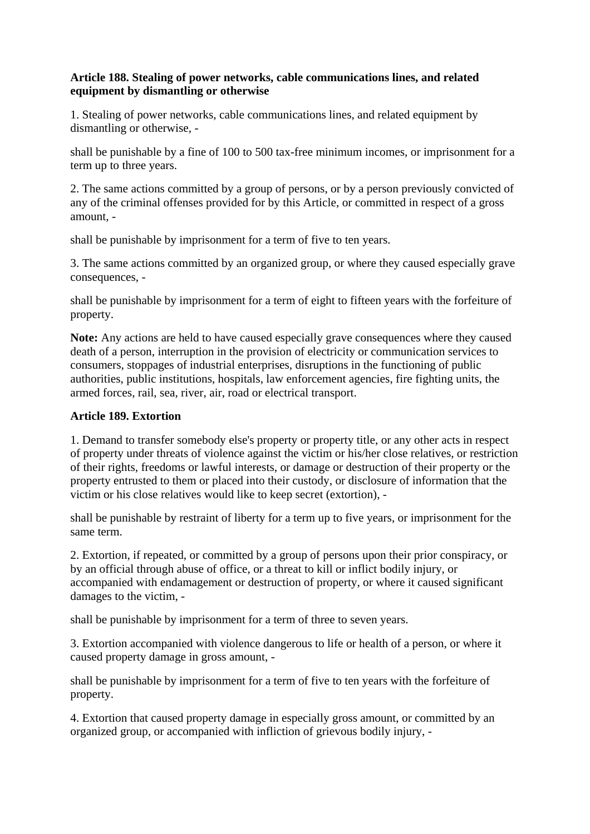## **Article 188. Stealing of power networks, cable communications lines, and related equipment by dismantling or otherwise**

1. Stealing of power networks, cable communications lines, and related equipment by dismantling or otherwise, -

shall be punishable by a fine of 100 to 500 tax-free minimum incomes, or imprisonment for a term up to three years.

2. The same actions committed by a group of persons, or by a person previously convicted of any of the criminal offenses provided for by this Article, or committed in respect of a gross amount, -

shall be punishable by imprisonment for a term of five to ten years.

3. The same actions committed by an organized group, or where they caused especially grave consequences, -

shall be punishable by imprisonment for a term of eight to fifteen years with the forfeiture of property.

**Note:** Any actions are held to have caused especially grave consequences where they caused death of a person, interruption in the provision of electricity or communication services to consumers, stoppages of industrial enterprises, disruptions in the functioning of public authorities, public institutions, hospitals, law enforcement agencies, fire fighting units, the armed forces, rail, sea, river, air, road or electrical transport.

#### **Article 189. Extortion**

1. Demand to transfer somebody else's property or property title, or any other acts in respect of property under threats of violence against the victim or his/her close relatives, or restriction of their rights, freedoms or lawful interests, or damage or destruction of their property or the property entrusted to them or placed into their custody, or disclosure of information that the victim or his close relatives would like to keep secret (extortion), -

shall be punishable by restraint of liberty for a term up to five years, or imprisonment for the same term.

2. Extortion, if repeated, or committed by a group of persons upon their prior conspiracy, or by an official through abuse of office, or a threat to kill or inflict bodily injury, or accompanied with endamagement or destruction of property, or where it caused significant damages to the victim, -

shall be punishable by imprisonment for a term of three to seven years.

3. Extortion accompanied with violence dangerous to life or health of a person, or where it caused property damage in gross amount, -

shall be punishable by imprisonment for a term of five to ten years with the forfeiture of property.

4. Extortion that caused property damage in especially gross amount, or committed by an organized group, or accompanied with infliction of grievous bodily injury, -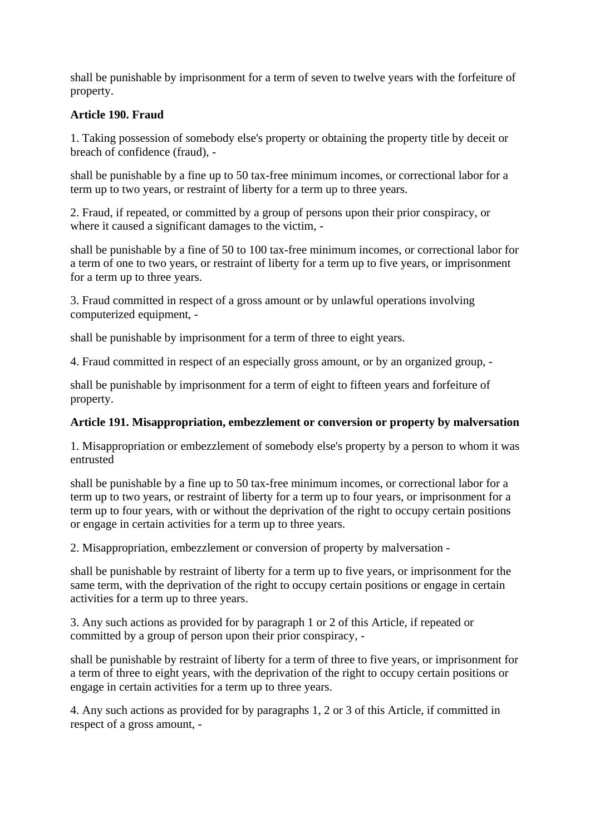shall be punishable by imprisonment for a term of seven to twelve years with the forfeiture of property.

# **Article 190. Fraud**

1. Taking possession of somebody else's property or obtaining the property title by deceit or breach of confidence (fraud), -

shall be punishable by a fine up to 50 tax-free minimum incomes, or correctional labor for a term up to two years, or restraint of liberty for a term up to three years.

2. Fraud, if repeated, or committed by a group of persons upon their prior conspiracy, or where it caused a significant damages to the victim, -

shall be punishable by a fine of 50 to 100 tax-free minimum incomes, or correctional labor for a term of one to two years, or restraint of liberty for a term up to five years, or imprisonment for a term up to three years.

3. Fraud committed in respect of a gross amount or by unlawful operations involving computerized equipment, -

shall be punishable by imprisonment for a term of three to eight years.

4. Fraud committed in respect of an especially gross amount, or by an organized group, -

shall be punishable by imprisonment for a term of eight to fifteen years and forfeiture of property.

# **Article 191. Misappropriation, embezzlement or conversion or property by malversation**

1. Misappropriation or embezzlement of somebody else's property by a person to whom it was entrusted

shall be punishable by a fine up to 50 tax-free minimum incomes, or correctional labor for a term up to two years, or restraint of liberty for a term up to four years, or imprisonment for a term up to four years, with or without the deprivation of the right to occupy certain positions or engage in certain activities for a term up to three years.

2. Misappropriation, embezzlement or conversion of property by malversation -

shall be punishable by restraint of liberty for a term up to five years, or imprisonment for the same term, with the deprivation of the right to occupy certain positions or engage in certain activities for a term up to three years.

3. Any such actions as provided for by paragraph 1 or 2 of this Article, if repeated or committed by a group of person upon their prior conspiracy, -

shall be punishable by restraint of liberty for a term of three to five years, or imprisonment for a term of three to eight years, with the deprivation of the right to occupy certain positions or engage in certain activities for a term up to three years.

4. Any such actions as provided for by paragraphs 1, 2 or 3 of this Article, if committed in respect of a gross amount, -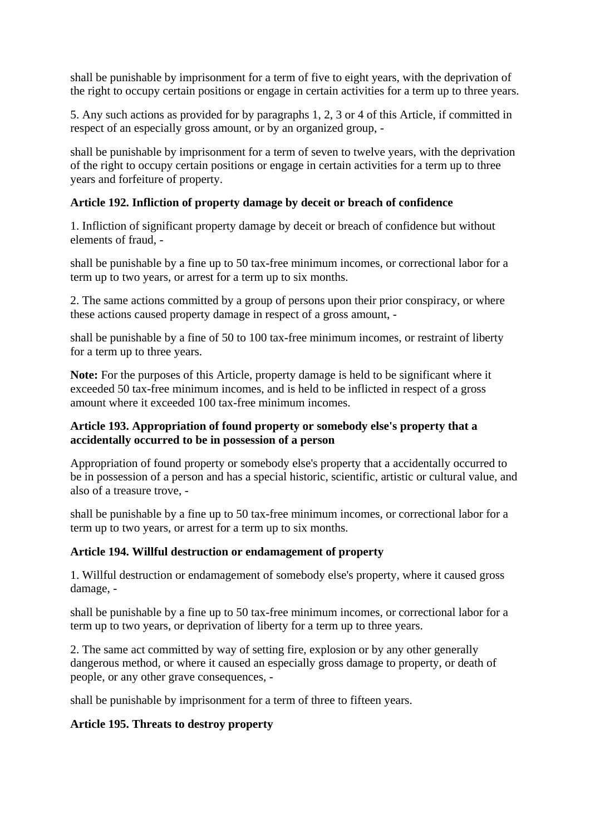shall be punishable by imprisonment for a term of five to eight years, with the deprivation of the right to occupy certain positions or engage in certain activities for a term up to three years.

5. Any such actions as provided for by paragraphs 1, 2, 3 or 4 of this Article, if committed in respect of an especially gross amount, or by an organized group, -

shall be punishable by imprisonment for a term of seven to twelve years, with the deprivation of the right to occupy certain positions or engage in certain activities for a term up to three years and forfeiture of property.

#### **Article 192. Infliction of property damage by deceit or breach of confidence**

1. Infliction of significant property damage by deceit or breach of confidence but without elements of fraud, -

shall be punishable by a fine up to 50 tax-free minimum incomes, or correctional labor for a term up to two years, or arrest for a term up to six months.

2. The same actions committed by a group of persons upon their prior conspiracy, or where these actions caused property damage in respect of a gross amount, -

shall be punishable by a fine of 50 to 100 tax-free minimum incomes, or restraint of liberty for a term up to three years.

**Note:** For the purposes of this Article, property damage is held to be significant where it exceeded 50 tax-free minimum incomes, and is held to be inflicted in respect of a gross amount where it exceeded 100 tax-free minimum incomes.

# **Article 193. Appropriation of found property or somebody else's property that a accidentally occurred to be in possession of a person**

Appropriation of found property or somebody else's property that a accidentally occurred to be in possession of a person and has a special historic, scientific, artistic or cultural value, and also of a treasure trove, -

shall be punishable by a fine up to 50 tax-free minimum incomes, or correctional labor for a term up to two years, or arrest for a term up to six months.

# **Article 194. Willful destruction or endamagement of property**

1. Willful destruction or endamagement of somebody else's property, where it caused gross damage, -

shall be punishable by a fine up to 50 tax-free minimum incomes, or correctional labor for a term up to two years, or deprivation of liberty for a term up to three years.

2. The same act committed by way of setting fire, explosion or by any other generally dangerous method, or where it caused an especially gross damage to property, or death of people, or any other grave consequences, -

shall be punishable by imprisonment for a term of three to fifteen years.

#### **Article 195. Threats to destroy property**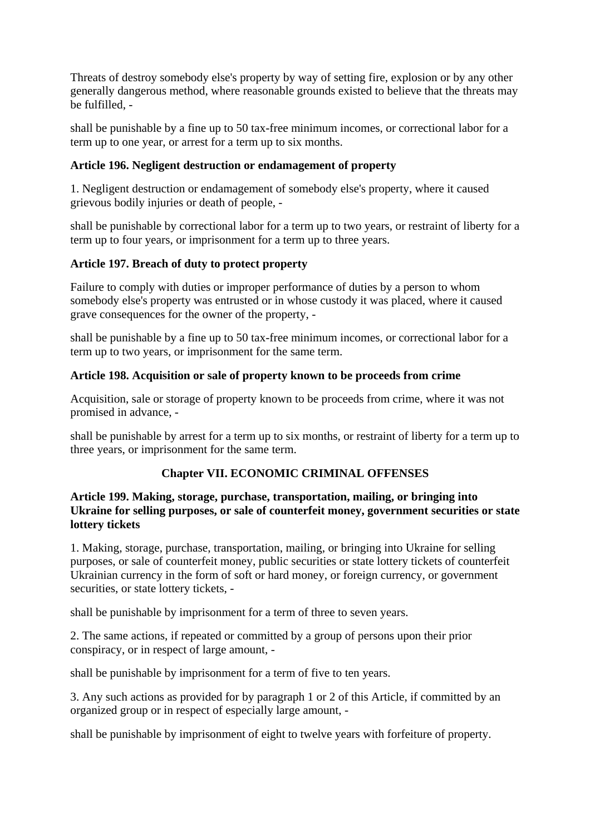Threats of destroy somebody else's property by way of setting fire, explosion or by any other generally dangerous method, where reasonable grounds existed to believe that the threats may be fulfilled, -

shall be punishable by a fine up to 50 tax-free minimum incomes, or correctional labor for a term up to one year, or arrest for a term up to six months.

# **Article 196. Negligent destruction or endamagement of property**

1. Negligent destruction or endamagement of somebody else's property, where it caused grievous bodily injuries or death of people, -

shall be punishable by correctional labor for a term up to two years, or restraint of liberty for a term up to four years, or imprisonment for a term up to three years.

# **Article 197. Breach of duty to protect property**

Failure to comply with duties or improper performance of duties by a person to whom somebody else's property was entrusted or in whose custody it was placed, where it caused grave consequences for the owner of the property, -

shall be punishable by a fine up to 50 tax-free minimum incomes, or correctional labor for a term up to two years, or imprisonment for the same term.

# **Article 198. Acquisition or sale of property known to be proceeds from crime**

Acquisition, sale or storage of property known to be proceeds from crime, where it was not promised in advance, -

shall be punishable by arrest for a term up to six months, or restraint of liberty for a term up to three years, or imprisonment for the same term.

# **Chapter VII. ECONOMIC CRIMINAL OFFENSES**

#### **Article 199. Making, storage, purchase, transportation, mailing, or bringing into Ukraine for selling purposes, or sale of counterfeit money, government securities or state lottery tickets**

1. Making, storage, purchase, transportation, mailing, or bringing into Ukraine for selling purposes, or sale of counterfeit money, public securities or state lottery tickets of counterfeit Ukrainian currency in the form of soft or hard money, or foreign currency, or government securities, or state lottery tickets, -

shall be punishable by imprisonment for a term of three to seven years.

2. The same actions, if repeated or committed by a group of persons upon their prior conspiracy, or in respect of large amount, -

shall be punishable by imprisonment for a term of five to ten years.

3. Any such actions as provided for by paragraph 1 or 2 of this Article, if committed by an organized group or in respect of especially large amount, -

shall be punishable by imprisonment of eight to twelve years with forfeiture of property.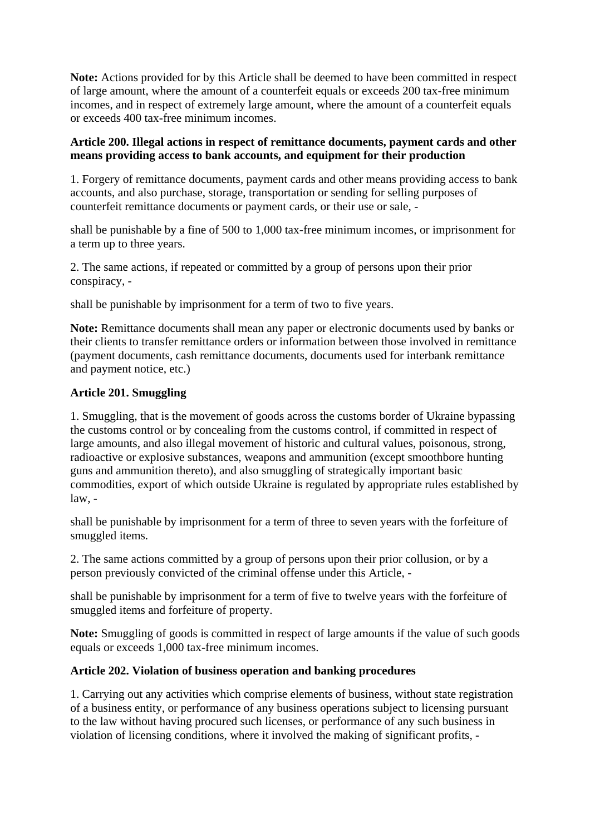**Note:** Actions provided for by this Article shall be deemed to have been committed in respect of large amount, where the amount of a counterfeit equals or exceeds 200 tax-free minimum incomes, and in respect of extremely large amount, where the amount of a counterfeit equals or exceeds 400 tax-free minimum incomes.

# **Article 200. Illegal actions in respect of remittance documents, payment cards and other means providing access to bank accounts, and equipment for their production**

1. Forgery of remittance documents, payment cards and other means providing access to bank accounts, and also purchase, storage, transportation or sending for selling purposes of counterfeit remittance documents or payment cards, or their use or sale, -

shall be punishable by a fine of 500 to 1,000 tax-free minimum incomes, or imprisonment for a term up to three years.

2. The same actions, if repeated or committed by a group of persons upon their prior conspiracy, -

shall be punishable by imprisonment for a term of two to five years.

**Note:** Remittance documents shall mean any paper or electronic documents used by banks or their clients to transfer remittance orders or information between those involved in remittance (payment documents, cash remittance documents, documents used for interbank remittance and payment notice, etc.)

#### **Article 201. Smuggling**

1. Smuggling, that is the movement of goods across the customs border of Ukraine bypassing the customs control or by concealing from the customs control, if committed in respect of large amounts, and also illegal movement of historic and cultural values, poisonous, strong, radioactive or explosive substances, weapons and ammunition (except smoothbore hunting guns and ammunition thereto), and also smuggling of strategically important basic commodities, export of which outside Ukraine is regulated by appropriate rules established by law, -

shall be punishable by imprisonment for a term of three to seven years with the forfeiture of smuggled items.

2. The same actions committed by a group of persons upon their prior collusion, or by a person previously convicted of the criminal offense under this Article, -

shall be punishable by imprisonment for a term of five to twelve years with the forfeiture of smuggled items and forfeiture of property.

**Note:** Smuggling of goods is committed in respect of large amounts if the value of such goods equals or exceeds 1,000 tax-free minimum incomes.

# **Article 202. Violation of business operation and banking procedures**

1. Carrying out any activities which comprise elements of business, without state registration of a business entity, or performance of any business operations subject to licensing pursuant to the law without having procured such licenses, or performance of any such business in violation of licensing conditions, where it involved the making of significant profits, -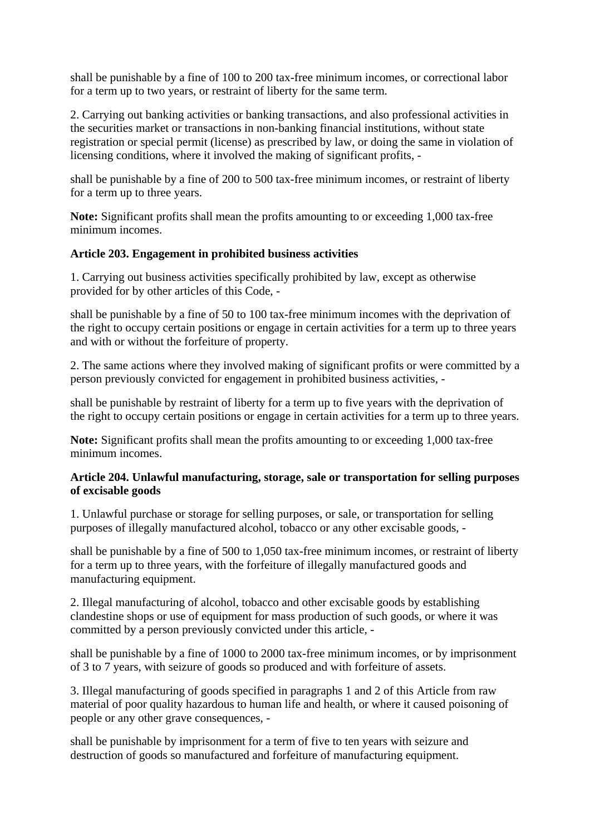shall be punishable by a fine of 100 to 200 tax-free minimum incomes, or correctional labor for a term up to two years, or restraint of liberty for the same term.

2. Carrying out banking activities or banking transactions, and also professional activities in the securities market or transactions in non-banking financial institutions, without state registration or special permit (license) as prescribed by law, or doing the same in violation of licensing conditions, where it involved the making of significant profits, -

shall be punishable by a fine of 200 to 500 tax-free minimum incomes, or restraint of liberty for a term up to three years.

**Note:** Significant profits shall mean the profits amounting to or exceeding 1,000 tax-free minimum incomes.

#### **Article 203. Engagement in prohibited business activities**

1. Carrying out business activities specifically prohibited by law, except as otherwise provided for by other articles of this Code, -

shall be punishable by a fine of 50 to 100 tax-free minimum incomes with the deprivation of the right to occupy certain positions or engage in certain activities for a term up to three years and with or without the forfeiture of property.

2. The same actions where they involved making of significant profits or were committed by a person previously convicted for engagement in prohibited business activities, -

shall be punishable by restraint of liberty for a term up to five years with the deprivation of the right to occupy certain positions or engage in certain activities for a term up to three years.

**Note:** Significant profits shall mean the profits amounting to or exceeding 1,000 tax-free minimum incomes.

#### **Article 204. Unlawful manufacturing, storage, sale or transportation for selling purposes of excisable goods**

1. Unlawful purchase or storage for selling purposes, or sale, or transportation for selling purposes of illegally manufactured alcohol, tobacco or any other excisable goods, -

shall be punishable by a fine of 500 to 1,050 tax-free minimum incomes, or restraint of liberty for a term up to three years, with the forfeiture of illegally manufactured goods and manufacturing equipment.

2. Illegal manufacturing of alcohol, tobacco and other excisable goods by establishing clandestine shops or use of equipment for mass production of such goods, or where it was committed by a person previously convicted under this article, -

shall be punishable by a fine of 1000 to 2000 tax-free minimum incomes, or by imprisonment of 3 to 7 years, with seizure of goods so produced and with forfeiture of assets.

3. Illegal manufacturing of goods specified in paragraphs 1 and 2 of this Article from raw material of poor quality hazardous to human life and health, or where it caused poisoning of people or any other grave consequences, -

shall be punishable by imprisonment for a term of five to ten years with seizure and destruction of goods so manufactured and forfeiture of manufacturing equipment.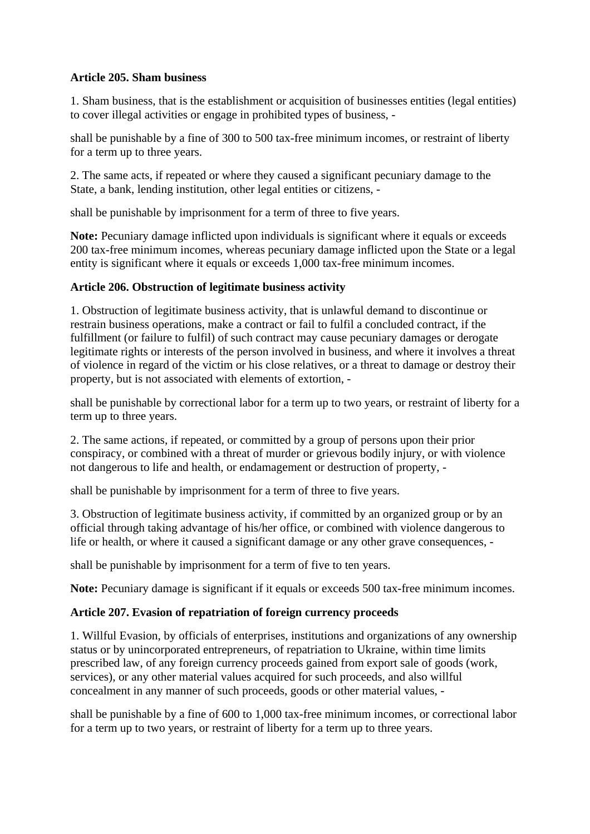#### **Article 205. Sham business**

1. Sham business, that is the establishment or acquisition of businesses entities (legal entities) to cover illegal activities or engage in prohibited types of business, -

shall be punishable by a fine of 300 to 500 tax-free minimum incomes, or restraint of liberty for a term up to three years.

2. The same acts, if repeated or where they caused a significant pecuniary damage to the State, a bank, lending institution, other legal entities or citizens, -

shall be punishable by imprisonment for a term of three to five years.

Note: Pecuniary damage inflicted upon individuals is significant where it equals or exceeds 200 tax-free minimum incomes, whereas pecuniary damage inflicted upon the State or a legal entity is significant where it equals or exceeds 1,000 tax-free minimum incomes.

#### **Article 206. Obstruction of legitimate business activity**

1. Obstruction of legitimate business activity, that is unlawful demand to discontinue or restrain business operations, make a contract or fail to fulfil a concluded contract, if the fulfillment (or failure to fulfil) of such contract may cause pecuniary damages or derogate legitimate rights or interests of the person involved in business, and where it involves a threat of violence in regard of the victim or his close relatives, or a threat to damage or destroy their property, but is not associated with elements of extortion, -

shall be punishable by correctional labor for a term up to two years, or restraint of liberty for a term up to three years.

2. The same actions, if repeated, or committed by a group of persons upon their prior conspiracy, or combined with a threat of murder or grievous bodily injury, or with violence not dangerous to life and health, or endamagement or destruction of property, -

shall be punishable by imprisonment for a term of three to five years.

3. Obstruction of legitimate business activity, if committed by an organized group or by an official through taking advantage of his/her office, or combined with violence dangerous to life or health, or where it caused a significant damage or any other grave consequences, -

shall be punishable by imprisonment for a term of five to ten years.

Note: Pecuniary damage is significant if it equals or exceeds 500 tax-free minimum incomes.

# **Article 207. Evasion of repatriation of foreign currency proceeds**

1. Willful Evasion, by officials of enterprises, institutions and organizations of any ownership status or by unincorporated entrepreneurs, of repatriation to Ukraine, within time limits prescribed law, of any foreign currency proceeds gained from export sale of goods (work, services), or any other material values acquired for such proceeds, and also willful concealment in any manner of such proceeds, goods or other material values, -

shall be punishable by a fine of 600 to 1,000 tax-free minimum incomes, or correctional labor for a term up to two years, or restraint of liberty for a term up to three years.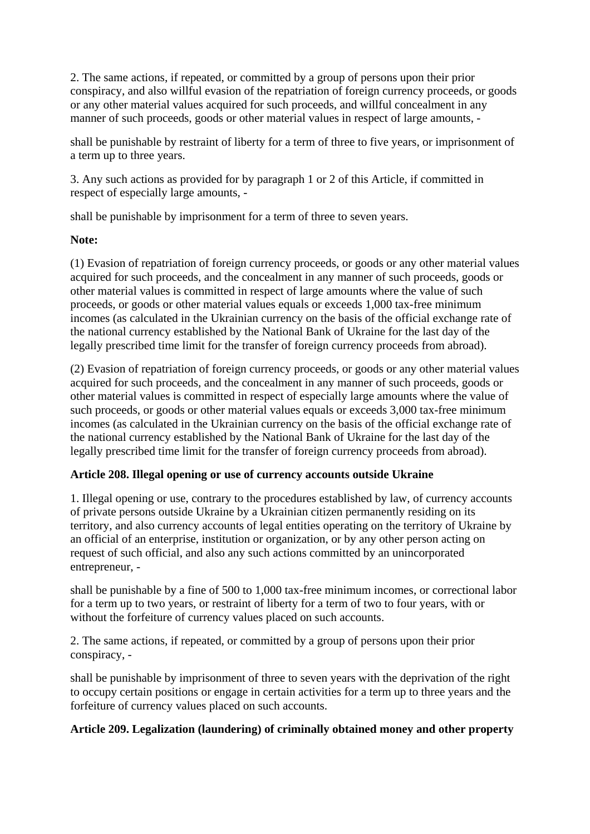2. The same actions, if repeated, or committed by a group of persons upon their prior conspiracy, and also willful evasion of the repatriation of foreign currency proceeds, or goods or any other material values acquired for such proceeds, and willful concealment in any manner of such proceeds, goods or other material values in respect of large amounts, -

shall be punishable by restraint of liberty for a term of three to five years, or imprisonment of a term up to three years.

3. Any such actions as provided for by paragraph 1 or 2 of this Article, if committed in respect of especially large amounts, -

shall be punishable by imprisonment for a term of three to seven years.

#### **Note:**

(1) Evasion of repatriation of foreign currency proceeds, or goods or any other material values acquired for such proceeds, and the concealment in any manner of such proceeds, goods or other material values is committed in respect of large amounts where the value of such proceeds, or goods or other material values equals or exceeds 1,000 tax-free minimum incomes (as calculated in the Ukrainian currency on the basis of the official exchange rate of the national currency established by the National Bank of Ukraine for the last day of the legally prescribed time limit for the transfer of foreign currency proceeds from abroad).

(2) Evasion of repatriation of foreign currency proceeds, or goods or any other material values acquired for such proceeds, and the concealment in any manner of such proceeds, goods or other material values is committed in respect of especially large amounts where the value of such proceeds, or goods or other material values equals or exceeds 3,000 tax-free minimum incomes (as calculated in the Ukrainian currency on the basis of the official exchange rate of the national currency established by the National Bank of Ukraine for the last day of the legally prescribed time limit for the transfer of foreign currency proceeds from abroad).

# **Article 208. Illegal opening or use of currency accounts outside Ukraine**

1. Illegal opening or use, contrary to the procedures established by law, of currency accounts of private persons outside Ukraine by a Ukrainian citizen permanently residing on its territory, and also currency accounts of legal entities operating on the territory of Ukraine by an official of an enterprise, institution or organization, or by any other person acting on request of such official, and also any such actions committed by an unincorporated entrepreneur, -

shall be punishable by a fine of 500 to 1,000 tax-free minimum incomes, or correctional labor for a term up to two years, or restraint of liberty for a term of two to four years, with or without the forfeiture of currency values placed on such accounts.

2. The same actions, if repeated, or committed by a group of persons upon their prior conspiracy, -

shall be punishable by imprisonment of three to seven years with the deprivation of the right to occupy certain positions or engage in certain activities for a term up to three years and the forfeiture of currency values placed on such accounts.

# **Article 209. Legalization (laundering) of criminally obtained money and other property**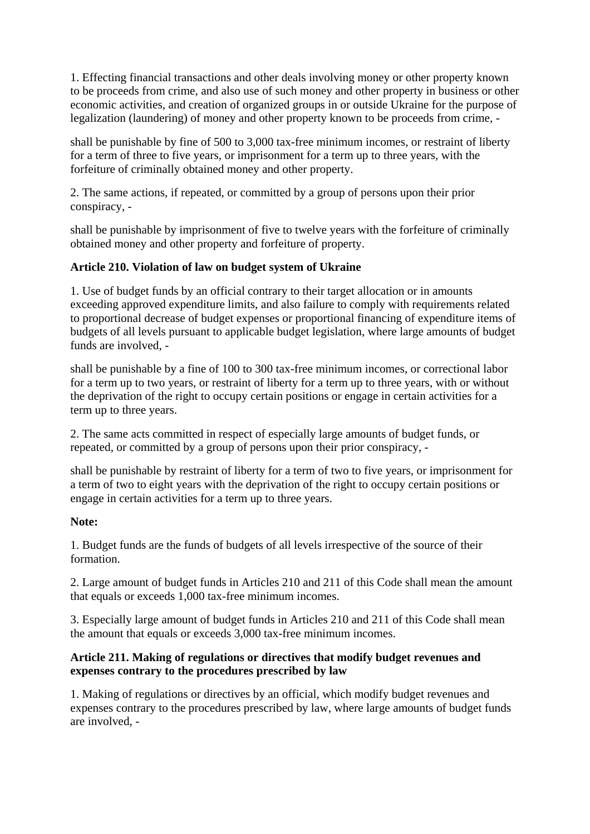1. Effecting financial transactions and other deals involving money or other property known to be proceeds from crime, and also use of such money and other property in business or other economic activities, and creation of organized groups in or outside Ukraine for the purpose of legalization (laundering) of money and other property known to be proceeds from crime, -

shall be punishable by fine of 500 to 3,000 tax-free minimum incomes, or restraint of liberty for a term of three to five years, or imprisonment for a term up to three years, with the forfeiture of criminally obtained money and other property.

2. The same actions, if repeated, or committed by a group of persons upon their prior conspiracy, -

shall be punishable by imprisonment of five to twelve years with the forfeiture of criminally obtained money and other property and forfeiture of property.

# **Article 210. Violation of law on budget system of Ukraine**

1. Use of budget funds by an official contrary to their target allocation or in amounts exceeding approved expenditure limits, and also failure to comply with requirements related to proportional decrease of budget expenses or proportional financing of expenditure items of budgets of all levels pursuant to applicable budget legislation, where large amounts of budget funds are involved, -

shall be punishable by a fine of 100 to 300 tax-free minimum incomes, or correctional labor for a term up to two years, or restraint of liberty for a term up to three years, with or without the deprivation of the right to occupy certain positions or engage in certain activities for a term up to three years.

2. The same acts committed in respect of especially large amounts of budget funds, or repeated, or committed by a group of persons upon their prior conspiracy, -

shall be punishable by restraint of liberty for a term of two to five years, or imprisonment for a term of two to eight years with the deprivation of the right to occupy certain positions or engage in certain activities for a term up to three years.

# **Note:**

1. Budget funds are the funds of budgets of all levels irrespective of the source of their formation.

2. Large amount of budget funds in Articles 210 and 211 of this Code shall mean the amount that equals or exceeds 1,000 tax-free minimum incomes.

3. Especially large amount of budget funds in Articles 210 and 211 of this Code shall mean the amount that equals or exceeds 3,000 tax-free minimum incomes.

# **Article 211. Making of regulations or directives that modify budget revenues and expenses contrary to the procedures prescribed by law**

1. Making of regulations or directives by an official, which modify budget revenues and expenses contrary to the procedures prescribed by law, where large amounts of budget funds are involved, -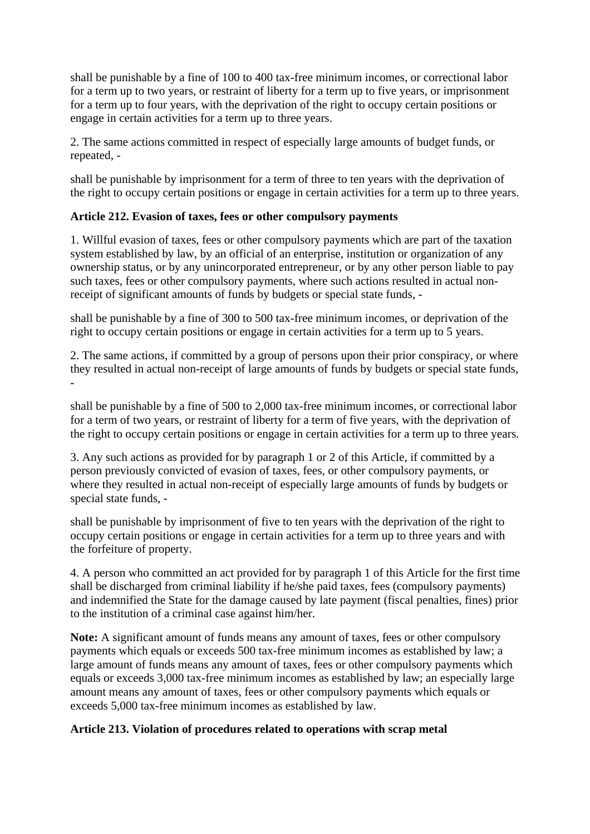shall be punishable by a fine of 100 to 400 tax-free minimum incomes, or correctional labor for a term up to two years, or restraint of liberty for a term up to five years, or imprisonment for a term up to four years, with the deprivation of the right to occupy certain positions or engage in certain activities for a term up to three years.

2. The same actions committed in respect of especially large amounts of budget funds, or repeated, -

shall be punishable by imprisonment for a term of three to ten years with the deprivation of the right to occupy certain positions or engage in certain activities for a term up to three years.

# **Article 212. Evasion of taxes, fees or other compulsory payments**

1. Willful evasion of taxes, fees or other compulsory payments which are part of the taxation system established by law, by an official of an enterprise, institution or organization of any ownership status, or by any unincorporated entrepreneur, or by any other person liable to pay such taxes, fees or other compulsory payments, where such actions resulted in actual nonreceipt of significant amounts of funds by budgets or special state funds, -

shall be punishable by a fine of 300 to 500 tax-free minimum incomes, or deprivation of the right to occupy certain positions or engage in certain activities for a term up to 5 years.

2. The same actions, if committed by a group of persons upon their prior conspiracy, or where they resulted in actual non-receipt of large amounts of funds by budgets or special state funds, -

shall be punishable by a fine of 500 to 2,000 tax-free minimum incomes, or correctional labor for a term of two years, or restraint of liberty for a term of five years, with the deprivation of the right to occupy certain positions or engage in certain activities for a term up to three years.

3. Any such actions as provided for by paragraph 1 or 2 of this Article, if committed by a person previously convicted of evasion of taxes, fees, or other compulsory payments, or where they resulted in actual non-receipt of especially large amounts of funds by budgets or special state funds, -

shall be punishable by imprisonment of five to ten years with the deprivation of the right to occupy certain positions or engage in certain activities for a term up to three years and with the forfeiture of property.

4. A person who committed an act provided for by paragraph 1 of this Article for the first time shall be discharged from criminal liability if he/she paid taxes, fees (compulsory payments) and indemnified the State for the damage caused by late payment (fiscal penalties, fines) prior to the institution of a criminal case against him/her.

**Note:** A significant amount of funds means any amount of taxes, fees or other compulsory payments which equals or exceeds 500 tax-free minimum incomes as established by law; a large amount of funds means any amount of taxes, fees or other compulsory payments which equals or exceeds 3,000 tax-free minimum incomes as established by law; an especially large amount means any amount of taxes, fees or other compulsory payments which equals or exceeds 5,000 tax-free minimum incomes as established by law.

# **Article 213. Violation of procedures related to operations with scrap metal**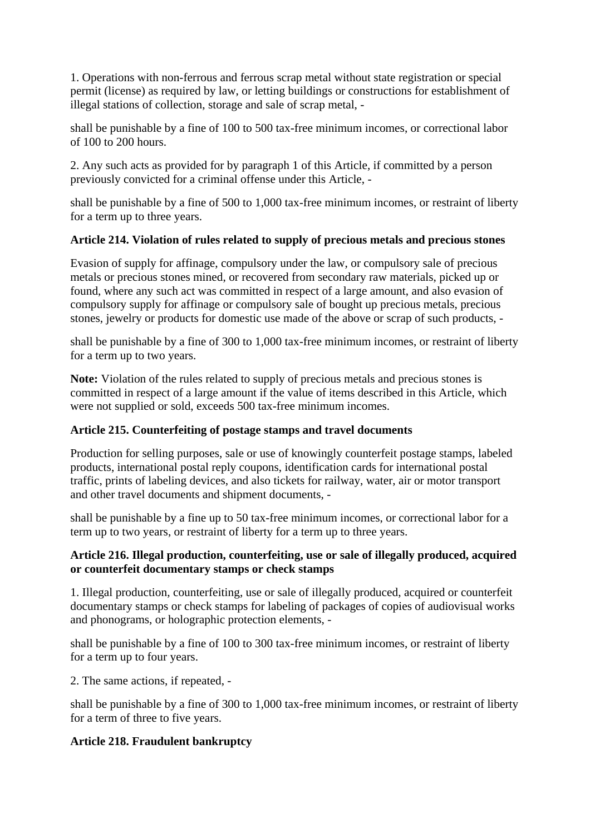1. Operations with non-ferrous and ferrous scrap metal without state registration or special permit (license) as required by law, or letting buildings or constructions for establishment of illegal stations of collection, storage and sale of scrap metal, -

shall be punishable by a fine of 100 to 500 tax-free minimum incomes, or correctional labor of 100 to 200 hours.

2. Any such acts as provided for by paragraph 1 of this Article, if committed by a person previously convicted for a criminal offense under this Article, -

shall be punishable by a fine of 500 to 1,000 tax-free minimum incomes, or restraint of liberty for a term up to three years.

# **Article 214. Violation of rules related to supply of precious metals and precious stones**

Evasion of supply for affinage, compulsory under the law, or compulsory sale of precious metals or precious stones mined, or recovered from secondary raw materials, picked up or found, where any such act was committed in respect of a large amount, and also evasion of compulsory supply for affinage or compulsory sale of bought up precious metals, precious stones, jewelry or products for domestic use made of the above or scrap of such products, -

shall be punishable by a fine of 300 to 1,000 tax-free minimum incomes, or restraint of liberty for a term up to two years.

**Note:** Violation of the rules related to supply of precious metals and precious stones is committed in respect of a large amount if the value of items described in this Article, which were not supplied or sold, exceeds 500 tax-free minimum incomes.

# **Article 215. Counterfeiting of postage stamps and travel documents**

Production for selling purposes, sale or use of knowingly counterfeit postage stamps, labeled products, international postal reply coupons, identification cards for international postal traffic, prints of labeling devices, and also tickets for railway, water, air or motor transport and other travel documents and shipment documents, -

shall be punishable by a fine up to 50 tax-free minimum incomes, or correctional labor for a term up to two years, or restraint of liberty for a term up to three years.

# **Article 216. Illegal production, counterfeiting, use or sale of illegally produced, acquired or counterfeit documentary stamps or check stamps**

1. Illegal production, counterfeiting, use or sale of illegally produced, acquired or counterfeit documentary stamps or check stamps for labeling of packages of copies of audiovisual works and phonograms, or holographic protection elements, -

shall be punishable by a fine of 100 to 300 tax-free minimum incomes, or restraint of liberty for a term up to four years.

2. The same actions, if repeated, -

shall be punishable by a fine of 300 to 1,000 tax-free minimum incomes, or restraint of liberty for a term of three to five years.

# **Article 218. Fraudulent bankruptcy**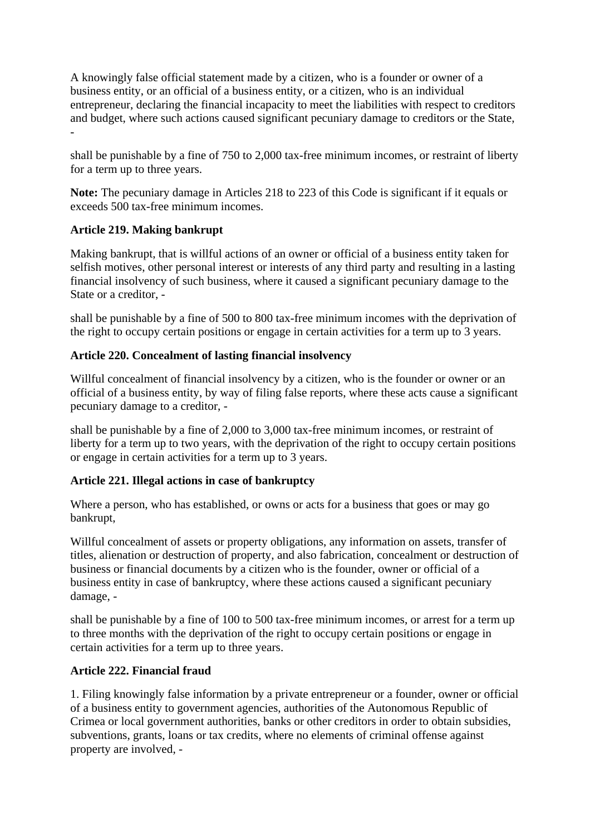A knowingly false official statement made by a citizen, who is a founder or owner of a business entity, or an official of a business entity, or a citizen, who is an individual entrepreneur, declaring the financial incapacity to meet the liabilities with respect to creditors and budget, where such actions caused significant pecuniary damage to creditors or the State, -

shall be punishable by a fine of 750 to 2,000 tax-free minimum incomes, or restraint of liberty for a term up to three years.

**Note:** The pecuniary damage in Articles 218 to 223 of this Code is significant if it equals or exceeds 500 tax-free minimum incomes.

# **Article 219. Making bankrupt**

Making bankrupt, that is willful actions of an owner or official of a business entity taken for selfish motives, other personal interest or interests of any third party and resulting in a lasting financial insolvency of such business, where it caused a significant pecuniary damage to the State or a creditor, -

shall be punishable by a fine of 500 to 800 tax-free minimum incomes with the deprivation of the right to occupy certain positions or engage in certain activities for a term up to 3 years.

#### **Article 220. Concealment of lasting financial insolvency**

Willful concealment of financial insolvency by a citizen, who is the founder or owner or an official of a business entity, by way of filing false reports, where these acts cause a significant pecuniary damage to a creditor, -

shall be punishable by a fine of 2,000 to 3,000 tax-free minimum incomes, or restraint of liberty for a term up to two years, with the deprivation of the right to occupy certain positions or engage in certain activities for a term up to 3 years.

# **Article 221. Illegal actions in case of bankruptcy**

Where a person, who has established, or owns or acts for a business that goes or may go bankrupt,

Willful concealment of assets or property obligations, any information on assets, transfer of titles, alienation or destruction of property, and also fabrication, concealment or destruction of business or financial documents by a citizen who is the founder, owner or official of a business entity in case of bankruptcy, where these actions caused a significant pecuniary damage, -

shall be punishable by a fine of 100 to 500 tax-free minimum incomes, or arrest for a term up to three months with the deprivation of the right to occupy certain positions or engage in certain activities for a term up to three years.

#### **Article 222. Financial fraud**

1. Filing knowingly false information by a private entrepreneur or a founder, owner or official of a business entity to government agencies, authorities of the Autonomous Republic of Crimea or local government authorities, banks or other creditors in order to obtain subsidies, subventions, grants, loans or tax credits, where no elements of criminal offense against property are involved, -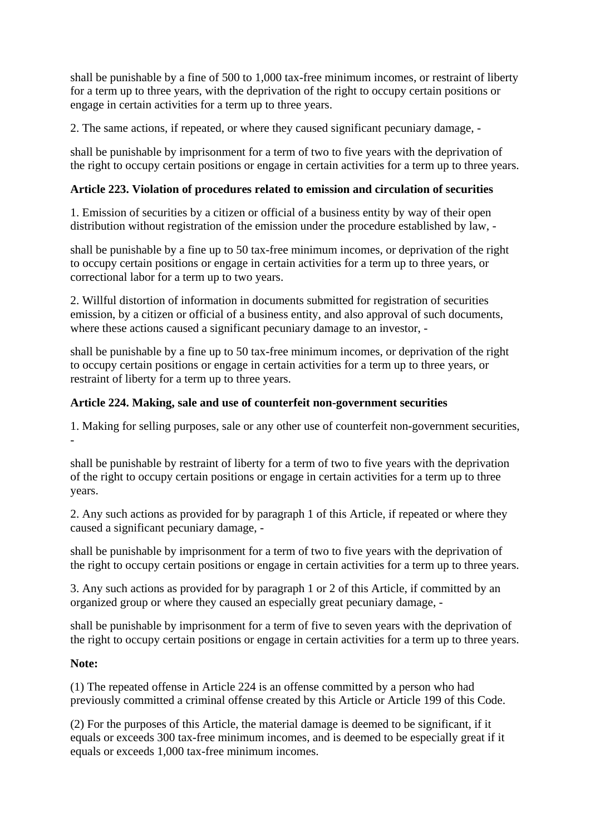shall be punishable by a fine of 500 to 1,000 tax-free minimum incomes, or restraint of liberty for a term up to three years, with the deprivation of the right to occupy certain positions or engage in certain activities for a term up to three years.

2. The same actions, if repeated, or where they caused significant pecuniary damage, -

shall be punishable by imprisonment for a term of two to five years with the deprivation of the right to occupy certain positions or engage in certain activities for a term up to three years.

# **Article 223. Violation of procedures related to emission and circulation of securities**

1. Emission of securities by a citizen or official of a business entity by way of their open distribution without registration of the emission under the procedure established by law, -

shall be punishable by a fine up to 50 tax-free minimum incomes, or deprivation of the right to occupy certain positions or engage in certain activities for a term up to three years, or correctional labor for a term up to two years.

2. Willful distortion of information in documents submitted for registration of securities emission, by a citizen or official of a business entity, and also approval of such documents, where these actions caused a significant pecuniary damage to an investor, -

shall be punishable by a fine up to 50 tax-free minimum incomes, or deprivation of the right to occupy certain positions or engage in certain activities for a term up to three years, or restraint of liberty for a term up to three years.

# **Article 224. Making, sale and use of counterfeit non-government securities**

1. Making for selling purposes, sale or any other use of counterfeit non-government securities, -

shall be punishable by restraint of liberty for a term of two to five years with the deprivation of the right to occupy certain positions or engage in certain activities for a term up to three years.

2. Any such actions as provided for by paragraph 1 of this Article, if repeated or where they caused a significant pecuniary damage, -

shall be punishable by imprisonment for a term of two to five years with the deprivation of the right to occupy certain positions or engage in certain activities for a term up to three years.

3. Any such actions as provided for by paragraph 1 or 2 of this Article, if committed by an organized group or where they caused an especially great pecuniary damage, -

shall be punishable by imprisonment for a term of five to seven years with the deprivation of the right to occupy certain positions or engage in certain activities for a term up to three years.

# **Note:**

(1) The repeated offense in Article 224 is an offense committed by a person who had previously committed a criminal offense created by this Article or Article 199 of this Code.

(2) For the purposes of this Article, the material damage is deemed to be significant, if it equals or exceeds 300 tax-free minimum incomes, and is deemed to be especially great if it equals or exceeds 1,000 tax-free minimum incomes.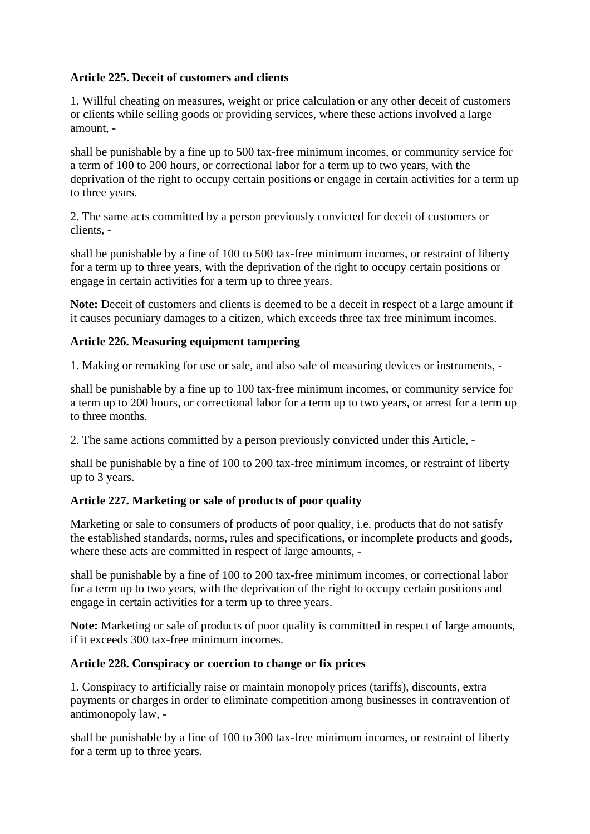# **Article 225. Deceit of customers and clients**

1. Willful cheating on measures, weight or price calculation or any other deceit of customers or clients while selling goods or providing services, where these actions involved a large amount, -

shall be punishable by a fine up to 500 tax-free minimum incomes, or community service for a term of 100 to 200 hours, or correctional labor for a term up to two years, with the deprivation of the right to occupy certain positions or engage in certain activities for a term up to three years.

2. The same acts committed by a person previously convicted for deceit of customers or clients, -

shall be punishable by a fine of 100 to 500 tax-free minimum incomes, or restraint of liberty for a term up to three years, with the deprivation of the right to occupy certain positions or engage in certain activities for a term up to three years.

**Note:** Deceit of customers and clients is deemed to be a deceit in respect of a large amount if it causes pecuniary damages to a citizen, which exceeds three tax free minimum incomes.

# **Article 226. Measuring equipment tampering**

1. Making or remaking for use or sale, and also sale of measuring devices or instruments, -

shall be punishable by a fine up to 100 tax-free minimum incomes, or community service for a term up to 200 hours, or correctional labor for a term up to two years, or arrest for a term up to three months.

2. The same actions committed by a person previously convicted under this Article, -

shall be punishable by a fine of 100 to 200 tax-free minimum incomes, or restraint of liberty up to 3 years.

# **Article 227. Marketing or sale of products of poor quality**

Marketing or sale to consumers of products of poor quality, i.e. products that do not satisfy the established standards, norms, rules and specifications, or incomplete products and goods, where these acts are committed in respect of large amounts, -

shall be punishable by a fine of 100 to 200 tax-free minimum incomes, or correctional labor for a term up to two years, with the deprivation of the right to occupy certain positions and engage in certain activities for a term up to three years.

**Note:** Marketing or sale of products of poor quality is committed in respect of large amounts, if it exceeds 300 tax-free minimum incomes.

# **Article 228. Conspiracy or coercion to change or fix prices**

1. Conspiracy to artificially raise or maintain monopoly prices (tariffs), discounts, extra payments or charges in order to eliminate competition among businesses in contravention of antimonopoly law, -

shall be punishable by a fine of 100 to 300 tax-free minimum incomes, or restraint of liberty for a term up to three years.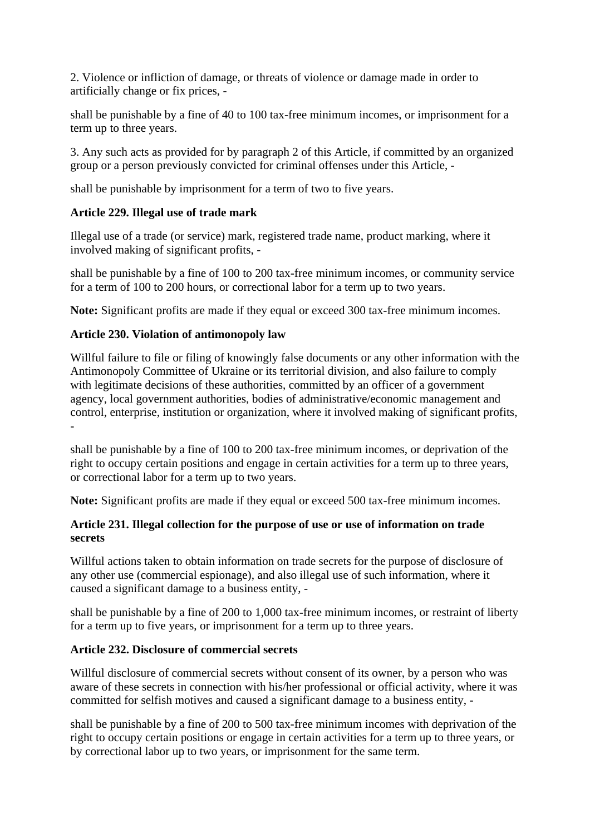2. Violence or infliction of damage, or threats of violence or damage made in order to artificially change or fix prices, -

shall be punishable by a fine of 40 to 100 tax-free minimum incomes, or imprisonment for a term up to three years.

3. Any such acts as provided for by paragraph 2 of this Article, if committed by an organized group or a person previously convicted for criminal offenses under this Article, -

shall be punishable by imprisonment for a term of two to five years.

## **Article 229. Illegal use of trade mark**

Illegal use of a trade (or service) mark, registered trade name, product marking, where it involved making of significant profits, -

shall be punishable by a fine of 100 to 200 tax-free minimum incomes, or community service for a term of 100 to 200 hours, or correctional labor for a term up to two years.

**Note:** Significant profits are made if they equal or exceed 300 tax-free minimum incomes.

## **Article 230. Violation of antimonopoly law**

Willful failure to file or filing of knowingly false documents or any other information with the Antimonopoly Committee of Ukraine or its territorial division, and also failure to comply with legitimate decisions of these authorities, committed by an officer of a government agency, local government authorities, bodies of administrative/economic management and control, enterprise, institution or organization, where it involved making of significant profits, -

shall be punishable by a fine of 100 to 200 tax-free minimum incomes, or deprivation of the right to occupy certain positions and engage in certain activities for a term up to three years, or correctional labor for a term up to two years.

**Note:** Significant profits are made if they equal or exceed 500 tax-free minimum incomes.

## **Article 231. Illegal collection for the purpose of use or use of information on trade secrets**

Willful actions taken to obtain information on trade secrets for the purpose of disclosure of any other use (commercial espionage), and also illegal use of such information, where it caused a significant damage to a business entity, -

shall be punishable by a fine of 200 to 1,000 tax-free minimum incomes, or restraint of liberty for a term up to five years, or imprisonment for a term up to three years.

## **Article 232. Disclosure of commercial secrets**

Willful disclosure of commercial secrets without consent of its owner, by a person who was aware of these secrets in connection with his/her professional or official activity, where it was committed for selfish motives and caused a significant damage to a business entity, -

shall be punishable by a fine of 200 to 500 tax-free minimum incomes with deprivation of the right to occupy certain positions or engage in certain activities for a term up to three years, or by correctional labor up to two years, or imprisonment for the same term.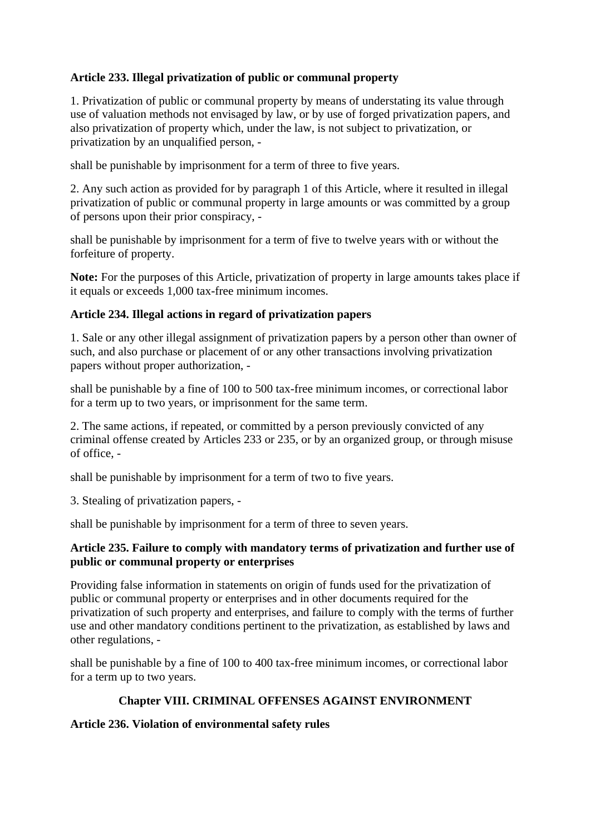# **Article 233. Illegal privatization of public or communal property**

1. Privatization of public or communal property by means of understating its value through use of valuation methods not envisaged by law, or by use of forged privatization papers, and also privatization of property which, under the law, is not subject to privatization, or privatization by an unqualified person, -

shall be punishable by imprisonment for a term of three to five years.

2. Any such action as provided for by paragraph 1 of this Article, where it resulted in illegal privatization of public or communal property in large amounts or was committed by a group of persons upon their prior conspiracy, -

shall be punishable by imprisonment for a term of five to twelve years with or without the forfeiture of property.

**Note:** For the purposes of this Article, privatization of property in large amounts takes place if it equals or exceeds 1,000 tax-free minimum incomes.

### **Article 234. Illegal actions in regard of privatization papers**

1. Sale or any other illegal assignment of privatization papers by a person other than owner of such, and also purchase or placement of or any other transactions involving privatization papers without proper authorization, -

shall be punishable by a fine of 100 to 500 tax-free minimum incomes, or correctional labor for a term up to two years, or imprisonment for the same term.

2. The same actions, if repeated, or committed by a person previously convicted of any criminal offense created by Articles 233 or 235, or by an organized group, or through misuse of office, -

shall be punishable by imprisonment for a term of two to five years.

3. Stealing of privatization papers, -

shall be punishable by imprisonment for a term of three to seven years.

### **Article 235. Failure to comply with mandatory terms of privatization and further use of public or communal property or enterprises**

Providing false information in statements on origin of funds used for the privatization of public or communal property or enterprises and in other documents required for the privatization of such property and enterprises, and failure to comply with the terms of further use and other mandatory conditions pertinent to the privatization, as established by laws and other regulations, -

shall be punishable by a fine of 100 to 400 tax-free minimum incomes, or correctional labor for a term up to two years.

## **Chapter VIII. CRIMINAL OFFENSES AGAINST ENVIRONMENT**

### **Article 236. Violation of environmental safety rules**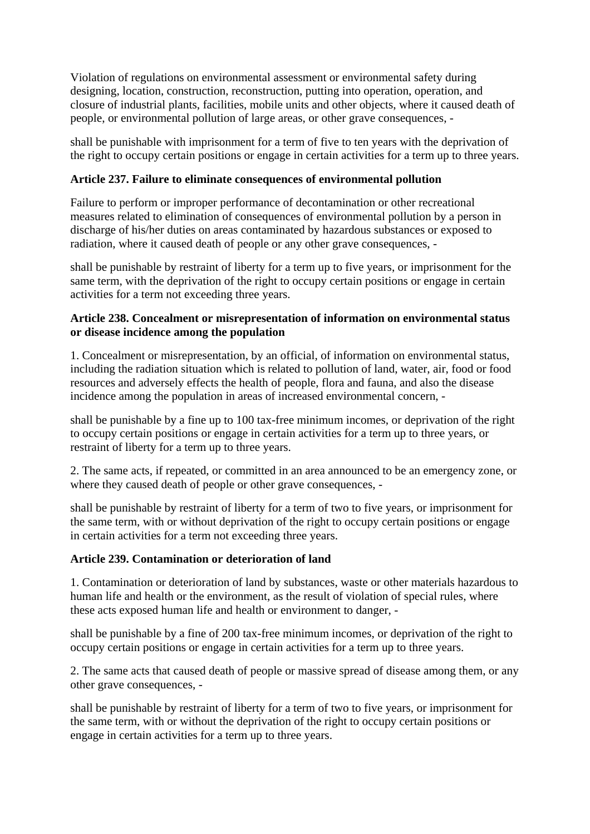Violation of regulations on environmental assessment or environmental safety during designing, location, construction, reconstruction, putting into operation, operation, and closure of industrial plants, facilities, mobile units and other objects, where it caused death of people, or environmental pollution of large areas, or other grave consequences, -

shall be punishable with imprisonment for a term of five to ten years with the deprivation of the right to occupy certain positions or engage in certain activities for a term up to three years.

# **Article 237. Failure to eliminate consequences of environmental pollution**

Failure to perform or improper performance of decontamination or other recreational measures related to elimination of consequences of environmental pollution by a person in discharge of his/her duties on areas contaminated by hazardous substances or exposed to radiation, where it caused death of people or any other grave consequences, -

shall be punishable by restraint of liberty for a term up to five years, or imprisonment for the same term, with the deprivation of the right to occupy certain positions or engage in certain activities for a term not exceeding three years.

## **Article 238. Concealment or misrepresentation of information on environmental status or disease incidence among the population**

1. Concealment or misrepresentation, by an official, of information on environmental status, including the radiation situation which is related to pollution of land, water, air, food or food resources and adversely effects the health of people, flora and fauna, and also the disease incidence among the population in areas of increased environmental concern, -

shall be punishable by a fine up to 100 tax-free minimum incomes, or deprivation of the right to occupy certain positions or engage in certain activities for a term up to three years, or restraint of liberty for a term up to three years.

2. The same acts, if repeated, or committed in an area announced to be an emergency zone, or where they caused death of people or other grave consequences, -

shall be punishable by restraint of liberty for a term of two to five years, or imprisonment for the same term, with or without deprivation of the right to occupy certain positions or engage in certain activities for a term not exceeding three years.

## **Article 239. Contamination or deterioration of land**

1. Contamination or deterioration of land by substances, waste or other materials hazardous to human life and health or the environment, as the result of violation of special rules, where these acts exposed human life and health or environment to danger, -

shall be punishable by a fine of 200 tax-free minimum incomes, or deprivation of the right to occupy certain positions or engage in certain activities for a term up to three years.

2. The same acts that caused death of people or massive spread of disease among them, or any other grave consequences, -

shall be punishable by restraint of liberty for a term of two to five years, or imprisonment for the same term, with or without the deprivation of the right to occupy certain positions or engage in certain activities for a term up to three years.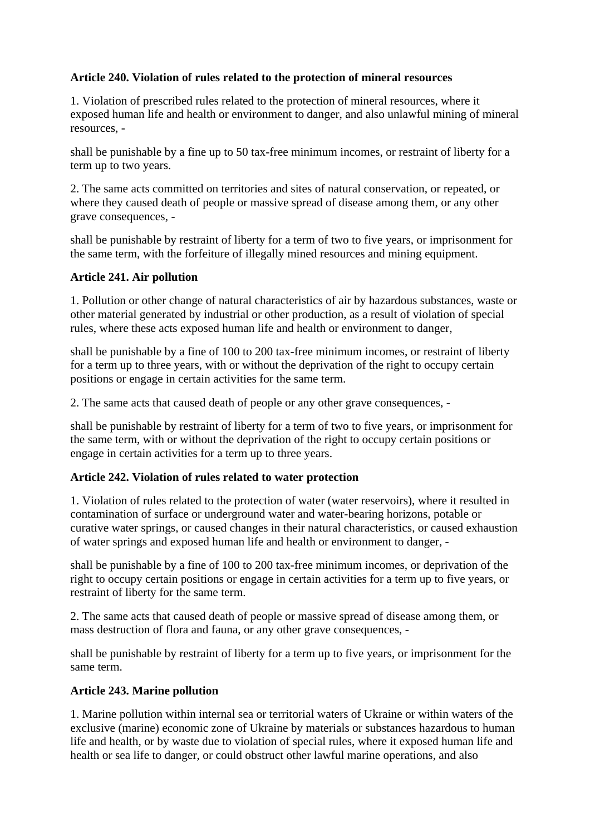# **Article 240. Violation of rules related to the protection of mineral resources**

1. Violation of prescribed rules related to the protection of mineral resources, where it exposed human life and health or environment to danger, and also unlawful mining of mineral resources, -

shall be punishable by a fine up to 50 tax-free minimum incomes, or restraint of liberty for a term up to two years.

2. The same acts committed on territories and sites of natural conservation, or repeated, or where they caused death of people or massive spread of disease among them, or any other grave consequences, -

shall be punishable by restraint of liberty for a term of two to five years, or imprisonment for the same term, with the forfeiture of illegally mined resources and mining equipment.

### **Article 241. Air pollution**

1. Pollution or other change of natural characteristics of air by hazardous substances, waste or other material generated by industrial or other production, as a result of violation of special rules, where these acts exposed human life and health or environment to danger,

shall be punishable by a fine of 100 to 200 tax-free minimum incomes, or restraint of liberty for a term up to three years, with or without the deprivation of the right to occupy certain positions or engage in certain activities for the same term.

2. The same acts that caused death of people or any other grave consequences, -

shall be punishable by restraint of liberty for a term of two to five years, or imprisonment for the same term, with or without the deprivation of the right to occupy certain positions or engage in certain activities for a term up to three years.

## **Article 242. Violation of rules related to water protection**

1. Violation of rules related to the protection of water (water reservoirs), where it resulted in contamination of surface or underground water and water-bearing horizons, potable or curative water springs, or caused changes in their natural characteristics, or caused exhaustion of water springs and exposed human life and health or environment to danger, -

shall be punishable by a fine of 100 to 200 tax-free minimum incomes, or deprivation of the right to occupy certain positions or engage in certain activities for a term up to five years, or restraint of liberty for the same term.

2. The same acts that caused death of people or massive spread of disease among them, or mass destruction of flora and fauna, or any other grave consequences, -

shall be punishable by restraint of liberty for a term up to five years, or imprisonment for the same term.

## **Article 243. Marine pollution**

1. Marine pollution within internal sea or territorial waters of Ukraine or within waters of the exclusive (marine) economic zone of Ukraine by materials or substances hazardous to human life and health, or by waste due to violation of special rules, where it exposed human life and health or sea life to danger, or could obstruct other lawful marine operations, and also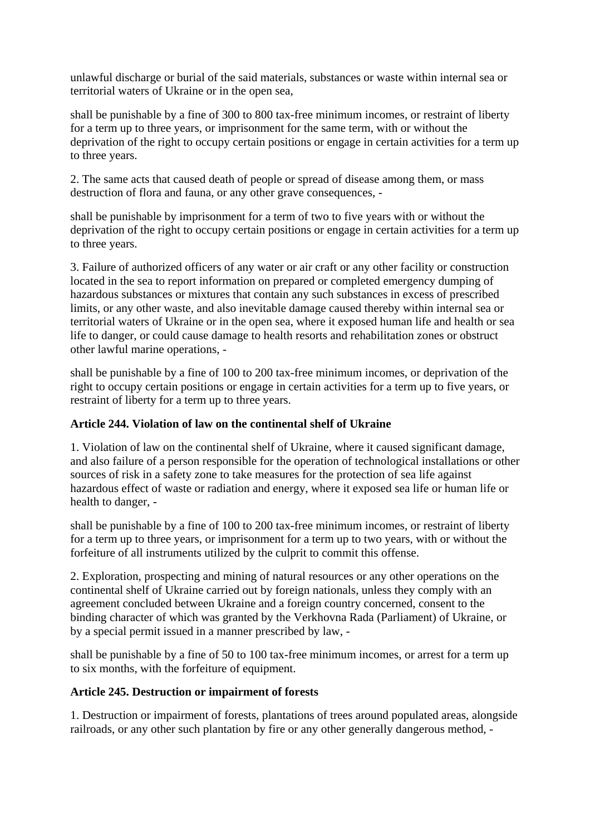unlawful discharge or burial of the said materials, substances or waste within internal sea or territorial waters of Ukraine or in the open sea,

shall be punishable by a fine of 300 to 800 tax-free minimum incomes, or restraint of liberty for a term up to three years, or imprisonment for the same term, with or without the deprivation of the right to occupy certain positions or engage in certain activities for a term up to three years.

2. The same acts that caused death of people or spread of disease among them, or mass destruction of flora and fauna, or any other grave consequences, -

shall be punishable by imprisonment for a term of two to five years with or without the deprivation of the right to occupy certain positions or engage in certain activities for a term up to three years.

3. Failure of authorized officers of any water or air craft or any other facility or construction located in the sea to report information on prepared or completed emergency dumping of hazardous substances or mixtures that contain any such substances in excess of prescribed limits, or any other waste, and also inevitable damage caused thereby within internal sea or territorial waters of Ukraine or in the open sea, where it exposed human life and health or sea life to danger, or could cause damage to health resorts and rehabilitation zones or obstruct other lawful marine operations, -

shall be punishable by a fine of 100 to 200 tax-free minimum incomes, or deprivation of the right to occupy certain positions or engage in certain activities for a term up to five years, or restraint of liberty for a term up to three years.

## **Article 244. Violation of law on the continental shelf of Ukraine**

1. Violation of law on the continental shelf of Ukraine, where it caused significant damage, and also failure of a person responsible for the operation of technological installations or other sources of risk in a safety zone to take measures for the protection of sea life against hazardous effect of waste or radiation and energy, where it exposed sea life or human life or health to danger, -

shall be punishable by a fine of 100 to 200 tax-free minimum incomes, or restraint of liberty for a term up to three years, or imprisonment for a term up to two years, with or without the forfeiture of all instruments utilized by the culprit to commit this offense.

2. Exploration, prospecting and mining of natural resources or any other operations on the continental shelf of Ukraine carried out by foreign nationals, unless they comply with an agreement concluded between Ukraine and a foreign country concerned, consent to the binding character of which was granted by the Verkhovna Rada (Parliament) of Ukraine, or by a special permit issued in a manner prescribed by law, -

shall be punishable by a fine of 50 to 100 tax-free minimum incomes, or arrest for a term up to six months, with the forfeiture of equipment.

# **Article 245. Destruction or impairment of forests**

1. Destruction or impairment of forests, plantations of trees around populated areas, alongside railroads, or any other such plantation by fire or any other generally dangerous method, -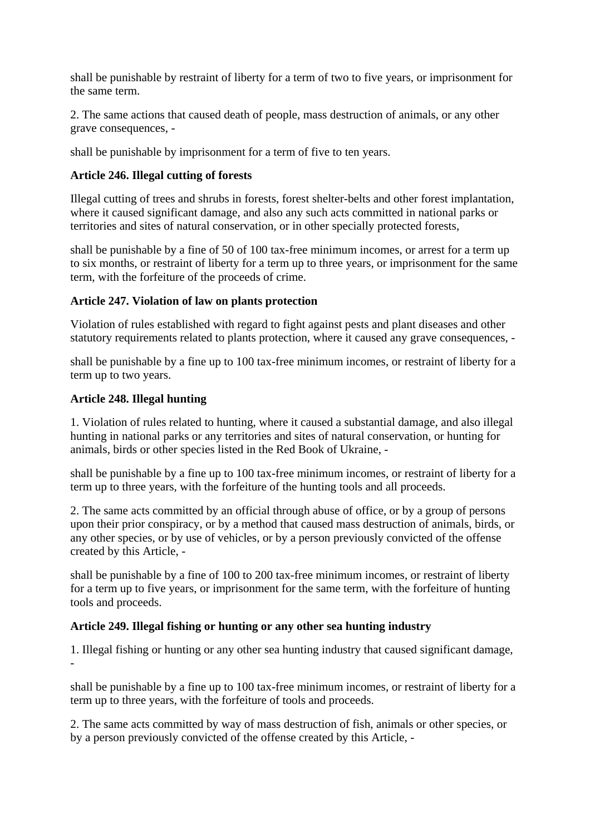shall be punishable by restraint of liberty for a term of two to five years, or imprisonment for the same term.

2. The same actions that caused death of people, mass destruction of animals, or any other grave consequences, -

shall be punishable by imprisonment for a term of five to ten years.

## **Article 246. Illegal cutting of forests**

Illegal cutting of trees and shrubs in forests, forest shelter-belts and other forest implantation, where it caused significant damage, and also any such acts committed in national parks or territories and sites of natural conservation, or in other specially protected forests,

shall be punishable by a fine of 50 of 100 tax-free minimum incomes, or arrest for a term up to six months, or restraint of liberty for a term up to three years, or imprisonment for the same term, with the forfeiture of the proceeds of crime.

## **Article 247. Violation of law on plants protection**

Violation of rules established with regard to fight against pests and plant diseases and other statutory requirements related to plants protection, where it caused any grave consequences, -

shall be punishable by a fine up to 100 tax-free minimum incomes, or restraint of liberty for a term up to two years.

## **Article 248. Illegal hunting**

1. Violation of rules related to hunting, where it caused a substantial damage, and also illegal hunting in national parks or any territories and sites of natural conservation, or hunting for animals, birds or other species listed in the Red Book of Ukraine, -

shall be punishable by a fine up to 100 tax-free minimum incomes, or restraint of liberty for a term up to three years, with the forfeiture of the hunting tools and all proceeds.

2. The same acts committed by an official through abuse of office, or by a group of persons upon their prior conspiracy, or by a method that caused mass destruction of animals, birds, or any other species, or by use of vehicles, or by a person previously convicted of the offense created by this Article, -

shall be punishable by a fine of 100 to 200 tax-free minimum incomes, or restraint of liberty for a term up to five years, or imprisonment for the same term, with the forfeiture of hunting tools and proceeds.

## **Article 249. Illegal fishing or hunting or any other sea hunting industry**

1. Illegal fishing or hunting or any other sea hunting industry that caused significant damage, -

shall be punishable by a fine up to 100 tax-free minimum incomes, or restraint of liberty for a term up to three years, with the forfeiture of tools and proceeds.

2. The same acts committed by way of mass destruction of fish, animals or other species, or by a person previously convicted of the offense created by this Article, -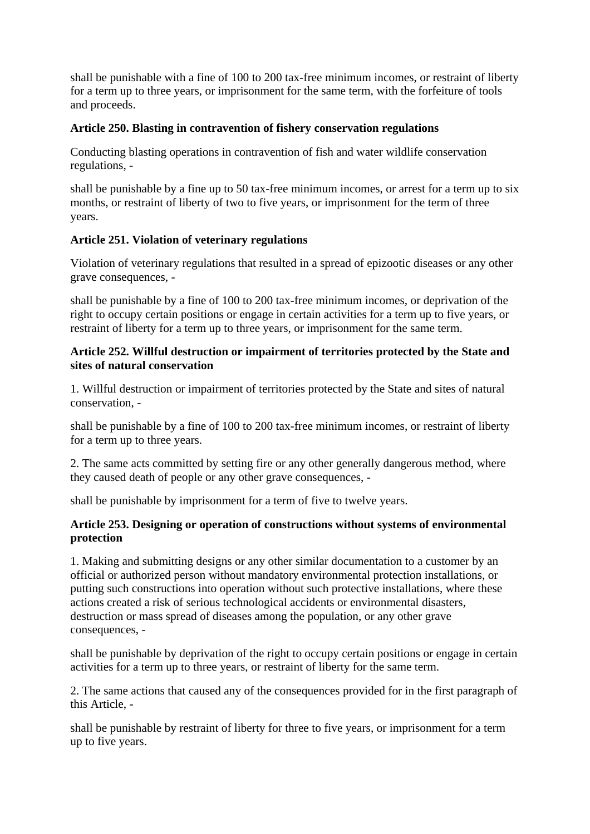shall be punishable with a fine of 100 to 200 tax-free minimum incomes, or restraint of liberty for a term up to three years, or imprisonment for the same term, with the forfeiture of tools and proceeds.

# **Article 250. Blasting in contravention of fishery conservation regulations**

Conducting blasting operations in contravention of fish and water wildlife conservation regulations, -

shall be punishable by a fine up to 50 tax-free minimum incomes, or arrest for a term up to six months, or restraint of liberty of two to five years, or imprisonment for the term of three years.

## **Article 251. Violation of veterinary regulations**

Violation of veterinary regulations that resulted in a spread of epizootic diseases or any other grave consequences, -

shall be punishable by a fine of 100 to 200 tax-free minimum incomes, or deprivation of the right to occupy certain positions or engage in certain activities for a term up to five years, or restraint of liberty for a term up to three years, or imprisonment for the same term.

## **Article 252. Willful destruction or impairment of territories protected by the State and sites of natural conservation**

1. Willful destruction or impairment of territories protected by the State and sites of natural conservation, -

shall be punishable by a fine of 100 to 200 tax-free minimum incomes, or restraint of liberty for a term up to three years.

2. The same acts committed by setting fire or any other generally dangerous method, where they caused death of people or any other grave consequences, -

shall be punishable by imprisonment for a term of five to twelve years.

## **Article 253. Designing or operation of constructions without systems of environmental protection**

1. Making and submitting designs or any other similar documentation to a customer by an official or authorized person without mandatory environmental protection installations, or putting such constructions into operation without such protective installations, where these actions created a risk of serious technological accidents or environmental disasters, destruction or mass spread of diseases among the population, or any other grave consequences, -

shall be punishable by deprivation of the right to occupy certain positions or engage in certain activities for a term up to three years, or restraint of liberty for the same term.

2. The same actions that caused any of the consequences provided for in the first paragraph of this Article, -

shall be punishable by restraint of liberty for three to five years, or imprisonment for a term up to five years.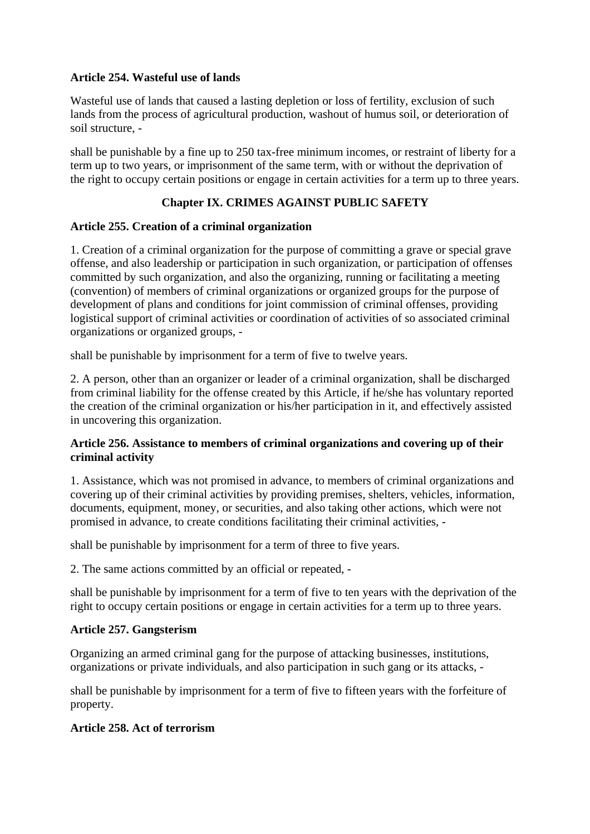## **Article 254. Wasteful use of lands**

Wasteful use of lands that caused a lasting depletion or loss of fertility, exclusion of such lands from the process of agricultural production, washout of humus soil, or deterioration of soil structure, -

shall be punishable by a fine up to 250 tax-free minimum incomes, or restraint of liberty for a term up to two years, or imprisonment of the same term, with or without the deprivation of the right to occupy certain positions or engage in certain activities for a term up to three years.

# **Chapter IX. CRIMES AGAINST PUBLIC SAFETY**

### **Article 255. Creation of a criminal organization**

1. Creation of a criminal organization for the purpose of committing a grave or special grave offense, and also leadership or participation in such organization, or participation of offenses committed by such organization, and also the organizing, running or facilitating a meeting (convention) of members of criminal organizations or organized groups for the purpose of development of plans and conditions for joint commission of criminal offenses, providing logistical support of criminal activities or coordination of activities of so associated criminal organizations or organized groups, -

shall be punishable by imprisonment for a term of five to twelve years.

2. A person, other than an organizer or leader of a criminal organization, shall be discharged from criminal liability for the offense created by this Article, if he/she has voluntary reported the creation of the criminal organization or his/her participation in it, and effectively assisted in uncovering this organization.

### **Article 256. Assistance to members of criminal organizations and covering up of their criminal activity**

1. Assistance, which was not promised in advance, to members of criminal organizations and covering up of their criminal activities by providing premises, shelters, vehicles, information, documents, equipment, money, or securities, and also taking other actions, which were not promised in advance, to create conditions facilitating their criminal activities, -

shall be punishable by imprisonment for a term of three to five years.

2. The same actions committed by an official or repeated, -

shall be punishable by imprisonment for a term of five to ten years with the deprivation of the right to occupy certain positions or engage in certain activities for a term up to three years.

## **Article 257. Gangsterism**

Organizing an armed criminal gang for the purpose of attacking businesses, institutions, organizations or private individuals, and also participation in such gang or its attacks, -

shall be punishable by imprisonment for a term of five to fifteen years with the forfeiture of property.

## **Article 258. Act of terrorism**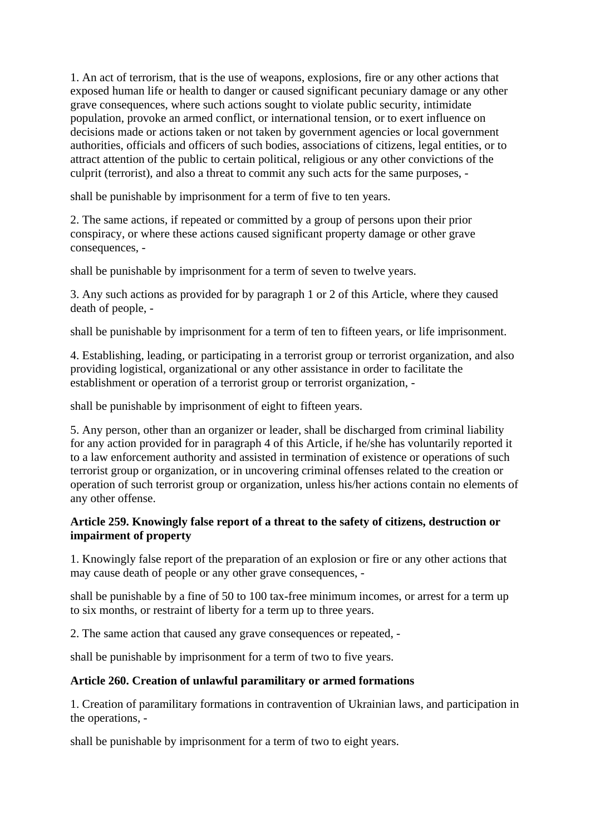1. An act of terrorism, that is the use of weapons, explosions, fire or any other actions that exposed human life or health to danger or caused significant pecuniary damage or any other grave consequences, where such actions sought to violate public security, intimidate population, provoke an armed conflict, or international tension, or to exert influence on decisions made or actions taken or not taken by government agencies or local government authorities, officials and officers of such bodies, associations of citizens, legal entities, or to attract attention of the public to certain political, religious or any other convictions of the culprit (terrorist), and also a threat to commit any such acts for the same purposes, -

shall be punishable by imprisonment for a term of five to ten years.

2. The same actions, if repeated or committed by a group of persons upon their prior conspiracy, or where these actions caused significant property damage or other grave consequences, -

shall be punishable by imprisonment for a term of seven to twelve years.

3. Any such actions as provided for by paragraph 1 or 2 of this Article, where they caused death of people, -

shall be punishable by imprisonment for a term of ten to fifteen years, or life imprisonment.

4. Establishing, leading, or participating in a terrorist group or terrorist organization, and also providing logistical, organizational or any other assistance in order to facilitate the establishment or operation of a terrorist group or terrorist organization, -

shall be punishable by imprisonment of eight to fifteen years.

5. Any person, other than an organizer or leader, shall be discharged from criminal liability for any action provided for in paragraph 4 of this Article, if he/she has voluntarily reported it to a law enforcement authority and assisted in termination of existence or operations of such terrorist group or organization, or in uncovering criminal offenses related to the creation or operation of such terrorist group or organization, unless his/her actions contain no elements of any other offense.

## **Article 259. Knowingly false report of a threat to the safety of citizens, destruction or impairment of property**

1. Knowingly false report of the preparation of an explosion or fire or any other actions that may cause death of people or any other grave consequences, -

shall be punishable by a fine of 50 to 100 tax-free minimum incomes, or arrest for a term up to six months, or restraint of liberty for a term up to three years.

2. The same action that caused any grave consequences or repeated, -

shall be punishable by imprisonment for a term of two to five years.

## **Article 260. Creation of unlawful paramilitary or armed formations**

1. Creation of paramilitary formations in contravention of Ukrainian laws, and participation in the operations, -

shall be punishable by imprisonment for a term of two to eight years.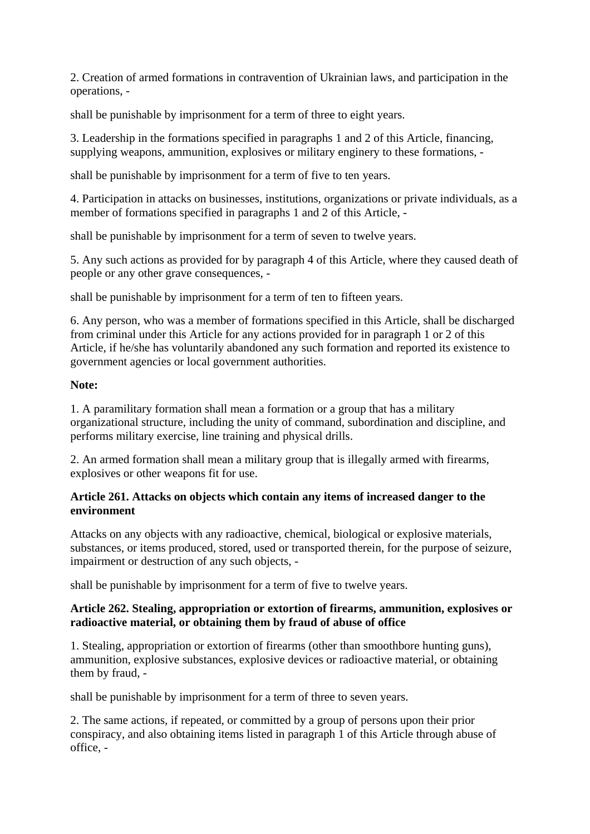2. Creation of armed formations in contravention of Ukrainian laws, and participation in the operations, -

shall be punishable by imprisonment for a term of three to eight years.

3. Leadership in the formations specified in paragraphs 1 and 2 of this Article, financing, supplying weapons, ammunition, explosives or military enginery to these formations, -

shall be punishable by imprisonment for a term of five to ten years.

4. Participation in attacks on businesses, institutions, organizations or private individuals, as a member of formations specified in paragraphs 1 and 2 of this Article, -

shall be punishable by imprisonment for a term of seven to twelve years.

5. Any such actions as provided for by paragraph 4 of this Article, where they caused death of people or any other grave consequences, -

shall be punishable by imprisonment for a term of ten to fifteen years.

6. Any person, who was a member of formations specified in this Article, shall be discharged from criminal under this Article for any actions provided for in paragraph 1 or 2 of this Article, if he/she has voluntarily abandoned any such formation and reported its existence to government agencies or local government authorities.

## **Note:**

1. A paramilitary formation shall mean a formation or a group that has a military organizational structure, including the unity of command, subordination and discipline, and performs military exercise, line training and physical drills.

2. An armed formation shall mean a military group that is illegally armed with firearms, explosives or other weapons fit for use.

## **Article 261. Attacks on objects which contain any items of increased danger to the environment**

Attacks on any objects with any radioactive, chemical, biological or explosive materials, substances, or items produced, stored, used or transported therein, for the purpose of seizure, impairment or destruction of any such objects, -

shall be punishable by imprisonment for a term of five to twelve years.

## **Article 262. Stealing, appropriation or extortion of firearms, ammunition, explosives or radioactive material, or obtaining them by fraud of abuse of office**

1. Stealing, appropriation or extortion of firearms (other than smoothbore hunting guns), ammunition, explosive substances, explosive devices or radioactive material, or obtaining them by fraud, -

shall be punishable by imprisonment for a term of three to seven years.

2. The same actions, if repeated, or committed by a group of persons upon their prior conspiracy, and also obtaining items listed in paragraph 1 of this Article through abuse of office, -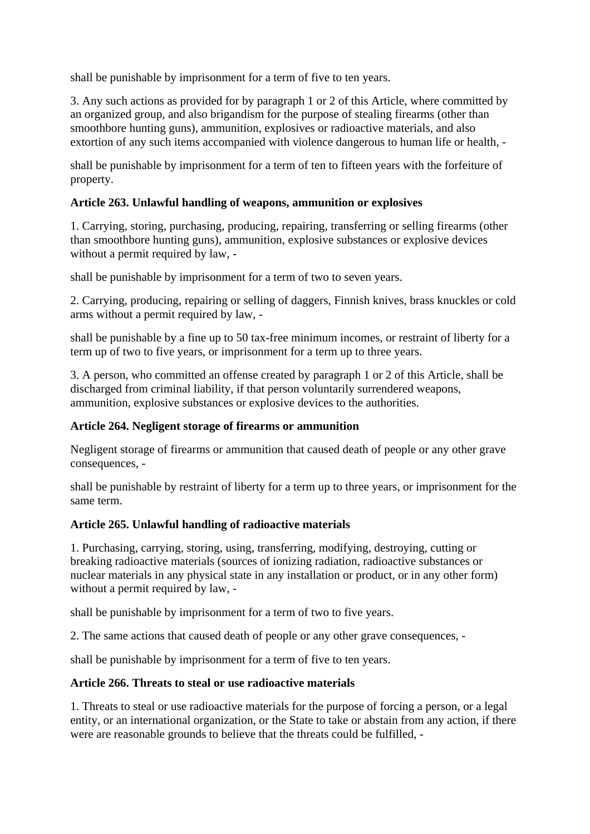shall be punishable by imprisonment for a term of five to ten years.

3. Any such actions as provided for by paragraph 1 or 2 of this Article, where committed by an organized group, and also brigandism for the purpose of stealing firearms (other than smoothbore hunting guns), ammunition, explosives or radioactive materials, and also extortion of any such items accompanied with violence dangerous to human life or health, -

shall be punishable by imprisonment for a term of ten to fifteen years with the forfeiture of property.

### **Article 263. Unlawful handling of weapons, ammunition or explosives**

1. Carrying, storing, purchasing, producing, repairing, transferring or selling firearms (other than smoothbore hunting guns), ammunition, explosive substances or explosive devices without a permit required by law, -

shall be punishable by imprisonment for a term of two to seven years.

2. Carrying, producing, repairing or selling of daggers, Finnish knives, brass knuckles or cold arms without a permit required by law, -

shall be punishable by a fine up to 50 tax-free minimum incomes, or restraint of liberty for a term up of two to five years, or imprisonment for a term up to three years.

3. A person, who committed an offense created by paragraph 1 or 2 of this Article, shall be discharged from criminal liability, if that person voluntarily surrendered weapons, ammunition, explosive substances or explosive devices to the authorities.

### **Article 264. Negligent storage of firearms or ammunition**

Negligent storage of firearms or ammunition that caused death of people or any other grave consequences, -

shall be punishable by restraint of liberty for a term up to three years, or imprisonment for the same term.

### **Article 265. Unlawful handling of radioactive materials**

1. Purchasing, carrying, storing, using, transferring, modifying, destroying, cutting or breaking radioactive materials (sources of ionizing radiation, radioactive substances or nuclear materials in any physical state in any installation or product, or in any other form) without a permit required by law, -

shall be punishable by imprisonment for a term of two to five years.

2. The same actions that caused death of people or any other grave consequences, -

shall be punishable by imprisonment for a term of five to ten years.

### **Article 266. Threats to steal or use radioactive materials**

1. Threats to steal or use radioactive materials for the purpose of forcing a person, or a legal entity, or an international organization, or the State to take or abstain from any action, if there were are reasonable grounds to believe that the threats could be fulfilled, -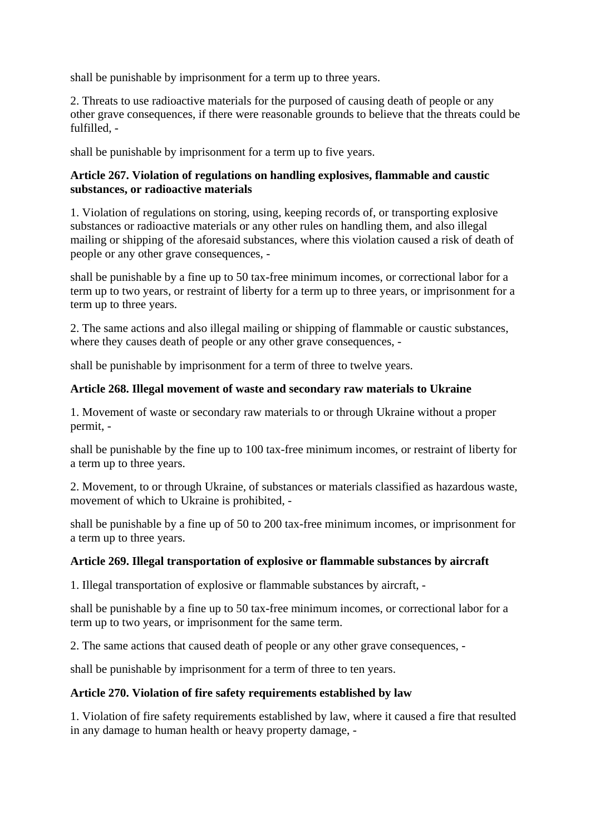shall be punishable by imprisonment for a term up to three years.

2. Threats to use radioactive materials for the purposed of causing death of people or any other grave consequences, if there were reasonable grounds to believe that the threats could be fulfilled, -

shall be punishable by imprisonment for a term up to five years.

### **Article 267. Violation of regulations on handling explosives, flammable and caustic substances, or radioactive materials**

1. Violation of regulations on storing, using, keeping records of, or transporting explosive substances or radioactive materials or any other rules on handling them, and also illegal mailing or shipping of the aforesaid substances, where this violation caused a risk of death of people or any other grave consequences, -

shall be punishable by a fine up to 50 tax-free minimum incomes, or correctional labor for a term up to two years, or restraint of liberty for a term up to three years, or imprisonment for a term up to three years.

2. The same actions and also illegal mailing or shipping of flammable or caustic substances, where they causes death of people or any other grave consequences. -

shall be punishable by imprisonment for a term of three to twelve years.

### **Article 268. Illegal movement of waste and secondary raw materials to Ukraine**

1. Movement of waste or secondary raw materials to or through Ukraine without a proper permit, -

shall be punishable by the fine up to 100 tax-free minimum incomes, or restraint of liberty for a term up to three years.

2. Movement, to or through Ukraine, of substances or materials classified as hazardous waste, movement of which to Ukraine is prohibited, -

shall be punishable by a fine up of 50 to 200 tax-free minimum incomes, or imprisonment for a term up to three years.

### **Article 269. Illegal transportation of explosive or flammable substances by aircraft**

1. Illegal transportation of explosive or flammable substances by aircraft, -

shall be punishable by a fine up to 50 tax-free minimum incomes, or correctional labor for a term up to two years, or imprisonment for the same term.

2. The same actions that caused death of people or any other grave consequences, -

shall be punishable by imprisonment for a term of three to ten years.

### **Article 270. Violation of fire safety requirements established by law**

1. Violation of fire safety requirements established by law, where it caused a fire that resulted in any damage to human health or heavy property damage, -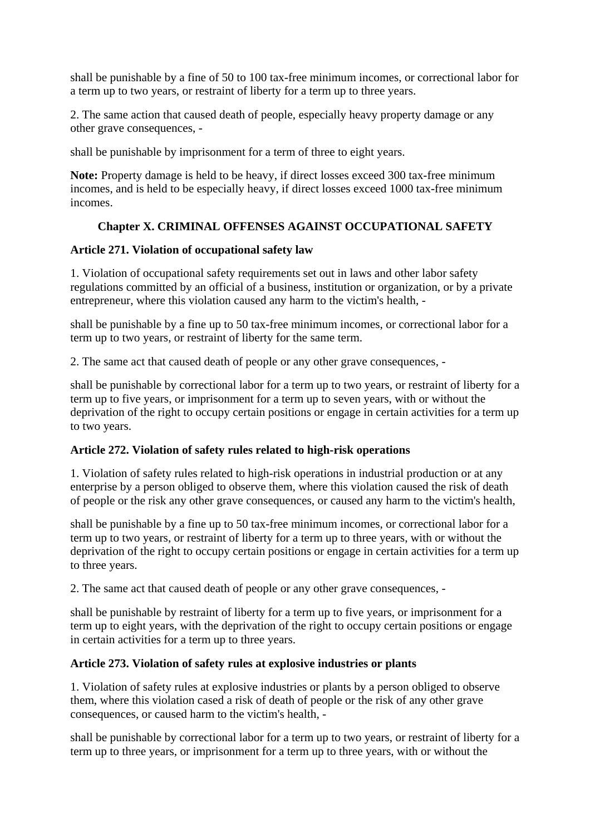shall be punishable by a fine of 50 to 100 tax-free minimum incomes, or correctional labor for a term up to two years, or restraint of liberty for a term up to three years.

2. The same action that caused death of people, especially heavy property damage or any other grave consequences, -

shall be punishable by imprisonment for a term of three to eight years.

**Note:** Property damage is held to be heavy, if direct losses exceed 300 tax-free minimum incomes, and is held to be especially heavy, if direct losses exceed 1000 tax-free minimum incomes.

# **Chapter X. CRIMINAL OFFENSES AGAINST OCCUPATIONAL SAFETY**

## **Article 271. Violation of occupational safety law**

1. Violation of occupational safety requirements set out in laws and other labor safety regulations committed by an official of a business, institution or organization, or by a private entrepreneur, where this violation caused any harm to the victim's health, -

shall be punishable by a fine up to 50 tax-free minimum incomes, or correctional labor for a term up to two years, or restraint of liberty for the same term.

2. The same act that caused death of people or any other grave consequences, -

shall be punishable by correctional labor for a term up to two years, or restraint of liberty for a term up to five years, or imprisonment for a term up to seven years, with or without the deprivation of the right to occupy certain positions or engage in certain activities for a term up to two years.

## **Article 272. Violation of safety rules related to high-risk operations**

1. Violation of safety rules related to high-risk operations in industrial production or at any enterprise by a person obliged to observe them, where this violation caused the risk of death of people or the risk any other grave consequences, or caused any harm to the victim's health,

shall be punishable by a fine up to 50 tax-free minimum incomes, or correctional labor for a term up to two years, or restraint of liberty for a term up to three years, with or without the deprivation of the right to occupy certain positions or engage in certain activities for a term up to three years.

2. The same act that caused death of people or any other grave consequences, -

shall be punishable by restraint of liberty for a term up to five years, or imprisonment for a term up to eight years, with the deprivation of the right to occupy certain positions or engage in certain activities for a term up to three years.

## **Article 273. Violation of safety rules at explosive industries or plants**

1. Violation of safety rules at explosive industries or plants by a person obliged to observe them, where this violation cased a risk of death of people or the risk of any other grave consequences, or caused harm to the victim's health, -

shall be punishable by correctional labor for a term up to two years, or restraint of liberty for a term up to three years, or imprisonment for a term up to three years, with or without the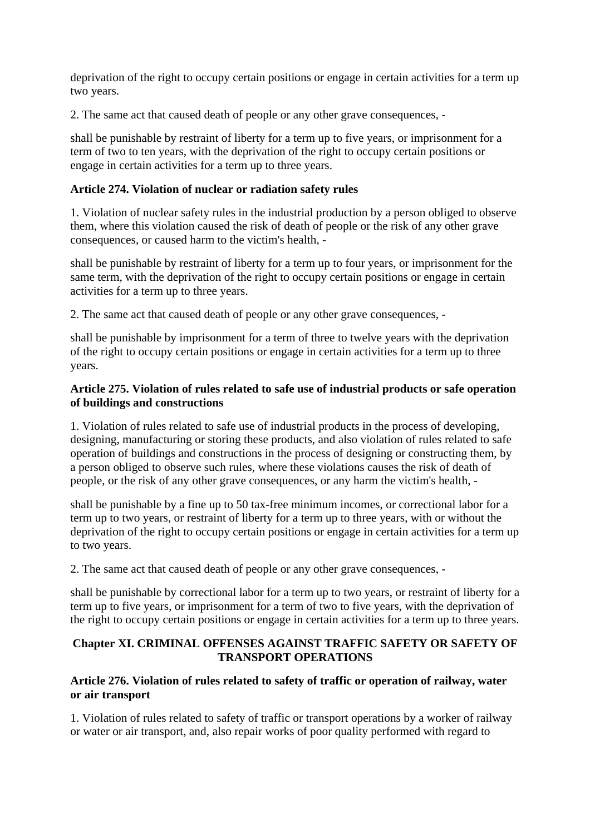deprivation of the right to occupy certain positions or engage in certain activities for a term up two years.

2. The same act that caused death of people or any other grave consequences, -

shall be punishable by restraint of liberty for a term up to five years, or imprisonment for a term of two to ten years, with the deprivation of the right to occupy certain positions or engage in certain activities for a term up to three years.

# **Article 274. Violation of nuclear or radiation safety rules**

1. Violation of nuclear safety rules in the industrial production by a person obliged to observe them, where this violation caused the risk of death of people or the risk of any other grave consequences, or caused harm to the victim's health, -

shall be punishable by restraint of liberty for a term up to four years, or imprisonment for the same term, with the deprivation of the right to occupy certain positions or engage in certain activities for a term up to three years.

2. The same act that caused death of people or any other grave consequences, -

shall be punishable by imprisonment for a term of three to twelve years with the deprivation of the right to occupy certain positions or engage in certain activities for a term up to three years.

# **Article 275. Violation of rules related to safe use of industrial products or safe operation of buildings and constructions**

1. Violation of rules related to safe use of industrial products in the process of developing, designing, manufacturing or storing these products, and also violation of rules related to safe operation of buildings and constructions in the process of designing or constructing them, by a person obliged to observe such rules, where these violations causes the risk of death of people, or the risk of any other grave consequences, or any harm the victim's health, -

shall be punishable by a fine up to 50 tax-free minimum incomes, or correctional labor for a term up to two years, or restraint of liberty for a term up to three years, with or without the deprivation of the right to occupy certain positions or engage in certain activities for a term up to two years.

2. The same act that caused death of people or any other grave consequences, -

shall be punishable by correctional labor for a term up to two years, or restraint of liberty for a term up to five years, or imprisonment for a term of two to five years, with the deprivation of the right to occupy certain positions or engage in certain activities for a term up to three years.

## **Chapter XI. CRIMINAL OFFENSES AGAINST TRAFFIC SAFETY OR SAFETY OF TRANSPORT OPERATIONS**

## **Article 276. Violation of rules related to safety of traffic or operation of railway, water or air transport**

1. Violation of rules related to safety of traffic or transport operations by a worker of railway or water or air transport, and, also repair works of poor quality performed with regard to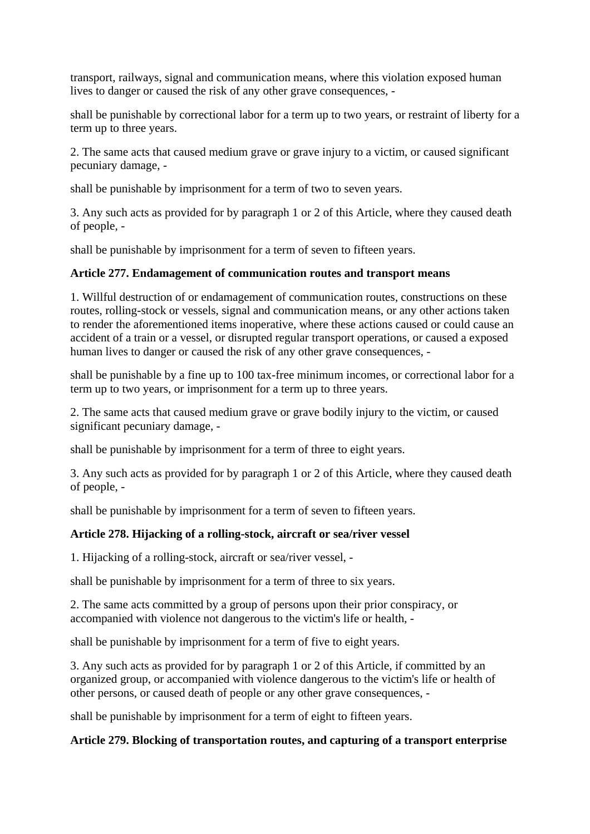transport, railways, signal and communication means, where this violation exposed human lives to danger or caused the risk of any other grave consequences, -

shall be punishable by correctional labor for a term up to two years, or restraint of liberty for a term up to three years.

2. The same acts that caused medium grave or grave injury to a victim, or caused significant pecuniary damage, -

shall be punishable by imprisonment for a term of two to seven years.

3. Any such acts as provided for by paragraph 1 or 2 of this Article, where they caused death of people, -

shall be punishable by imprisonment for a term of seven to fifteen years.

## **Article 277. Endamagement of communication routes and transport means**

1. Willful destruction of or endamagement of communication routes, constructions on these routes, rolling-stock or vessels, signal and communication means, or any other actions taken to render the aforementioned items inoperative, where these actions caused or could cause an accident of a train or a vessel, or disrupted regular transport operations, or caused a exposed human lives to danger or caused the risk of any other grave consequences, -

shall be punishable by a fine up to 100 tax-free minimum incomes, or correctional labor for a term up to two years, or imprisonment for a term up to three years.

2. The same acts that caused medium grave or grave bodily injury to the victim, or caused significant pecuniary damage, -

shall be punishable by imprisonment for a term of three to eight years.

3. Any such acts as provided for by paragraph 1 or 2 of this Article, where they caused death of people, -

shall be punishable by imprisonment for a term of seven to fifteen years.

## **Article 278. Hijacking of a rolling-stock, aircraft or sea/river vessel**

1. Hijacking of a rolling-stock, aircraft or sea/river vessel, -

shall be punishable by imprisonment for a term of three to six years.

2. The same acts committed by a group of persons upon their prior conspiracy, or accompanied with violence not dangerous to the victim's life or health, -

shall be punishable by imprisonment for a term of five to eight years.

3. Any such acts as provided for by paragraph 1 or 2 of this Article, if committed by an organized group, or accompanied with violence dangerous to the victim's life or health of other persons, or caused death of people or any other grave consequences, -

shall be punishable by imprisonment for a term of eight to fifteen years.

## **Article 279. Blocking of transportation routes, and capturing of a transport enterprise**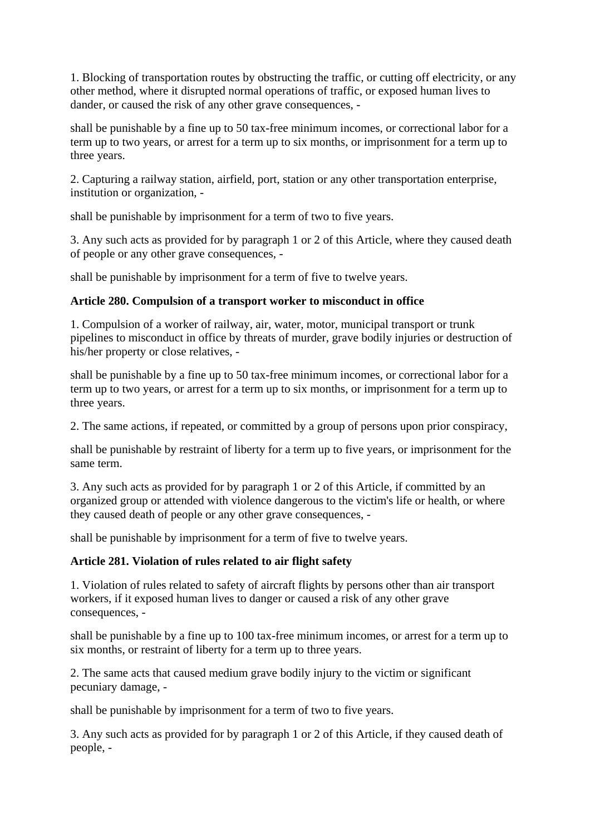1. Blocking of transportation routes by obstructing the traffic, or cutting off electricity, or any other method, where it disrupted normal operations of traffic, or exposed human lives to dander, or caused the risk of any other grave consequences, -

shall be punishable by a fine up to 50 tax-free minimum incomes, or correctional labor for a term up to two years, or arrest for a term up to six months, or imprisonment for a term up to three years.

2. Capturing a railway station, airfield, port, station or any other transportation enterprise, institution or organization, -

shall be punishable by imprisonment for a term of two to five years.

3. Any such acts as provided for by paragraph 1 or 2 of this Article, where they caused death of people or any other grave consequences, -

shall be punishable by imprisonment for a term of five to twelve years.

## **Article 280. Compulsion of a transport worker to misconduct in office**

1. Compulsion of a worker of railway, air, water, motor, municipal transport or trunk pipelines to misconduct in office by threats of murder, grave bodily injuries or destruction of his/her property or close relatives, -

shall be punishable by a fine up to 50 tax-free minimum incomes, or correctional labor for a term up to two years, or arrest for a term up to six months, or imprisonment for a term up to three years.

2. The same actions, if repeated, or committed by a group of persons upon prior conspiracy,

shall be punishable by restraint of liberty for a term up to five years, or imprisonment for the same term.

3. Any such acts as provided for by paragraph 1 or 2 of this Article, if committed by an organized group or attended with violence dangerous to the victim's life or health, or where they caused death of people or any other grave consequences, -

shall be punishable by imprisonment for a term of five to twelve years.

## **Article 281. Violation of rules related to air flight safety**

1. Violation of rules related to safety of aircraft flights by persons other than air transport workers, if it exposed human lives to danger or caused a risk of any other grave consequences, -

shall be punishable by a fine up to 100 tax-free minimum incomes, or arrest for a term up to six months, or restraint of liberty for a term up to three years.

2. The same acts that caused medium grave bodily injury to the victim or significant pecuniary damage, -

shall be punishable by imprisonment for a term of two to five years.

3. Any such acts as provided for by paragraph 1 or 2 of this Article, if they caused death of people, -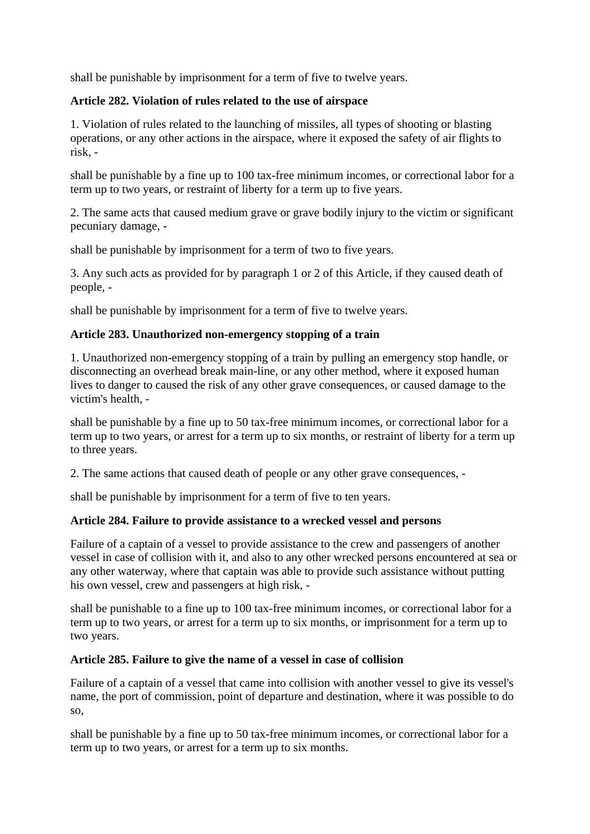shall be punishable by imprisonment for a term of five to twelve years.

## **Article 282. Violation of rules related to the use of airspace**

1. Violation of rules related to the launching of missiles, all types of shooting or blasting operations, or any other actions in the airspace, where it exposed the safety of air flights to risk, -

shall be punishable by a fine up to 100 tax-free minimum incomes, or correctional labor for a term up to two years, or restraint of liberty for a term up to five years.

2. The same acts that caused medium grave or grave bodily injury to the victim or significant pecuniary damage, -

shall be punishable by imprisonment for a term of two to five years.

3. Any such acts as provided for by paragraph 1 or 2 of this Article, if they caused death of people, -

shall be punishable by imprisonment for a term of five to twelve years.

## **Article 283. Unauthorized non-emergency stopping of a train**

1. Unauthorized non-emergency stopping of a train by pulling an emergency stop handle, or disconnecting an overhead break main-line, or any other method, where it exposed human lives to danger to caused the risk of any other grave consequences, or caused damage to the victim's health, -

shall be punishable by a fine up to 50 tax-free minimum incomes, or correctional labor for a term up to two years, or arrest for a term up to six months, or restraint of liberty for a term up to three years.

2. The same actions that caused death of people or any other grave consequences, -

shall be punishable by imprisonment for a term of five to ten years.

## **Article 284. Failure to provide assistance to a wrecked vessel and persons**

Failure of a captain of a vessel to provide assistance to the crew and passengers of another vessel in case of collision with it, and also to any other wrecked persons encountered at sea or any other waterway, where that captain was able to provide such assistance without putting his own vessel, crew and passengers at high risk, -

shall be punishable to a fine up to 100 tax-free minimum incomes, or correctional labor for a term up to two years, or arrest for a term up to six months, or imprisonment for a term up to two years.

## **Article 285. Failure to give the name of a vessel in case of collision**

Failure of a captain of a vessel that came into collision with another vessel to give its vessel's name, the port of commission, point of departure and destination, where it was possible to do so,

shall be punishable by a fine up to 50 tax-free minimum incomes, or correctional labor for a term up to two years, or arrest for a term up to six months.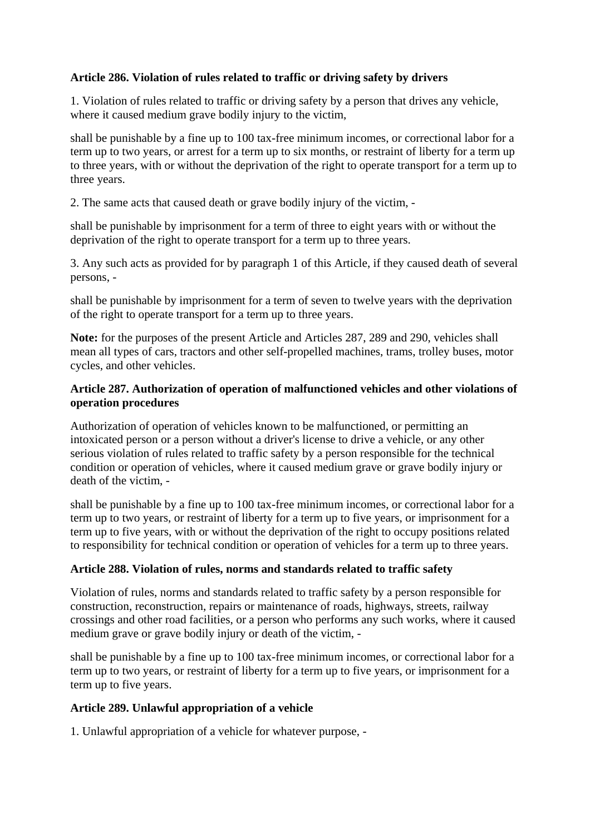# **Article 286. Violation of rules related to traffic or driving safety by drivers**

1. Violation of rules related to traffic or driving safety by a person that drives any vehicle, where it caused medium grave bodily injury to the victim.

shall be punishable by a fine up to 100 tax-free minimum incomes, or correctional labor for a term up to two years, or arrest for a term up to six months, or restraint of liberty for a term up to three years, with or without the deprivation of the right to operate transport for a term up to three years.

2. The same acts that caused death or grave bodily injury of the victim, -

shall be punishable by imprisonment for a term of three to eight years with or without the deprivation of the right to operate transport for a term up to three years.

3. Any such acts as provided for by paragraph 1 of this Article, if they caused death of several persons, -

shall be punishable by imprisonment for a term of seven to twelve years with the deprivation of the right to operate transport for a term up to three years.

**Note:** for the purposes of the present Article and Articles 287, 289 and 290, vehicles shall mean all types of cars, tractors and other self-propelled machines, trams, trolley buses, motor cycles, and other vehicles.

# **Article 287. Authorization of operation of malfunctioned vehicles and other violations of operation procedures**

Authorization of operation of vehicles known to be malfunctioned, or permitting an intoxicated person or a person without a driver's license to drive a vehicle, or any other serious violation of rules related to traffic safety by a person responsible for the technical condition or operation of vehicles, where it caused medium grave or grave bodily injury or death of the victim, -

shall be punishable by a fine up to 100 tax-free minimum incomes, or correctional labor for a term up to two years, or restraint of liberty for a term up to five years, or imprisonment for a term up to five years, with or without the deprivation of the right to occupy positions related to responsibility for technical condition or operation of vehicles for a term up to three years.

## **Article 288. Violation of rules, norms and standards related to traffic safety**

Violation of rules, norms and standards related to traffic safety by a person responsible for construction, reconstruction, repairs or maintenance of roads, highways, streets, railway crossings and other road facilities, or a person who performs any such works, where it caused medium grave or grave bodily injury or death of the victim, -

shall be punishable by a fine up to 100 tax-free minimum incomes, or correctional labor for a term up to two years, or restraint of liberty for a term up to five years, or imprisonment for a term up to five years.

## **Article 289. Unlawful appropriation of a vehicle**

1. Unlawful appropriation of a vehicle for whatever purpose, -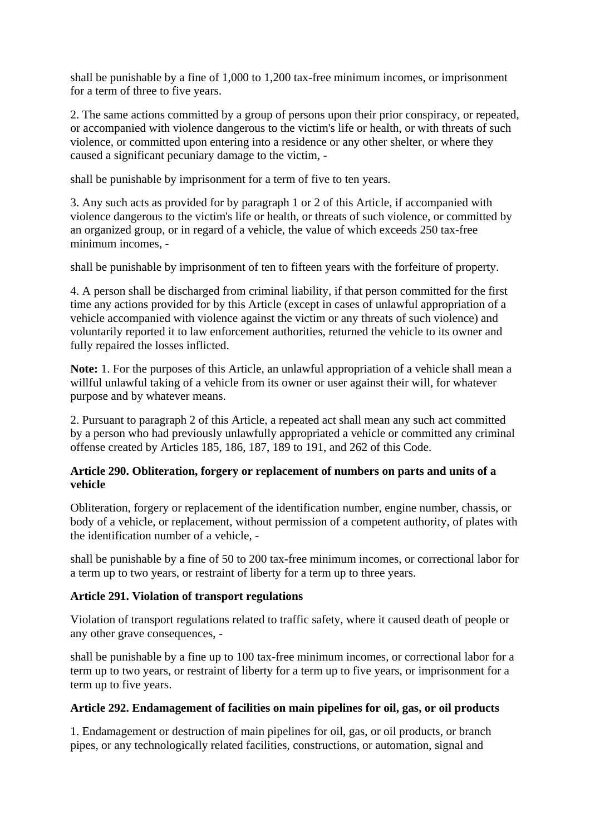shall be punishable by a fine of 1,000 to 1,200 tax-free minimum incomes, or imprisonment for a term of three to five years.

2. The same actions committed by a group of persons upon their prior conspiracy, or repeated, or accompanied with violence dangerous to the victim's life or health, or with threats of such violence, or committed upon entering into a residence or any other shelter, or where they caused a significant pecuniary damage to the victim, -

shall be punishable by imprisonment for a term of five to ten years.

3. Any such acts as provided for by paragraph 1 or 2 of this Article, if accompanied with violence dangerous to the victim's life or health, or threats of such violence, or committed by an organized group, or in regard of a vehicle, the value of which exceeds 250 tax-free minimum incomes, -

shall be punishable by imprisonment of ten to fifteen years with the forfeiture of property.

4. A person shall be discharged from criminal liability, if that person committed for the first time any actions provided for by this Article (except in cases of unlawful appropriation of a vehicle accompanied with violence against the victim or any threats of such violence) and voluntarily reported it to law enforcement authorities, returned the vehicle to its owner and fully repaired the losses inflicted.

**Note:** 1. For the purposes of this Article, an unlawful appropriation of a vehicle shall mean a willful unlawful taking of a vehicle from its owner or user against their will, for whatever purpose and by whatever means.

2. Pursuant to paragraph 2 of this Article, a repeated act shall mean any such act committed by a person who had previously unlawfully appropriated a vehicle or committed any criminal offense created by Articles 185, 186, 187, 189 to 191, and 262 of this Code.

## **Article 290. Obliteration, forgery or replacement of numbers on parts and units of a vehicle**

Obliteration, forgery or replacement of the identification number, engine number, chassis, or body of a vehicle, or replacement, without permission of a competent authority, of plates with the identification number of a vehicle, -

shall be punishable by a fine of 50 to 200 tax-free minimum incomes, or correctional labor for a term up to two years, or restraint of liberty for a term up to three years.

## **Article 291. Violation of transport regulations**

Violation of transport regulations related to traffic safety, where it caused death of people or any other grave consequences, -

shall be punishable by a fine up to 100 tax-free minimum incomes, or correctional labor for a term up to two years, or restraint of liberty for a term up to five years, or imprisonment for a term up to five years.

### **Article 292. Endamagement of facilities on main pipelines for oil, gas, or oil products**

1. Endamagement or destruction of main pipelines for oil, gas, or oil products, or branch pipes, or any technologically related facilities, constructions, or automation, signal and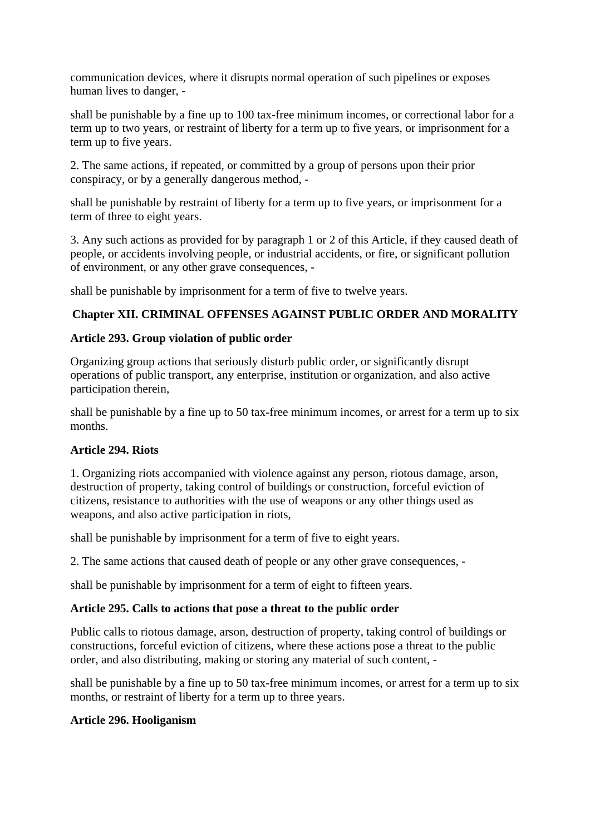communication devices, where it disrupts normal operation of such pipelines or exposes human lives to danger, -

shall be punishable by a fine up to 100 tax-free minimum incomes, or correctional labor for a term up to two years, or restraint of liberty for a term up to five years, or imprisonment for a term up to five years.

2. The same actions, if repeated, or committed by a group of persons upon their prior conspiracy, or by a generally dangerous method, -

shall be punishable by restraint of liberty for a term up to five years, or imprisonment for a term of three to eight years.

3. Any such actions as provided for by paragraph 1 or 2 of this Article, if they caused death of people, or accidents involving people, or industrial accidents, or fire, or significant pollution of environment, or any other grave consequences, -

shall be punishable by imprisonment for a term of five to twelve years.

# **Chapter XII. CRIMINAL OFFENSES AGAINST PUBLIC ORDER AND MORALITY**

## **Article 293. Group violation of public order**

Organizing group actions that seriously disturb public order, or significantly disrupt operations of public transport, any enterprise, institution or organization, and also active participation therein,

shall be punishable by a fine up to 50 tax-free minimum incomes, or arrest for a term up to six months.

## **Article 294. Riots**

1. Organizing riots accompanied with violence against any person, riotous damage, arson, destruction of property, taking control of buildings or construction, forceful eviction of citizens, resistance to authorities with the use of weapons or any other things used as weapons, and also active participation in riots,

shall be punishable by imprisonment for a term of five to eight years.

2. The same actions that caused death of people or any other grave consequences, -

shall be punishable by imprisonment for a term of eight to fifteen years.

### **Article 295. Calls to actions that pose a threat to the public order**

Public calls to riotous damage, arson, destruction of property, taking control of buildings or constructions, forceful eviction of citizens, where these actions pose a threat to the public order, and also distributing, making or storing any material of such content, -

shall be punishable by a fine up to 50 tax-free minimum incomes, or arrest for a term up to six months, or restraint of liberty for a term up to three years.

## **Article 296. Hooliganism**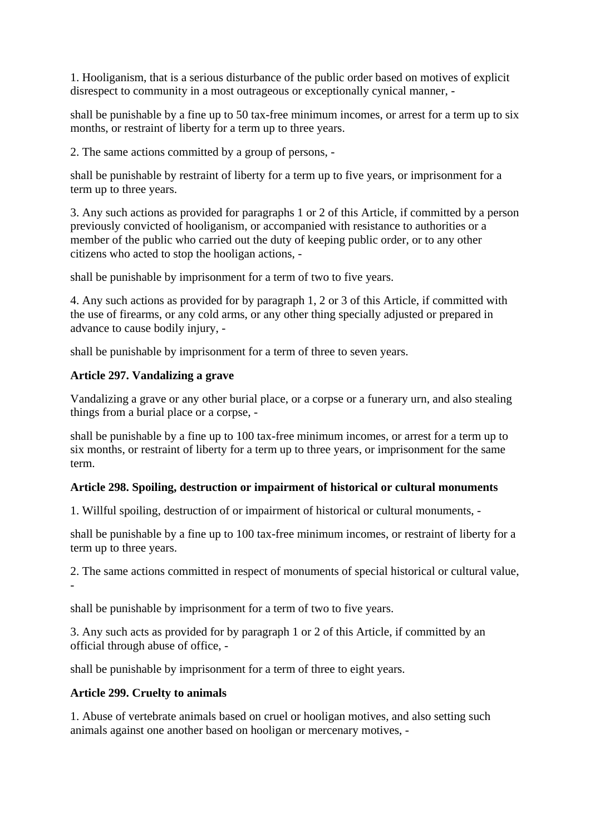1. Hooliganism, that is a serious disturbance of the public order based on motives of explicit disrespect to community in a most outrageous or exceptionally cynical manner, -

shall be punishable by a fine up to 50 tax-free minimum incomes, or arrest for a term up to six months, or restraint of liberty for a term up to three years.

2. The same actions committed by a group of persons, -

shall be punishable by restraint of liberty for a term up to five years, or imprisonment for a term up to three years.

3. Any such actions as provided for paragraphs 1 or 2 of this Article, if committed by a person previously convicted of hooliganism, or accompanied with resistance to authorities or a member of the public who carried out the duty of keeping public order, or to any other citizens who acted to stop the hooligan actions, -

shall be punishable by imprisonment for a term of two to five years.

4. Any such actions as provided for by paragraph 1, 2 or 3 of this Article, if committed with the use of firearms, or any cold arms, or any other thing specially adjusted or prepared in advance to cause bodily injury, -

shall be punishable by imprisonment for a term of three to seven years.

## **Article 297. Vandalizing a grave**

Vandalizing a grave or any other burial place, or a corpse or a funerary urn, and also stealing things from a burial place or a corpse, -

shall be punishable by a fine up to 100 tax-free minimum incomes, or arrest for a term up to six months, or restraint of liberty for a term up to three years, or imprisonment for the same term.

## **Article 298. Spoiling, destruction or impairment of historical or cultural monuments**

1. Willful spoiling, destruction of or impairment of historical or cultural monuments, -

shall be punishable by a fine up to 100 tax-free minimum incomes, or restraint of liberty for a term up to three years.

2. The same actions committed in respect of monuments of special historical or cultural value, -

shall be punishable by imprisonment for a term of two to five years.

3. Any such acts as provided for by paragraph 1 or 2 of this Article, if committed by an official through abuse of office, -

shall be punishable by imprisonment for a term of three to eight years.

## **Article 299. Cruelty to animals**

1. Abuse of vertebrate animals based on cruel or hooligan motives, and also setting such animals against one another based on hooligan or mercenary motives, -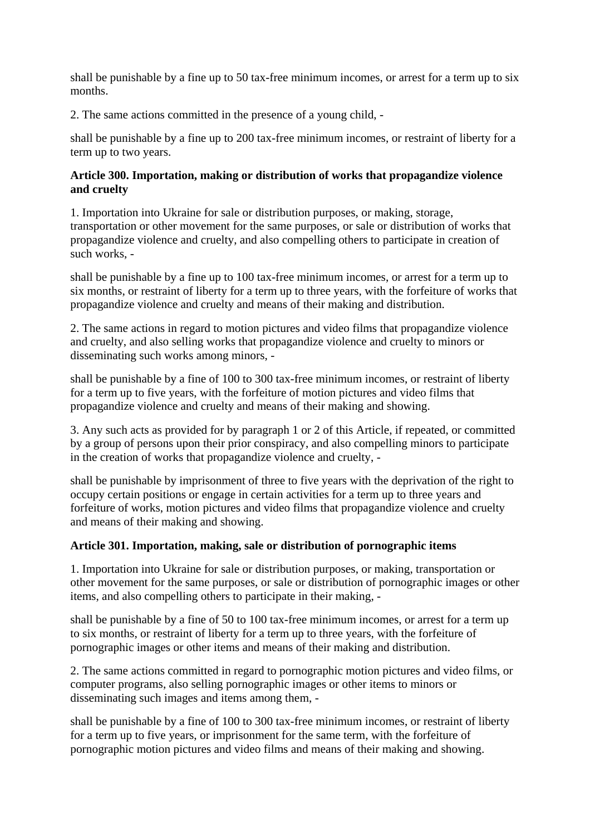shall be punishable by a fine up to 50 tax-free minimum incomes, or arrest for a term up to six months.

2. The same actions committed in the presence of a young child, -

shall be punishable by a fine up to 200 tax-free minimum incomes, or restraint of liberty for a term up to two years.

### **Article 300. Importation, making or distribution of works that propagandize violence and cruelty**

1. Importation into Ukraine for sale or distribution purposes, or making, storage, transportation or other movement for the same purposes, or sale or distribution of works that propagandize violence and cruelty, and also compelling others to participate in creation of such works, -

shall be punishable by a fine up to 100 tax-free minimum incomes, or arrest for a term up to six months, or restraint of liberty for a term up to three years, with the forfeiture of works that propagandize violence and cruelty and means of their making and distribution.

2. The same actions in regard to motion pictures and video films that propagandize violence and cruelty, and also selling works that propagandize violence and cruelty to minors or disseminating such works among minors, -

shall be punishable by a fine of 100 to 300 tax-free minimum incomes, or restraint of liberty for a term up to five years, with the forfeiture of motion pictures and video films that propagandize violence and cruelty and means of their making and showing.

3. Any such acts as provided for by paragraph 1 or 2 of this Article, if repeated, or committed by a group of persons upon their prior conspiracy, and also compelling minors to participate in the creation of works that propagandize violence and cruelty, -

shall be punishable by imprisonment of three to five years with the deprivation of the right to occupy certain positions or engage in certain activities for a term up to three years and forfeiture of works, motion pictures and video films that propagandize violence and cruelty and means of their making and showing.

## **Article 301. Importation, making, sale or distribution of pornographic items**

1. Importation into Ukraine for sale or distribution purposes, or making, transportation or other movement for the same purposes, or sale or distribution of pornographic images or other items, and also compelling others to participate in their making, -

shall be punishable by a fine of 50 to 100 tax-free minimum incomes, or arrest for a term up to six months, or restraint of liberty for a term up to three years, with the forfeiture of pornographic images or other items and means of their making and distribution.

2. The same actions committed in regard to pornographic motion pictures and video films, or computer programs, also selling pornographic images or other items to minors or disseminating such images and items among them, -

shall be punishable by a fine of 100 to 300 tax-free minimum incomes, or restraint of liberty for a term up to five years, or imprisonment for the same term, with the forfeiture of pornographic motion pictures and video films and means of their making and showing.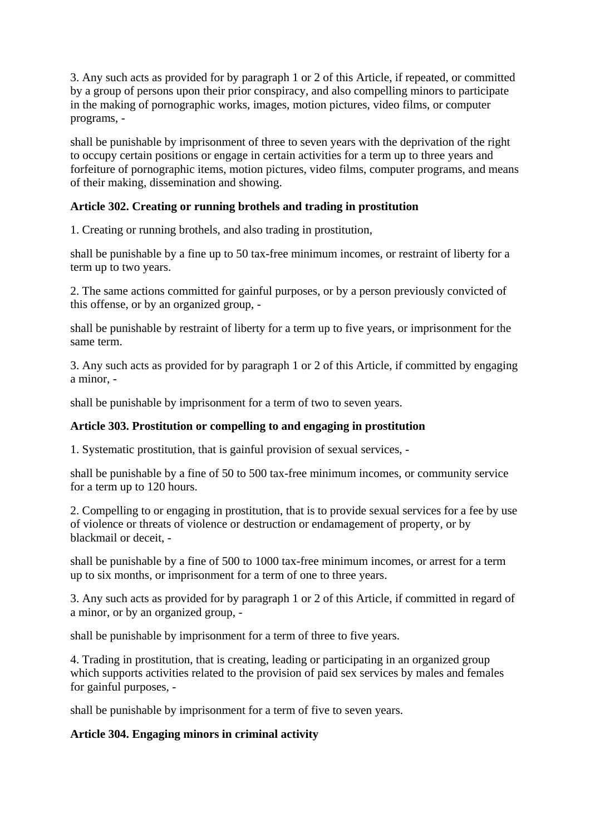3. Any such acts as provided for by paragraph 1 or 2 of this Article, if repeated, or committed by a group of persons upon their prior conspiracy, and also compelling minors to participate in the making of pornographic works, images, motion pictures, video films, or computer programs, -

shall be punishable by imprisonment of three to seven years with the deprivation of the right to occupy certain positions or engage in certain activities for a term up to three years and forfeiture of pornographic items, motion pictures, video films, computer programs, and means of their making, dissemination and showing.

## **Article 302. Creating or running brothels and trading in prostitution**

1. Creating or running brothels, and also trading in prostitution,

shall be punishable by a fine up to 50 tax-free minimum incomes, or restraint of liberty for a term up to two years.

2. The same actions committed for gainful purposes, or by a person previously convicted of this offense, or by an organized group, -

shall be punishable by restraint of liberty for a term up to five years, or imprisonment for the same term.

3. Any such acts as provided for by paragraph 1 or 2 of this Article, if committed by engaging a minor, -

shall be punishable by imprisonment for a term of two to seven years.

### **Article 303. Prostitution or compelling to and engaging in prostitution**

1. Systematic prostitution, that is gainful provision of sexual services, -

shall be punishable by a fine of 50 to 500 tax-free minimum incomes, or community service for a term up to 120 hours.

2. Compelling to or engaging in prostitution, that is to provide sexual services for a fee by use of violence or threats of violence or destruction or endamagement of property, or by blackmail or deceit, -

shall be punishable by a fine of 500 to 1000 tax-free minimum incomes, or arrest for a term up to six months, or imprisonment for a term of one to three years.

3. Any such acts as provided for by paragraph 1 or 2 of this Article, if committed in regard of a minor, or by an organized group, -

shall be punishable by imprisonment for a term of three to five years.

4. Trading in prostitution, that is creating, leading or participating in an organized group which supports activities related to the provision of paid sex services by males and females for gainful purposes, -

shall be punishable by imprisonment for a term of five to seven years.

### **Article 304. Engaging minors in criminal activity**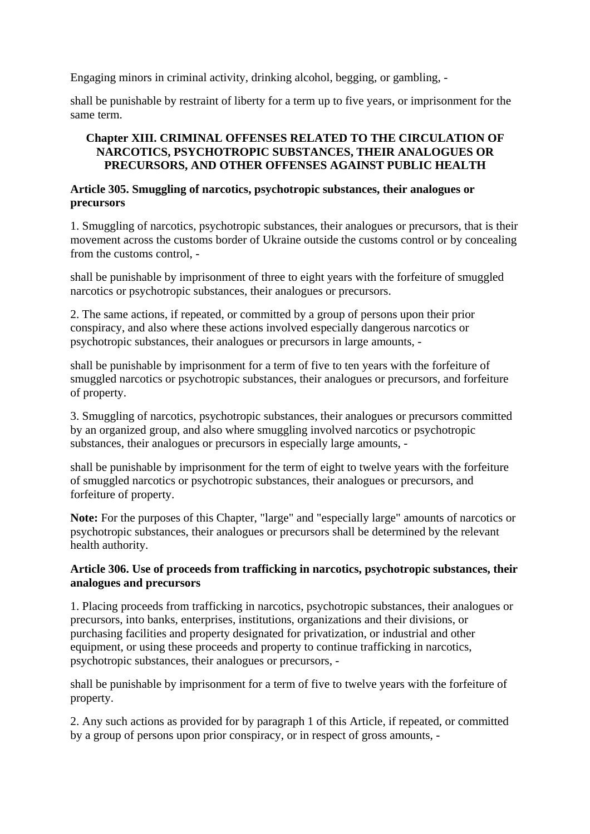Engaging minors in criminal activity, drinking alcohol, begging, or gambling, -

shall be punishable by restraint of liberty for a term up to five years, or imprisonment for the same term.

## **Chapter XIII. CRIMINAL OFFENSES RELATED TO THE CIRCULATION OF NARCOTICS, PSYCHOTROPIC SUBSTANCES, THEIR ANALOGUES OR PRECURSORS, AND OTHER OFFENSES AGAINST PUBLIC HEALTH**

### **Article 305. Smuggling of narcotics, psychotropic substances, their analogues or precursors**

1. Smuggling of narcotics, psychotropic substances, their analogues or precursors, that is their movement across the customs border of Ukraine outside the customs control or by concealing from the customs control, -

shall be punishable by imprisonment of three to eight years with the forfeiture of smuggled narcotics or psychotropic substances, their analogues or precursors.

2. The same actions, if repeated, or committed by a group of persons upon their prior conspiracy, and also where these actions involved especially dangerous narcotics or psychotropic substances, their analogues or precursors in large amounts, -

shall be punishable by imprisonment for a term of five to ten years with the forfeiture of smuggled narcotics or psychotropic substances, their analogues or precursors, and forfeiture of property.

3. Smuggling of narcotics, psychotropic substances, their analogues or precursors committed by an organized group, and also where smuggling involved narcotics or psychotropic substances, their analogues or precursors in especially large amounts, -

shall be punishable by imprisonment for the term of eight to twelve years with the forfeiture of smuggled narcotics or psychotropic substances, their analogues or precursors, and forfeiture of property.

**Note:** For the purposes of this Chapter, "large" and "especially large" amounts of narcotics or psychotropic substances, their analogues or precursors shall be determined by the relevant health authority.

### **Article 306. Use of proceeds from trafficking in narcotics, psychotropic substances, their analogues and precursors**

1. Placing proceeds from trafficking in narcotics, psychotropic substances, their analogues or precursors, into banks, enterprises, institutions, organizations and their divisions, or purchasing facilities and property designated for privatization, or industrial and other equipment, or using these proceeds and property to continue trafficking in narcotics, psychotropic substances, their analogues or precursors, -

shall be punishable by imprisonment for a term of five to twelve years with the forfeiture of property.

2. Any such actions as provided for by paragraph 1 of this Article, if repeated, or committed by a group of persons upon prior conspiracy, or in respect of gross amounts, -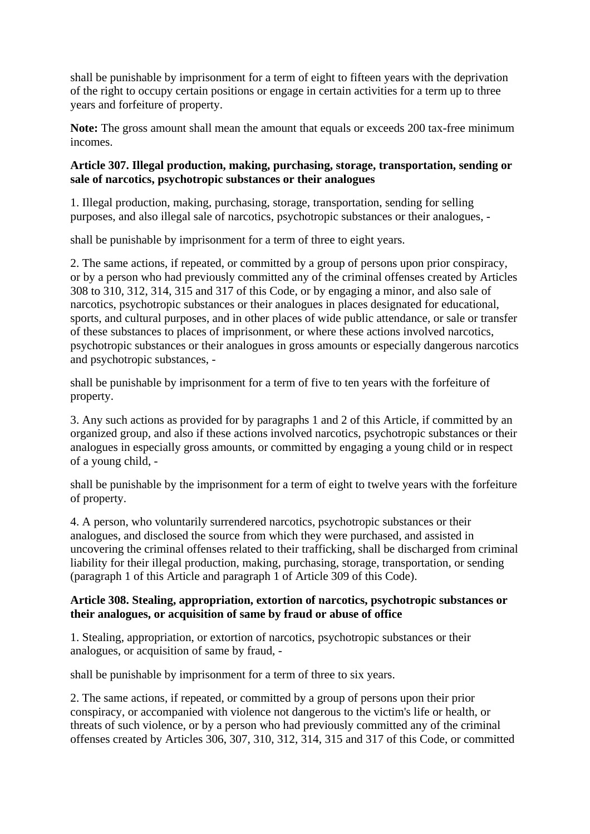shall be punishable by imprisonment for a term of eight to fifteen years with the deprivation of the right to occupy certain positions or engage in certain activities for a term up to three years and forfeiture of property.

**Note:** The gross amount shall mean the amount that equals or exceeds 200 tax-free minimum incomes.

## **Article 307. Illegal production, making, purchasing, storage, transportation, sending or sale of narcotics, psychotropic substances or their analogues**

1. Illegal production, making, purchasing, storage, transportation, sending for selling purposes, and also illegal sale of narcotics, psychotropic substances or their analogues, -

shall be punishable by imprisonment for a term of three to eight years.

2. The same actions, if repeated, or committed by a group of persons upon prior conspiracy, or by a person who had previously committed any of the criminal offenses created by Articles 308 to 310, 312, 314, 315 and 317 of this Code, or by engaging a minor, and also sale of narcotics, psychotropic substances or their analogues in places designated for educational, sports, and cultural purposes, and in other places of wide public attendance, or sale or transfer of these substances to places of imprisonment, or where these actions involved narcotics, psychotropic substances or their analogues in gross amounts or especially dangerous narcotics and psychotropic substances, -

shall be punishable by imprisonment for a term of five to ten years with the forfeiture of property.

3. Any such actions as provided for by paragraphs 1 and 2 of this Article, if committed by an organized group, and also if these actions involved narcotics, psychotropic substances or their analogues in especially gross amounts, or committed by engaging a young child or in respect of a young child, -

shall be punishable by the imprisonment for a term of eight to twelve years with the forfeiture of property.

4. A person, who voluntarily surrendered narcotics, psychotropic substances or their analogues, and disclosed the source from which they were purchased, and assisted in uncovering the criminal offenses related to their trafficking, shall be discharged from criminal liability for their illegal production, making, purchasing, storage, transportation, or sending (paragraph 1 of this Article and paragraph 1 of Article 309 of this Code).

# **Article 308. Stealing, appropriation, extortion of narcotics, psychotropic substances or their analogues, or acquisition of same by fraud or abuse of office**

1. Stealing, appropriation, or extortion of narcotics, psychotropic substances or their analogues, or acquisition of same by fraud, -

shall be punishable by imprisonment for a term of three to six years.

2. The same actions, if repeated, or committed by a group of persons upon their prior conspiracy, or accompanied with violence not dangerous to the victim's life or health, or threats of such violence, or by a person who had previously committed any of the criminal offenses created by Articles 306, 307, 310, 312, 314, 315 and 317 of this Code, or committed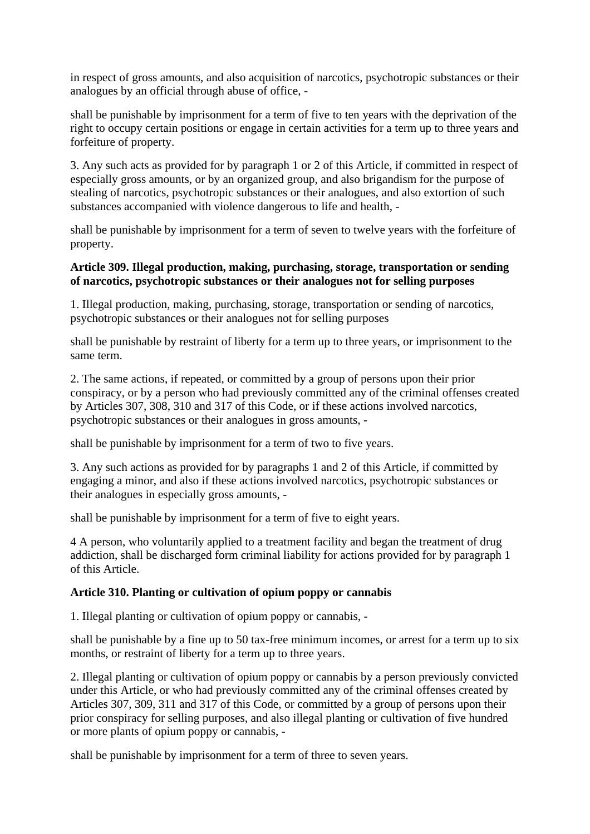in respect of gross amounts, and also acquisition of narcotics, psychotropic substances or their analogues by an official through abuse of office, -

shall be punishable by imprisonment for a term of five to ten years with the deprivation of the right to occupy certain positions or engage in certain activities for a term up to three years and forfeiture of property.

3. Any such acts as provided for by paragraph 1 or 2 of this Article, if committed in respect of especially gross amounts, or by an organized group, and also brigandism for the purpose of stealing of narcotics, psychotropic substances or their analogues, and also extortion of such substances accompanied with violence dangerous to life and health, -

shall be punishable by imprisonment for a term of seven to twelve years with the forfeiture of property.

### **Article 309. Illegal production, making, purchasing, storage, transportation or sending of narcotics, psychotropic substances or their analogues not for selling purposes**

1. Illegal production, making, purchasing, storage, transportation or sending of narcotics, psychotropic substances or their analogues not for selling purposes

shall be punishable by restraint of liberty for a term up to three years, or imprisonment to the same term.

2. The same actions, if repeated, or committed by a group of persons upon their prior conspiracy, or by a person who had previously committed any of the criminal offenses created by Articles 307, 308, 310 and 317 of this Code, or if these actions involved narcotics, psychotropic substances or their analogues in gross amounts, -

shall be punishable by imprisonment for a term of two to five years.

3. Any such actions as provided for by paragraphs 1 and 2 of this Article, if committed by engaging a minor, and also if these actions involved narcotics, psychotropic substances or their analogues in especially gross amounts, -

shall be punishable by imprisonment for a term of five to eight years.

4 A person, who voluntarily applied to a treatment facility and began the treatment of drug addiction, shall be discharged form criminal liability for actions provided for by paragraph 1 of this Article.

## **Article 310. Planting or cultivation of opium poppy or cannabis**

1. Illegal planting or cultivation of opium poppy or cannabis, -

shall be punishable by a fine up to 50 tax-free minimum incomes, or arrest for a term up to six months, or restraint of liberty for a term up to three years.

2. Illegal planting or cultivation of opium poppy or cannabis by a person previously convicted under this Article, or who had previously committed any of the criminal offenses created by Articles 307, 309, 311 and 317 of this Code, or committed by a group of persons upon their prior conspiracy for selling purposes, and also illegal planting or cultivation of five hundred or more plants of opium poppy or cannabis, -

shall be punishable by imprisonment for a term of three to seven years.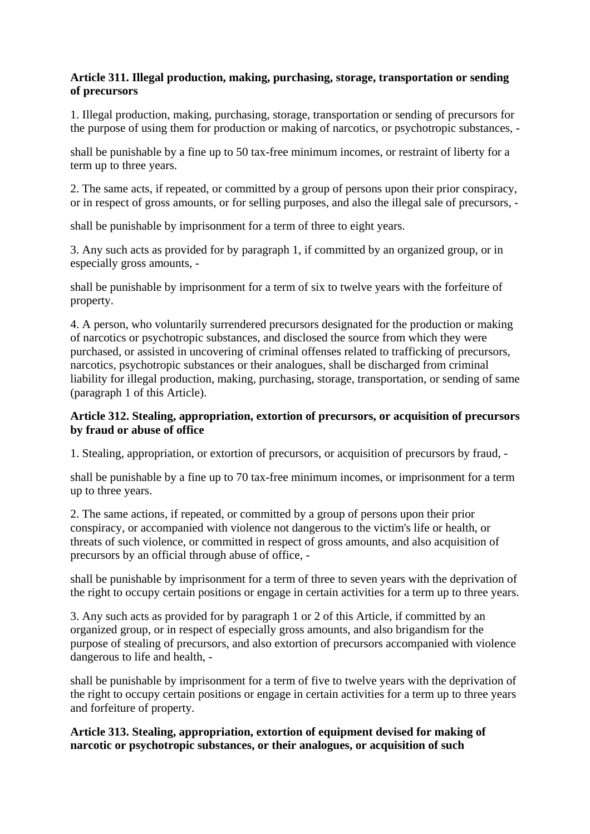# **Article 311. Illegal production, making, purchasing, storage, transportation or sending of precursors**

1. Illegal production, making, purchasing, storage, transportation or sending of precursors for the purpose of using them for production or making of narcotics, or psychotropic substances, -

shall be punishable by a fine up to 50 tax-free minimum incomes, or restraint of liberty for a term up to three years.

2. The same acts, if repeated, or committed by a group of persons upon their prior conspiracy, or in respect of gross amounts, or for selling purposes, and also the illegal sale of precursors, -

shall be punishable by imprisonment for a term of three to eight years.

3. Any such acts as provided for by paragraph 1, if committed by an organized group, or in especially gross amounts, -

shall be punishable by imprisonment for a term of six to twelve years with the forfeiture of property.

4. A person, who voluntarily surrendered precursors designated for the production or making of narcotics or psychotropic substances, and disclosed the source from which they were purchased, or assisted in uncovering of criminal offenses related to trafficking of precursors, narcotics, psychotropic substances or their analogues, shall be discharged from criminal liability for illegal production, making, purchasing, storage, transportation, or sending of same (paragraph 1 of this Article).

### **Article 312. Stealing, appropriation, extortion of precursors, or acquisition of precursors by fraud or abuse of office**

1. Stealing, appropriation, or extortion of precursors, or acquisition of precursors by fraud, -

shall be punishable by a fine up to 70 tax-free minimum incomes, or imprisonment for a term up to three years.

2. The same actions, if repeated, or committed by a group of persons upon their prior conspiracy, or accompanied with violence not dangerous to the victim's life or health, or threats of such violence, or committed in respect of gross amounts, and also acquisition of precursors by an official through abuse of office, -

shall be punishable by imprisonment for a term of three to seven years with the deprivation of the right to occupy certain positions or engage in certain activities for a term up to three years.

3. Any such acts as provided for by paragraph 1 or 2 of this Article, if committed by an organized group, or in respect of especially gross amounts, and also brigandism for the purpose of stealing of precursors, and also extortion of precursors accompanied with violence dangerous to life and health, -

shall be punishable by imprisonment for a term of five to twelve years with the deprivation of the right to occupy certain positions or engage in certain activities for a term up to three years and forfeiture of property.

**Article 313. Stealing, appropriation, extortion of equipment devised for making of narcotic or psychotropic substances, or their analogues, or acquisition of such**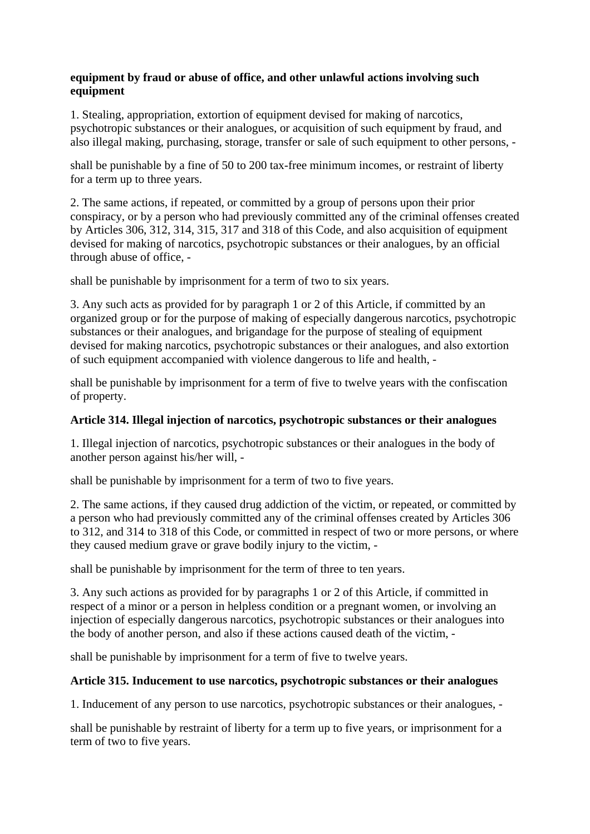# **equipment by fraud or abuse of office, and other unlawful actions involving such equipment**

1. Stealing, appropriation, extortion of equipment devised for making of narcotics, psychotropic substances or their analogues, or acquisition of such equipment by fraud, and also illegal making, purchasing, storage, transfer or sale of such equipment to other persons, -

shall be punishable by a fine of 50 to 200 tax-free minimum incomes, or restraint of liberty for a term up to three years.

2. The same actions, if repeated, or committed by a group of persons upon their prior conspiracy, or by a person who had previously committed any of the criminal offenses created by Articles 306, 312, 314, 315, 317 and 318 of this Code, and also acquisition of equipment devised for making of narcotics, psychotropic substances or their analogues, by an official through abuse of office, -

shall be punishable by imprisonment for a term of two to six years.

3. Any such acts as provided for by paragraph 1 or 2 of this Article, if committed by an organized group or for the purpose of making of especially dangerous narcotics, psychotropic substances or their analogues, and brigandage for the purpose of stealing of equipment devised for making narcotics, psychotropic substances or their analogues, and also extortion of such equipment accompanied with violence dangerous to life and health, -

shall be punishable by imprisonment for a term of five to twelve years with the confiscation of property.

## **Article 314. Illegal injection of narcotics, psychotropic substances or their analogues**

1. Illegal injection of narcotics, psychotropic substances or their analogues in the body of another person against his/her will, -

shall be punishable by imprisonment for a term of two to five years.

2. The same actions, if they caused drug addiction of the victim, or repeated, or committed by a person who had previously committed any of the criminal offenses created by Articles 306 to 312, and 314 to 318 of this Code, or committed in respect of two or more persons, or where they caused medium grave or grave bodily injury to the victim, -

shall be punishable by imprisonment for the term of three to ten years.

3. Any such actions as provided for by paragraphs 1 or 2 of this Article, if committed in respect of a minor or a person in helpless condition or a pregnant women, or involving an injection of especially dangerous narcotics, psychotropic substances or their analogues into the body of another person, and also if these actions caused death of the victim, -

shall be punishable by imprisonment for a term of five to twelve years.

## **Article 315. Inducement to use narcotics, psychotropic substances or their analogues**

1. Inducement of any person to use narcotics, psychotropic substances or their analogues, -

shall be punishable by restraint of liberty for a term up to five years, or imprisonment for a term of two to five years.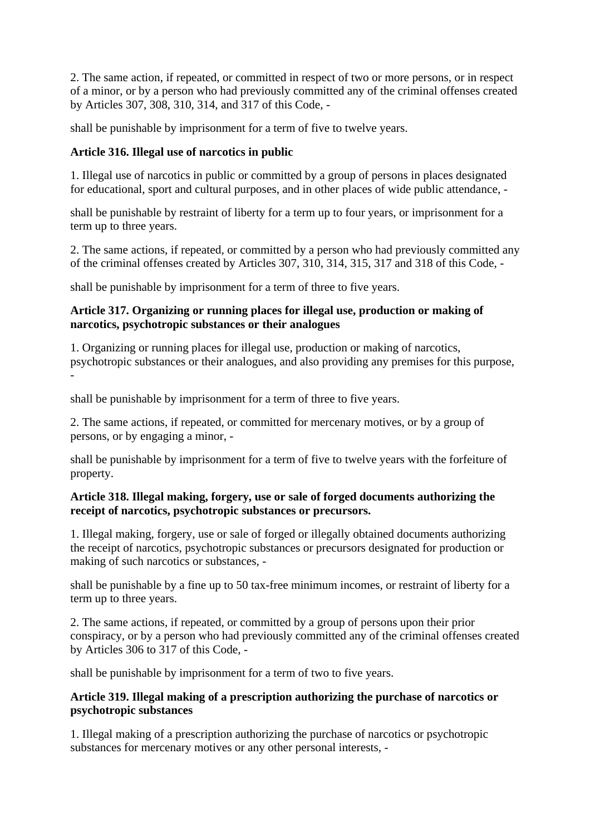2. The same action, if repeated, or committed in respect of two or more persons, or in respect of a minor, or by a person who had previously committed any of the criminal offenses created by Articles 307, 308, 310, 314, and 317 of this Code, -

shall be punishable by imprisonment for a term of five to twelve years.

# **Article 316. Illegal use of narcotics in public**

1. Illegal use of narcotics in public or committed by a group of persons in places designated for educational, sport and cultural purposes, and in other places of wide public attendance, -

shall be punishable by restraint of liberty for a term up to four years, or imprisonment for a term up to three years.

2. The same actions, if repeated, or committed by a person who had previously committed any of the criminal offenses created by Articles 307, 310, 314, 315, 317 and 318 of this Code, -

shall be punishable by imprisonment for a term of three to five years.

### **Article 317. Organizing or running places for illegal use, production or making of narcotics, psychotropic substances or their analogues**

1. Organizing or running places for illegal use, production or making of narcotics, psychotropic substances or their analogues, and also providing any premises for this purpose, -

shall be punishable by imprisonment for a term of three to five years.

2. The same actions, if repeated, or committed for mercenary motives, or by a group of persons, or by engaging a minor, -

shall be punishable by imprisonment for a term of five to twelve years with the forfeiture of property.

## **Article 318. Illegal making, forgery, use or sale of forged documents authorizing the receipt of narcotics, psychotropic substances or precursors.**

1. Illegal making, forgery, use or sale of forged or illegally obtained documents authorizing the receipt of narcotics, psychotropic substances or precursors designated for production or making of such narcotics or substances, -

shall be punishable by a fine up to 50 tax-free minimum incomes, or restraint of liberty for a term up to three years.

2. The same actions, if repeated, or committed by a group of persons upon their prior conspiracy, or by a person who had previously committed any of the criminal offenses created by Articles 306 to 317 of this Code, -

shall be punishable by imprisonment for a term of two to five years.

### **Article 319. Illegal making of a prescription authorizing the purchase of narcotics or psychotropic substances**

1. Illegal making of a prescription authorizing the purchase of narcotics or psychotropic substances for mercenary motives or any other personal interests, -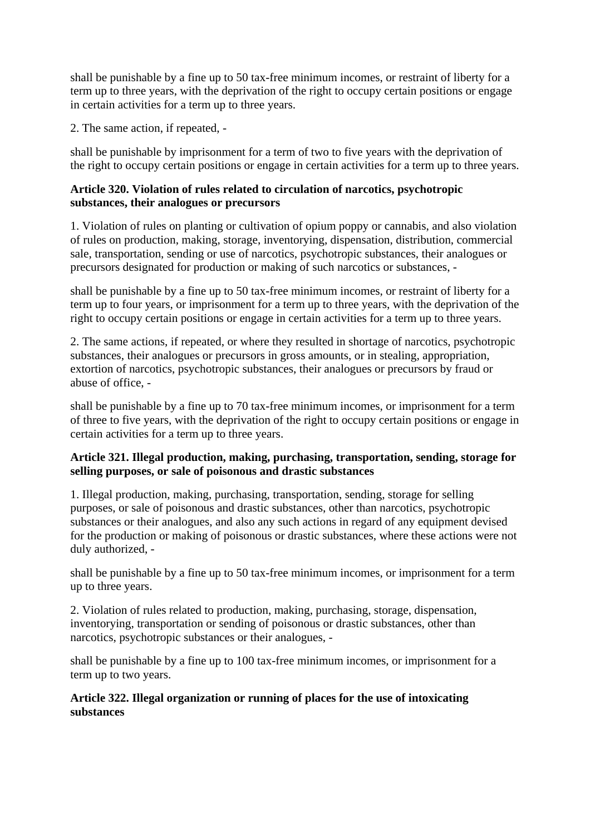shall be punishable by a fine up to 50 tax-free minimum incomes, or restraint of liberty for a term up to three years, with the deprivation of the right to occupy certain positions or engage in certain activities for a term up to three years.

2. The same action, if repeated, -

shall be punishable by imprisonment for a term of two to five years with the deprivation of the right to occupy certain positions or engage in certain activities for a term up to three years.

### **Article 320. Violation of rules related to circulation of narcotics, psychotropic substances, their analogues or precursors**

1. Violation of rules on planting or cultivation of opium poppy or cannabis, and also violation of rules on production, making, storage, inventorying, dispensation, distribution, commercial sale, transportation, sending or use of narcotics, psychotropic substances, their analogues or precursors designated for production or making of such narcotics or substances, -

shall be punishable by a fine up to 50 tax-free minimum incomes, or restraint of liberty for a term up to four years, or imprisonment for a term up to three years, with the deprivation of the right to occupy certain positions or engage in certain activities for a term up to three years.

2. The same actions, if repeated, or where they resulted in shortage of narcotics, psychotropic substances, their analogues or precursors in gross amounts, or in stealing, appropriation, extortion of narcotics, psychotropic substances, their analogues or precursors by fraud or abuse of office, -

shall be punishable by a fine up to 70 tax-free minimum incomes, or imprisonment for a term of three to five years, with the deprivation of the right to occupy certain positions or engage in certain activities for a term up to three years.

# **Article 321. Illegal production, making, purchasing, transportation, sending, storage for selling purposes, or sale of poisonous and drastic substances**

1. Illegal production, making, purchasing, transportation, sending, storage for selling purposes, or sale of poisonous and drastic substances, other than narcotics, psychotropic substances or their analogues, and also any such actions in regard of any equipment devised for the production or making of poisonous or drastic substances, where these actions were not duly authorized, -

shall be punishable by a fine up to 50 tax-free minimum incomes, or imprisonment for a term up to three years.

2. Violation of rules related to production, making, purchasing, storage, dispensation, inventorying, transportation or sending of poisonous or drastic substances, other than narcotics, psychotropic substances or their analogues, -

shall be punishable by a fine up to 100 tax-free minimum incomes, or imprisonment for a term up to two years.

## **Article 322. Illegal organization or running of places for the use of intoxicating substances**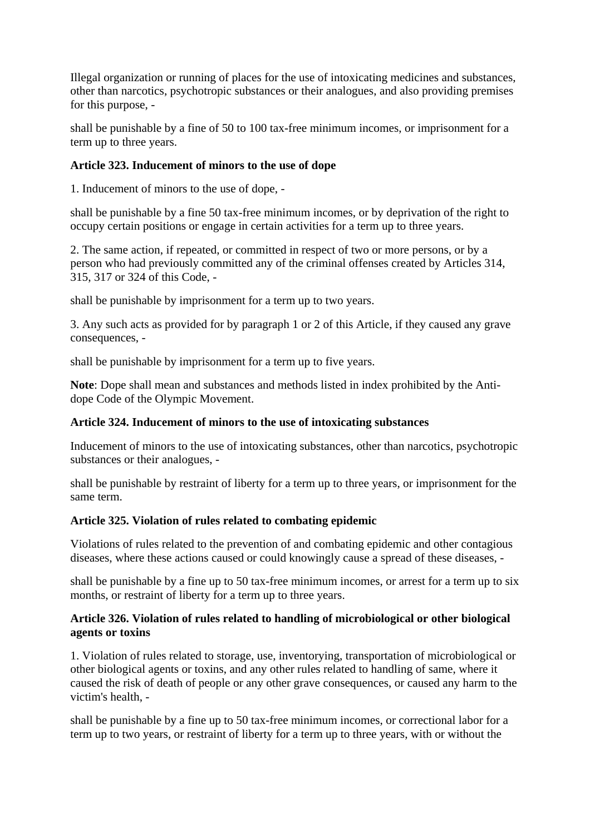Illegal organization or running of places for the use of intoxicating medicines and substances, other than narcotics, psychotropic substances or their analogues, and also providing premises for this purpose, -

shall be punishable by a fine of 50 to 100 tax-free minimum incomes, or imprisonment for a term up to three years.

### **Article 323. Inducement of minors to the use of dope**

1. Inducement of minors to the use of dope, -

shall be punishable by a fine 50 tax-free minimum incomes, or by deprivation of the right to occupy certain positions or engage in certain activities for a term up to three years.

2. The same action, if repeated, or committed in respect of two or more persons, or by a person who had previously committed any of the criminal offenses created by Articles 314, 315, 317 or 324 of this Code, -

shall be punishable by imprisonment for a term up to two years.

3. Any such acts as provided for by paragraph 1 or 2 of this Article, if they caused any grave consequences, -

shall be punishable by imprisonment for a term up to five years.

**Note**: Dope shall mean and substances and methods listed in index prohibited by the Antidope Code of the Olympic Movement.

## **Article 324. Inducement of minors to the use of intoxicating substances**

Inducement of minors to the use of intoxicating substances, other than narcotics, psychotropic substances or their analogues, -

shall be punishable by restraint of liberty for a term up to three years, or imprisonment for the same term.

## **Article 325. Violation of rules related to combating epidemic**

Violations of rules related to the prevention of and combating epidemic and other contagious diseases, where these actions caused or could knowingly cause a spread of these diseases, -

shall be punishable by a fine up to 50 tax-free minimum incomes, or arrest for a term up to six months, or restraint of liberty for a term up to three years.

### **Article 326. Violation of rules related to handling of microbiological or other biological agents or toxins**

1. Violation of rules related to storage, use, inventorying, transportation of microbiological or other biological agents or toxins, and any other rules related to handling of same, where it caused the risk of death of people or any other grave consequences, or caused any harm to the victim's health, -

shall be punishable by a fine up to 50 tax-free minimum incomes, or correctional labor for a term up to two years, or restraint of liberty for a term up to three years, with or without the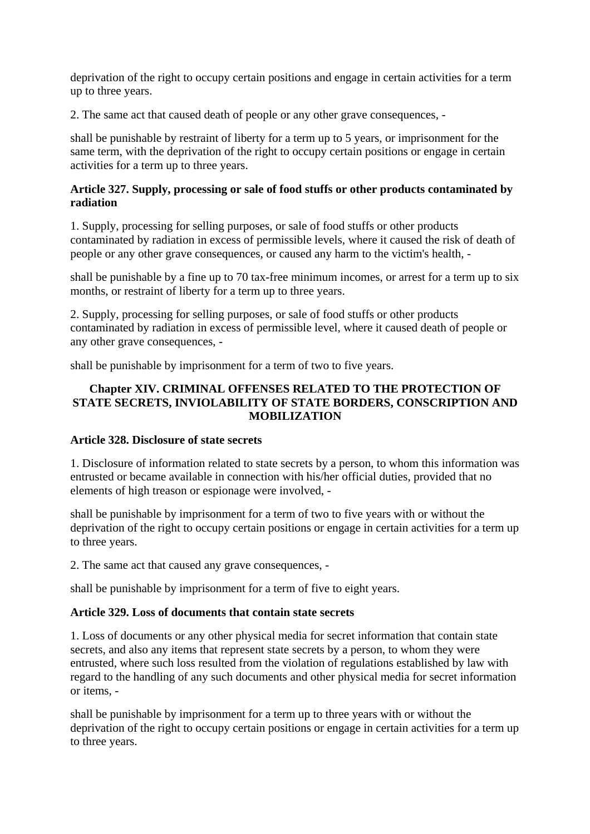deprivation of the right to occupy certain positions and engage in certain activities for a term up to three years.

2. The same act that caused death of people or any other grave consequences, -

shall be punishable by restraint of liberty for a term up to 5 years, or imprisonment for the same term, with the deprivation of the right to occupy certain positions or engage in certain activities for a term up to three years.

### **Article 327. Supply, processing or sale of food stuffs or other products contaminated by radiation**

1. Supply, processing for selling purposes, or sale of food stuffs or other products contaminated by radiation in excess of permissible levels, where it caused the risk of death of people or any other grave consequences, or caused any harm to the victim's health, -

shall be punishable by a fine up to 70 tax-free minimum incomes, or arrest for a term up to six months, or restraint of liberty for a term up to three years.

2. Supply, processing for selling purposes, or sale of food stuffs or other products contaminated by radiation in excess of permissible level, where it caused death of people or any other grave consequences, -

shall be punishable by imprisonment for a term of two to five years.

## **Chapter XIV. CRIMINAL OFFENSES RELATED TO THE PROTECTION OF STATE SECRETS, INVIOLABILITY OF STATE BORDERS, CONSCRIPTION AND MOBILIZATION**

## **Article 328. Disclosure of state secrets**

1. Disclosure of information related to state secrets by a person, to whom this information was entrusted or became available in connection with his/her official duties, provided that no elements of high treason or espionage were involved, -

shall be punishable by imprisonment for a term of two to five years with or without the deprivation of the right to occupy certain positions or engage in certain activities for a term up to three years.

2. The same act that caused any grave consequences, -

shall be punishable by imprisonment for a term of five to eight years.

### **Article 329. Loss of documents that contain state secrets**

1. Loss of documents or any other physical media for secret information that contain state secrets, and also any items that represent state secrets by a person, to whom they were entrusted, where such loss resulted from the violation of regulations established by law with regard to the handling of any such documents and other physical media for secret information or items, -

shall be punishable by imprisonment for a term up to three years with or without the deprivation of the right to occupy certain positions or engage in certain activities for a term up to three years.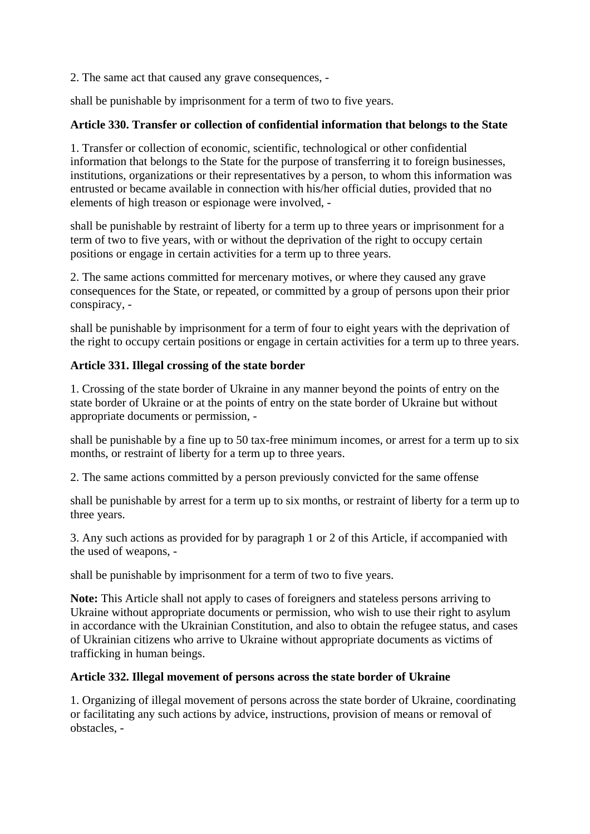2. The same act that caused any grave consequences, -

shall be punishable by imprisonment for a term of two to five years.

## **Article 330. Transfer or collection of confidential information that belongs to the State**

1. Transfer or collection of economic, scientific, technological or other confidential information that belongs to the State for the purpose of transferring it to foreign businesses, institutions, organizations or their representatives by a person, to whom this information was entrusted or became available in connection with his/her official duties, provided that no elements of high treason or espionage were involved, -

shall be punishable by restraint of liberty for a term up to three years or imprisonment for a term of two to five years, with or without the deprivation of the right to occupy certain positions or engage in certain activities for a term up to three years.

2. The same actions committed for mercenary motives, or where they caused any grave consequences for the State, or repeated, or committed by a group of persons upon their prior conspiracy, -

shall be punishable by imprisonment for a term of four to eight years with the deprivation of the right to occupy certain positions or engage in certain activities for a term up to three years.

## **Article 331. Illegal crossing of the state border**

1. Crossing of the state border of Ukraine in any manner beyond the points of entry on the state border of Ukraine or at the points of entry on the state border of Ukraine but without appropriate documents or permission, -

shall be punishable by a fine up to 50 tax-free minimum incomes, or arrest for a term up to six months, or restraint of liberty for a term up to three years.

2. The same actions committed by a person previously convicted for the same offense

shall be punishable by arrest for a term up to six months, or restraint of liberty for a term up to three years.

3. Any such actions as provided for by paragraph 1 or 2 of this Article, if accompanied with the used of weapons, -

shall be punishable by imprisonment for a term of two to five years.

**Note:** This Article shall not apply to cases of foreigners and stateless persons arriving to Ukraine without appropriate documents or permission, who wish to use their right to asylum in accordance with the Ukrainian Constitution, and also to obtain the refugee status, and cases of Ukrainian citizens who arrive to Ukraine without appropriate documents as victims of trafficking in human beings.

## **Article 332. Illegal movement of persons across the state border of Ukraine**

1. Organizing of illegal movement of persons across the state border of Ukraine, coordinating or facilitating any such actions by advice, instructions, provision of means or removal of obstacles, -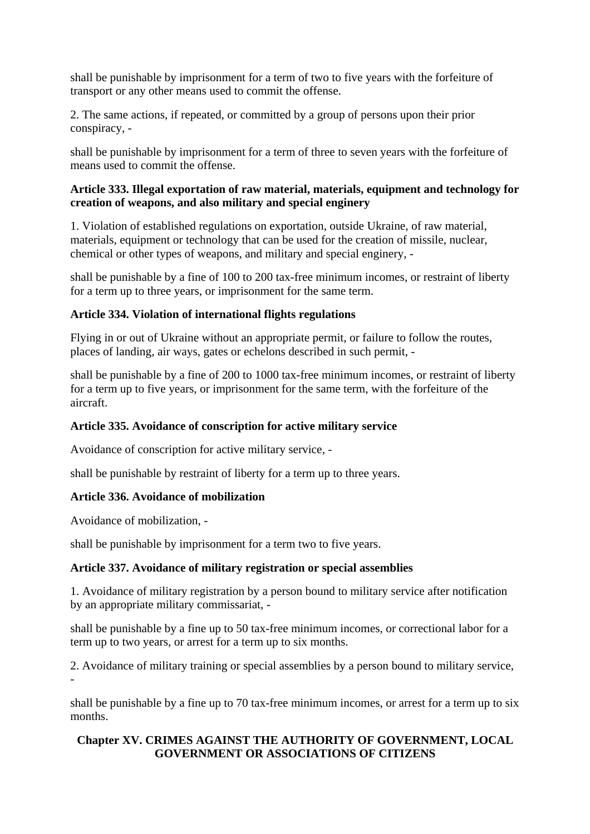shall be punishable by imprisonment for a term of two to five years with the forfeiture of transport or any other means used to commit the offense.

2. The same actions, if repeated, or committed by a group of persons upon their prior conspiracy, -

shall be punishable by imprisonment for a term of three to seven years with the forfeiture of means used to commit the offense.

## **Article 333. Illegal exportation of raw material, materials, equipment and technology for creation of weapons, and also military and special enginery**

1. Violation of established regulations on exportation, outside Ukraine, of raw material, materials, equipment or technology that can be used for the creation of missile, nuclear, chemical or other types of weapons, and military and special enginery, -

shall be punishable by a fine of 100 to 200 tax-free minimum incomes, or restraint of liberty for a term up to three years, or imprisonment for the same term.

## **Article 334. Violation of international flights regulations**

Flying in or out of Ukraine without an appropriate permit, or failure to follow the routes, places of landing, air ways, gates or echelons described in such permit, -

shall be punishable by a fine of 200 to 1000 tax-free minimum incomes, or restraint of liberty for a term up to five years, or imprisonment for the same term, with the forfeiture of the aircraft.

# **Article 335. Avoidance of conscription for active military service**

Avoidance of conscription for active military service, -

shall be punishable by restraint of liberty for a term up to three years.

# **Article 336. Avoidance of mobilization**

Avoidance of mobilization, -

shall be punishable by imprisonment for a term two to five years.

# **Article 337. Avoidance of military registration or special assemblies**

1. Avoidance of military registration by a person bound to military service after notification by an appropriate military commissariat, -

shall be punishable by a fine up to 50 tax-free minimum incomes, or correctional labor for a term up to two years, or arrest for a term up to six months.

2. Avoidance of military training or special assemblies by a person bound to military service, -

shall be punishable by a fine up to 70 tax-free minimum incomes, or arrest for a term up to six months.

# **Chapter XV. CRIMES AGAINST THE AUTHORITY OF GOVERNMENT, LOCAL GOVERNMENT OR ASSOCIATIONS OF CITIZENS**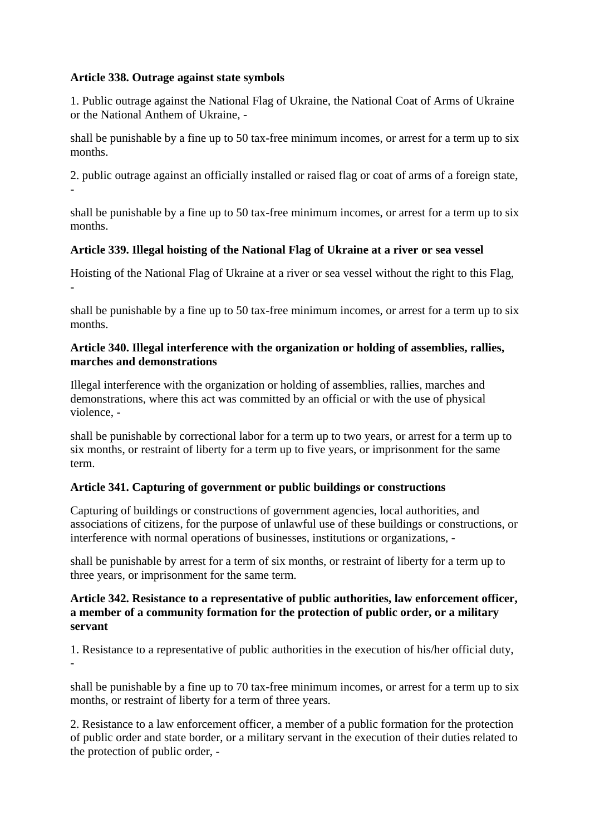### **Article 338. Outrage against state symbols**

-

1. Public outrage against the National Flag of Ukraine, the National Coat of Arms of Ukraine or the National Anthem of Ukraine, -

shall be punishable by a fine up to 50 tax-free minimum incomes, or arrest for a term up to six months.

2. public outrage against an officially installed or raised flag or coat of arms of a foreign state,

shall be punishable by a fine up to 50 tax-free minimum incomes, or arrest for a term up to six months.

### **Article 339. Illegal hoisting of the National Flag of Ukraine at a river or sea vessel**

Hoisting of the National Flag of Ukraine at a river or sea vessel without the right to this Flag, -

shall be punishable by a fine up to 50 tax-free minimum incomes, or arrest for a term up to six months.

### **Article 340. Illegal interference with the organization or holding of assemblies, rallies, marches and demonstrations**

Illegal interference with the organization or holding of assemblies, rallies, marches and demonstrations, where this act was committed by an official or with the use of physical violence, -

shall be punishable by correctional labor for a term up to two years, or arrest for a term up to six months, or restraint of liberty for a term up to five years, or imprisonment for the same term.

### **Article 341. Capturing of government or public buildings or constructions**

Capturing of buildings or constructions of government agencies, local authorities, and associations of citizens, for the purpose of unlawful use of these buildings or constructions, or interference with normal operations of businesses, institutions or organizations, -

shall be punishable by arrest for a term of six months, or restraint of liberty for a term up to three years, or imprisonment for the same term.

### **Article 342. Resistance to a representative of public authorities, law enforcement officer, a member of a community formation for the protection of public order, or a military servant**

1. Resistance to a representative of public authorities in the execution of his/her official duty, -

shall be punishable by a fine up to 70 tax-free minimum incomes, or arrest for a term up to six months, or restraint of liberty for a term of three years.

2. Resistance to a law enforcement officer, a member of a public formation for the protection of public order and state border, or a military servant in the execution of their duties related to the protection of public order, -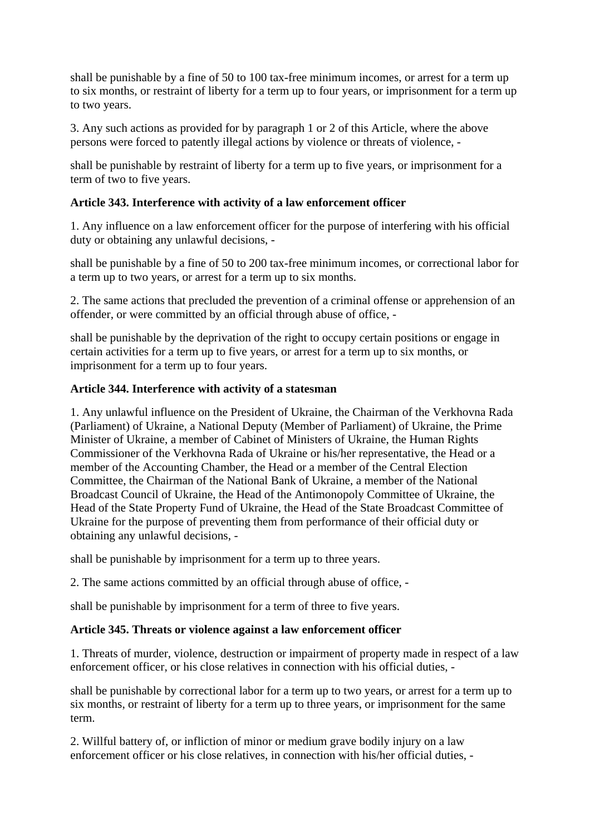shall be punishable by a fine of 50 to 100 tax-free minimum incomes, or arrest for a term up to six months, or restraint of liberty for a term up to four years, or imprisonment for a term up to two years.

3. Any such actions as provided for by paragraph 1 or 2 of this Article, where the above persons were forced to patently illegal actions by violence or threats of violence, -

shall be punishable by restraint of liberty for a term up to five years, or imprisonment for a term of two to five years.

### **Article 343. Interference with activity of a law enforcement officer**

1. Any influence on a law enforcement officer for the purpose of interfering with his official duty or obtaining any unlawful decisions, -

shall be punishable by a fine of 50 to 200 tax-free minimum incomes, or correctional labor for a term up to two years, or arrest for a term up to six months.

2. The same actions that precluded the prevention of a criminal offense or apprehension of an offender, or were committed by an official through abuse of office, -

shall be punishable by the deprivation of the right to occupy certain positions or engage in certain activities for a term up to five years, or arrest for a term up to six months, or imprisonment for a term up to four years.

### **Article 344. Interference with activity of a statesman**

1. Any unlawful influence on the President of Ukraine, the Chairman of the Verkhovna Rada (Parliament) of Ukraine, a National Deputy (Member of Parliament) of Ukraine, the Prime Minister of Ukraine, a member of Cabinet of Ministers of Ukraine, the Human Rights Commissioner of the Verkhovna Rada of Ukraine or his/her representative, the Head or a member of the Accounting Chamber, the Head or a member of the Central Election Committee, the Chairman of the National Bank of Ukraine, a member of the National Broadcast Council of Ukraine, the Head of the Antimonopoly Committee of Ukraine, the Head of the State Property Fund of Ukraine, the Head of the State Broadcast Committee of Ukraine for the purpose of preventing them from performance of their official duty or obtaining any unlawful decisions, -

shall be punishable by imprisonment for a term up to three years.

2. The same actions committed by an official through abuse of office, -

shall be punishable by imprisonment for a term of three to five years.

### **Article 345. Threats or violence against a law enforcement officer**

1. Threats of murder, violence, destruction or impairment of property made in respect of a law enforcement officer, or his close relatives in connection with his official duties, -

shall be punishable by correctional labor for a term up to two years, or arrest for a term up to six months, or restraint of liberty for a term up to three years, or imprisonment for the same term.

2. Willful battery of, or infliction of minor or medium grave bodily injury on a law enforcement officer or his close relatives, in connection with his/her official duties, -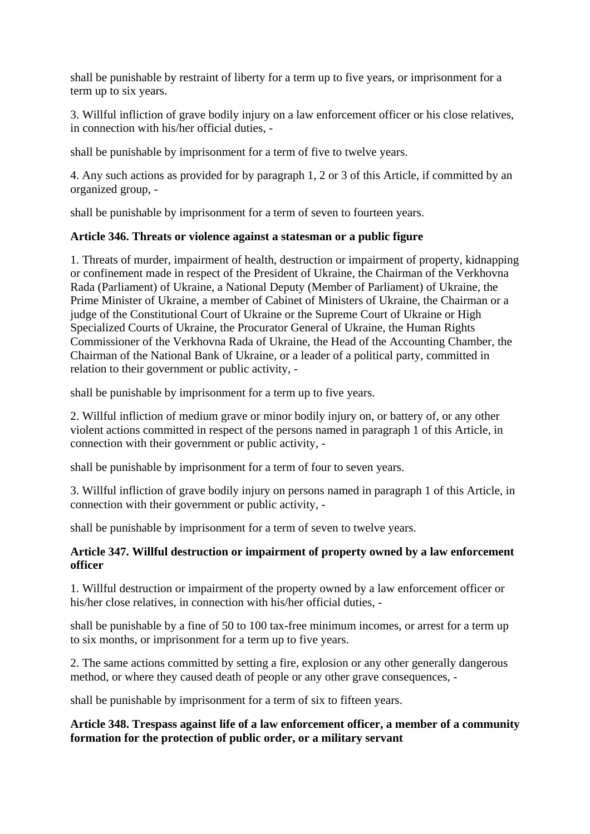shall be punishable by restraint of liberty for a term up to five years, or imprisonment for a term up to six years.

3. Willful infliction of grave bodily injury on a law enforcement officer or his close relatives, in connection with his/her official duties, -

shall be punishable by imprisonment for a term of five to twelve years.

4. Any such actions as provided for by paragraph 1, 2 or 3 of this Article, if committed by an organized group, -

shall be punishable by imprisonment for a term of seven to fourteen years.

## **Article 346. Threats or violence against a statesman or a public figure**

1. Threats of murder, impairment of health, destruction or impairment of property, kidnapping or confinement made in respect of the President of Ukraine, the Chairman of the Verkhovna Rada (Parliament) of Ukraine, a National Deputy (Member of Parliament) of Ukraine, the Prime Minister of Ukraine, a member of Cabinet of Ministers of Ukraine, the Chairman or a judge of the Constitutional Court of Ukraine or the Supreme Court of Ukraine or High Specialized Courts of Ukraine, the Procurator General of Ukraine, the Human Rights Commissioner of the Verkhovna Rada of Ukraine, the Head of the Accounting Chamber, the Chairman of the National Bank of Ukraine, or a leader of a political party, committed in relation to their government or public activity, -

shall be punishable by imprisonment for a term up to five years.

2. Willful infliction of medium grave or minor bodily injury on, or battery of, or any other violent actions committed in respect of the persons named in paragraph 1 of this Article, in connection with their government or public activity, -

shall be punishable by imprisonment for a term of four to seven years.

3. Willful infliction of grave bodily injury on persons named in paragraph 1 of this Article, in connection with their government or public activity, -

shall be punishable by imprisonment for a term of seven to twelve years.

## **Article 347. Willful destruction or impairment of property owned by a law enforcement officer**

1. Willful destruction or impairment of the property owned by a law enforcement officer or his/her close relatives, in connection with his/her official duties, -

shall be punishable by a fine of 50 to 100 tax-free minimum incomes, or arrest for a term up to six months, or imprisonment for a term up to five years.

2. The same actions committed by setting a fire, explosion or any other generally dangerous method, or where they caused death of people or any other grave consequences, -

shall be punishable by imprisonment for a term of six to fifteen years.

## **Article 348. Trespass against life of a law enforcement officer, a member of a community formation for the protection of public order, or a military servant**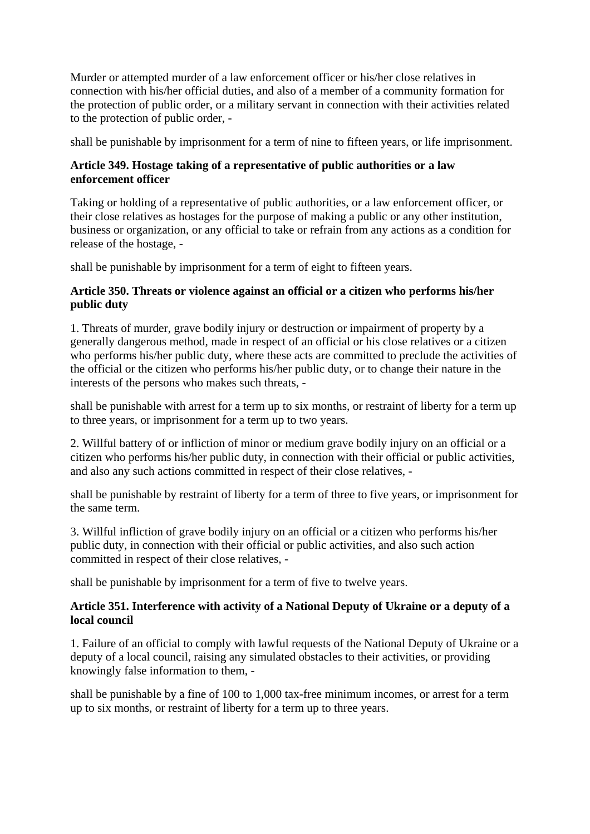Murder or attempted murder of a law enforcement officer or his/her close relatives in connection with his/her official duties, and also of a member of a community formation for the protection of public order, or a military servant in connection with their activities related to the protection of public order, -

shall be punishable by imprisonment for a term of nine to fifteen years, or life imprisonment.

## **Article 349. Hostage taking of a representative of public authorities or a law enforcement officer**

Taking or holding of a representative of public authorities, or a law enforcement officer, or their close relatives as hostages for the purpose of making a public or any other institution, business or organization, or any official to take or refrain from any actions as a condition for release of the hostage, -

shall be punishable by imprisonment for a term of eight to fifteen years.

### **Article 350. Threats or violence against an official or a citizen who performs his/her public duty**

1. Threats of murder, grave bodily injury or destruction or impairment of property by a generally dangerous method, made in respect of an official or his close relatives or a citizen who performs his/her public duty, where these acts are committed to preclude the activities of the official or the citizen who performs his/her public duty, or to change their nature in the interests of the persons who makes such threats, -

shall be punishable with arrest for a term up to six months, or restraint of liberty for a term up to three years, or imprisonment for a term up to two years.

2. Willful battery of or infliction of minor or medium grave bodily injury on an official or a citizen who performs his/her public duty, in connection with their official or public activities, and also any such actions committed in respect of their close relatives, -

shall be punishable by restraint of liberty for a term of three to five years, or imprisonment for the same term.

3. Willful infliction of grave bodily injury on an official or a citizen who performs his/her public duty, in connection with their official or public activities, and also such action committed in respect of their close relatives, -

shall be punishable by imprisonment for a term of five to twelve years.

#### **Article 351. Interference with activity of a National Deputy of Ukraine or a deputy of a local council**

1. Failure of an official to comply with lawful requests of the National Deputy of Ukraine or a deputy of a local council, raising any simulated obstacles to their activities, or providing knowingly false information to them, -

shall be punishable by a fine of 100 to 1,000 tax-free minimum incomes, or arrest for a term up to six months, or restraint of liberty for a term up to three years.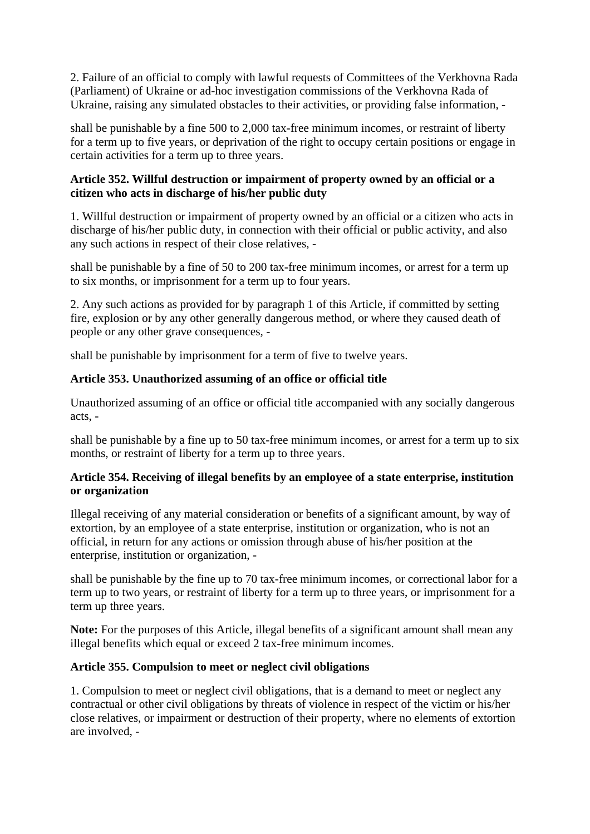2. Failure of an official to comply with lawful requests of Committees of the Verkhovna Rada (Parliament) of Ukraine or ad-hoc investigation commissions of the Verkhovna Rada of Ukraine, raising any simulated obstacles to their activities, or providing false information, -

shall be punishable by a fine 500 to 2,000 tax-free minimum incomes, or restraint of liberty for a term up to five years, or deprivation of the right to occupy certain positions or engage in certain activities for a term up to three years.

## **Article 352. Willful destruction or impairment of property owned by an official or a citizen who acts in discharge of his/her public duty**

1. Willful destruction or impairment of property owned by an official or a citizen who acts in discharge of his/her public duty, in connection with their official or public activity, and also any such actions in respect of their close relatives, -

shall be punishable by a fine of 50 to 200 tax-free minimum incomes, or arrest for a term up to six months, or imprisonment for a term up to four years.

2. Any such actions as provided for by paragraph 1 of this Article, if committed by setting fire, explosion or by any other generally dangerous method, or where they caused death of people or any other grave consequences, -

shall be punishable by imprisonment for a term of five to twelve years.

## **Article 353. Unauthorized assuming of an office or official title**

Unauthorized assuming of an office or official title accompanied with any socially dangerous acts, -

shall be punishable by a fine up to 50 tax-free minimum incomes, or arrest for a term up to six months, or restraint of liberty for a term up to three years.

#### **Article 354. Receiving of illegal benefits by an employee of a state enterprise, institution or organization**

Illegal receiving of any material consideration or benefits of a significant amount, by way of extortion, by an employee of a state enterprise, institution or organization, who is not an official, in return for any actions or omission through abuse of his/her position at the enterprise, institution or organization, -

shall be punishable by the fine up to 70 tax-free minimum incomes, or correctional labor for a term up to two years, or restraint of liberty for a term up to three years, or imprisonment for a term up three years.

**Note:** For the purposes of this Article, illegal benefits of a significant amount shall mean any illegal benefits which equal or exceed 2 tax-free minimum incomes.

#### **Article 355. Compulsion to meet or neglect civil obligations**

1. Compulsion to meet or neglect civil obligations, that is a demand to meet or neglect any contractual or other civil obligations by threats of violence in respect of the victim or his/her close relatives, or impairment or destruction of their property, where no elements of extortion are involved, -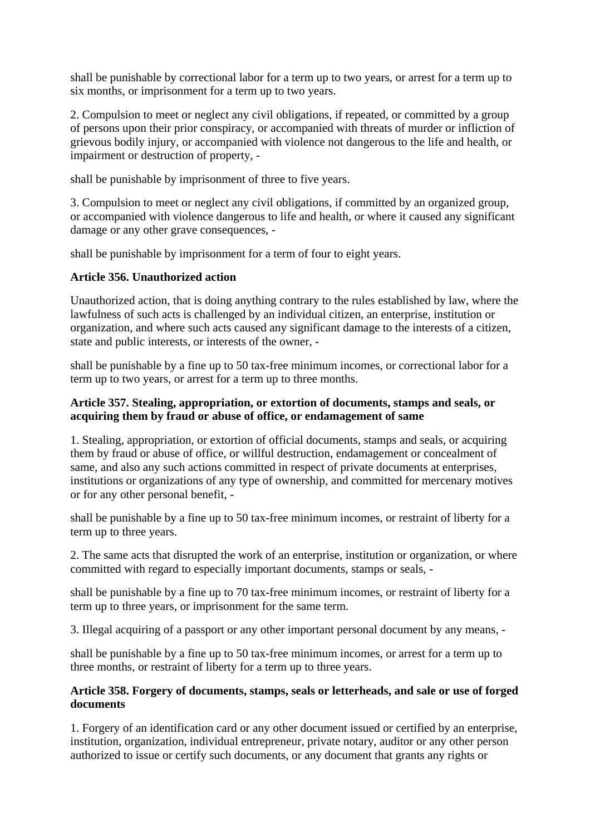shall be punishable by correctional labor for a term up to two years, or arrest for a term up to six months, or imprisonment for a term up to two years.

2. Compulsion to meet or neglect any civil obligations, if repeated, or committed by a group of persons upon their prior conspiracy, or accompanied with threats of murder or infliction of grievous bodily injury, or accompanied with violence not dangerous to the life and health, or impairment or destruction of property, -

shall be punishable by imprisonment of three to five years.

3. Compulsion to meet or neglect any civil obligations, if committed by an organized group, or accompanied with violence dangerous to life and health, or where it caused any significant damage or any other grave consequences, -

shall be punishable by imprisonment for a term of four to eight years.

## **Article 356. Unauthorized action**

Unauthorized action, that is doing anything contrary to the rules established by law, where the lawfulness of such acts is challenged by an individual citizen, an enterprise, institution or organization, and where such acts caused any significant damage to the interests of a citizen, state and public interests, or interests of the owner, -

shall be punishable by a fine up to 50 tax-free minimum incomes, or correctional labor for a term up to two years, or arrest for a term up to three months.

### **Article 357. Stealing, appropriation, or extortion of documents, stamps and seals, or acquiring them by fraud or abuse of office, or endamagement of same**

1. Stealing, appropriation, or extortion of official documents, stamps and seals, or acquiring them by fraud or abuse of office, or willful destruction, endamagement or concealment of same, and also any such actions committed in respect of private documents at enterprises, institutions or organizations of any type of ownership, and committed for mercenary motives or for any other personal benefit, -

shall be punishable by a fine up to 50 tax-free minimum incomes, or restraint of liberty for a term up to three years.

2. The same acts that disrupted the work of an enterprise, institution or organization, or where committed with regard to especially important documents, stamps or seals, -

shall be punishable by a fine up to 70 tax-free minimum incomes, or restraint of liberty for a term up to three years, or imprisonment for the same term.

3. Illegal acquiring of a passport or any other important personal document by any means, -

shall be punishable by a fine up to 50 tax-free minimum incomes, or arrest for a term up to three months, or restraint of liberty for a term up to three years.

#### **Article 358. Forgery of documents, stamps, seals or letterheads, and sale or use of forged documents**

1. Forgery of an identification card or any other document issued or certified by an enterprise, institution, organization, individual entrepreneur, private notary, auditor or any other person authorized to issue or certify such documents, or any document that grants any rights or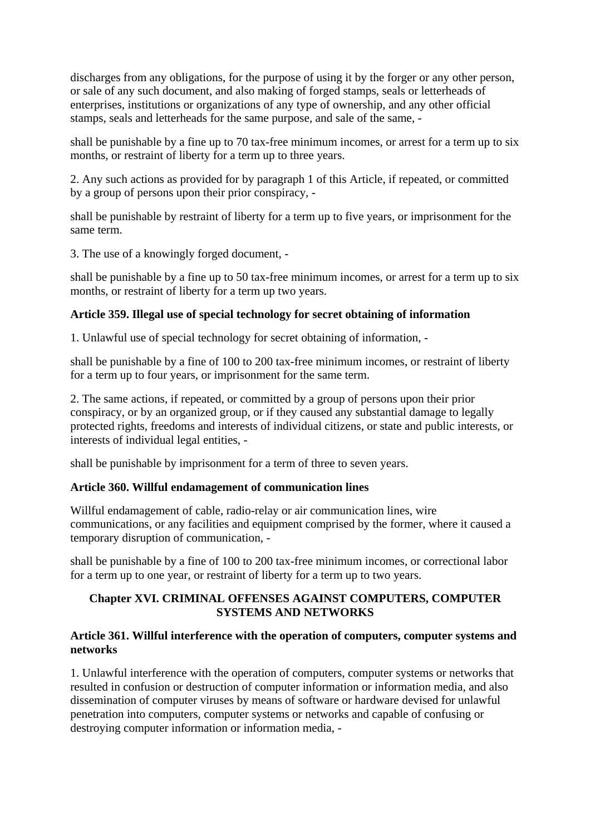discharges from any obligations, for the purpose of using it by the forger or any other person, or sale of any such document, and also making of forged stamps, seals or letterheads of enterprises, institutions or organizations of any type of ownership, and any other official stamps, seals and letterheads for the same purpose, and sale of the same, -

shall be punishable by a fine up to 70 tax-free minimum incomes, or arrest for a term up to six months, or restraint of liberty for a term up to three years.

2. Any such actions as provided for by paragraph 1 of this Article, if repeated, or committed by a group of persons upon their prior conspiracy, -

shall be punishable by restraint of liberty for a term up to five years, or imprisonment for the same term.

3. The use of a knowingly forged document, -

shall be punishable by a fine up to 50 tax-free minimum incomes, or arrest for a term up to six months, or restraint of liberty for a term up two years.

#### **Article 359. Illegal use of special technology for secret obtaining of information**

1. Unlawful use of special technology for secret obtaining of information, -

shall be punishable by a fine of 100 to 200 tax-free minimum incomes, or restraint of liberty for a term up to four years, or imprisonment for the same term.

2. The same actions, if repeated, or committed by a group of persons upon their prior conspiracy, or by an organized group, or if they caused any substantial damage to legally protected rights, freedoms and interests of individual citizens, or state and public interests, or interests of individual legal entities, -

shall be punishable by imprisonment for a term of three to seven years.

#### **Article 360. Willful endamagement of communication lines**

Willful endamagement of cable, radio-relay or air communication lines, wire communications, or any facilities and equipment comprised by the former, where it caused a temporary disruption of communication, -

shall be punishable by a fine of 100 to 200 tax-free minimum incomes, or correctional labor for a term up to one year, or restraint of liberty for a term up to two years.

#### **Chapter XVI. CRIMINAL OFFENSES AGAINST COMPUTERS, COMPUTER SYSTEMS AND NETWORKS**

#### **Article 361. Willful interference with the operation of computers, computer systems and networks**

1. Unlawful interference with the operation of computers, computer systems or networks that resulted in confusion or destruction of computer information or information media, and also dissemination of computer viruses by means of software or hardware devised for unlawful penetration into computers, computer systems or networks and capable of confusing or destroying computer information or information media, -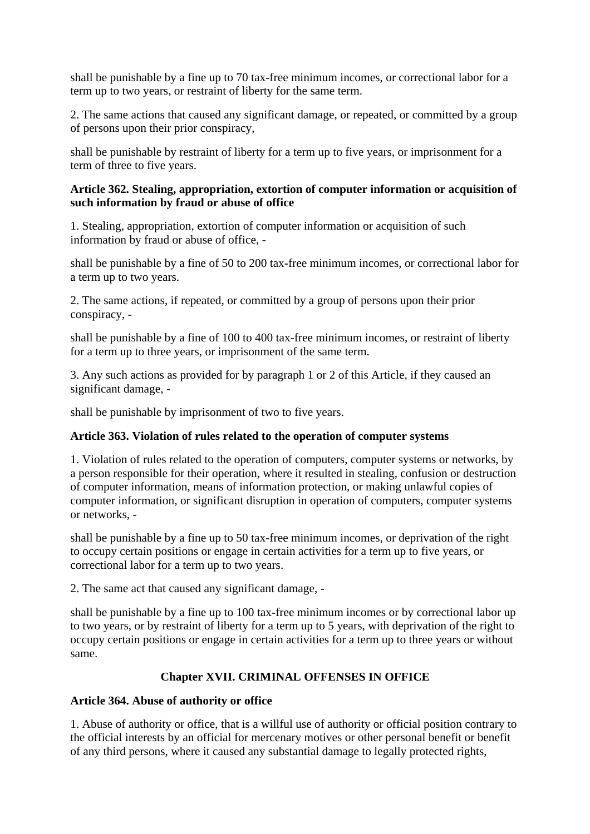shall be punishable by a fine up to 70 tax-free minimum incomes, or correctional labor for a term up to two years, or restraint of liberty for the same term.

2. The same actions that caused any significant damage, or repeated, or committed by a group of persons upon their prior conspiracy,

shall be punishable by restraint of liberty for a term up to five years, or imprisonment for a term of three to five years.

#### **Article 362. Stealing, appropriation, extortion of computer information or acquisition of such information by fraud or abuse of office**

1. Stealing, appropriation, extortion of computer information or acquisition of such information by fraud or abuse of office, -

shall be punishable by a fine of 50 to 200 tax-free minimum incomes, or correctional labor for a term up to two years.

2. The same actions, if repeated, or committed by a group of persons upon their prior conspiracy, -

shall be punishable by a fine of 100 to 400 tax-free minimum incomes, or restraint of liberty for a term up to three years, or imprisonment of the same term.

3. Any such actions as provided for by paragraph 1 or 2 of this Article, if they caused an significant damage, -

shall be punishable by imprisonment of two to five years.

## **Article 363. Violation of rules related to the operation of computer systems**

1. Violation of rules related to the operation of computers, computer systems or networks, by a person responsible for their operation, where it resulted in stealing, confusion or destruction of computer information, means of information protection, or making unlawful copies of computer information, or significant disruption in operation of computers, computer systems or networks, -

shall be punishable by a fine up to 50 tax-free minimum incomes, or deprivation of the right to occupy certain positions or engage in certain activities for a term up to five years, or correctional labor for a term up to two years.

2. The same act that caused any significant damage, -

shall be punishable by a fine up to 100 tax-free minimum incomes or by correctional labor up to two years, or by restraint of liberty for a term up to 5 years, with deprivation of the right to occupy certain positions or engage in certain activities for a term up to three years or without same.

# **Chapter XVII. CRIMINAL OFFENSES IN OFFICE**

## **Article 364. Abuse of authority or office**

1. Abuse of authority or office, that is a willful use of authority or official position contrary to the official interests by an official for mercenary motives or other personal benefit or benefit of any third persons, where it caused any substantial damage to legally protected rights,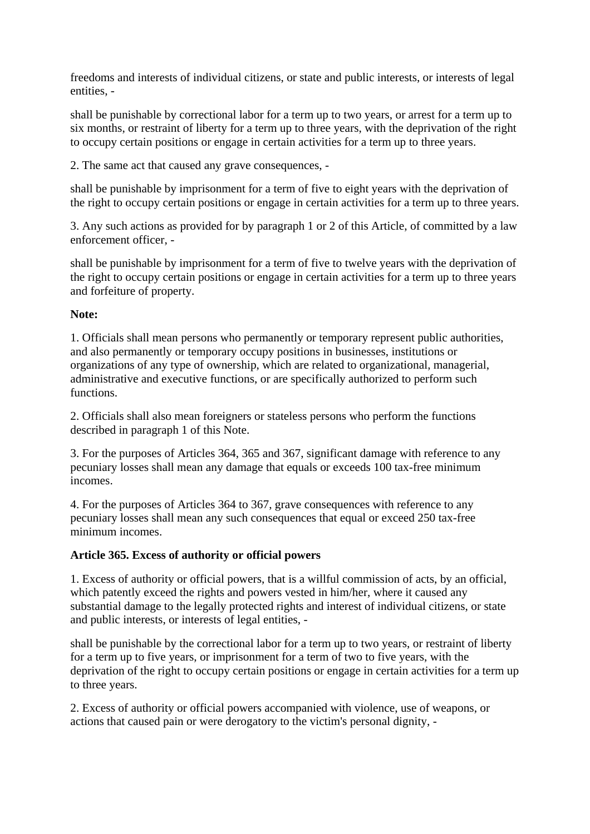freedoms and interests of individual citizens, or state and public interests, or interests of legal entities, -

shall be punishable by correctional labor for a term up to two years, or arrest for a term up to six months, or restraint of liberty for a term up to three years, with the deprivation of the right to occupy certain positions or engage in certain activities for a term up to three years.

2. The same act that caused any grave consequences, -

shall be punishable by imprisonment for a term of five to eight years with the deprivation of the right to occupy certain positions or engage in certain activities for a term up to three years.

3. Any such actions as provided for by paragraph 1 or 2 of this Article, of committed by a law enforcement officer, -

shall be punishable by imprisonment for a term of five to twelve years with the deprivation of the right to occupy certain positions or engage in certain activities for a term up to three years and forfeiture of property.

#### **Note:**

1. Officials shall mean persons who permanently or temporary represent public authorities, and also permanently or temporary occupy positions in businesses, institutions or organizations of any type of ownership, which are related to organizational, managerial, administrative and executive functions, or are specifically authorized to perform such functions.

2. Officials shall also mean foreigners or stateless persons who perform the functions described in paragraph 1 of this Note.

3. For the purposes of Articles 364, 365 and 367, significant damage with reference to any pecuniary losses shall mean any damage that equals or exceeds 100 tax-free minimum incomes.

4. For the purposes of Articles 364 to 367, grave consequences with reference to any pecuniary losses shall mean any such consequences that equal or exceed 250 tax-free minimum incomes.

#### **Article 365. Excess of authority or official powers**

1. Excess of authority or official powers, that is a willful commission of acts, by an official, which patently exceed the rights and powers vested in him/her, where it caused any substantial damage to the legally protected rights and interest of individual citizens, or state and public interests, or interests of legal entities, -

shall be punishable by the correctional labor for a term up to two years, or restraint of liberty for a term up to five years, or imprisonment for a term of two to five years, with the deprivation of the right to occupy certain positions or engage in certain activities for a term up to three years.

2. Excess of authority or official powers accompanied with violence, use of weapons, or actions that caused pain or were derogatory to the victim's personal dignity, -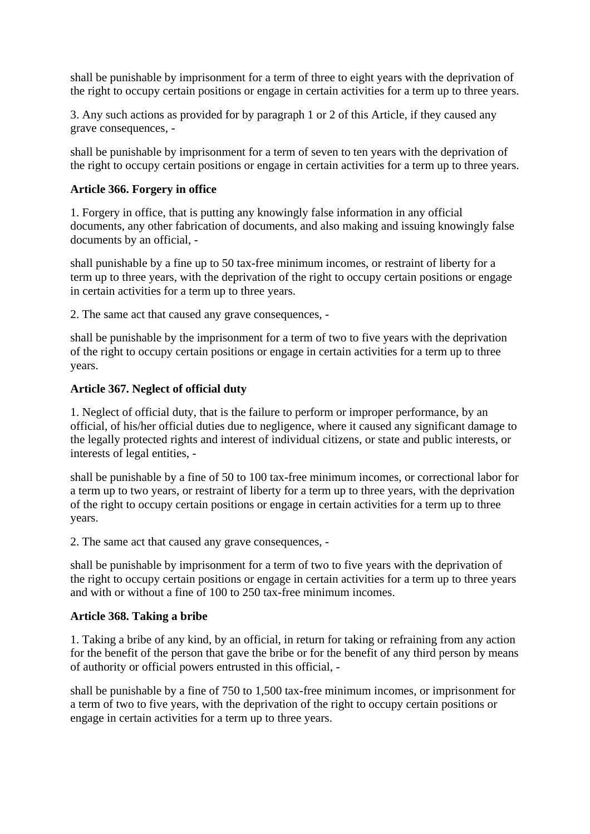shall be punishable by imprisonment for a term of three to eight years with the deprivation of the right to occupy certain positions or engage in certain activities for a term up to three years.

3. Any such actions as provided for by paragraph 1 or 2 of this Article, if they caused any grave consequences, -

shall be punishable by imprisonment for a term of seven to ten years with the deprivation of the right to occupy certain positions or engage in certain activities for a term up to three years.

## **Article 366. Forgery in office**

1. Forgery in office, that is putting any knowingly false information in any official documents, any other fabrication of documents, and also making and issuing knowingly false documents by an official, -

shall punishable by a fine up to 50 tax-free minimum incomes, or restraint of liberty for a term up to three years, with the deprivation of the right to occupy certain positions or engage in certain activities for a term up to three years.

2. The same act that caused any grave consequences, -

shall be punishable by the imprisonment for a term of two to five years with the deprivation of the right to occupy certain positions or engage in certain activities for a term up to three years.

## **Article 367. Neglect of official duty**

1. Neglect of official duty, that is the failure to perform or improper performance, by an official, of his/her official duties due to negligence, where it caused any significant damage to the legally protected rights and interest of individual citizens, or state and public interests, or interests of legal entities, -

shall be punishable by a fine of 50 to 100 tax-free minimum incomes, or correctional labor for a term up to two years, or restraint of liberty for a term up to three years, with the deprivation of the right to occupy certain positions or engage in certain activities for a term up to three years.

2. The same act that caused any grave consequences, -

shall be punishable by imprisonment for a term of two to five years with the deprivation of the right to occupy certain positions or engage in certain activities for a term up to three years and with or without a fine of 100 to 250 tax-free minimum incomes.

## **Article 368. Taking a bribe**

1. Taking a bribe of any kind, by an official, in return for taking or refraining from any action for the benefit of the person that gave the bribe or for the benefit of any third person by means of authority or official powers entrusted in this official, -

shall be punishable by a fine of 750 to 1,500 tax-free minimum incomes, or imprisonment for a term of two to five years, with the deprivation of the right to occupy certain positions or engage in certain activities for a term up to three years.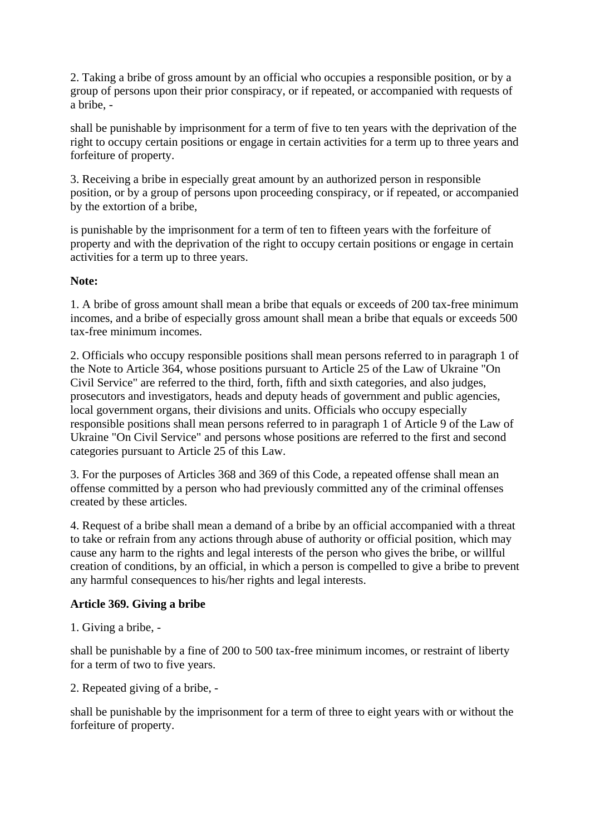2. Taking a bribe of gross amount by an official who occupies a responsible position, or by a group of persons upon their prior conspiracy, or if repeated, or accompanied with requests of a bribe, -

shall be punishable by imprisonment for a term of five to ten years with the deprivation of the right to occupy certain positions or engage in certain activities for a term up to three years and forfeiture of property.

3. Receiving a bribe in especially great amount by an authorized person in responsible position, or by a group of persons upon proceeding conspiracy, or if repeated, or accompanied by the extortion of a bribe,

is punishable by the imprisonment for a term of ten to fifteen years with the forfeiture of property and with the deprivation of the right to occupy certain positions or engage in certain activities for a term up to three years.

#### **Note:**

1. A bribe of gross amount shall mean a bribe that equals or exceeds of 200 tax-free minimum incomes, and a bribe of especially gross amount shall mean a bribe that equals or exceeds 500 tax-free minimum incomes.

2. Officials who occupy responsible positions shall mean persons referred to in paragraph 1 of the Note to Article 364, whose positions pursuant to Article 25 of the Law of Ukraine "On Civil Service" are referred to the third, forth, fifth and sixth categories, and also judges, prosecutors and investigators, heads and deputy heads of government and public agencies, local government organs, their divisions and units. Officials who occupy especially responsible positions shall mean persons referred to in paragraph 1 of Article 9 of the Law of Ukraine "On Civil Service" and persons whose positions are referred to the first and second categories pursuant to Article 25 of this Law.

3. For the purposes of Articles 368 and 369 of this Code, a repeated offense shall mean an offense committed by a person who had previously committed any of the criminal offenses created by these articles.

4. Request of a bribe shall mean a demand of a bribe by an official accompanied with a threat to take or refrain from any actions through abuse of authority or official position, which may cause any harm to the rights and legal interests of the person who gives the bribe, or willful creation of conditions, by an official, in which a person is compelled to give a bribe to prevent any harmful consequences to his/her rights and legal interests.

#### **Article 369. Giving a bribe**

1. Giving a bribe, -

shall be punishable by a fine of 200 to 500 tax-free minimum incomes, or restraint of liberty for a term of two to five years.

2. Repeated giving of a bribe, -

shall be punishable by the imprisonment for a term of three to eight years with or without the forfeiture of property.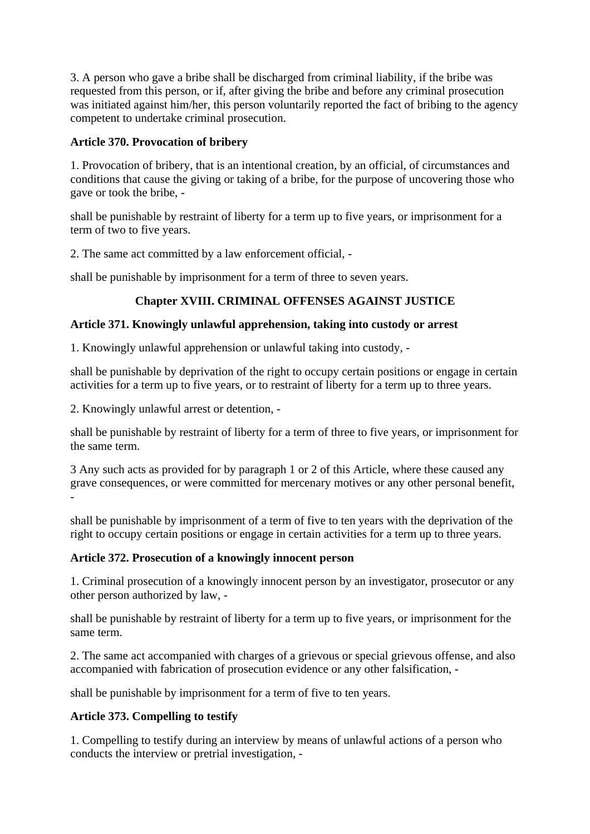3. A person who gave a bribe shall be discharged from criminal liability, if the bribe was requested from this person, or if, after giving the bribe and before any criminal prosecution was initiated against him/her, this person voluntarily reported the fact of bribing to the agency competent to undertake criminal prosecution.

## **Article 370. Provocation of bribery**

1. Provocation of bribery, that is an intentional creation, by an official, of circumstances and conditions that cause the giving or taking of a bribe, for the purpose of uncovering those who gave or took the bribe, -

shall be punishable by restraint of liberty for a term up to five years, or imprisonment for a term of two to five years.

2. The same act committed by a law enforcement official, -

shall be punishable by imprisonment for a term of three to seven years.

## **Chapter XVIII. CRIMINAL OFFENSES AGAINST JUSTICE**

#### **Article 371. Knowingly unlawful apprehension, taking into custody or arrest**

1. Knowingly unlawful apprehension or unlawful taking into custody, -

shall be punishable by deprivation of the right to occupy certain positions or engage in certain activities for a term up to five years, or to restraint of liberty for a term up to three years.

2. Knowingly unlawful arrest or detention, -

shall be punishable by restraint of liberty for a term of three to five years, or imprisonment for the same term.

3 Any such acts as provided for by paragraph 1 or 2 of this Article, where these caused any grave consequences, or were committed for mercenary motives or any other personal benefit, -

shall be punishable by imprisonment of a term of five to ten years with the deprivation of the right to occupy certain positions or engage in certain activities for a term up to three years.

## **Article 372. Prosecution of a knowingly innocent person**

1. Criminal prosecution of a knowingly innocent person by an investigator, prosecutor or any other person authorized by law, -

shall be punishable by restraint of liberty for a term up to five years, or imprisonment for the same term.

2. The same act accompanied with charges of a grievous or special grievous offense, and also accompanied with fabrication of prosecution evidence or any other falsification, -

shall be punishable by imprisonment for a term of five to ten years.

## **Article 373. Compelling to testify**

1. Compelling to testify during an interview by means of unlawful actions of a person who conducts the interview or pretrial investigation, -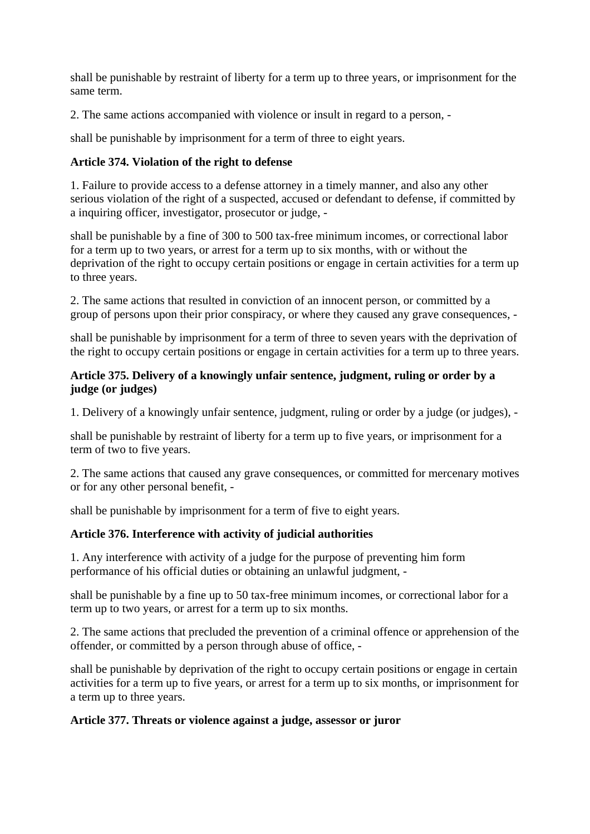shall be punishable by restraint of liberty for a term up to three years, or imprisonment for the same term.

2. The same actions accompanied with violence or insult in regard to a person, -

shall be punishable by imprisonment for a term of three to eight years.

# **Article 374. Violation of the right to defense**

1. Failure to provide access to a defense attorney in a timely manner, and also any other serious violation of the right of a suspected, accused or defendant to defense, if committed by a inquiring officer, investigator, prosecutor or judge, -

shall be punishable by a fine of 300 to 500 tax-free minimum incomes, or correctional labor for a term up to two years, or arrest for a term up to six months, with or without the deprivation of the right to occupy certain positions or engage in certain activities for a term up to three years.

2. The same actions that resulted in conviction of an innocent person, or committed by a group of persons upon their prior conspiracy, or where they caused any grave consequences, -

shall be punishable by imprisonment for a term of three to seven years with the deprivation of the right to occupy certain positions or engage in certain activities for a term up to three years.

## **Article 375. Delivery of a knowingly unfair sentence, judgment, ruling or order by a judge (or judges)**

1. Delivery of a knowingly unfair sentence, judgment, ruling or order by a judge (or judges), -

shall be punishable by restraint of liberty for a term up to five years, or imprisonment for a term of two to five years.

2. The same actions that caused any grave consequences, or committed for mercenary motives or for any other personal benefit, -

shall be punishable by imprisonment for a term of five to eight years.

# **Article 376. Interference with activity of judicial authorities**

1. Any interference with activity of a judge for the purpose of preventing him form performance of his official duties or obtaining an unlawful judgment, -

shall be punishable by a fine up to 50 tax-free minimum incomes, or correctional labor for a term up to two years, or arrest for a term up to six months.

2. The same actions that precluded the prevention of a criminal offence or apprehension of the offender, or committed by a person through abuse of office, -

shall be punishable by deprivation of the right to occupy certain positions or engage in certain activities for a term up to five years, or arrest for a term up to six months, or imprisonment for a term up to three years.

# **Article 377. Threats or violence against a judge, assessor or juror**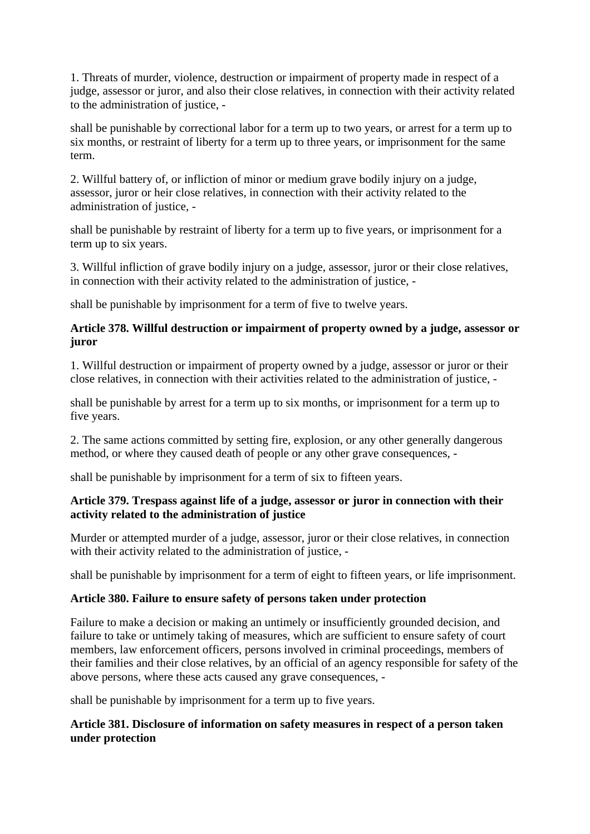1. Threats of murder, violence, destruction or impairment of property made in respect of a judge, assessor or juror, and also their close relatives, in connection with their activity related to the administration of justice, -

shall be punishable by correctional labor for a term up to two years, or arrest for a term up to six months, or restraint of liberty for a term up to three years, or imprisonment for the same term.

2. Willful battery of, or infliction of minor or medium grave bodily injury on a judge, assessor, juror or heir close relatives, in connection with their activity related to the administration of justice, -

shall be punishable by restraint of liberty for a term up to five years, or imprisonment for a term up to six years.

3. Willful infliction of grave bodily injury on a judge, assessor, juror or their close relatives, in connection with their activity related to the administration of justice, -

shall be punishable by imprisonment for a term of five to twelve years.

## **Article 378. Willful destruction or impairment of property owned by a judge, assessor or juror**

1. Willful destruction or impairment of property owned by a judge, assessor or juror or their close relatives, in connection with their activities related to the administration of justice, -

shall be punishable by arrest for a term up to six months, or imprisonment for a term up to five years.

2. The same actions committed by setting fire, explosion, or any other generally dangerous method, or where they caused death of people or any other grave consequences, -

shall be punishable by imprisonment for a term of six to fifteen years.

## **Article 379. Trespass against life of a judge, assessor or juror in connection with their activity related to the administration of justice**

Murder or attempted murder of a judge, assessor, juror or their close relatives, in connection with their activity related to the administration of justice, -

shall be punishable by imprisonment for a term of eight to fifteen years, or life imprisonment.

## **Article 380. Failure to ensure safety of persons taken under protection**

Failure to make a decision or making an untimely or insufficiently grounded decision, and failure to take or untimely taking of measures, which are sufficient to ensure safety of court members, law enforcement officers, persons involved in criminal proceedings, members of their families and their close relatives, by an official of an agency responsible for safety of the above persons, where these acts caused any grave consequences, -

shall be punishable by imprisonment for a term up to five years.

## **Article 381. Disclosure of information on safety measures in respect of a person taken under protection**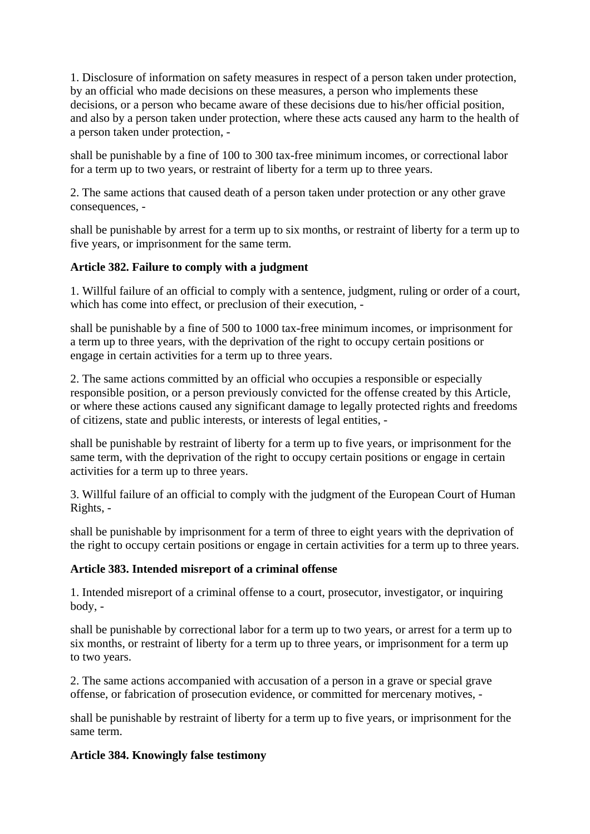1. Disclosure of information on safety measures in respect of a person taken under protection, by an official who made decisions on these measures, a person who implements these decisions, or a person who became aware of these decisions due to his/her official position, and also by a person taken under protection, where these acts caused any harm to the health of a person taken under protection, -

shall be punishable by a fine of 100 to 300 tax-free minimum incomes, or correctional labor for a term up to two years, or restraint of liberty for a term up to three years.

2. The same actions that caused death of a person taken under protection or any other grave consequences, -

shall be punishable by arrest for a term up to six months, or restraint of liberty for a term up to five years, or imprisonment for the same term.

## **Article 382. Failure to comply with a judgment**

1. Willful failure of an official to comply with a sentence, judgment, ruling or order of a court, which has come into effect, or preclusion of their execution, -

shall be punishable by a fine of 500 to 1000 tax-free minimum incomes, or imprisonment for a term up to three years, with the deprivation of the right to occupy certain positions or engage in certain activities for a term up to three years.

2. The same actions committed by an official who occupies a responsible or especially responsible position, or a person previously convicted for the offense created by this Article, or where these actions caused any significant damage to legally protected rights and freedoms of citizens, state and public interests, or interests of legal entities, -

shall be punishable by restraint of liberty for a term up to five years, or imprisonment for the same term, with the deprivation of the right to occupy certain positions or engage in certain activities for a term up to three years.

3. Willful failure of an official to comply with the judgment of the European Court of Human Rights, -

shall be punishable by imprisonment for a term of three to eight years with the deprivation of the right to occupy certain positions or engage in certain activities for a term up to three years.

## **Article 383. Intended misreport of a criminal offense**

1. Intended misreport of a criminal offense to a court, prosecutor, investigator, or inquiring body, -

shall be punishable by correctional labor for a term up to two years, or arrest for a term up to six months, or restraint of liberty for a term up to three years, or imprisonment for a term up to two years.

2. The same actions accompanied with accusation of a person in a grave or special grave offense, or fabrication of prosecution evidence, or committed for mercenary motives, -

shall be punishable by restraint of liberty for a term up to five years, or imprisonment for the same term.

## **Article 384. Knowingly false testimony**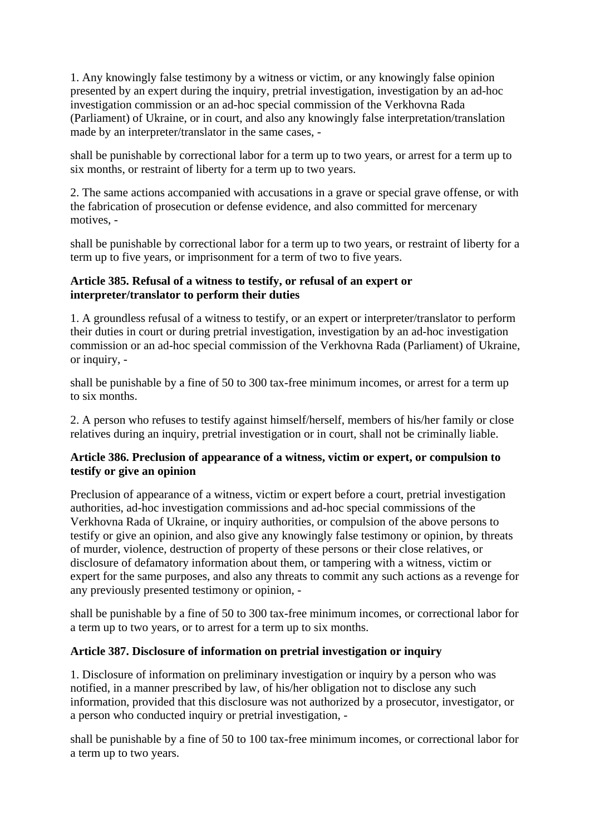1. Any knowingly false testimony by a witness or victim, or any knowingly false opinion presented by an expert during the inquiry, pretrial investigation, investigation by an ad-hoc investigation commission or an ad-hoc special commission of the Verkhovna Rada (Parliament) of Ukraine, or in court, and also any knowingly false interpretation/translation made by an interpreter/translator in the same cases, -

shall be punishable by correctional labor for a term up to two years, or arrest for a term up to six months, or restraint of liberty for a term up to two years.

2. The same actions accompanied with accusations in a grave or special grave offense, or with the fabrication of prosecution or defense evidence, and also committed for mercenary motives, -

shall be punishable by correctional labor for a term up to two years, or restraint of liberty for a term up to five years, or imprisonment for a term of two to five years.

## **Article 385. Refusal of a witness to testify, or refusal of an expert or interpreter/translator to perform their duties**

1. A groundless refusal of a witness to testify, or an expert or interpreter/translator to perform their duties in court or during pretrial investigation, investigation by an ad-hoc investigation commission or an ad-hoc special commission of the Verkhovna Rada (Parliament) of Ukraine, or inquiry, -

shall be punishable by a fine of 50 to 300 tax-free minimum incomes, or arrest for a term up to six months.

2. A person who refuses to testify against himself/herself, members of his/her family or close relatives during an inquiry, pretrial investigation or in court, shall not be criminally liable.

## **Article 386. Preclusion of appearance of a witness, victim or expert, or compulsion to testify or give an opinion**

Preclusion of appearance of a witness, victim or expert before a court, pretrial investigation authorities, ad-hoc investigation commissions and ad-hoc special commissions of the Verkhovna Rada of Ukraine, or inquiry authorities, or compulsion of the above persons to testify or give an opinion, and also give any knowingly false testimony or opinion, by threats of murder, violence, destruction of property of these persons or their close relatives, or disclosure of defamatory information about them, or tampering with a witness, victim or expert for the same purposes, and also any threats to commit any such actions as a revenge for any previously presented testimony or opinion, -

shall be punishable by a fine of 50 to 300 tax-free minimum incomes, or correctional labor for a term up to two years, or to arrest for a term up to six months.

## **Article 387. Disclosure of information on pretrial investigation or inquiry**

1. Disclosure of information on preliminary investigation or inquiry by a person who was notified, in a manner prescribed by law, of his/her obligation not to disclose any such information, provided that this disclosure was not authorized by a prosecutor, investigator, or a person who conducted inquiry or pretrial investigation, -

shall be punishable by a fine of 50 to 100 tax-free minimum incomes, or correctional labor for a term up to two years.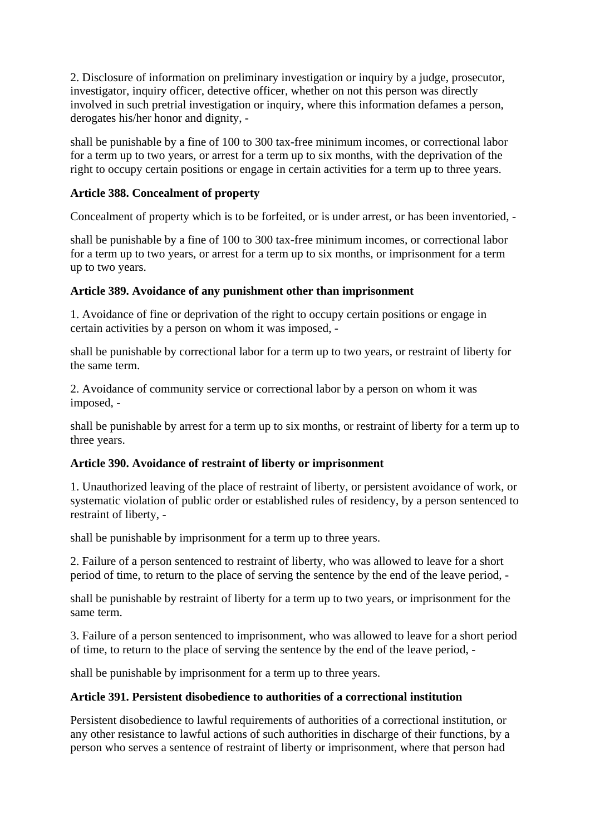2. Disclosure of information on preliminary investigation or inquiry by a judge, prosecutor, investigator, inquiry officer, detective officer, whether on not this person was directly involved in such pretrial investigation or inquiry, where this information defames a person, derogates his/her honor and dignity, -

shall be punishable by a fine of 100 to 300 tax-free minimum incomes, or correctional labor for a term up to two years, or arrest for a term up to six months, with the deprivation of the right to occupy certain positions or engage in certain activities for a term up to three years.

## **Article 388. Concealment of property**

Concealment of property which is to be forfeited, or is under arrest, or has been inventoried, -

shall be punishable by a fine of 100 to 300 tax-free minimum incomes, or correctional labor for a term up to two years, or arrest for a term up to six months, or imprisonment for a term up to two years.

## **Article 389. Avoidance of any punishment other than imprisonment**

1. Avoidance of fine or deprivation of the right to occupy certain positions or engage in certain activities by a person on whom it was imposed, -

shall be punishable by correctional labor for a term up to two years, or restraint of liberty for the same term.

2. Avoidance of community service or correctional labor by a person on whom it was imposed, -

shall be punishable by arrest for a term up to six months, or restraint of liberty for a term up to three years.

## **Article 390. Avoidance of restraint of liberty or imprisonment**

1. Unauthorized leaving of the place of restraint of liberty, or persistent avoidance of work, or systematic violation of public order or established rules of residency, by a person sentenced to restraint of liberty, -

shall be punishable by imprisonment for a term up to three years.

2. Failure of a person sentenced to restraint of liberty, who was allowed to leave for a short period of time, to return to the place of serving the sentence by the end of the leave period, -

shall be punishable by restraint of liberty for a term up to two years, or imprisonment for the same term.

3. Failure of a person sentenced to imprisonment, who was allowed to leave for a short period of time, to return to the place of serving the sentence by the end of the leave period, -

shall be punishable by imprisonment for a term up to three years.

## **Article 391. Persistent disobedience to authorities of a correctional institution**

Persistent disobedience to lawful requirements of authorities of a correctional institution, or any other resistance to lawful actions of such authorities in discharge of their functions, by a person who serves a sentence of restraint of liberty or imprisonment, where that person had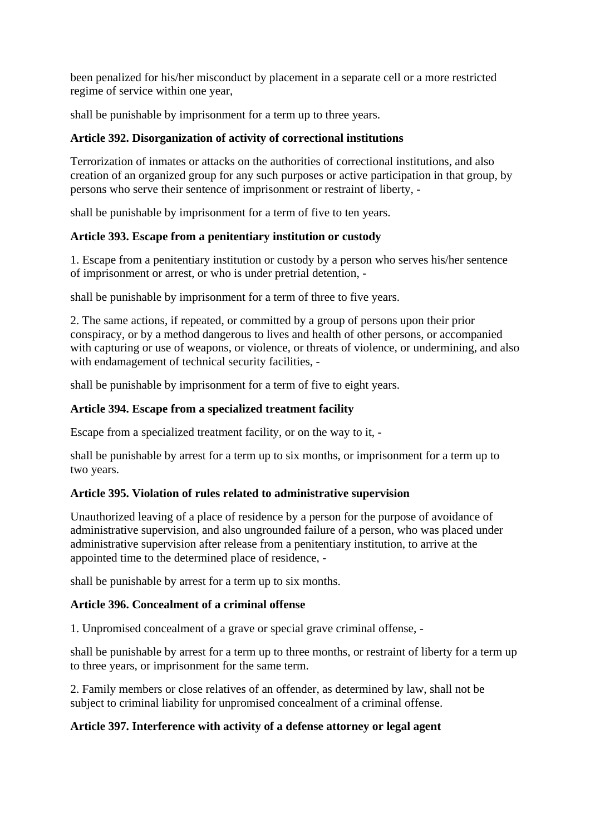been penalized for his/her misconduct by placement in a separate cell or a more restricted regime of service within one year,

shall be punishable by imprisonment for a term up to three years.

## **Article 392. Disorganization of activity of correctional institutions**

Terrorization of inmates or attacks on the authorities of correctional institutions, and also creation of an organized group for any such purposes or active participation in that group, by persons who serve their sentence of imprisonment or restraint of liberty, -

shall be punishable by imprisonment for a term of five to ten years.

## **Article 393. Escape from a penitentiary institution or custody**

1. Escape from a penitentiary institution or custody by a person who serves his/her sentence of imprisonment or arrest, or who is under pretrial detention, -

shall be punishable by imprisonment for a term of three to five years.

2. The same actions, if repeated, or committed by a group of persons upon their prior conspiracy, or by a method dangerous to lives and health of other persons, or accompanied with capturing or use of weapons, or violence, or threats of violence, or undermining, and also with endamagement of technical security facilities, -

shall be punishable by imprisonment for a term of five to eight years.

#### **Article 394. Escape from a specialized treatment facility**

Escape from a specialized treatment facility, or on the way to it, -

shall be punishable by arrest for a term up to six months, or imprisonment for a term up to two years.

## **Article 395. Violation of rules related to administrative supervision**

Unauthorized leaving of a place of residence by a person for the purpose of avoidance of administrative supervision, and also ungrounded failure of a person, who was placed under administrative supervision after release from a penitentiary institution, to arrive at the appointed time to the determined place of residence, -

shall be punishable by arrest for a term up to six months.

## **Article 396. Concealment of a criminal offense**

1. Unpromised concealment of a grave or special grave criminal offense, -

shall be punishable by arrest for a term up to three months, or restraint of liberty for a term up to three years, or imprisonment for the same term.

2. Family members or close relatives of an offender, as determined by law, shall not be subject to criminal liability for unpromised concealment of a criminal offense.

## **Article 397. Interference with activity of a defense attorney or legal agent**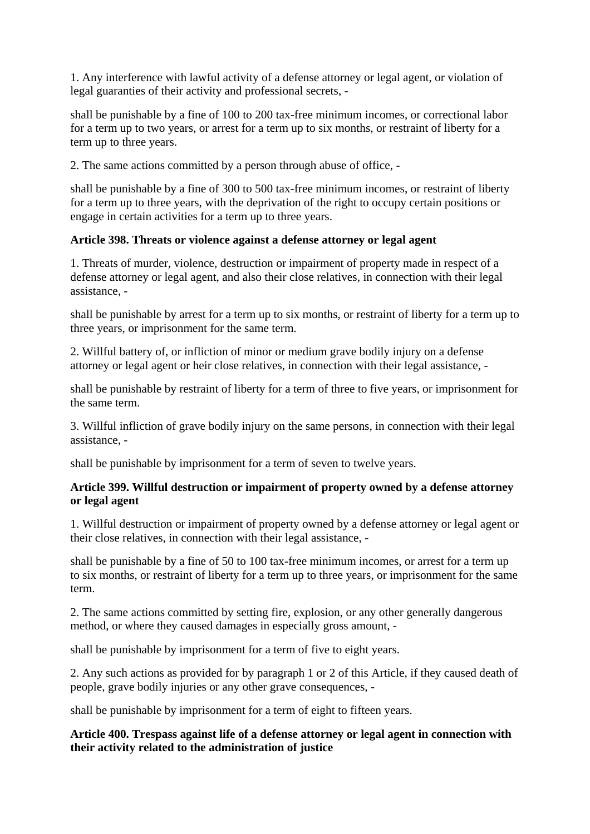1. Any interference with lawful activity of a defense attorney or legal agent, or violation of legal guaranties of their activity and professional secrets, -

shall be punishable by a fine of 100 to 200 tax-free minimum incomes, or correctional labor for a term up to two years, or arrest for a term up to six months, or restraint of liberty for a term up to three years.

2. The same actions committed by a person through abuse of office, -

shall be punishable by a fine of 300 to 500 tax-free minimum incomes, or restraint of liberty for a term up to three years, with the deprivation of the right to occupy certain positions or engage in certain activities for a term up to three years.

#### **Article 398. Threats or violence against a defense attorney or legal agent**

1. Threats of murder, violence, destruction or impairment of property made in respect of a defense attorney or legal agent, and also their close relatives, in connection with their legal assistance, -

shall be punishable by arrest for a term up to six months, or restraint of liberty for a term up to three years, or imprisonment for the same term.

2. Willful battery of, or infliction of minor or medium grave bodily injury on a defense attorney or legal agent or heir close relatives, in connection with their legal assistance, -

shall be punishable by restraint of liberty for a term of three to five years, or imprisonment for the same term.

3. Willful infliction of grave bodily injury on the same persons, in connection with their legal assistance, -

shall be punishable by imprisonment for a term of seven to twelve years.

#### **Article 399. Willful destruction or impairment of property owned by a defense attorney or legal agent**

1. Willful destruction or impairment of property owned by a defense attorney or legal agent or their close relatives, in connection with their legal assistance, -

shall be punishable by a fine of 50 to 100 tax-free minimum incomes, or arrest for a term up to six months, or restraint of liberty for a term up to three years, or imprisonment for the same term.

2. The same actions committed by setting fire, explosion, or any other generally dangerous method, or where they caused damages in especially gross amount, -

shall be punishable by imprisonment for a term of five to eight years.

2. Any such actions as provided for by paragraph 1 or 2 of this Article, if they caused death of people, grave bodily injuries or any other grave consequences, -

shall be punishable by imprisonment for a term of eight to fifteen years.

#### **Article 400. Trespass against life of a defense attorney or legal agent in connection with their activity related to the administration of justice**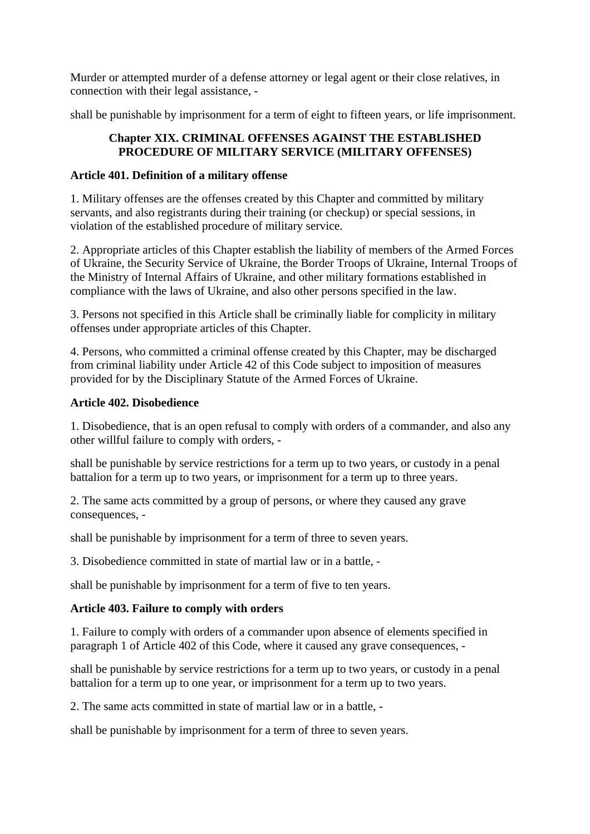Murder or attempted murder of a defense attorney or legal agent or their close relatives, in connection with their legal assistance, -

shall be punishable by imprisonment for a term of eight to fifteen years, or life imprisonment.

### **Chapter XIX. CRIMINAL OFFENSES AGAINST THE ESTABLISHED PROCEDURE OF MILITARY SERVICE (MILITARY OFFENSES)**

### **Article 401. Definition of a military offense**

1. Military offenses are the offenses created by this Chapter and committed by military servants, and also registrants during their training (or checkup) or special sessions, in violation of the established procedure of military service.

2. Appropriate articles of this Chapter establish the liability of members of the Armed Forces of Ukraine, the Security Service of Ukraine, the Border Troops of Ukraine, Internal Troops of the Ministry of Internal Affairs of Ukraine, and other military formations established in compliance with the laws of Ukraine, and also other persons specified in the law.

3. Persons not specified in this Article shall be criminally liable for complicity in military offenses under appropriate articles of this Chapter.

4. Persons, who committed a criminal offense created by this Chapter, may be discharged from criminal liability under Article 42 of this Code subject to imposition of measures provided for by the Disciplinary Statute of the Armed Forces of Ukraine.

#### **Article 402. Disobedience**

1. Disobedience, that is an open refusal to comply with orders of a commander, and also any other willful failure to comply with orders, -

shall be punishable by service restrictions for a term up to two years, or custody in a penal battalion for a term up to two years, or imprisonment for a term up to three years.

2. The same acts committed by a group of persons, or where they caused any grave consequences, -

shall be punishable by imprisonment for a term of three to seven years.

3. Disobedience committed in state of martial law or in a battle, -

shall be punishable by imprisonment for a term of five to ten years.

## **Article 403. Failure to comply with orders**

1. Failure to comply with orders of a commander upon absence of elements specified in paragraph 1 of Article 402 of this Code, where it caused any grave consequences, -

shall be punishable by service restrictions for a term up to two years, or custody in a penal battalion for a term up to one year, or imprisonment for a term up to two years.

2. The same acts committed in state of martial law or in a battle, -

shall be punishable by imprisonment for a term of three to seven years.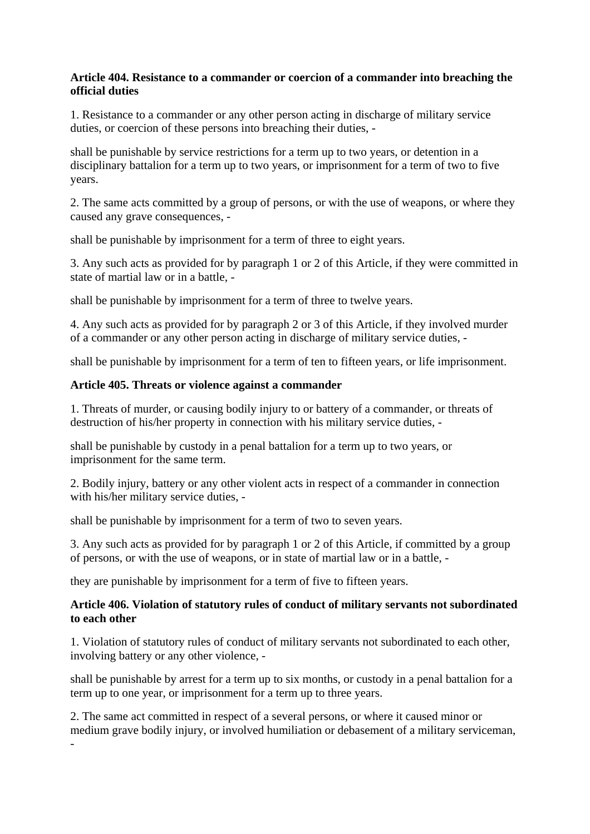### **Article 404. Resistance to a commander or coercion of a commander into breaching the official duties**

1. Resistance to a commander or any other person acting in discharge of military service duties, or coercion of these persons into breaching their duties, -

shall be punishable by service restrictions for a term up to two years, or detention in a disciplinary battalion for a term up to two years, or imprisonment for a term of two to five years.

2. The same acts committed by a group of persons, or with the use of weapons, or where they caused any grave consequences, -

shall be punishable by imprisonment for a term of three to eight years.

3. Any such acts as provided for by paragraph 1 or 2 of this Article, if they were committed in state of martial law or in a battle, -

shall be punishable by imprisonment for a term of three to twelve years.

4. Any such acts as provided for by paragraph 2 or 3 of this Article, if they involved murder of a commander or any other person acting in discharge of military service duties, -

shall be punishable by imprisonment for a term of ten to fifteen years, or life imprisonment.

#### **Article 405. Threats or violence against a commander**

1. Threats of murder, or causing bodily injury to or battery of a commander, or threats of destruction of his/her property in connection with his military service duties, -

shall be punishable by custody in a penal battalion for a term up to two years, or imprisonment for the same term.

2. Bodily injury, battery or any other violent acts in respect of a commander in connection with his/her military service duties, -

shall be punishable by imprisonment for a term of two to seven years.

3. Any such acts as provided for by paragraph 1 or 2 of this Article, if committed by a group of persons, or with the use of weapons, or in state of martial law or in a battle, -

they are punishable by imprisonment for a term of five to fifteen years.

-

#### **Article 406. Violation of statutory rules of conduct of military servants not subordinated to each other**

1. Violation of statutory rules of conduct of military servants not subordinated to each other, involving battery or any other violence, -

shall be punishable by arrest for a term up to six months, or custody in a penal battalion for a term up to one year, or imprisonment for a term up to three years.

2. The same act committed in respect of a several persons, or where it caused minor or medium grave bodily injury, or involved humiliation or debasement of a military serviceman,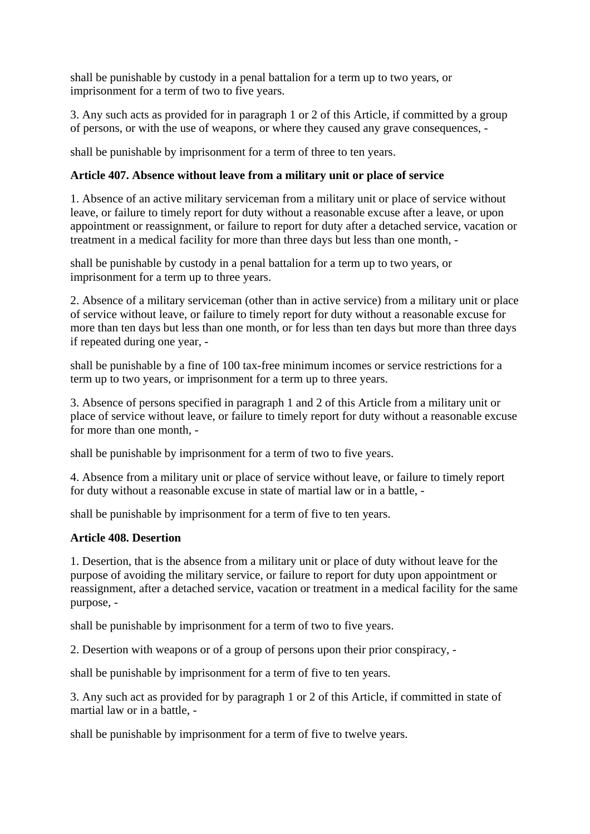shall be punishable by custody in a penal battalion for a term up to two years, or imprisonment for a term of two to five years.

3. Any such acts as provided for in paragraph 1 or 2 of this Article, if committed by a group of persons, or with the use of weapons, or where they caused any grave consequences, -

shall be punishable by imprisonment for a term of three to ten years.

## **Article 407. Absence without leave from a military unit or place of service**

1. Absence of an active military serviceman from a military unit or place of service without leave, or failure to timely report for duty without a reasonable excuse after a leave, or upon appointment or reassignment, or failure to report for duty after a detached service, vacation or treatment in a medical facility for more than three days but less than one month, -

shall be punishable by custody in a penal battalion for a term up to two years, or imprisonment for a term up to three years.

2. Absence of a military serviceman (other than in active service) from a military unit or place of service without leave, or failure to timely report for duty without a reasonable excuse for more than ten days but less than one month, or for less than ten days but more than three days if repeated during one year, -

shall be punishable by a fine of 100 tax-free minimum incomes or service restrictions for a term up to two years, or imprisonment for a term up to three years.

3. Absence of persons specified in paragraph 1 and 2 of this Article from a military unit or place of service without leave, or failure to timely report for duty without a reasonable excuse for more than one month, -

shall be punishable by imprisonment for a term of two to five years.

4. Absence from a military unit or place of service without leave, or failure to timely report for duty without a reasonable excuse in state of martial law or in a battle, -

shall be punishable by imprisonment for a term of five to ten years.

#### **Article 408. Desertion**

1. Desertion, that is the absence from a military unit or place of duty without leave for the purpose of avoiding the military service, or failure to report for duty upon appointment or reassignment, after a detached service, vacation or treatment in a medical facility for the same purpose, -

shall be punishable by imprisonment for a term of two to five years.

2. Desertion with weapons or of a group of persons upon their prior conspiracy, -

shall be punishable by imprisonment for a term of five to ten years.

3. Any such act as provided for by paragraph 1 or 2 of this Article, if committed in state of martial law or in a battle, -

shall be punishable by imprisonment for a term of five to twelve years.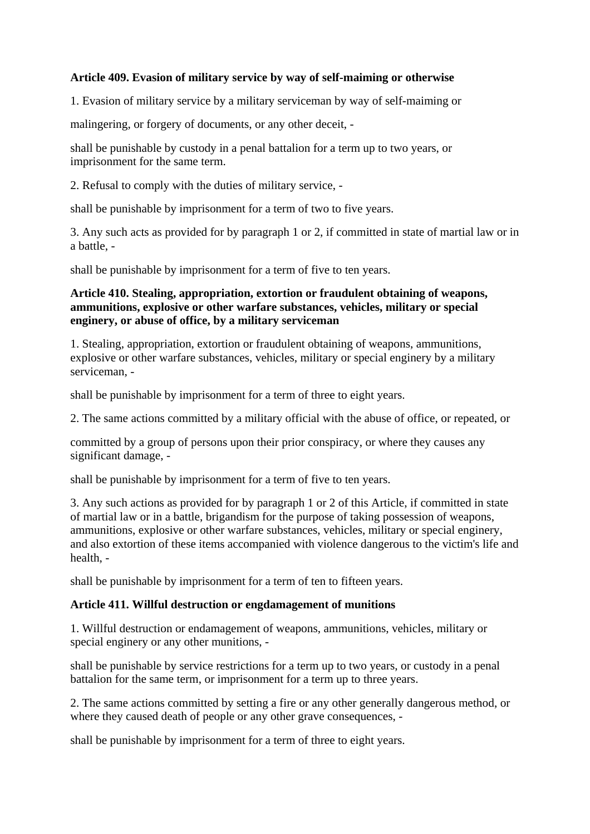### **Article 409. Evasion of military service by way of self-maiming or otherwise**

1. Evasion of military service by a military serviceman by way of self-maiming or

malingering, or forgery of documents, or any other deceit, -

shall be punishable by custody in a penal battalion for a term up to two years, or imprisonment for the same term.

2. Refusal to comply with the duties of military service, -

shall be punishable by imprisonment for a term of two to five years.

3. Any such acts as provided for by paragraph 1 or 2, if committed in state of martial law or in a battle, -

shall be punishable by imprisonment for a term of five to ten years.

## **Article 410. Stealing, appropriation, extortion or fraudulent obtaining of weapons, ammunitions, explosive or other warfare substances, vehicles, military or special enginery, or abuse of office, by a military serviceman**

1. Stealing, appropriation, extortion or fraudulent obtaining of weapons, ammunitions, explosive or other warfare substances, vehicles, military or special enginery by a military serviceman, -

shall be punishable by imprisonment for a term of three to eight years.

2. The same actions committed by a military official with the abuse of office, or repeated, or

committed by a group of persons upon their prior conspiracy, or where they causes any significant damage, -

shall be punishable by imprisonment for a term of five to ten years.

3. Any such actions as provided for by paragraph 1 or 2 of this Article, if committed in state of martial law or in a battle, brigandism for the purpose of taking possession of weapons, ammunitions, explosive or other warfare substances, vehicles, military or special enginery, and also extortion of these items accompanied with violence dangerous to the victim's life and health, -

shall be punishable by imprisonment for a term of ten to fifteen years.

#### **Article 411. Willful destruction or engdamagement of munitions**

1. Willful destruction or endamagement of weapons, ammunitions, vehicles, military or special enginery or any other munitions, -

shall be punishable by service restrictions for a term up to two years, or custody in a penal battalion for the same term, or imprisonment for a term up to three years.

2. The same actions committed by setting a fire or any other generally dangerous method, or where they caused death of people or any other grave consequences, -

shall be punishable by imprisonment for a term of three to eight years.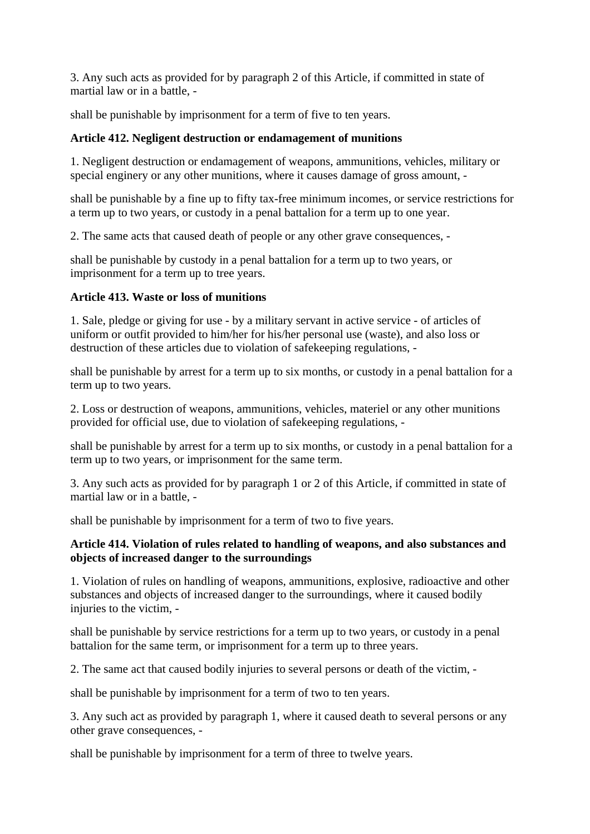3. Any such acts as provided for by paragraph 2 of this Article, if committed in state of martial law or in a battle, -

shall be punishable by imprisonment for a term of five to ten years.

### **Article 412. Negligent destruction or endamagement of munitions**

1. Negligent destruction or endamagement of weapons, ammunitions, vehicles, military or special enginery or any other munitions, where it causes damage of gross amount, -

shall be punishable by a fine up to fifty tax-free minimum incomes, or service restrictions for a term up to two years, or custody in a penal battalion for a term up to one year.

2. The same acts that caused death of people or any other grave consequences, -

shall be punishable by custody in a penal battalion for a term up to two years, or imprisonment for a term up to tree years.

#### **Article 413. Waste or loss of munitions**

1. Sale, pledge or giving for use - by a military servant in active service - of articles of uniform or outfit provided to him/her for his/her personal use (waste), and also loss or destruction of these articles due to violation of safekeeping regulations, -

shall be punishable by arrest for a term up to six months, or custody in a penal battalion for a term up to two years.

2. Loss or destruction of weapons, ammunitions, vehicles, materiel or any other munitions provided for official use, due to violation of safekeeping regulations, -

shall be punishable by arrest for a term up to six months, or custody in a penal battalion for a term up to two years, or imprisonment for the same term.

3. Any such acts as provided for by paragraph 1 or 2 of this Article, if committed in state of martial law or in a battle, -

shall be punishable by imprisonment for a term of two to five years.

#### **Article 414. Violation of rules related to handling of weapons, and also substances and objects of increased danger to the surroundings**

1. Violation of rules on handling of weapons, ammunitions, explosive, radioactive and other substances and objects of increased danger to the surroundings, where it caused bodily injuries to the victim, -

shall be punishable by service restrictions for a term up to two years, or custody in a penal battalion for the same term, or imprisonment for a term up to three years.

2. The same act that caused bodily injuries to several persons or death of the victim, -

shall be punishable by imprisonment for a term of two to ten years.

3. Any such act as provided by paragraph 1, where it caused death to several persons or any other grave consequences, -

shall be punishable by imprisonment for a term of three to twelve years.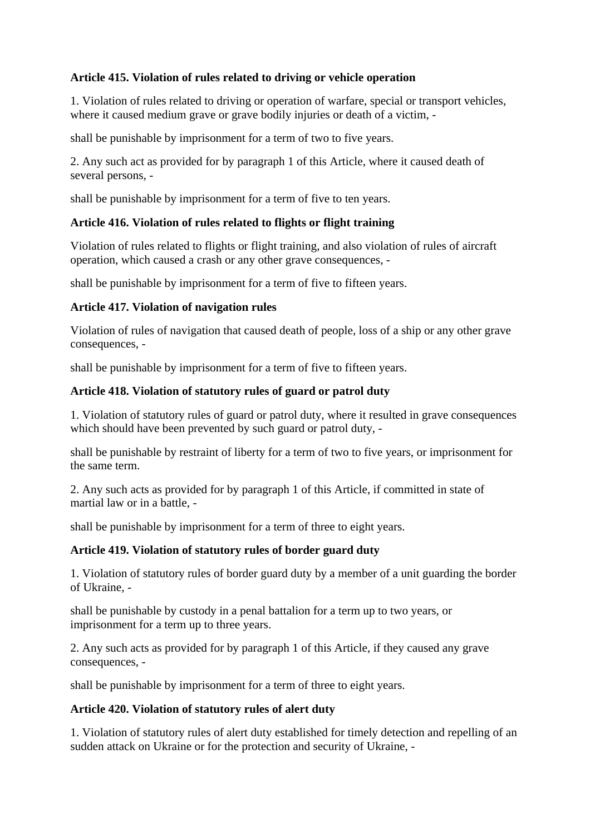# **Article 415. Violation of rules related to driving or vehicle operation**

1. Violation of rules related to driving or operation of warfare, special or transport vehicles, where it caused medium grave or grave bodily injuries or death of a victim. -

shall be punishable by imprisonment for a term of two to five years.

2. Any such act as provided for by paragraph 1 of this Article, where it caused death of several persons, -

shall be punishable by imprisonment for a term of five to ten years.

## **Article 416. Violation of rules related to flights or flight training**

Violation of rules related to flights or flight training, and also violation of rules of aircraft operation, which caused a crash or any other grave consequences, -

shall be punishable by imprisonment for a term of five to fifteen years.

#### **Article 417. Violation of navigation rules**

Violation of rules of navigation that caused death of people, loss of a ship or any other grave consequences, -

shall be punishable by imprisonment for a term of five to fifteen years.

#### **Article 418. Violation of statutory rules of guard or patrol duty**

1. Violation of statutory rules of guard or patrol duty, where it resulted in grave consequences which should have been prevented by such guard or patrol duty, -

shall be punishable by restraint of liberty for a term of two to five years, or imprisonment for the same term.

2. Any such acts as provided for by paragraph 1 of this Article, if committed in state of martial law or in a battle, -

shall be punishable by imprisonment for a term of three to eight years.

#### **Article 419. Violation of statutory rules of border guard duty**

1. Violation of statutory rules of border guard duty by a member of a unit guarding the border of Ukraine, -

shall be punishable by custody in a penal battalion for a term up to two years, or imprisonment for a term up to three years.

2. Any such acts as provided for by paragraph 1 of this Article, if they caused any grave consequences, -

shall be punishable by imprisonment for a term of three to eight years.

## **Article 420. Violation of statutory rules of alert duty**

1. Violation of statutory rules of alert duty established for timely detection and repelling of an sudden attack on Ukraine or for the protection and security of Ukraine, -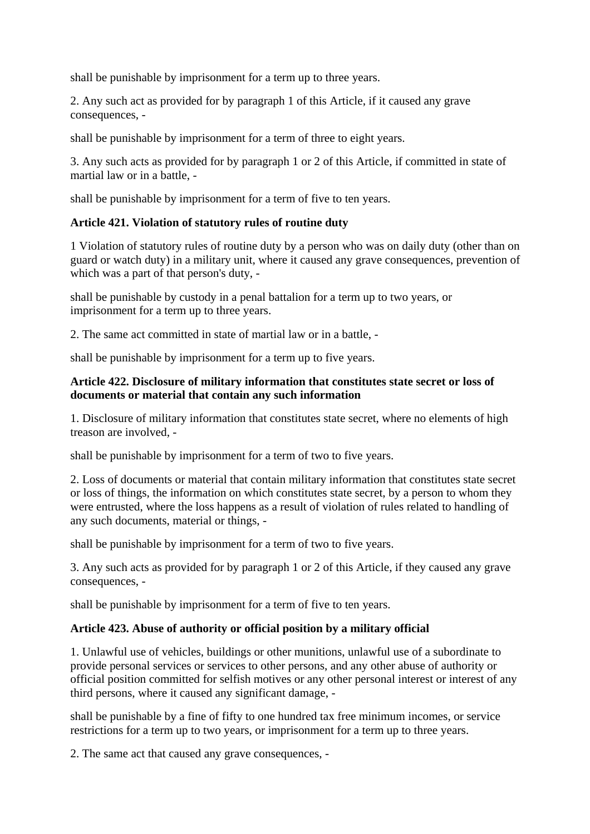shall be punishable by imprisonment for a term up to three years.

2. Any such act as provided for by paragraph 1 of this Article, if it caused any grave consequences, -

shall be punishable by imprisonment for a term of three to eight years.

3. Any such acts as provided for by paragraph 1 or 2 of this Article, if committed in state of martial law or in a battle, -

shall be punishable by imprisonment for a term of five to ten years.

## **Article 421. Violation of statutory rules of routine duty**

1 Violation of statutory rules of routine duty by a person who was on daily duty (other than on guard or watch duty) in a military unit, where it caused any grave consequences, prevention of which was a part of that person's duty. -

shall be punishable by custody in a penal battalion for a term up to two years, or imprisonment for a term up to three years.

2. The same act committed in state of martial law or in a battle, -

shall be punishable by imprisonment for a term up to five years.

#### **Article 422. Disclosure of military information that constitutes state secret or loss of documents or material that contain any such information**

1. Disclosure of military information that constitutes state secret, where no elements of high treason are involved, -

shall be punishable by imprisonment for a term of two to five years.

2. Loss of documents or material that contain military information that constitutes state secret or loss of things, the information on which constitutes state secret, by a person to whom they were entrusted, where the loss happens as a result of violation of rules related to handling of any such documents, material or things, -

shall be punishable by imprisonment for a term of two to five years.

3. Any such acts as provided for by paragraph 1 or 2 of this Article, if they caused any grave consequences, -

shall be punishable by imprisonment for a term of five to ten years.

#### **Article 423. Abuse of authority or official position by a military official**

1. Unlawful use of vehicles, buildings or other munitions, unlawful use of a subordinate to provide personal services or services to other persons, and any other abuse of authority or official position committed for selfish motives or any other personal interest or interest of any third persons, where it caused any significant damage, -

shall be punishable by a fine of fifty to one hundred tax free minimum incomes, or service restrictions for a term up to two years, or imprisonment for a term up to three years.

2. The same act that caused any grave consequences, -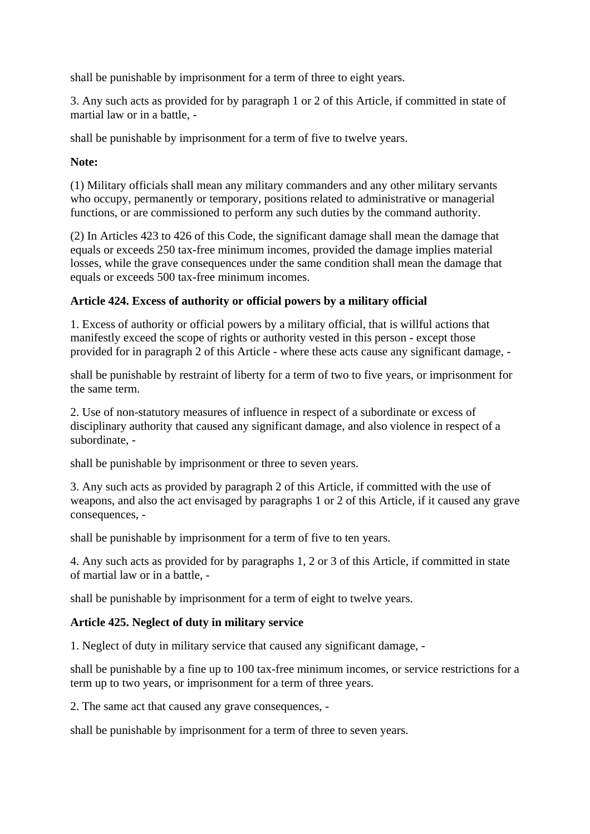shall be punishable by imprisonment for a term of three to eight years.

3. Any such acts as provided for by paragraph 1 or 2 of this Article, if committed in state of martial law or in a battle, -

shall be punishable by imprisonment for a term of five to twelve years.

### **Note:**

(1) Military officials shall mean any military commanders and any other military servants who occupy, permanently or temporary, positions related to administrative or managerial functions, or are commissioned to perform any such duties by the command authority.

(2) In Articles 423 to 426 of this Code, the significant damage shall mean the damage that equals or exceeds 250 tax-free minimum incomes, provided the damage implies material losses, while the grave consequences under the same condition shall mean the damage that equals or exceeds 500 tax-free minimum incomes.

## **Article 424. Excess of authority or official powers by a military official**

1. Excess of authority or official powers by a military official, that is willful actions that manifestly exceed the scope of rights or authority vested in this person - except those provided for in paragraph 2 of this Article - where these acts cause any significant damage, -

shall be punishable by restraint of liberty for a term of two to five years, or imprisonment for the same term.

2. Use of non-statutory measures of influence in respect of a subordinate or excess of disciplinary authority that caused any significant damage, and also violence in respect of a subordinate, -

shall be punishable by imprisonment or three to seven years.

3. Any such acts as provided by paragraph 2 of this Article, if committed with the use of weapons, and also the act envisaged by paragraphs 1 or 2 of this Article, if it caused any grave consequences, -

shall be punishable by imprisonment for a term of five to ten years.

4. Any such acts as provided for by paragraphs 1, 2 or 3 of this Article, if committed in state of martial law or in a battle, -

shall be punishable by imprisonment for a term of eight to twelve years.

#### **Article 425. Neglect of duty in military service**

1. Neglect of duty in military service that caused any significant damage, -

shall be punishable by a fine up to 100 tax-free minimum incomes, or service restrictions for a term up to two years, or imprisonment for a term of three years.

2. The same act that caused any grave consequences, -

shall be punishable by imprisonment for a term of three to seven years.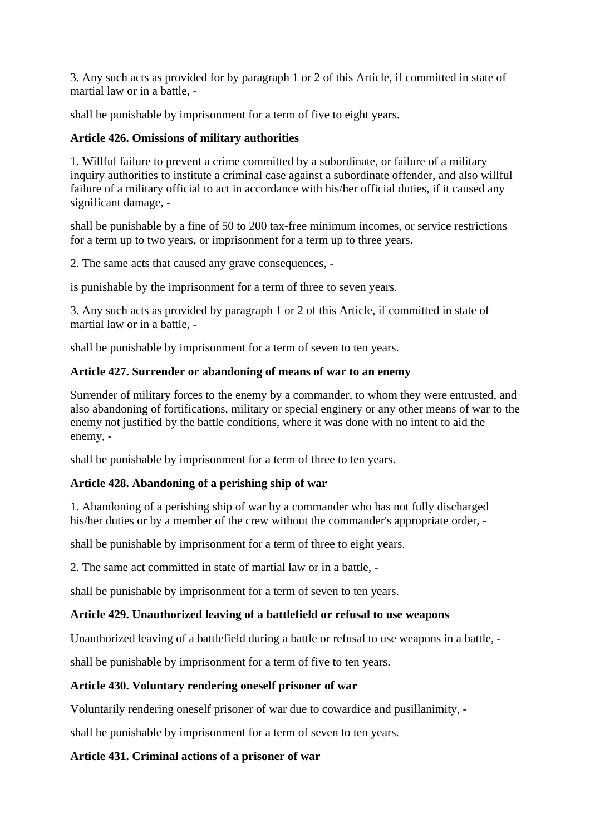3. Any such acts as provided for by paragraph 1 or 2 of this Article, if committed in state of martial law or in a battle, -

shall be punishable by imprisonment for a term of five to eight years.

## **Article 426. Omissions of military authorities**

1. Willful failure to prevent a crime committed by a subordinate, or failure of a military inquiry authorities to institute a criminal case against a subordinate offender, and also willful failure of a military official to act in accordance with his/her official duties, if it caused any significant damage, -

shall be punishable by a fine of 50 to 200 tax-free minimum incomes, or service restrictions for a term up to two years, or imprisonment for a term up to three years.

2. The same acts that caused any grave consequences, -

is punishable by the imprisonment for a term of three to seven years.

3. Any such acts as provided by paragraph 1 or 2 of this Article, if committed in state of martial law or in a battle, -

shall be punishable by imprisonment for a term of seven to ten years.

## **Article 427. Surrender or abandoning of means of war to an enemy**

Surrender of military forces to the enemy by a commander, to whom they were entrusted, and also abandoning of fortifications, military or special enginery or any other means of war to the enemy not justified by the battle conditions, where it was done with no intent to aid the enemy, -

shall be punishable by imprisonment for a term of three to ten years.

## **Article 428. Abandoning of a perishing ship of war**

1. Abandoning of a perishing ship of war by a commander who has not fully discharged his/her duties or by a member of the crew without the commander's appropriate order, -

shall be punishable by imprisonment for a term of three to eight years.

2. The same act committed in state of martial law or in a battle, -

shall be punishable by imprisonment for a term of seven to ten years.

## **Article 429. Unauthorized leaving of a battlefield or refusal to use weapons**

Unauthorized leaving of a battlefield during a battle or refusal to use weapons in a battle, -

shall be punishable by imprisonment for a term of five to ten years.

## **Article 430. Voluntary rendering oneself prisoner of war**

Voluntarily rendering oneself prisoner of war due to cowardice and pusillanimity, -

shall be punishable by imprisonment for a term of seven to ten years.

## **Article 431. Criminal actions of a prisoner of war**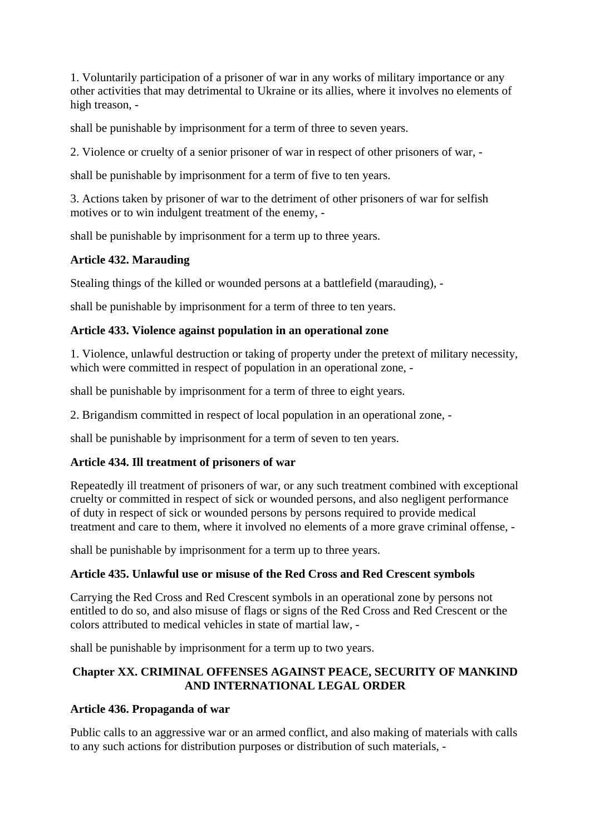1. Voluntarily participation of a prisoner of war in any works of military importance or any other activities that may detrimental to Ukraine or its allies, where it involves no elements of high treason, -

shall be punishable by imprisonment for a term of three to seven years.

2. Violence or cruelty of a senior prisoner of war in respect of other prisoners of war, -

shall be punishable by imprisonment for a term of five to ten years.

3. Actions taken by prisoner of war to the detriment of other prisoners of war for selfish motives or to win indulgent treatment of the enemy, -

shall be punishable by imprisonment for a term up to three years.

# **Article 432. Marauding**

Stealing things of the killed or wounded persons at a battlefield (marauding), -

shall be punishable by imprisonment for a term of three to ten years.

## **Article 433. Violence against population in an operational zone**

1. Violence, unlawful destruction or taking of property under the pretext of military necessity, which were committed in respect of population in an operational zone, -

shall be punishable by imprisonment for a term of three to eight years.

2. Brigandism committed in respect of local population in an operational zone, -

shall be punishable by imprisonment for a term of seven to ten years.

# **Article 434. Ill treatment of prisoners of war**

Repeatedly ill treatment of prisoners of war, or any such treatment combined with exceptional cruelty or committed in respect of sick or wounded persons, and also negligent performance of duty in respect of sick or wounded persons by persons required to provide medical treatment and care to them, where it involved no elements of a more grave criminal offense, -

shall be punishable by imprisonment for a term up to three years.

## **Article 435. Unlawful use or misuse of the Red Cross and Red Crescent symbols**

Carrying the Red Cross and Red Crescent symbols in an operational zone by persons not entitled to do so, and also misuse of flags or signs of the Red Cross and Red Crescent or the colors attributed to medical vehicles in state of martial law, -

shall be punishable by imprisonment for a term up to two years.

## **Chapter XX. CRIMINAL OFFENSES AGAINST PEACE, SECURITY OF MANKIND AND INTERNATIONAL LEGAL ORDER**

# **Article 436. Propaganda of war**

Public calls to an aggressive war or an armed conflict, and also making of materials with calls to any such actions for distribution purposes or distribution of such materials, -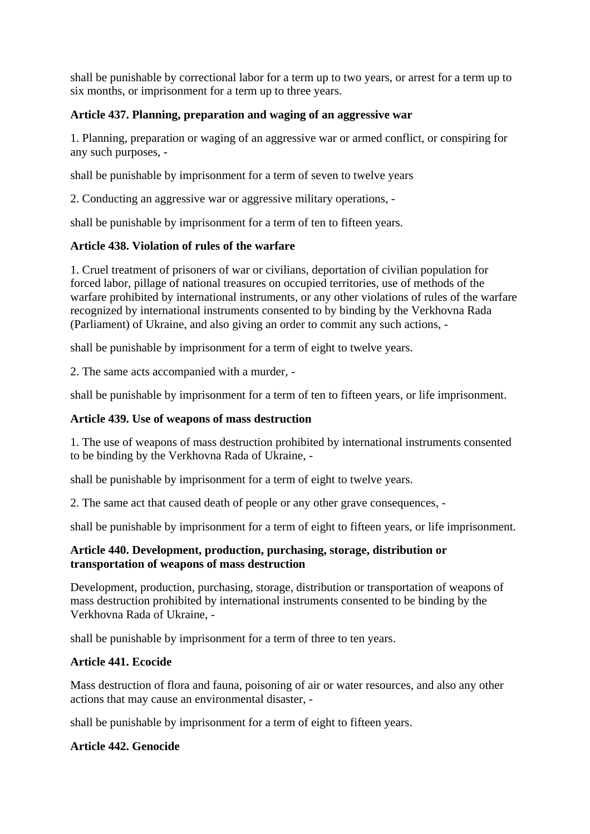shall be punishable by correctional labor for a term up to two years, or arrest for a term up to six months, or imprisonment for a term up to three years.

## **Article 437. Planning, preparation and waging of an aggressive war**

1. Planning, preparation or waging of an aggressive war or armed conflict, or conspiring for any such purposes, -

shall be punishable by imprisonment for a term of seven to twelve years

2. Conducting an aggressive war or aggressive military operations, -

shall be punishable by imprisonment for a term of ten to fifteen years.

## **Article 438. Violation of rules of the warfare**

1. Cruel treatment of prisoners of war or civilians, deportation of civilian population for forced labor, pillage of national treasures on occupied territories, use of methods of the warfare prohibited by international instruments, or any other violations of rules of the warfare recognized by international instruments consented to by binding by the Verkhovna Rada (Parliament) of Ukraine, and also giving an order to commit any such actions, -

shall be punishable by imprisonment for a term of eight to twelve years.

2. The same acts accompanied with a murder, -

shall be punishable by imprisonment for a term of ten to fifteen years, or life imprisonment.

### **Article 439. Use of weapons of mass destruction**

1. The use of weapons of mass destruction prohibited by international instruments consented to be binding by the Verkhovna Rada of Ukraine, -

shall be punishable by imprisonment for a term of eight to twelve years.

2. The same act that caused death of people or any other grave consequences, -

shall be punishable by imprisonment for a term of eight to fifteen years, or life imprisonment.

#### **Article 440. Development, production, purchasing, storage, distribution or transportation of weapons of mass destruction**

Development, production, purchasing, storage, distribution or transportation of weapons of mass destruction prohibited by international instruments consented to be binding by the Verkhovna Rada of Ukraine, -

shall be punishable by imprisonment for a term of three to ten years.

## **Article 441. Ecocide**

Mass destruction of flora and fauna, poisoning of air or water resources, and also any other actions that may cause an environmental disaster, -

shall be punishable by imprisonment for a term of eight to fifteen years.

## **Article 442. Genocide**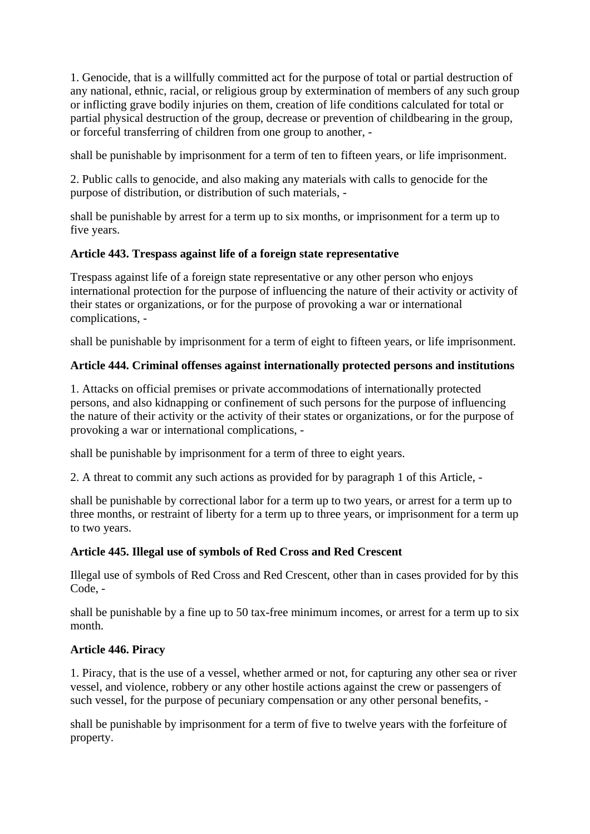1. Genocide, that is a willfully committed act for the purpose of total or partial destruction of any national, ethnic, racial, or religious group by extermination of members of any such group or inflicting grave bodily injuries on them, creation of life conditions calculated for total or partial physical destruction of the group, decrease or prevention of childbearing in the group, or forceful transferring of children from one group to another, -

shall be punishable by imprisonment for a term of ten to fifteen years, or life imprisonment.

2. Public calls to genocide, and also making any materials with calls to genocide for the purpose of distribution, or distribution of such materials, -

shall be punishable by arrest for a term up to six months, or imprisonment for a term up to five years.

## **Article 443. Trespass against life of a foreign state representative**

Trespass against life of a foreign state representative or any other person who enjoys international protection for the purpose of influencing the nature of their activity or activity of their states or organizations, or for the purpose of provoking a war or international complications, -

shall be punishable by imprisonment for a term of eight to fifteen years, or life imprisonment.

# **Article 444. Criminal offenses against internationally protected persons and institutions**

1. Attacks on official premises or private accommodations of internationally protected persons, and also kidnapping or confinement of such persons for the purpose of influencing the nature of their activity or the activity of their states or organizations, or for the purpose of provoking a war or international complications, -

shall be punishable by imprisonment for a term of three to eight years.

2. A threat to commit any such actions as provided for by paragraph 1 of this Article, -

shall be punishable by correctional labor for a term up to two years, or arrest for a term up to three months, or restraint of liberty for a term up to three years, or imprisonment for a term up to two years.

# **Article 445. Illegal use of symbols of Red Cross and Red Crescent**

Illegal use of symbols of Red Cross and Red Crescent, other than in cases provided for by this Code, -

shall be punishable by a fine up to 50 tax-free minimum incomes, or arrest for a term up to six month.

# **Article 446. Piracy**

1. Piracy, that is the use of a vessel, whether armed or not, for capturing any other sea or river vessel, and violence, robbery or any other hostile actions against the crew or passengers of such vessel, for the purpose of pecuniary compensation or any other personal benefits, -

shall be punishable by imprisonment for a term of five to twelve years with the forfeiture of property.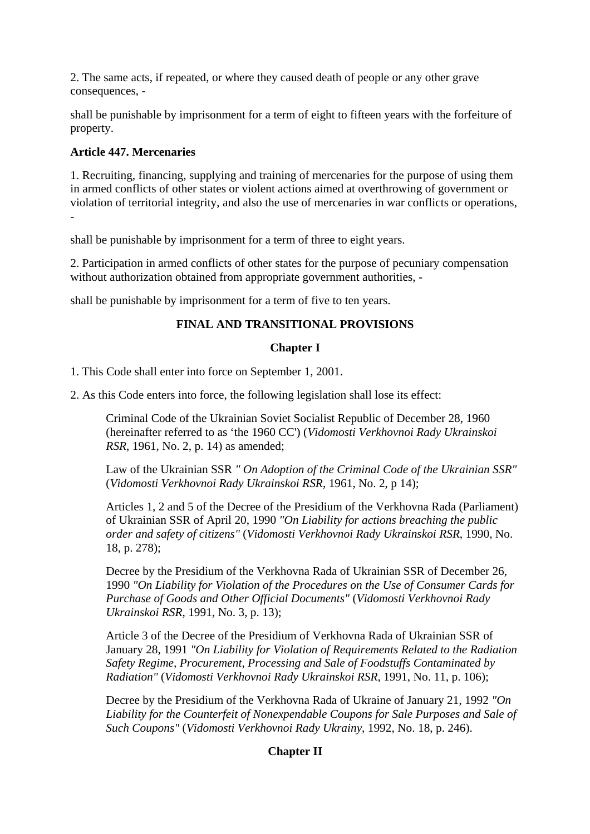2. The same acts, if repeated, or where they caused death of people or any other grave consequences, -

shall be punishable by imprisonment for a term of eight to fifteen years with the forfeiture of property.

## **Article 447. Mercenaries**

1. Recruiting, financing, supplying and training of mercenaries for the purpose of using them in armed conflicts of other states or violent actions aimed at overthrowing of government or violation of territorial integrity, and also the use of mercenaries in war conflicts or operations, -

shall be punishable by imprisonment for a term of three to eight years.

2. Participation in armed conflicts of other states for the purpose of pecuniary compensation without authorization obtained from appropriate government authorities, -

shall be punishable by imprisonment for a term of five to ten years.

## **FINAL AND TRANSITIONAL PROVISIONS**

#### **Chapter I**

1. This Code shall enter into force on September 1, 2001.

2. As this Code enters into force, the following legislation shall lose its effect:

Criminal Code of the Ukrainian Soviet Socialist Republic of December 28, 1960 (hereinafter referred to as 'the 1960 CC') (*Vidomosti Verkhovnoi Rady Ukrainskoi RSR*, 1961, No. 2, p. 14) as amended;

Law of the Ukrainian SSR *" On Adoption of the Criminal Code of the Ukrainian SSR"* (*Vidomosti Verkhovnoi Rady Ukrainskoi RSR*, 1961, No. 2, p 14);

Articles 1, 2 and 5 of the Decree of the Presidium of the Verkhovna Rada (Parliament) of Ukrainian SSR of April 20, 1990 *"On Liability for actions breaching the public order and safety of citizens"* (*Vidomosti Verkhovnoi Rady Ukrainskoi RSR*, 1990, No. 18, p. 278);

Decree by the Presidium of the Verkhovna Rada of Ukrainian SSR of December 26, 1990 *"On Liability for Violation of the Procedures on the Use of Consumer Cards for Purchase of Goods and Other Official Documents"* (*Vidomosti Verkhovnoi Rady Ukrainskoi RSR*, 1991, No. 3, p. 13);

Article 3 of the Decree of the Presidium of Verkhovna Rada of Ukrainian SSR of January 28, 1991 *"On Liability for Violation of Requirements Related to the Radiation Safety Regime, Procurement, Processing and Sale of Foodstuffs Contaminated by Radiation"* (*Vidomosti Verkhovnoi Rady Ukrainskoi RSR*, 1991, No. 11, p. 106);

Decree by the Presidium of the Verkhovna Rada of Ukraine of January 21, 1992 *"On Liability for the Counterfeit of Nonexpendable Coupons for Sale Purposes and Sale of Such Coupons"* (*Vidomosti Verkhovnoi Rady Ukrainy*, 1992, No. 18, p. 246).

## **Chapter II**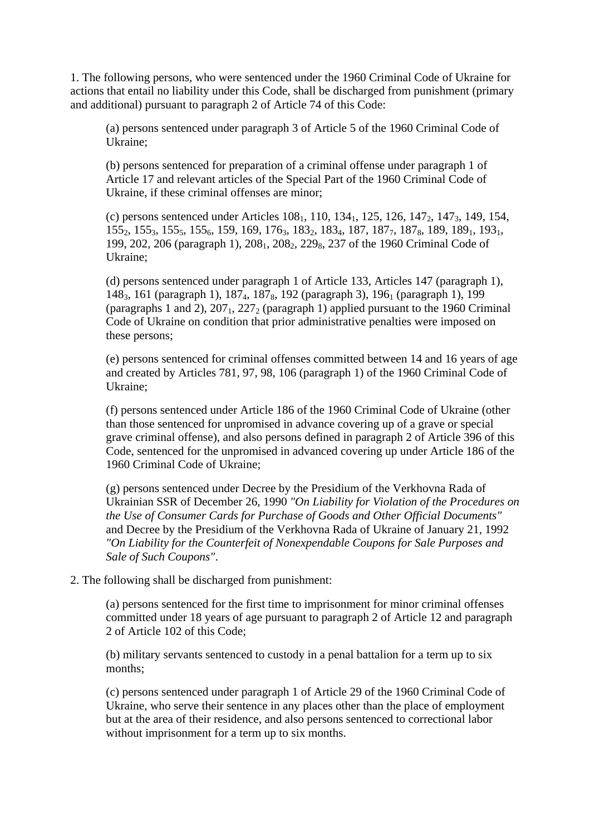1. The following persons, who were sentenced under the 1960 Criminal Code of Ukraine for actions that entail no liability under this Code, shall be discharged from punishment (primary and additional) pursuant to paragraph 2 of Article 74 of this Code:

(a) persons sentenced under paragraph 3 of Article 5 of the 1960 Criminal Code of Ukraine;

(b) persons sentenced for preparation of a criminal offense under paragraph 1 of Article 17 and relevant articles of the Special Part of the 1960 Criminal Code of Ukraine, if these criminal offenses are minor;

(c) persons sentenced under Articles  $108<sub>1</sub>$ ,  $110$ ,  $134<sub>1</sub>$ ,  $125$ ,  $126$ ,  $147<sub>2</sub>$ ,  $147<sub>3</sub>$ ,  $149$ ,  $154$ , 155<sub>2</sub>, 155<sub>3</sub>, 155<sub>5</sub>, 155<sub>6</sub>, 159, 169, 176<sub>3</sub>, 183<sub>2</sub>, 183<sub>4</sub>, 187, 187<sub>7</sub>, 187<sub>8</sub>, 189, 189<sub>1</sub>, 193<sub>1</sub>, 199, 202, 206 (paragraph 1), 208<sub>1</sub>, 208<sub>2</sub>, 229<sub>8</sub>, 237 of the 1960 Criminal Code of Ukraine;

(d) persons sentenced under paragraph 1 of Article 133, Articles 147 (paragraph 1), 148<sub>3</sub>, 161 (paragraph 1), 187<sub>4</sub>, 187<sub>8</sub>, 192 (paragraph 3), 196<sub>1</sub> (paragraph 1), 199 (paragraphs 1 and 2),  $207<sub>1</sub>$ ,  $227<sub>2</sub>$  (paragraph 1) applied pursuant to the 1960 Criminal Code of Ukraine on condition that prior administrative penalties were imposed on these persons;

(e) persons sentenced for criminal offenses committed between 14 and 16 years of age and created by Articles 781, 97, 98, 106 (paragraph 1) of the 1960 Criminal Code of Ukraine;

(f) persons sentenced under Article 186 of the 1960 Criminal Code of Ukraine (other than those sentenced for unpromised in advance covering up of a grave or special grave criminal offense), and also persons defined in paragraph 2 of Article 396 of this Code, sentenced for the unpromised in advanced covering up under Article 186 of the 1960 Criminal Code of Ukraine;

(g) persons sentenced under Decree by the Presidium of the Verkhovna Rada of Ukrainian SSR of December 26, 1990 *"On Liability for Violation of the Procedures on the Use of Consumer Cards for Purchase of Goods and Other Official Documents"* and Decree by the Presidium of the Verkhovna Rada of Ukraine of January 21, 1992 *"On Liability for the Counterfeit of Nonexpendable Coupons for Sale Purposes and Sale of Such Coupons"*.

2. The following shall be discharged from punishment:

(a) persons sentenced for the first time to imprisonment for minor criminal offenses committed under 18 years of age pursuant to paragraph 2 of Article 12 and paragraph 2 of Article 102 of this Code;

(b) military servants sentenced to custody in a penal battalion for a term up to six months;

(c) persons sentenced under paragraph 1 of Article 29 of the 1960 Criminal Code of Ukraine, who serve their sentence in any places other than the place of employment but at the area of their residence, and also persons sentenced to correctional labor without imprisonment for a term up to six months.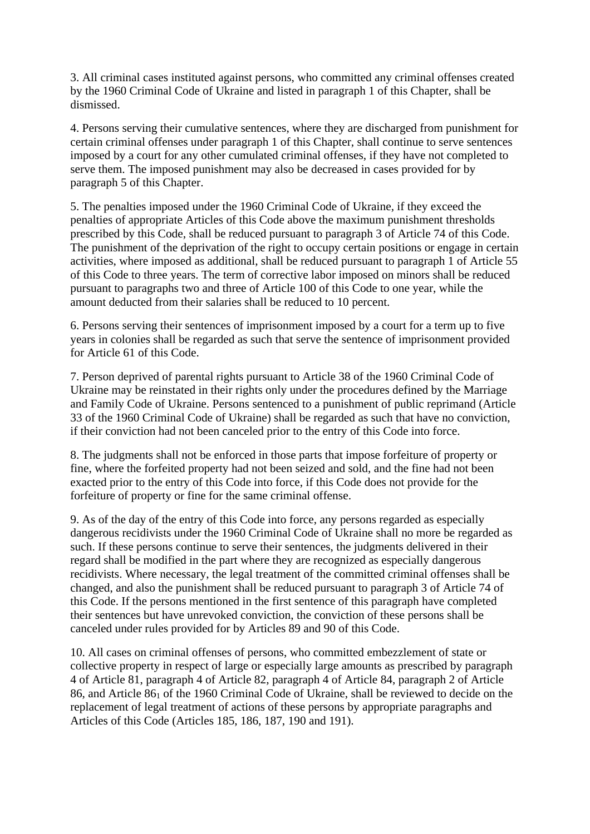3. All criminal cases instituted against persons, who committed any criminal offenses created by the 1960 Criminal Code of Ukraine and listed in paragraph 1 of this Chapter, shall be dismissed.

4. Persons serving their cumulative sentences, where they are discharged from punishment for certain criminal offenses under paragraph 1 of this Chapter, shall continue to serve sentences imposed by a court for any other cumulated criminal offenses, if they have not completed to serve them. The imposed punishment may also be decreased in cases provided for by paragraph 5 of this Chapter.

5. The penalties imposed under the 1960 Criminal Code of Ukraine, if they exceed the penalties of appropriate Articles of this Code above the maximum punishment thresholds prescribed by this Code, shall be reduced pursuant to paragraph 3 of Article 74 of this Code. The punishment of the deprivation of the right to occupy certain positions or engage in certain activities, where imposed as additional, shall be reduced pursuant to paragraph 1 of Article 55 of this Code to three years. The term of corrective labor imposed on minors shall be reduced pursuant to paragraphs two and three of Article 100 of this Code to one year, while the amount deducted from their salaries shall be reduced to 10 percent.

6. Persons serving their sentences of imprisonment imposed by a court for a term up to five years in colonies shall be regarded as such that serve the sentence of imprisonment provided for Article 61 of this Code.

7. Person deprived of parental rights pursuant to Article 38 of the 1960 Criminal Code of Ukraine may be reinstated in their rights only under the procedures defined by the Marriage and Family Code of Ukraine. Persons sentenced to a punishment of public reprimand (Article 33 of the 1960 Criminal Code of Ukraine) shall be regarded as such that have no conviction, if their conviction had not been canceled prior to the entry of this Code into force.

8. The judgments shall not be enforced in those parts that impose forfeiture of property or fine, where the forfeited property had not been seized and sold, and the fine had not been exacted prior to the entry of this Code into force, if this Code does not provide for the forfeiture of property or fine for the same criminal offense.

9. As of the day of the entry of this Code into force, any persons regarded as especially dangerous recidivists under the 1960 Criminal Code of Ukraine shall no more be regarded as such. If these persons continue to serve their sentences, the judgments delivered in their regard shall be modified in the part where they are recognized as especially dangerous recidivists. Where necessary, the legal treatment of the committed criminal offenses shall be changed, and also the punishment shall be reduced pursuant to paragraph 3 of Article 74 of this Code. If the persons mentioned in the first sentence of this paragraph have completed their sentences but have unrevoked conviction, the conviction of these persons shall be canceled under rules provided for by Articles 89 and 90 of this Code.

10. All cases on criminal offenses of persons, who committed embezzlement of state or collective property in respect of large or especially large amounts as prescribed by paragraph 4 of Article 81, paragraph 4 of Article 82, paragraph 4 of Article 84, paragraph 2 of Article 86, and Article 86<sub>1</sub> of the 1960 Criminal Code of Ukraine, shall be reviewed to decide on the replacement of legal treatment of actions of these persons by appropriate paragraphs and Articles of this Code (Articles 185, 186, 187, 190 and 191).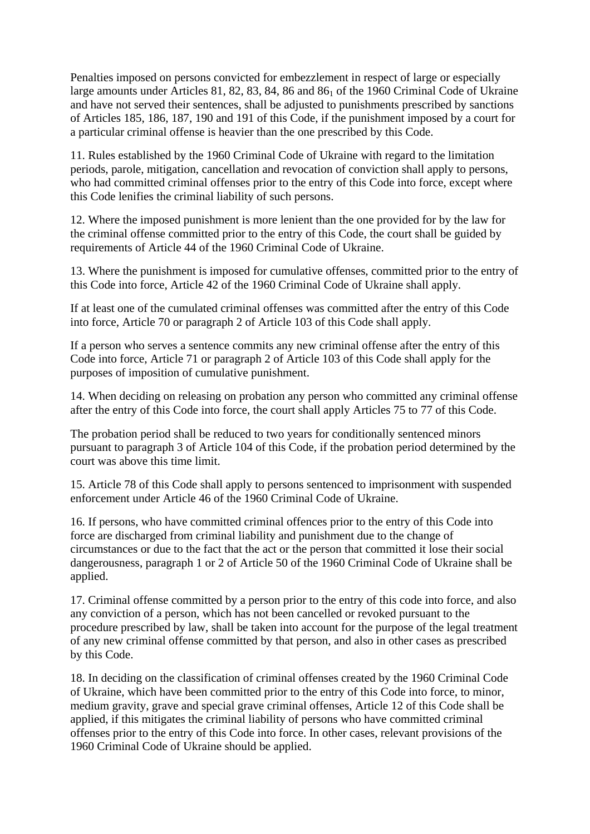Penalties imposed on persons convicted for embezzlement in respect of large or especially large amounts under Articles 81, 82, 83, 84, 86 and 86<sub>1</sub> of the 1960 Criminal Code of Ukraine and have not served their sentences, shall be adjusted to punishments prescribed by sanctions of Articles 185, 186, 187, 190 and 191 of this Code, if the punishment imposed by a court for a particular criminal offense is heavier than the one prescribed by this Code.

11. Rules established by the 1960 Criminal Code of Ukraine with regard to the limitation periods, parole, mitigation, cancellation and revocation of conviction shall apply to persons, who had committed criminal offenses prior to the entry of this Code into force, except where this Code lenifies the criminal liability of such persons.

12. Where the imposed punishment is more lenient than the one provided for by the law for the criminal offense committed prior to the entry of this Code, the court shall be guided by requirements of Article 44 of the 1960 Criminal Code of Ukraine.

13. Where the punishment is imposed for cumulative offenses, committed prior to the entry of this Code into force, Article 42 of the 1960 Criminal Code of Ukraine shall apply.

If at least one of the cumulated criminal offenses was committed after the entry of this Code into force, Article 70 or paragraph 2 of Article 103 of this Code shall apply.

If a person who serves a sentence commits any new criminal offense after the entry of this Code into force, Article 71 or paragraph 2 of Article 103 of this Code shall apply for the purposes of imposition of cumulative punishment.

14. When deciding on releasing on probation any person who committed any criminal offense after the entry of this Code into force, the court shall apply Articles 75 to 77 of this Code.

The probation period shall be reduced to two years for conditionally sentenced minors pursuant to paragraph 3 of Article 104 of this Code, if the probation period determined by the court was above this time limit.

15. Article 78 of this Code shall apply to persons sentenced to imprisonment with suspended enforcement under Article 46 of the 1960 Criminal Code of Ukraine.

16. If persons, who have committed criminal offences prior to the entry of this Code into force are discharged from criminal liability and punishment due to the change of circumstances or due to the fact that the act or the person that committed it lose their social dangerousness, paragraph 1 or 2 of Article 50 of the 1960 Criminal Code of Ukraine shall be applied.

17. Criminal offense committed by a person prior to the entry of this code into force, and also any conviction of a person, which has not been cancelled or revoked pursuant to the procedure prescribed by law, shall be taken into account for the purpose of the legal treatment of any new criminal offense committed by that person, and also in other cases as prescribed by this Code.

18. In deciding on the classification of criminal offenses created by the 1960 Criminal Code of Ukraine, which have been committed prior to the entry of this Code into force, to minor, medium gravity, grave and special grave criminal offenses, Article 12 of this Code shall be applied, if this mitigates the criminal liability of persons who have committed criminal offenses prior to the entry of this Code into force. In other cases, relevant provisions of the 1960 Criminal Code of Ukraine should be applied.